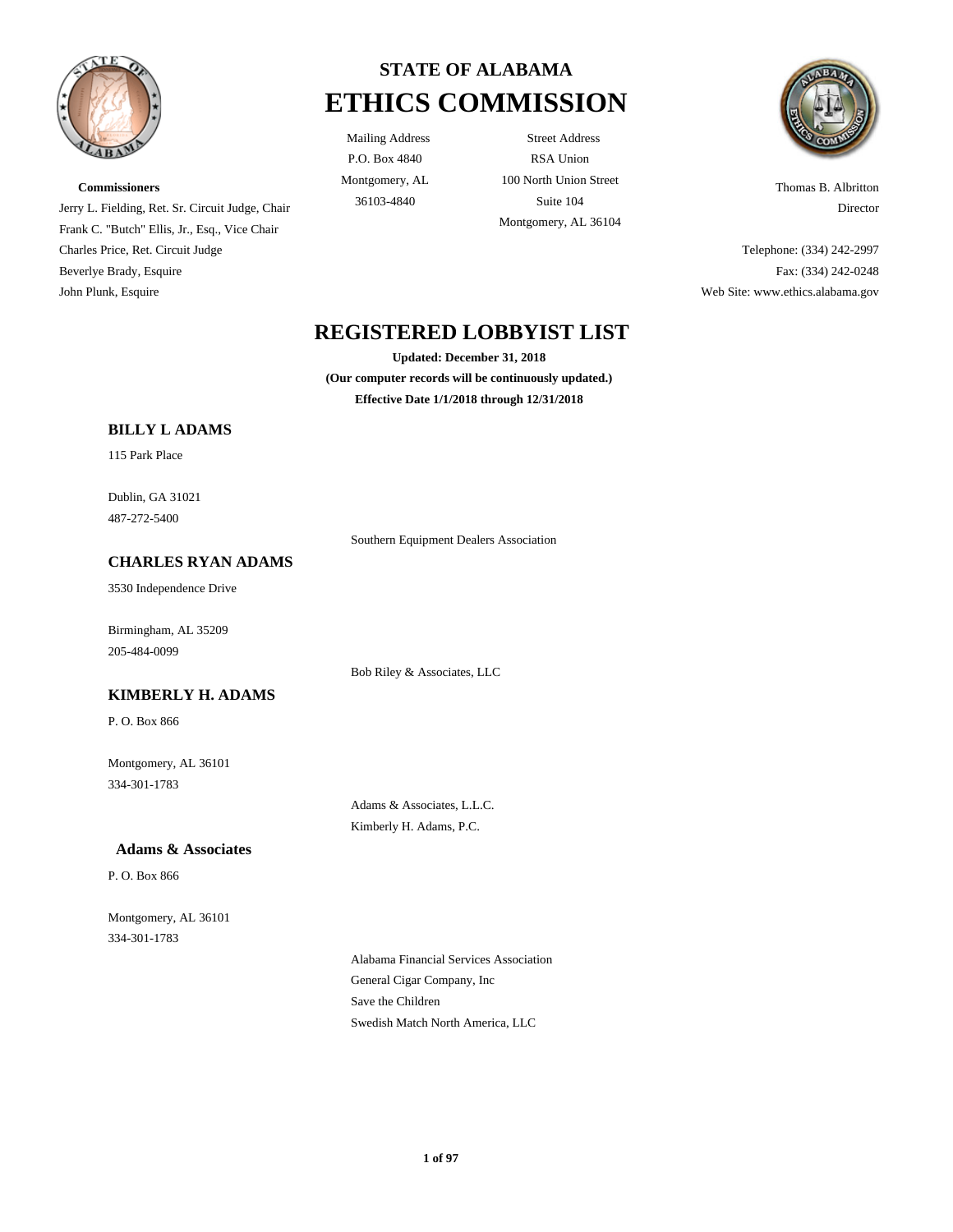

**Commissioners**

Charles Price, Ret. Circuit Judge Beverlye Brady, Esquire John Plunk, Esquire

# **STATE OF ALABAMA ETHICS COMMISSION**

P.O. Box 4840 Montgomery, AL

Mailing Address Street Address RSA Union 100 North Union Street 36103-4840 Suite 104 Montgomery, AL 36104



Thomas B. Albritton Director

Telephone: (334) 242-2997 Fax: (334) 242-0248 Web Site: www.ethics.alabama.gov

## **REGISTERED LOBBYIST LIST**

**Updated: December 31, 2018 (Our computer records will be continuously updated.) Effective Date 1/1/2018 through 12/31/2018**

Southern Equipment Dealers Association

## **BILLY L ADAMS**

Jerry L. Fielding, Ret. Sr. Circuit Judge, Chair Frank C. "Butch" Ellis, Jr., Esq., Vice Chair

115 Park Place

Dublin, GA 31021 487-272-5400

## **CHARLES RYAN ADAMS**

3530 Independence Drive

Birmingham, AL 35209 205-484-0099

Bob Riley & Associates, LLC

## **KIMBERLY H. ADAMS**

P. O. Box 866

Montgomery, AL 36101 334-301-1783

> Adams & Associates, L.L.C. Kimberly H. Adams, P.C.

### **Adams & Associates**

P. O. Box 866

Montgomery, AL 36101 334-301-1783

> Alabama Financial Services Association General Cigar Company, Inc Save the Children Swedish Match North America, LLC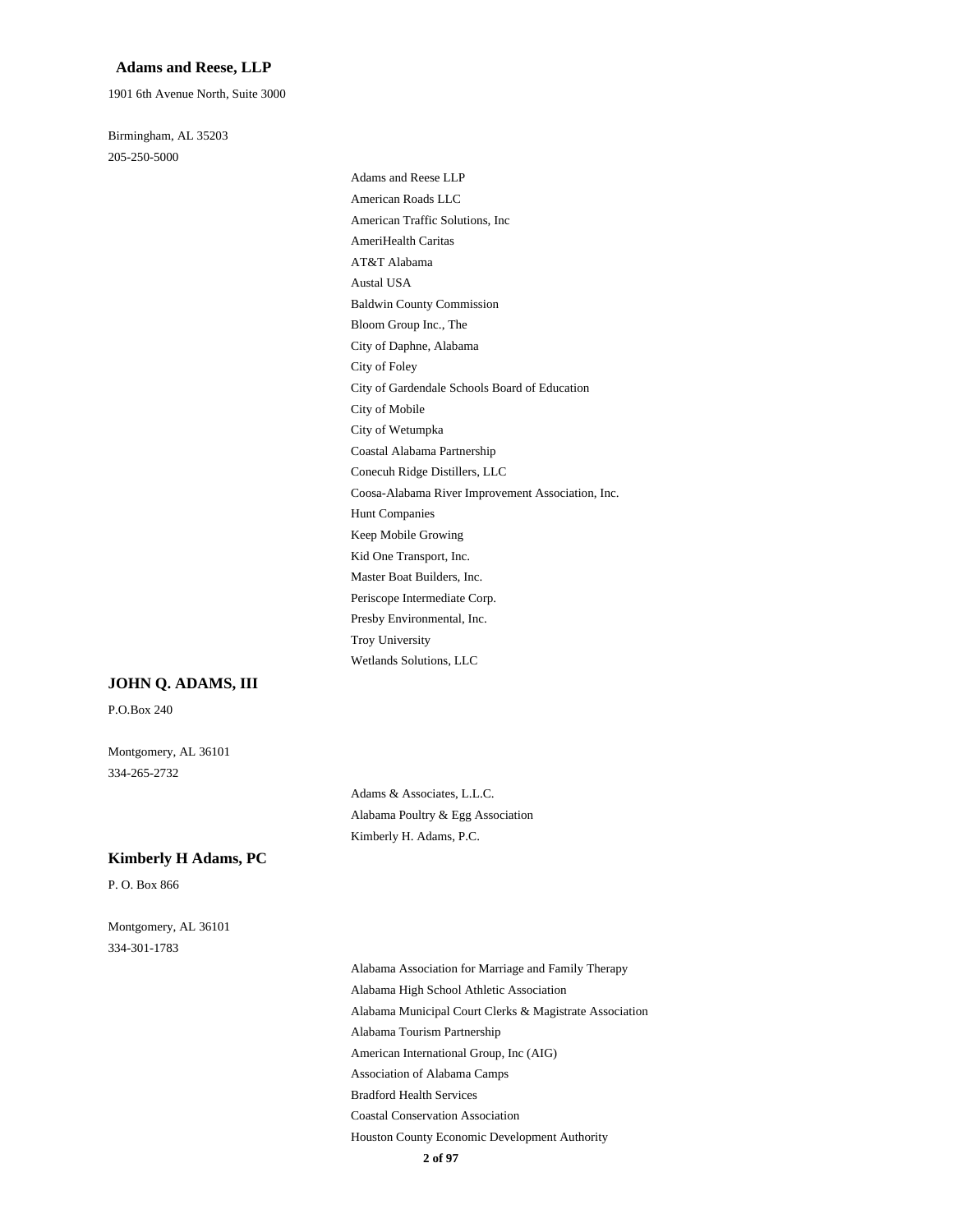### **Adams and Reese, LLP**

1901 6th Avenue North, Suite 3000

Birmingham, AL 35203 205-250-5000

> Adams and Reese LLP American Roads LLC American Traffic Solutions, Inc AmeriHealth Caritas AT&T Alabama Austal USA Baldwin County Commission Bloom Group Inc., The City of Daphne, Alabama City of Foley City of Gardendale Schools Board of Education City of Mobile City of Wetumpka Coastal Alabama Partnership Conecuh Ridge Distillers, LLC Coosa-Alabama River Improvement Association, Inc. Hunt Companies Keep Mobile Growing Kid One Transport, Inc. Master Boat Builders, Inc. Periscope Intermediate Corp. Presby Environmental, Inc. Troy University Wetlands Solutions, LLC

### **JOHN Q. ADAMS, III**

P.O.Box 240

Montgomery, AL 36101 334-265-2732

> Adams & Associates, L.L.C. Alabama Poultry & Egg Association Kimberly H. Adams, P.C.

#### **Kimberly H Adams, PC**

P. O. Box 866

Montgomery, AL 36101 334-301-1783

> Alabama Association for Marriage and Family Therapy Alabama High School Athletic Association Alabama Municipal Court Clerks & Magistrate Association Alabama Tourism Partnership American International Group, Inc (AIG) Association of Alabama Camps Bradford Health Services Coastal Conservation Association Houston County Economic Development Authority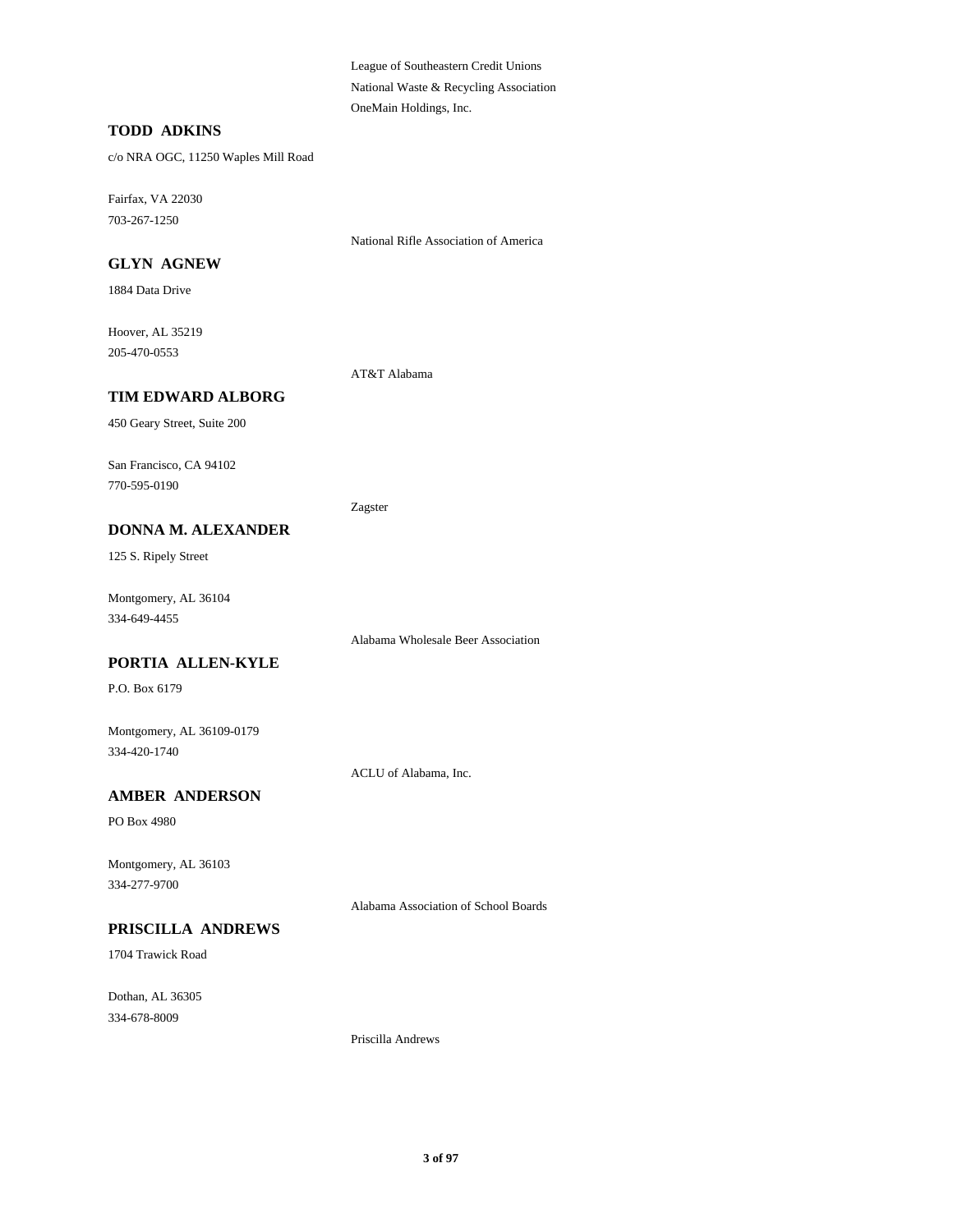League of Southeastern Credit Unions National Waste & Recycling Association OneMain Holdings, Inc.

### **TODD ADKINS**

c/o NRA OGC, 11250 Waples Mill Road

Fairfax, VA 22030 703-267-1250

National Rifle Association of America

### **GLYN AGNEW**

1884 Data Drive

Hoover, AL 35219 205-470-0553

AT&T Alabama

## **TIM EDWARD ALBORG**

450 Geary Street, Suite 200

San Francisco, CA 94102 770-595-0190

Zagster

### **DONNA M. ALEXANDER**

125 S. Ripely Street

Montgomery, AL 36104 334-649-4455

Alabama Wholesale Beer Association

## **PORTIA ALLEN-KYLE**

P.O. Box 6179

Montgomery, AL 36109-0179 334-420-1740

ACLU of Alabama, Inc.

## **AMBER ANDERSON**

PO Box 4980

Montgomery, AL 36103 334-277-9700

Alabama Association of School Boards

## **PRISCILLA ANDREWS**

1704 Trawick Road

Dothan, AL 36305 334-678-8009

Priscilla Andrews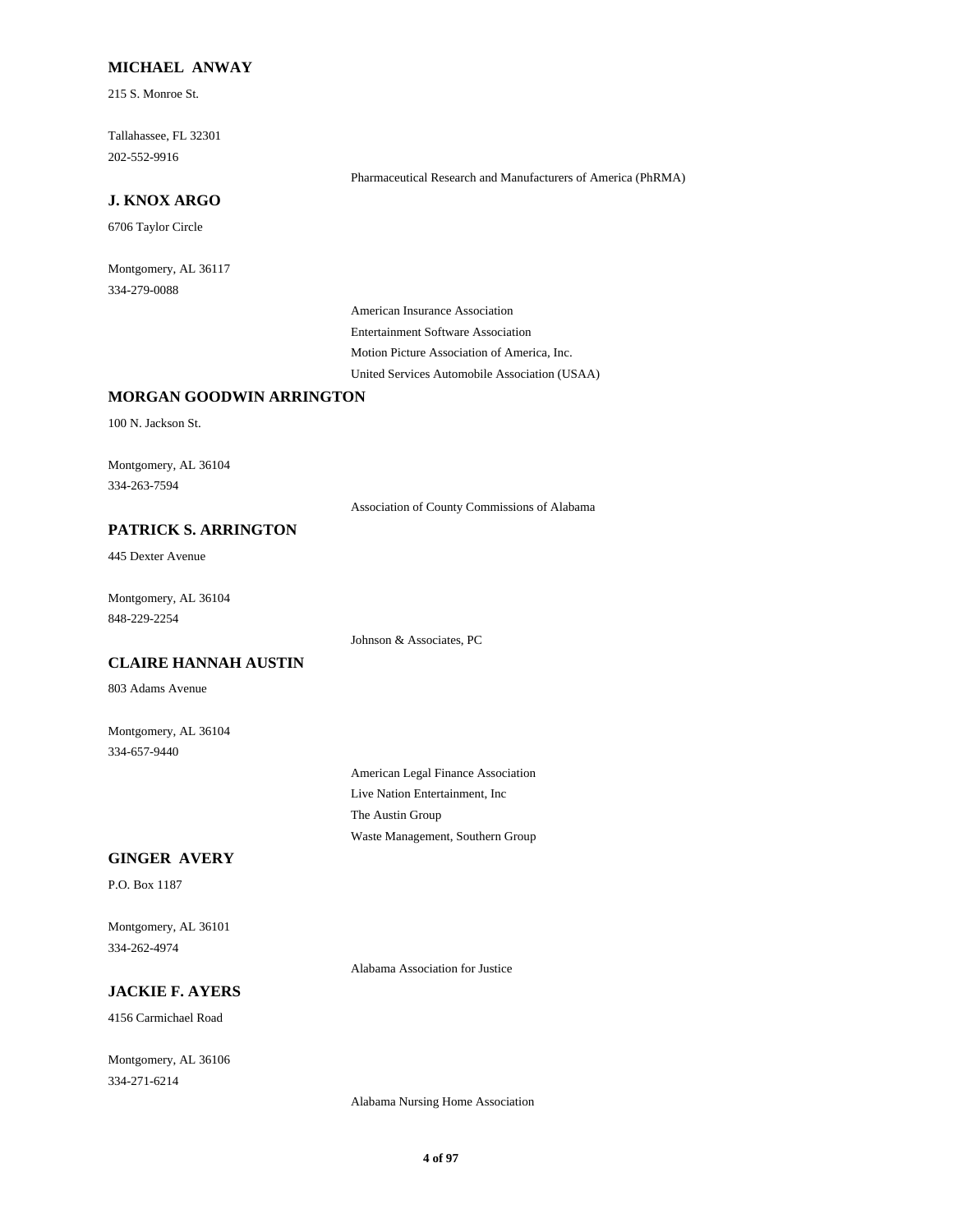### **MICHAEL ANWAY**

215 S. Monroe St.

Tallahassee, FL 32301 202-552-9916

Pharmaceutical Research and Manufacturers of America (PhRMA)

### **J. KNOX ARGO**

6706 Taylor Circle

Montgomery, AL 36117 334-279-0088

> American Insurance Association Entertainment Software Association Motion Picture Association of America, Inc. United Services Automobile Association (USAA)

## **MORGAN GOODWIN ARRINGTON**

100 N. Jackson St.

Montgomery, AL 36104 334-263-7594

Association of County Commissions of Alabama

## **PATRICK S. ARRINGTON**

445 Dexter Avenue

Montgomery, AL 36104 848-229-2254

Johnson & Associates, PC

## **CLAIRE HANNAH AUSTIN**

803 Adams Avenue

Montgomery, AL 36104 334-657-9440

> American Legal Finance Association Live Nation Entertainment, Inc The Austin Group Waste Management, Southern Group

## **GINGER AVERY**

P.O. Box 1187

Montgomery, AL 36101 334-262-4974

Alabama Association for Justice

## **JACKIE F. AYERS**

4156 Carmichael Road

Montgomery, AL 36106 334-271-6214

Alabama Nursing Home Association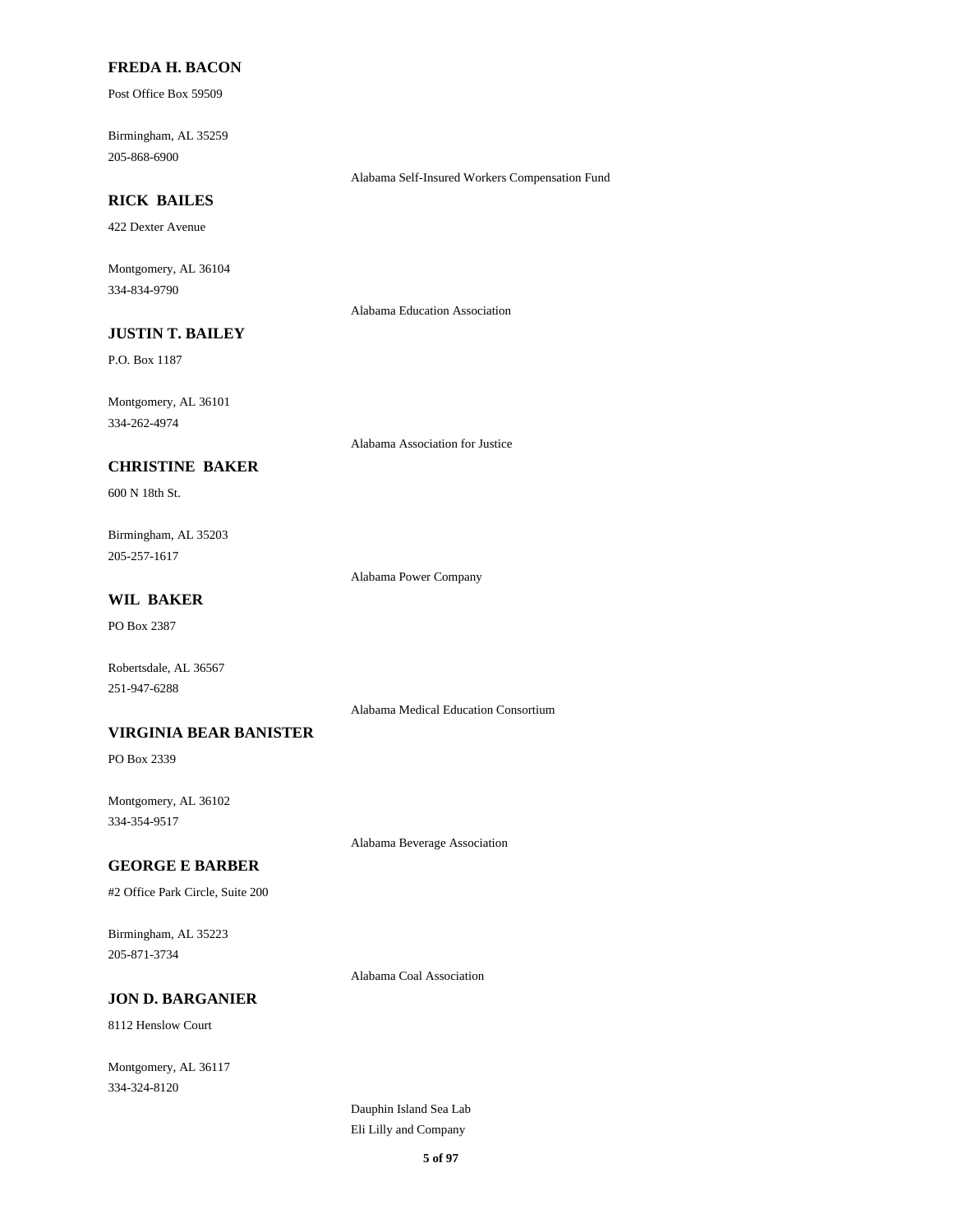### **FREDA H. BACON**

Post Office Box 59509

Birmingham, AL 35259 205-868-6900

Alabama Self-Insured Workers Compensation Fund

## **RICK BAILES**

422 Dexter Avenue

Montgomery, AL 36104 334-834-9790

Alabama Education Association

## **JUSTIN T. BAILEY**

P.O. Box 1187

Montgomery, AL 36101 334-262-4974

Alabama Association for Justice

## **CHRISTINE BAKER**

600 N 18th St.

Birmingham, AL 35203 205-257-1617

Alabama Power Company

## **WIL BAKER**

PO Box 2387

Robertsdale, AL 36567 251-947-6288

Alabama Medical Education Consortium

### **VIRGINIA BEAR BANISTER**

PO Box 2339

Montgomery, AL 36102 334-354-9517

Alabama Beverage Association

### **GEORGE E BARBER**

#2 Office Park Circle, Suite 200

Birmingham, AL 35223 205-871-3734

Alabama Coal Association

## **JON D. BARGANIER**

8112 Henslow Court

Montgomery, AL 36117 334-324-8120

> Dauphin Island Sea Lab Eli Lilly and Company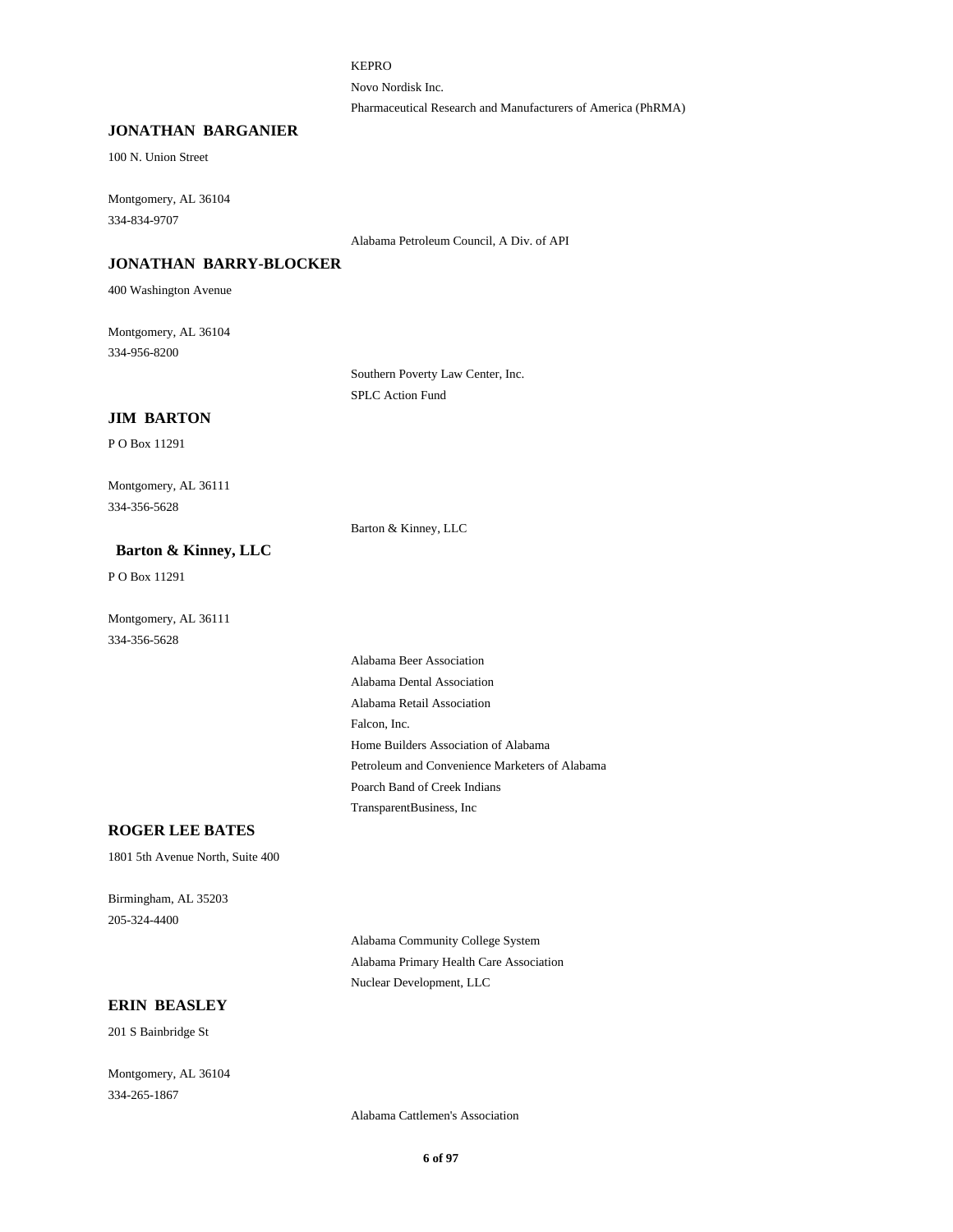KEPRO

Novo Nordisk Inc.

Pharmaceutical Research and Manufacturers of America (PhRMA)

### **JONATHAN BARGANIER**

100 N. Union Street

Montgomery, AL 36104 334-834-9707

Alabama Petroleum Council, A Div. of API

### **JONATHAN BARRY-BLOCKER**

400 Washington Avenue

Montgomery, AL 36104 334-956-8200

> Southern Poverty Law Center, Inc. SPLC Action Fund

### **JIM BARTON**

P O Box 11291

Montgomery, AL 36111 334-356-5628

Barton & Kinney, LLC

### **Barton & Kinney, LLC**

P O Box 11291

Montgomery, AL 36111 334-356-5628

> Alabama Beer Association Alabama Dental Association Alabama Retail Association Falcon, Inc. Home Builders Association of Alabama Petroleum and Convenience Marketers of Alabama Poarch Band of Creek Indians TransparentBusiness, Inc

## **ROGER LEE BATES**

1801 5th Avenue North, Suite 400

Birmingham, AL 35203 205-324-4400

> Alabama Community College System Alabama Primary Health Care Association Nuclear Development, LLC

### **ERIN BEASLEY**

201 S Bainbridge St

Montgomery, AL 36104 334-265-1867

Alabama Cattlemen's Association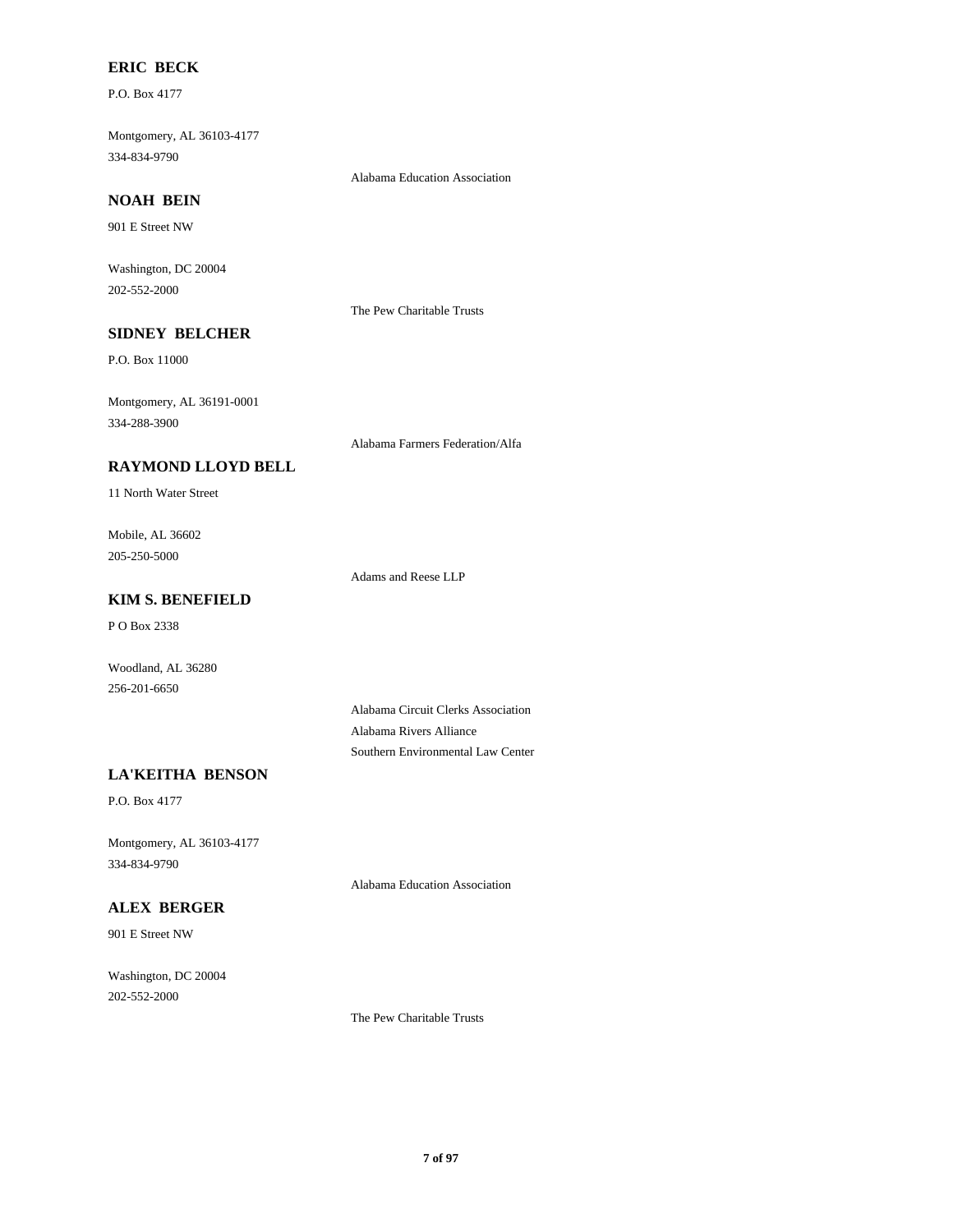## **ERIC BECK**

P.O. Box 4177

Montgomery, AL 36103-4177 334-834-9790

Alabama Education Association

## **NOAH BEIN**

901 E Street NW

Washington, DC 20004 202-552-2000

The Pew Charitable Trusts

## **SIDNEY BELCHER**

P.O. Box 11000

Montgomery, AL 36191-0001 334-288-3900

Alabama Farmers Federation/Alfa

### **RAYMOND LLOYD BELL**

11 North Water Street

Mobile, AL 36602 205-250-5000

Adams and Reese LLP

## **KIM S. BENEFIELD**

P O Box 2338

Woodland, AL 36280 256-201-6650

> Alabama Circuit Clerks Association Alabama Rivers Alliance Southern Environmental Law Center

## **LA'KEITHA BENSON**

P.O. Box 4177

Montgomery, AL 36103-4177 334-834-9790

Alabama Education Association

## **ALEX BERGER**

901 E Street NW

Washington, DC 20004 202-552-2000

The Pew Charitable Trusts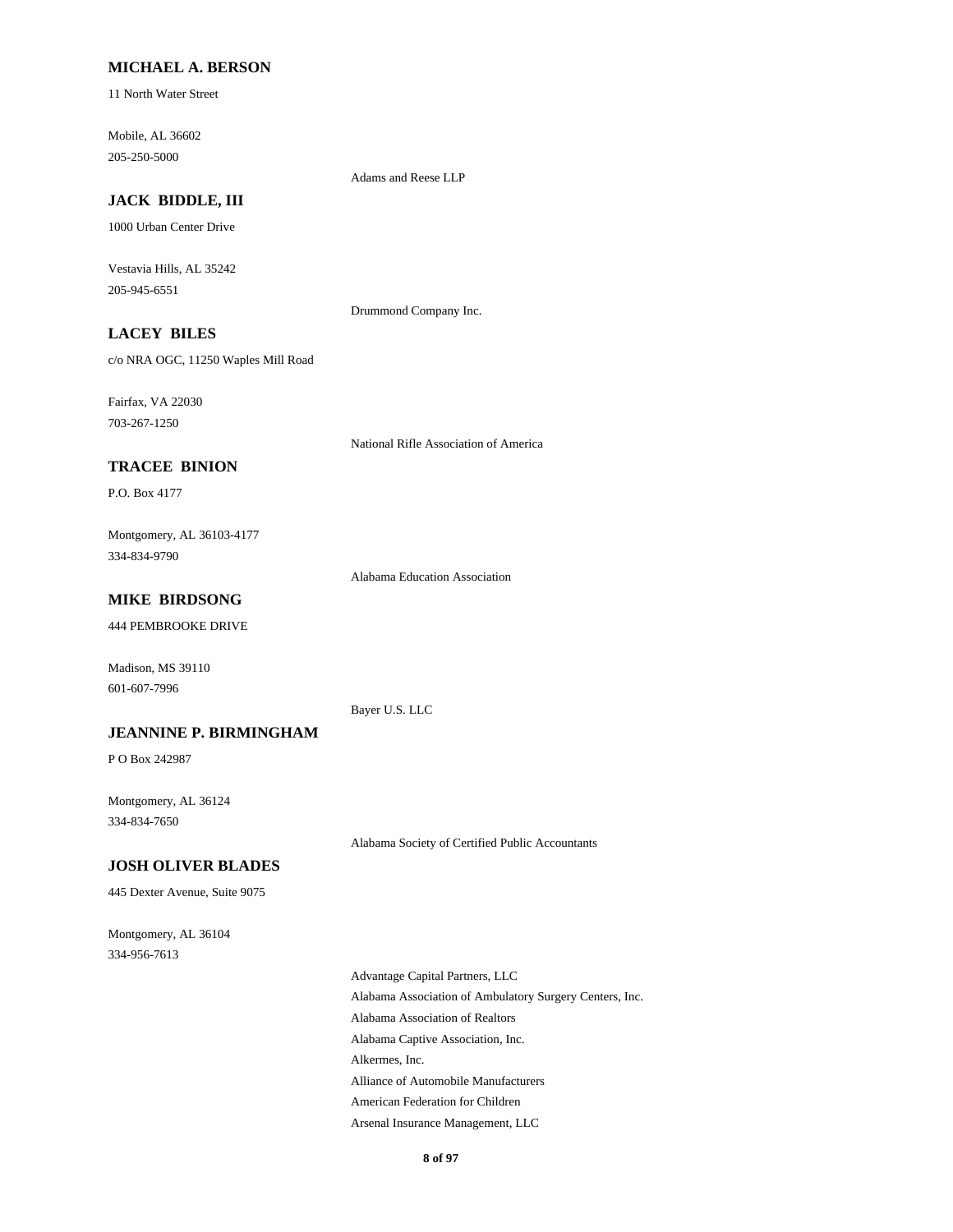### **MICHAEL A. BERSON**

11 North Water Street

Mobile, AL 36602 205-250-5000

Adams and Reese LLP

## **JACK BIDDLE, III**

1000 Urban Center Drive

Vestavia Hills, AL 35242 205-945-6551

Drummond Company Inc.

## **LACEY BILES**

c/o NRA OGC, 11250 Waples Mill Road

Fairfax, VA 22030 703-267-1250

National Rifle Association of America

### **TRACEE BINION**

P.O. Box 4177

Montgomery, AL 36103-4177 334-834-9790

Alabama Education Association

## **MIKE BIRDSONG**

444 PEMBROOKE DRIVE

Madison, MS 39110 601-607-7996

Bayer U.S. LLC

### **JEANNINE P. BIRMINGHAM**

P O Box 242987

Montgomery, AL 36124 334-834-7650

Alabama Society of Certified Public Accountants

### **JOSH OLIVER BLADES**

445 Dexter Avenue, Suite 9075

Montgomery, AL 36104 334-956-7613

> Advantage Capital Partners, LLC Alabama Association of Ambulatory Surgery Centers, Inc. Alabama Association of Realtors Alabama Captive Association, Inc. Alkermes, Inc. Alliance of Automobile Manufacturers American Federation for Children Arsenal Insurance Management, LLC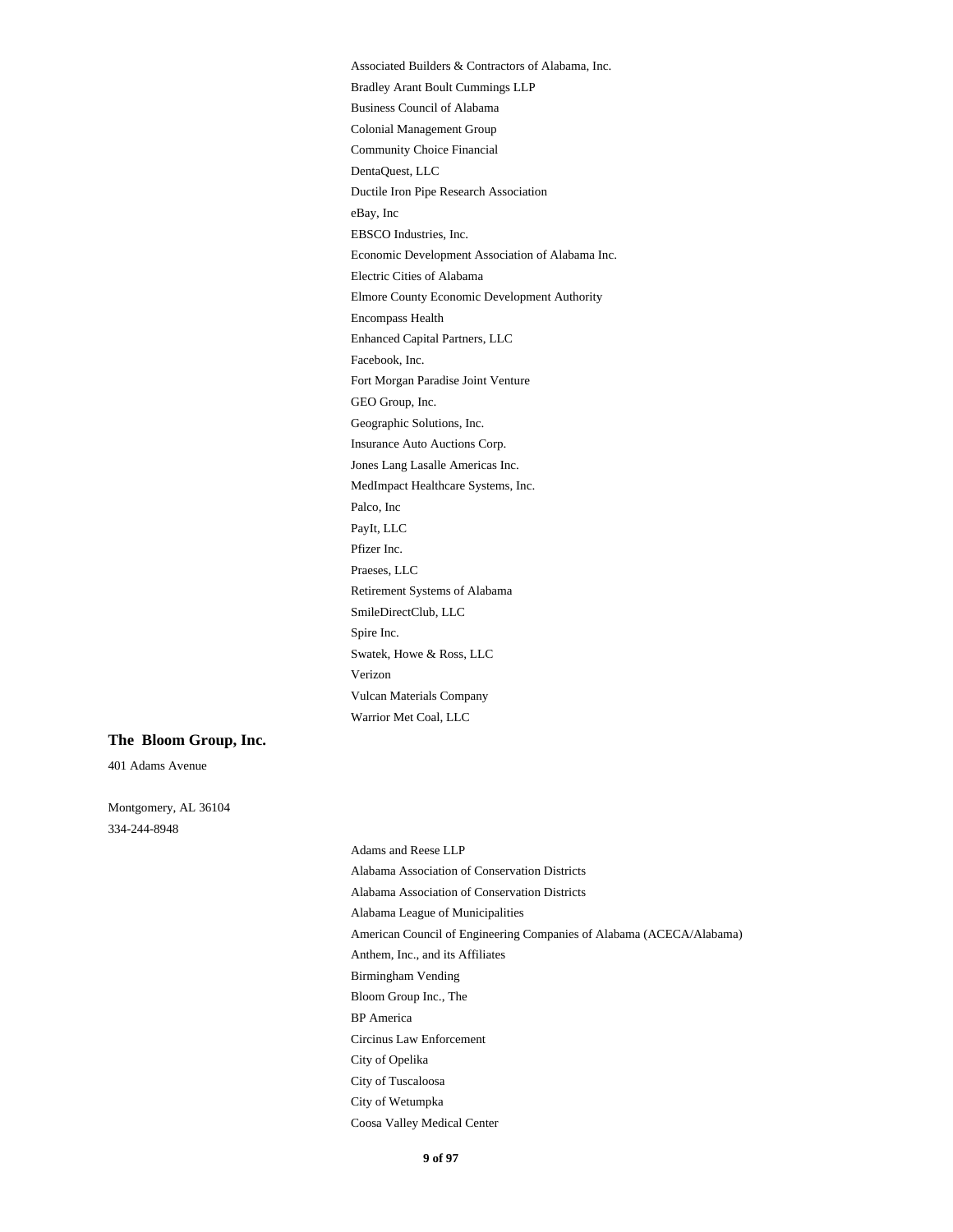Associated Builders & Contractors of Alabama, Inc. Bradley Arant Boult Cummings LLP Business Council of Alabama Colonial Management Group Community Choice Financial DentaQuest, LLC Ductile Iron Pipe Research Association eBay, Inc EBSCO Industries, Inc. Economic Development Association of Alabama Inc. Electric Cities of Alabama Elmore County Economic Development Authority Encompass Health Enhanced Capital Partners, LLC Facebook, Inc. Fort Morgan Paradise Joint Venture GEO Group, Inc. Geographic Solutions, Inc. Insurance Auto Auctions Corp. Jones Lang Lasalle Americas Inc. MedImpact Healthcare Systems, Inc. Palco, Inc PayIt, LLC Pfizer Inc. Praeses, LLC Retirement Systems of Alabama SmileDirectClub, LLC Spire Inc. Swatek, Howe & Ross, LLC Verizon Vulcan Materials Company Warrior Met Coal, LLC

#### **The Bloom Group, Inc.**

401 Adams Avenue

Montgomery, AL 36104 334-244-8948

> Adams and Reese LLP Alabama Association of Conservation Districts Alabama Association of Conservation Districts Alabama League of Municipalities American Council of Engineering Companies of Alabama (ACECA/Alabama) Anthem, Inc., and its Affiliates Birmingham Vending Bloom Group Inc., The BP America Circinus Law Enforcement City of Opelika City of Tuscaloosa City of Wetumpka Coosa Valley Medical Center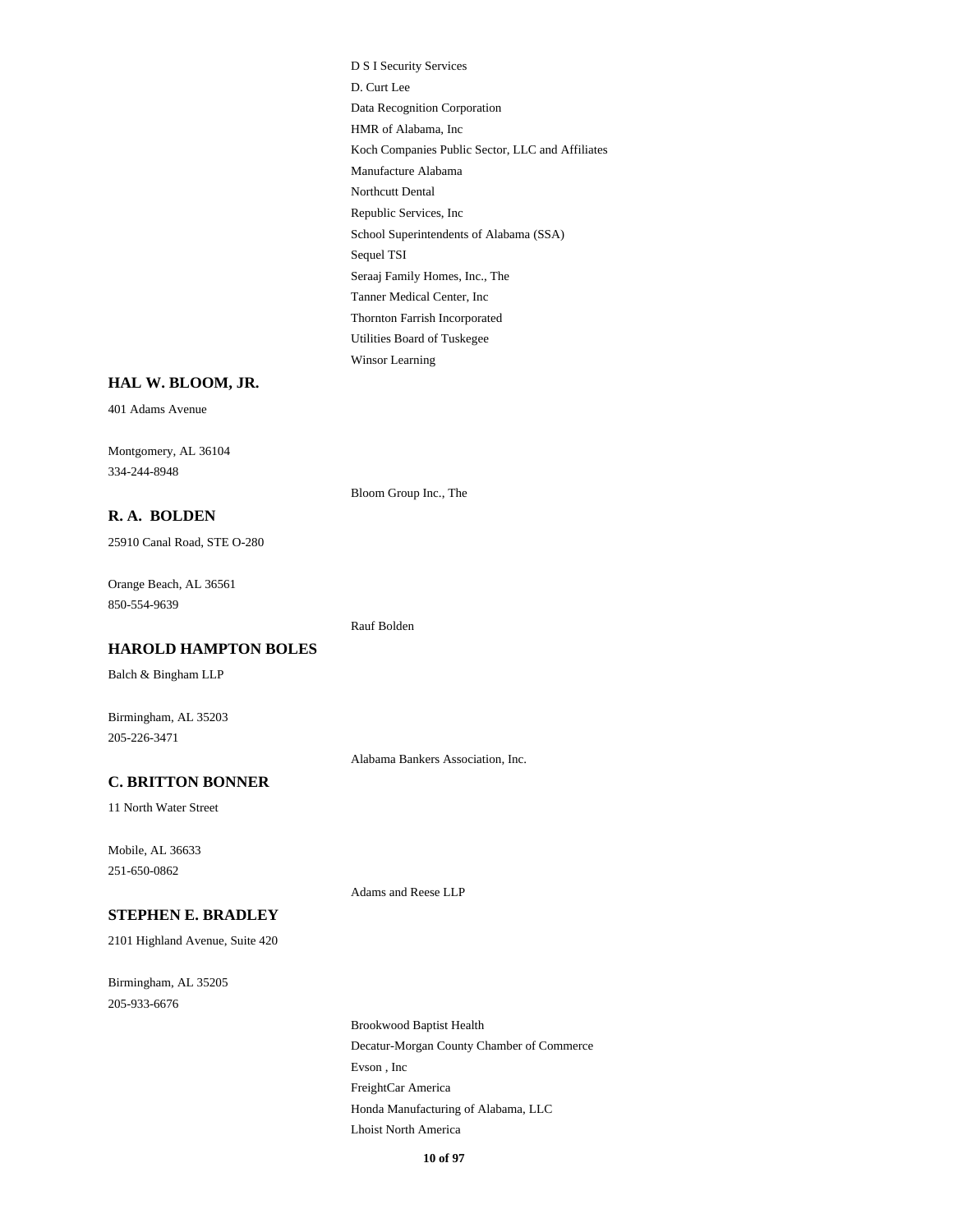D S I Security Services D. Curt Lee Data Recognition Corporation HMR of Alabama, Inc Koch Companies Public Sector, LLC and Affiliates Manufacture Alabama Northcutt Dental Republic Services, Inc School Superintendents of Alabama (SSA) Sequel TSI Seraaj Family Homes, Inc., The Tanner Medical Center, Inc Thornton Farrish Incorporated Utilities Board of Tuskegee Winsor Learning

### **HAL W. BLOOM, JR.**

401 Adams Avenue

Montgomery, AL 36104 334-244-8948

Bloom Group Inc., The

Rauf Bolden

**R. A. BOLDEN**

25910 Canal Road, STE O-280

Orange Beach, AL 36561 850-554-9639

**HAROLD HAMPTON BOLES**

Balch & Bingham LLP

Birmingham, AL 35203 205-226-3471

Alabama Bankers Association, Inc.

### **C. BRITTON BONNER**

11 North Water Street

Mobile, AL 36633 251-650-0862

Adams and Reese LLP

### **STEPHEN E. BRADLEY**

2101 Highland Avenue, Suite 420

Birmingham, AL 35205 205-933-6676

> Brookwood Baptist Health Decatur-Morgan County Chamber of Commerce Evson , Inc FreightCar America Honda Manufacturing of Alabama, LLC Lhoist North America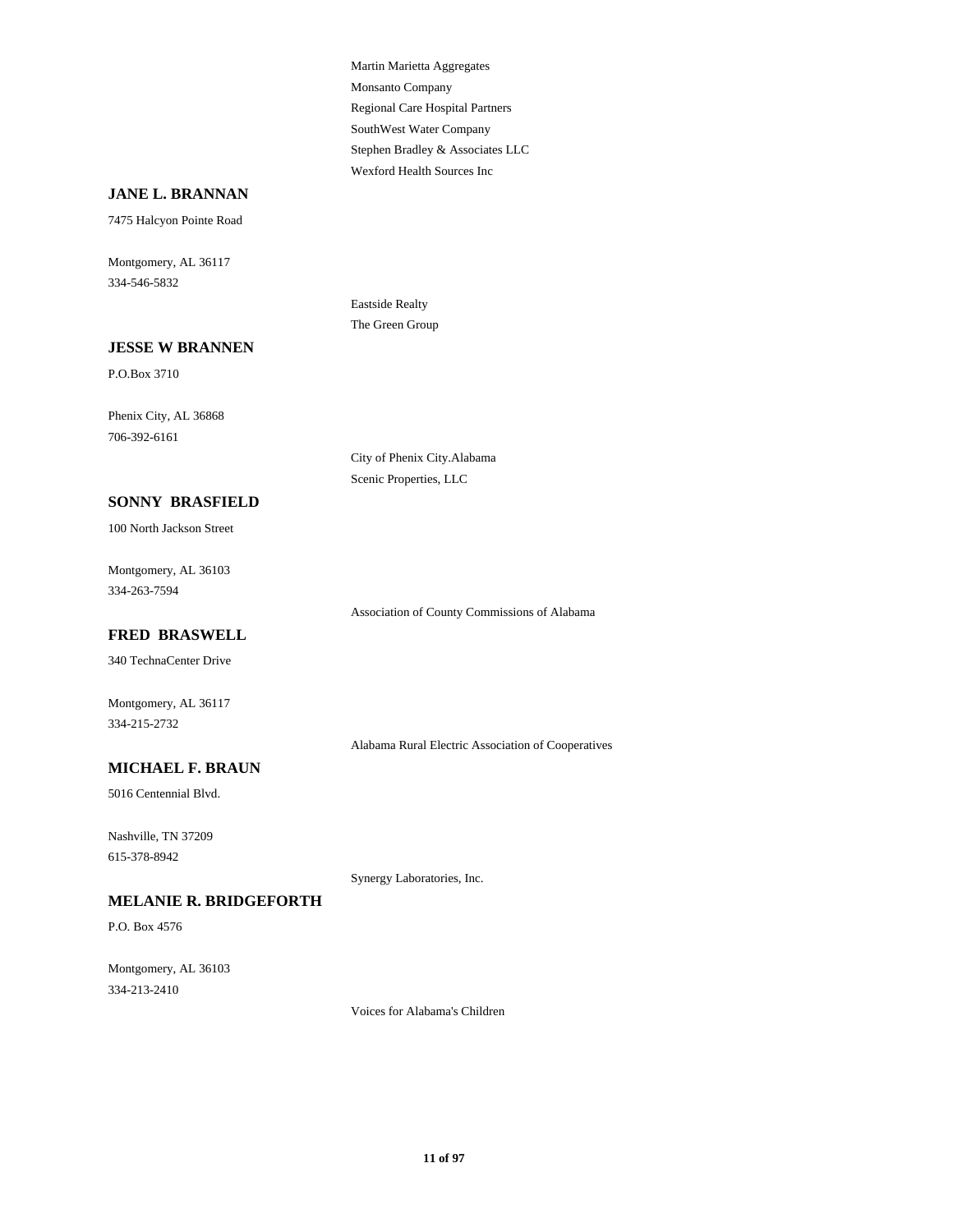Martin Marietta Aggregates Monsanto Company Regional Care Hospital Partners SouthWest Water Company Stephen Bradley & Associates LLC Wexford Health Sources Inc

### **JANE L. BRANNAN**

7475 Halcyon Pointe Road

Montgomery, AL 36117 334-546-5832

> Eastside Realty The Green Group

### **JESSE W BRANNEN**

P.O.Box 3710

Phenix City, AL 36868 706-392-6161

> City of Phenix City.Alabama Scenic Properties, LLC

### **SONNY BRASFIELD**

100 North Jackson Street

Montgomery, AL 36103 334-263-7594

### **FRED BRASWELL**

340 TechnaCenter Drive

Montgomery, AL 36117 334-215-2732

Alabama Rural Electric Association of Cooperatives

Association of County Commissions of Alabama

#### **MICHAEL F. BRAUN**

5016 Centennial Blvd.

Nashville, TN 37209 615-378-8942

Synergy Laboratories, Inc.

## **MELANIE R. BRIDGEFORTH**

P.O. Box 4576

Montgomery, AL 36103 334-213-2410

Voices for Alabama's Children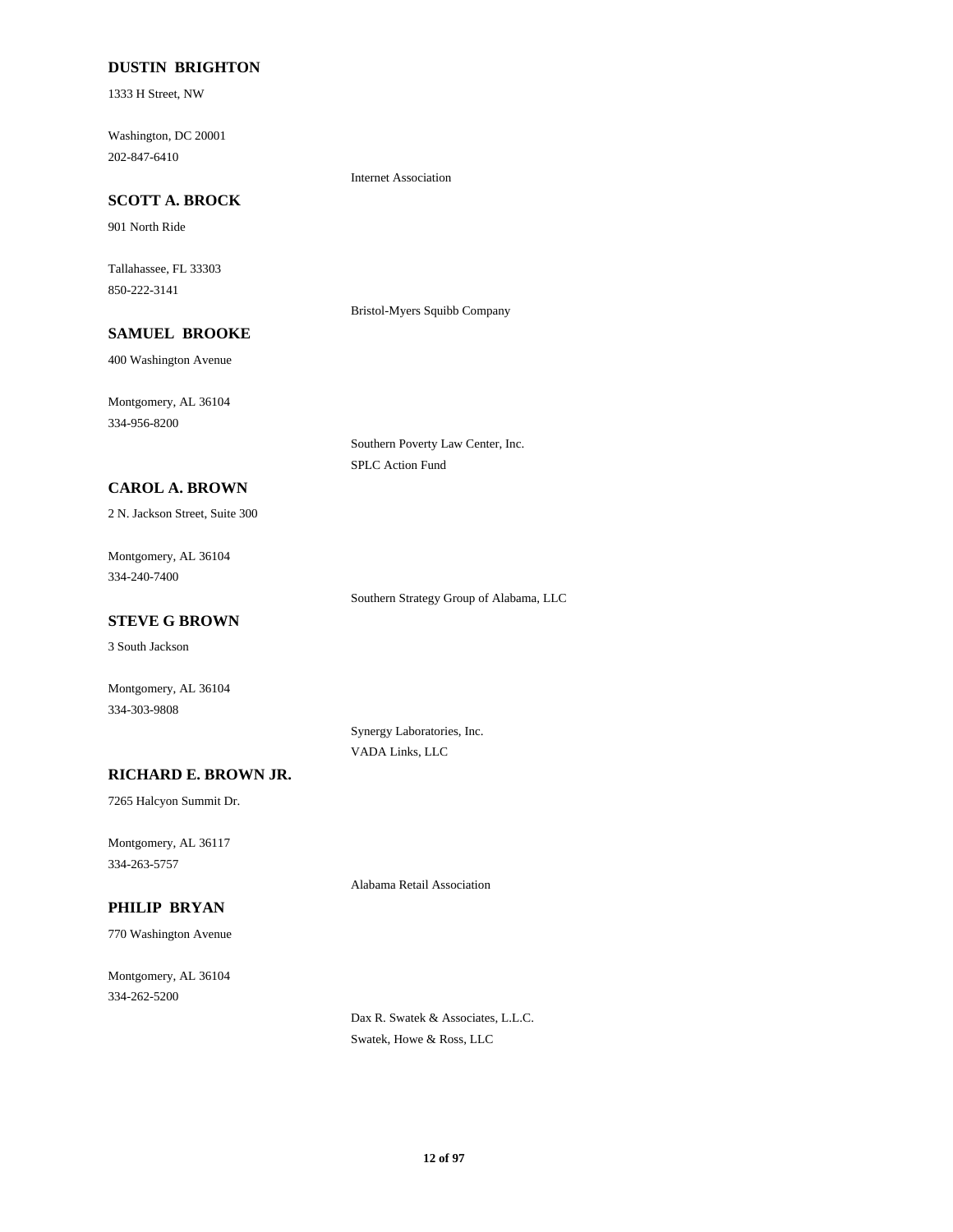### **DUSTIN BRIGHTON**

1333 H Street, NW

Washington, DC 20001 202-847-6410

Internet Association

## **SCOTT A. BROCK**

901 North Ride

Tallahassee, FL 33303 850-222-3141

Bristol-Myers Squibb Company

Southern Poverty Law Center, Inc.

SPLC Action Fund

## **SAMUEL BROOKE**

400 Washington Avenue

Montgomery, AL 36104 334-956-8200

**CAROL A. BROWN**

2 N. Jackson Street, Suite 300

Montgomery, AL 36104 334-240-7400

Southern Strategy Group of Alabama, LLC

## **STEVE G BROWN**

3 South Jackson

Montgomery, AL 36104 334-303-9808

> Synergy Laboratories, Inc. VADA Links, LLC

### **RICHARD E. BROWN JR.**

7265 Halcyon Summit Dr.

Montgomery, AL 36117 334-263-5757

Alabama Retail Association

## **PHILIP BRYAN**

770 Washington Avenue

Montgomery, AL 36104 334-262-5200

> Dax R. Swatek & Associates, L.L.C. Swatek, Howe & Ross, LLC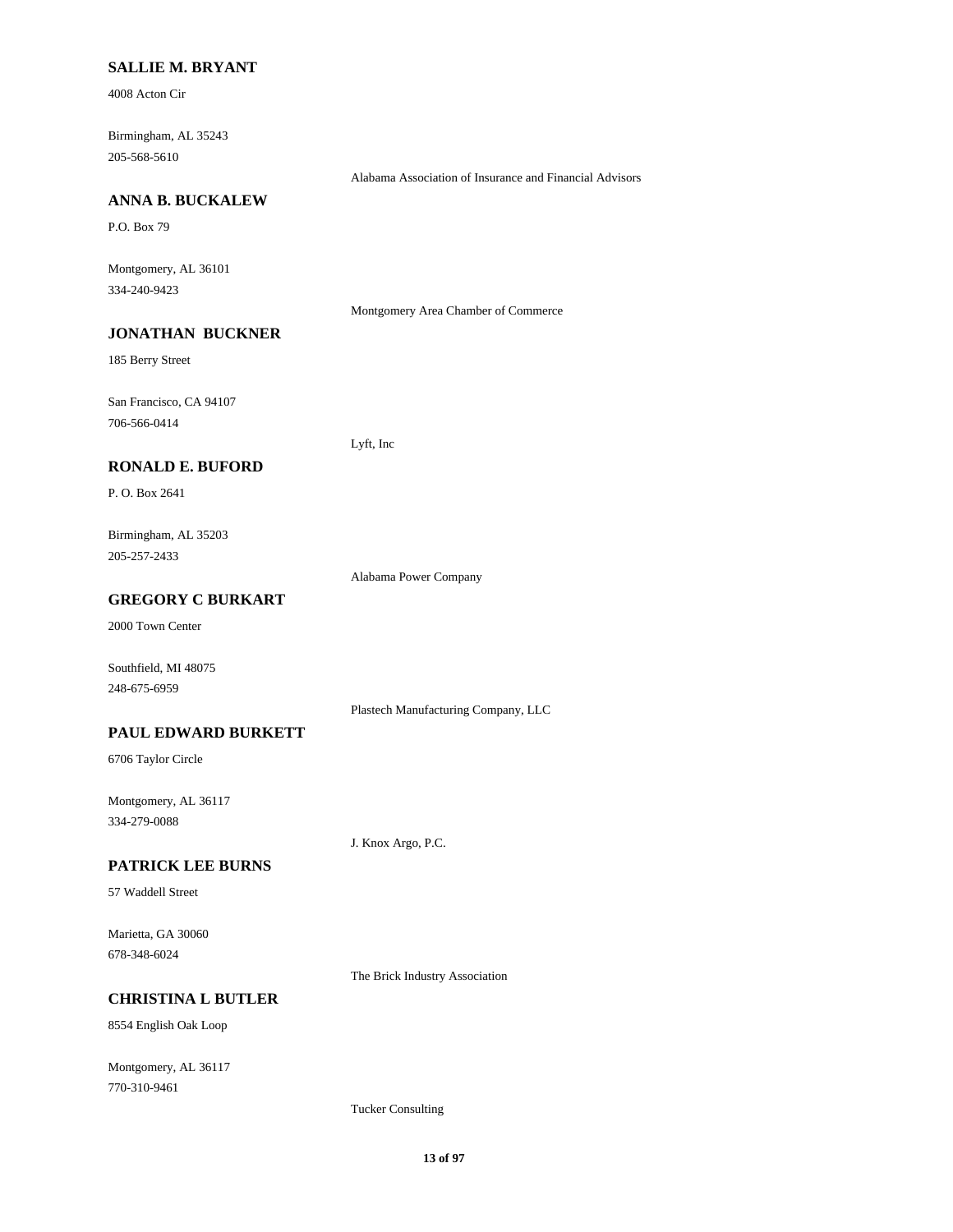### **SALLIE M. BRYANT**

4008 Acton Cir

Birmingham, AL 35243 205-568-5610

Alabama Association of Insurance and Financial Advisors

### **ANNA B. BUCKALEW**

P.O. Box 79

Montgomery, AL 36101 334-240-9423

Montgomery Area Chamber of Commerce

## **JONATHAN BUCKNER**

185 Berry Street

San Francisco, CA 94107 706-566-0414

Lyft, Inc

### **RONALD E. BUFORD**

P. O. Box 2641

Birmingham, AL 35203 205-257-2433

Alabama Power Company

## **GREGORY C BURKART**

2000 Town Center

Southfield, MI 48075 248-675-6959

Plastech Manufacturing Company, LLC

### **PAUL EDWARD BURKETT**

6706 Taylor Circle

Montgomery, AL 36117 334-279-0088

J. Knox Argo, P.C.

### **PATRICK LEE BURNS**

57 Waddell Street

Marietta, GA 30060 678-348-6024

The Brick Industry Association

### **CHRISTINA L BUTLER**

8554 English Oak Loop

Montgomery, AL 36117 770-310-9461

Tucker Consulting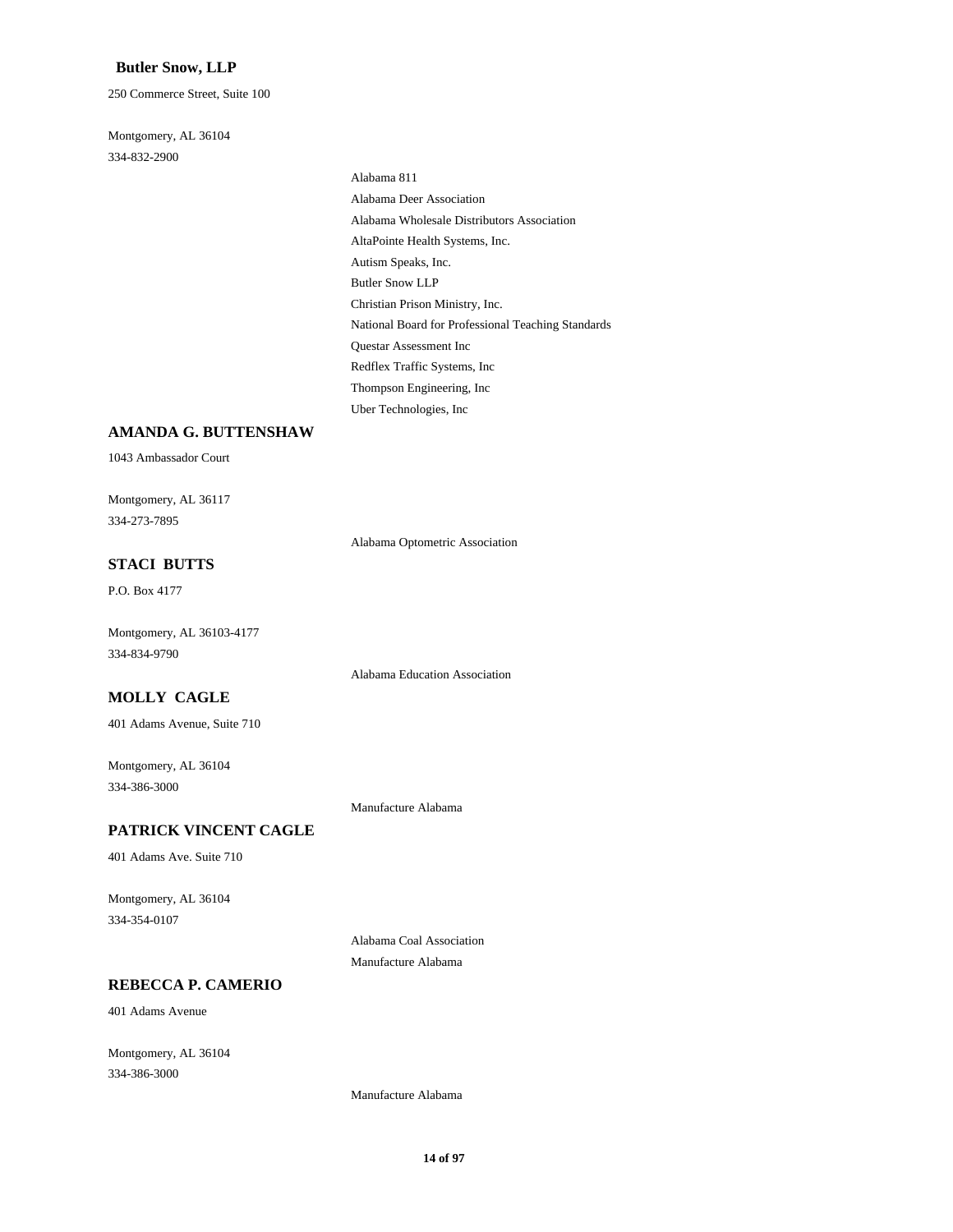### **Butler Snow, LLP**

250 Commerce Street, Suite 100

Montgomery, AL 36104 334-832-2900

> Alabama 811 Alabama Deer Association Alabama Wholesale Distributors Association AltaPointe Health Systems, Inc. Autism Speaks, Inc. Butler Snow LLP Christian Prison Ministry, Inc. National Board for Professional Teaching Standards Questar Assessment Inc Redflex Traffic Systems, Inc Thompson Engineering, Inc Uber Technologies, Inc

## **AMANDA G. BUTTENSHAW**

1043 Ambassador Court

Montgomery, AL 36117 334-273-7895

Alabama Optometric Association

## **STACI BUTTS**

P.O. Box 4177

Montgomery, AL 36103-4177 334-834-9790

Alabama Education Association

## **MOLLY CAGLE**

401 Adams Avenue, Suite 710

Montgomery, AL 36104 334-386-3000

Manufacture Alabama

## **PATRICK VINCENT CAGLE**

401 Adams Ave. Suite 710

Montgomery, AL 36104 334-354-0107

> Alabama Coal Association Manufacture Alabama

## **REBECCA P. CAMERIO**

401 Adams Avenue

Montgomery, AL 36104 334-386-3000

Manufacture Alabama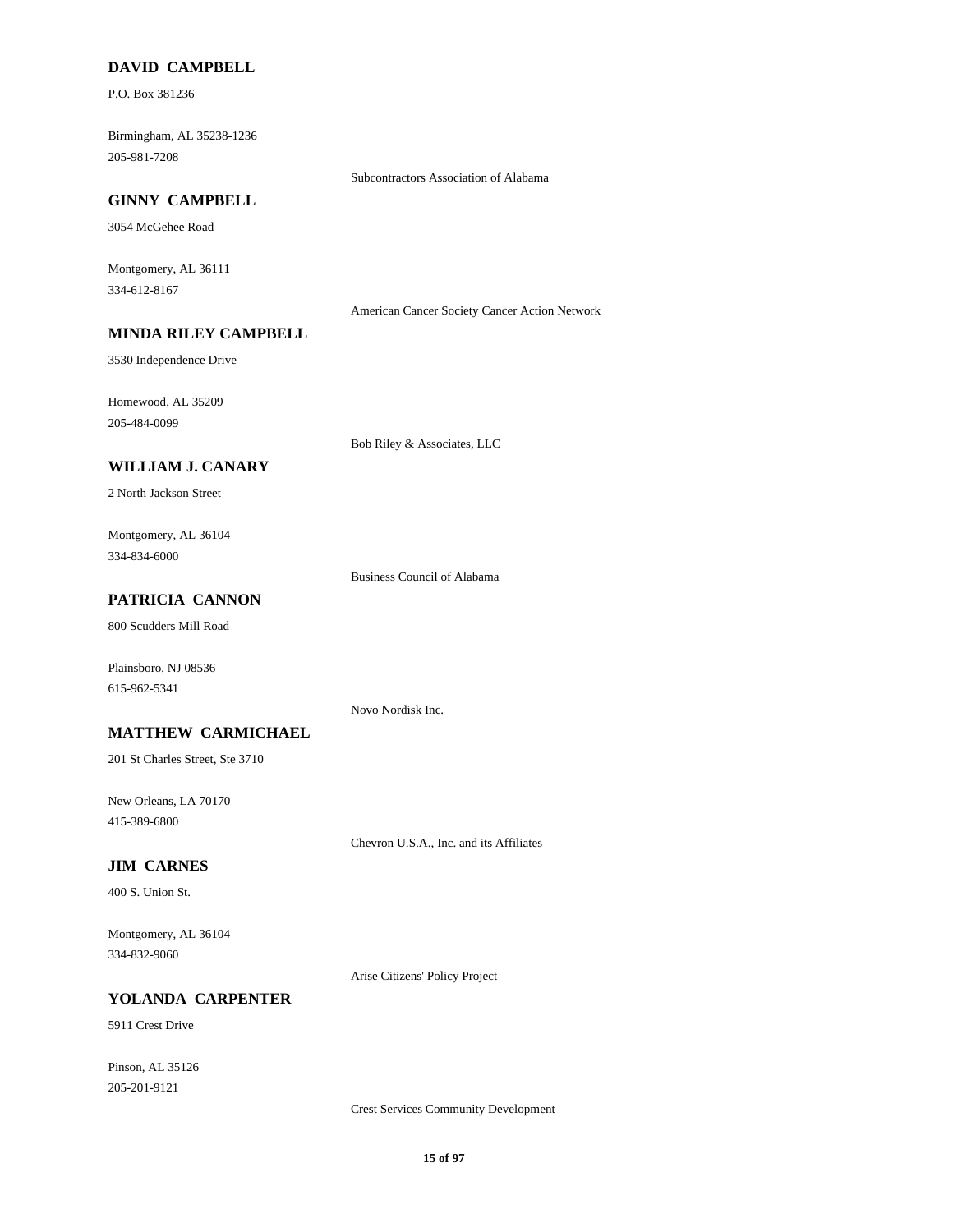### **DAVID CAMPBELL**

P.O. Box 381236

Birmingham, AL 35238-1236 205-981-7208

Subcontractors Association of Alabama

### **GINNY CAMPBELL**

3054 McGehee Road

Montgomery, AL 36111 334-612-8167

American Cancer Society Cancer Action Network

## **MINDA RILEY CAMPBELL**

3530 Independence Drive

Homewood, AL 35209 205-484-0099

Bob Riley & Associates, LLC

## **WILLIAM J. CANARY**

2 North Jackson Street

Montgomery, AL 36104 334-834-6000

Business Council of Alabama

## **PATRICIA CANNON**

800 Scudders Mill Road

Plainsboro, NJ 08536 615-962-5341

Novo Nordisk Inc.

### **MATTHEW CARMICHAEL**

201 St Charles Street, Ste 3710

New Orleans, LA 70170 415-389-6800

Chevron U.S.A., Inc. and its Affiliates

### **JIM CARNES**

400 S. Union St.

Montgomery, AL 36104 334-832-9060

Arise Citizens' Policy Project

### **YOLANDA CARPENTER**

5911 Crest Drive

Pinson, AL 35126 205-201-9121

Crest Services Community Development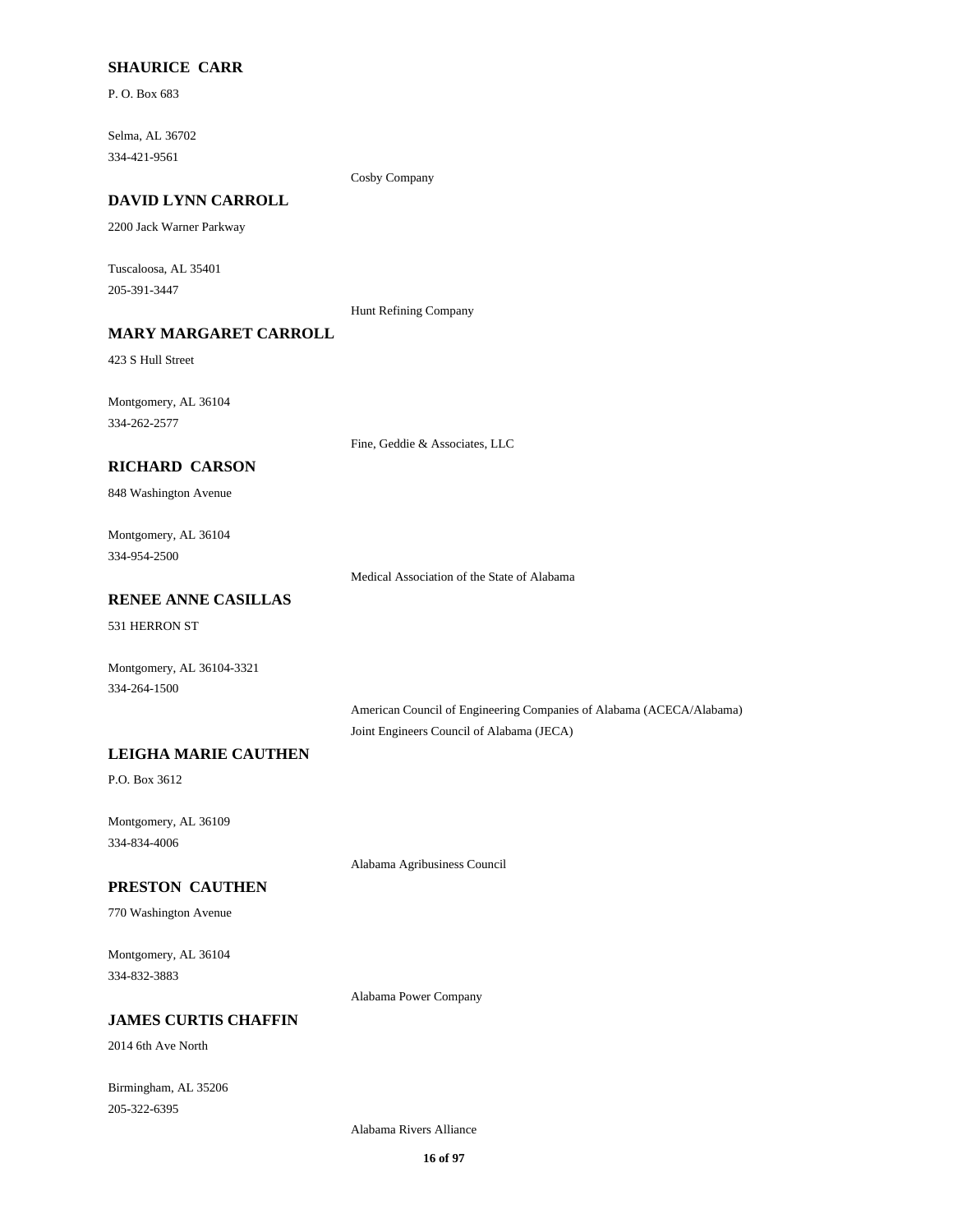### **SHAURICE CARR**

P. O. Box 683

Selma, AL 36702 334-421-9561

Cosby Company

## **DAVID LYNN CARROLL**

2200 Jack Warner Parkway

Tuscaloosa, AL 35401 205-391-3447

Hunt Refining Company

## **MARY MARGARET CARROLL**

423 S Hull Street

Montgomery, AL 36104 334-262-2577

Fine, Geddie & Associates, LLC

### **RICHARD CARSON**

848 Washington Avenue

Montgomery, AL 36104 334-954-2500

Medical Association of the State of Alabama

## **RENEE ANNE CASILLAS**

531 HERRON ST

Montgomery, AL 36104-3321 334-264-1500

> American Council of Engineering Companies of Alabama (ACECA/Alabama) Joint Engineers Council of Alabama (JECA)

## **LEIGHA MARIE CAUTHEN**

P.O. Box 3612

Montgomery, AL 36109 334-834-4006

Alabama Agribusiness Council

### **PRESTON CAUTHEN**

770 Washington Avenue

Montgomery, AL 36104 334-832-3883

Alabama Power Company

### **JAMES CURTIS CHAFFIN**

2014 6th Ave North

Birmingham, AL 35206 205-322-6395

Alabama Rivers Alliance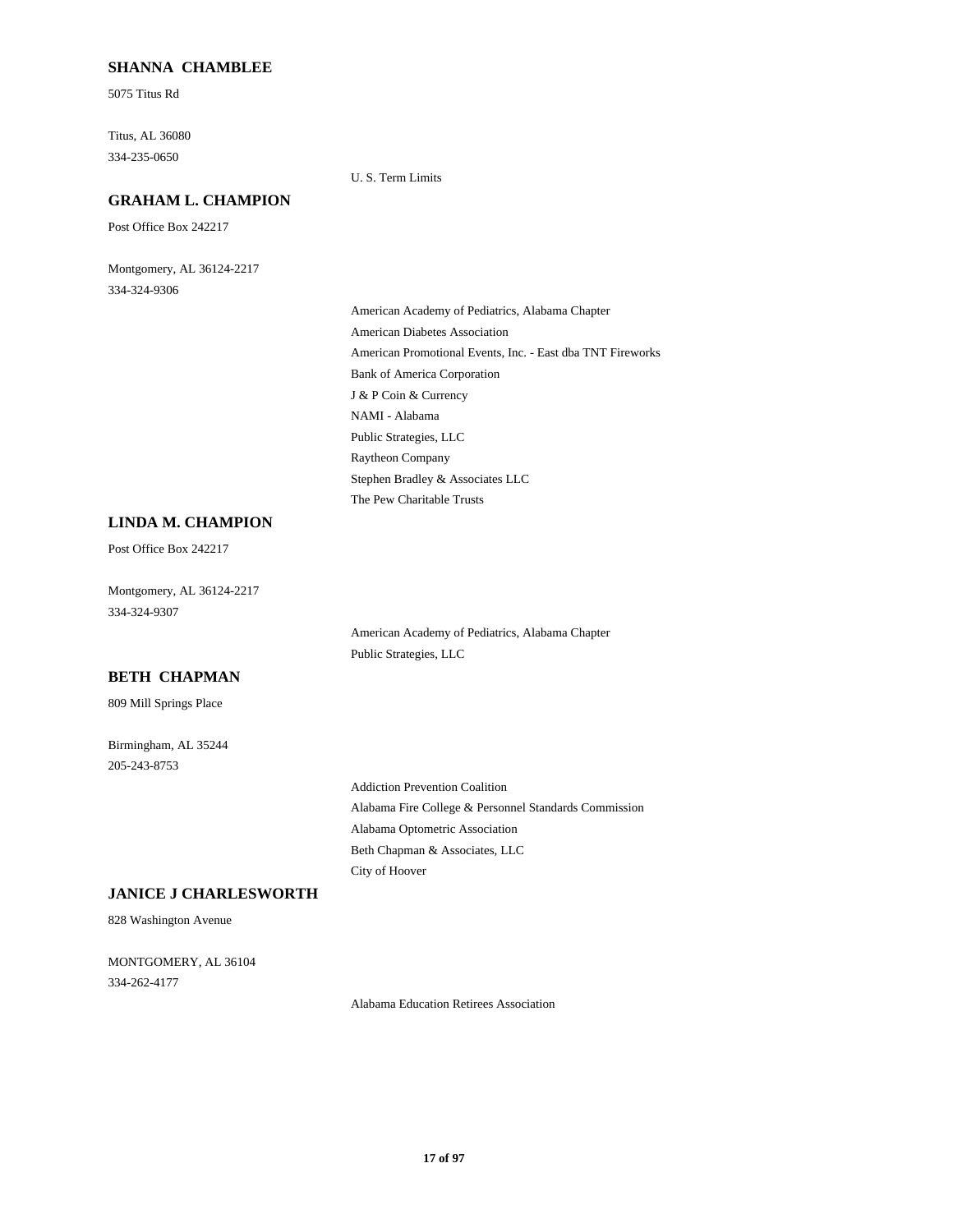### **SHANNA CHAMBLEE**

5075 Titus Rd

Titus, AL 36080 334-235-0650

U. S. Term Limits

## **GRAHAM L. CHAMPION**

Post Office Box 242217

Montgomery, AL 36124-2217 334-324-9306

> American Academy of Pediatrics, Alabama Chapter American Diabetes Association American Promotional Events, Inc. - East dba TNT Fireworks Bank of America Corporation J & P Coin & Currency NAMI - Alabama Public Strategies, LLC Raytheon Company Stephen Bradley & Associates LLC The Pew Charitable Trusts

## **LINDA M. CHAMPION**

Post Office Box 242217

Montgomery, AL 36124-2217 334-324-9307

> American Academy of Pediatrics, Alabama Chapter Public Strategies, LLC

## **BETH CHAPMAN**

809 Mill Springs Place

Birmingham, AL 35244 205-243-8753

> Addiction Prevention Coalition Alabama Fire College & Personnel Standards Commission Alabama Optometric Association Beth Chapman & Associates, LLC City of Hoover

### **JANICE J CHARLESWORTH**

828 Washington Avenue

MONTGOMERY, AL 36104 334-262-4177

Alabama Education Retirees Association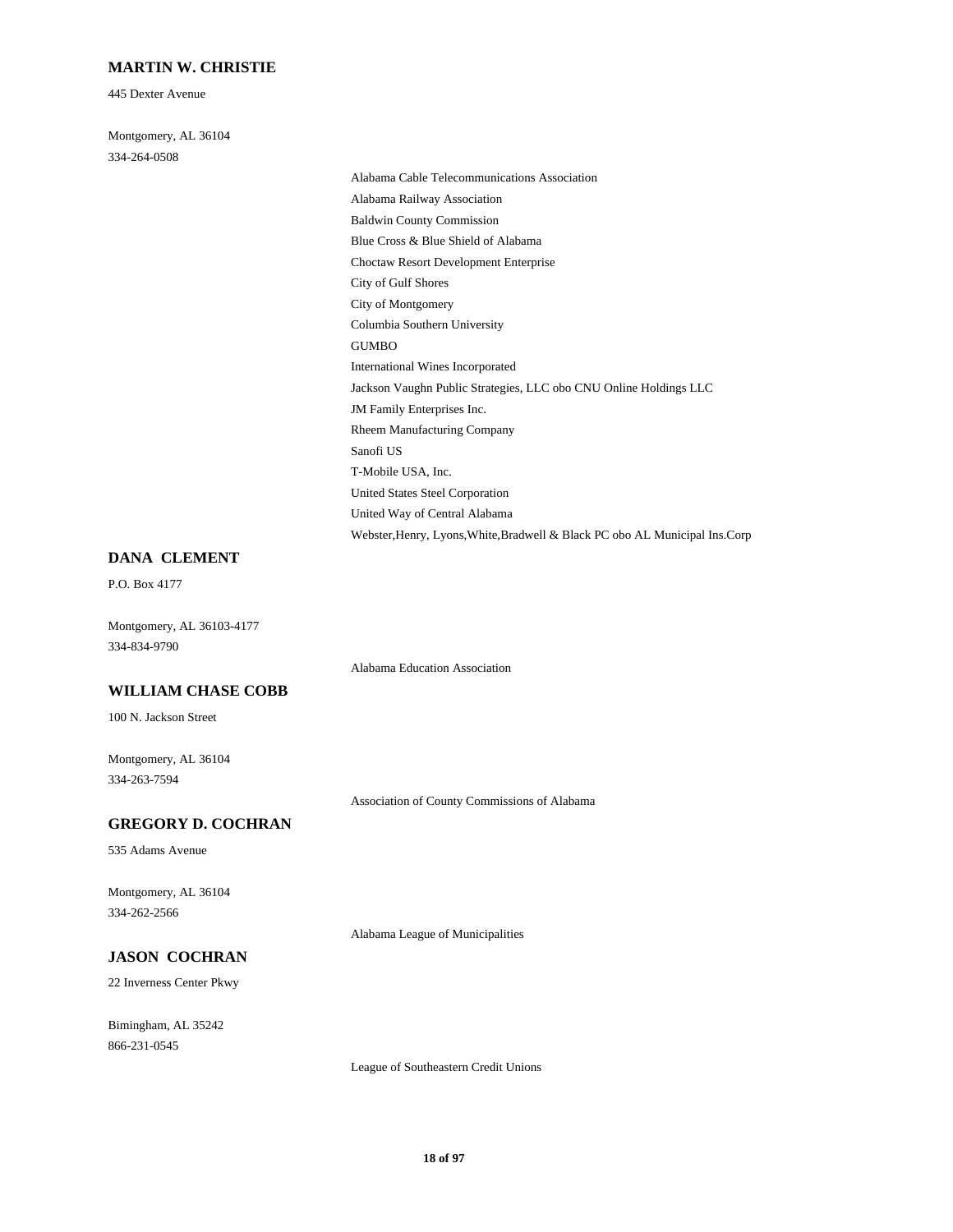### **MARTIN W. CHRISTIE**

445 Dexter Avenue

Montgomery, AL 36104 334-264-0508

Alabama Cable Telecommunications Association Alabama Railway Association Baldwin County Commission Blue Cross & Blue Shield of Alabama Choctaw Resort Development Enterprise City of Gulf Shores City of Montgomery Columbia Southern University GUMBO International Wines Incorporated Jackson Vaughn Public Strategies, LLC obo CNU Online Holdings LLC JM Family Enterprises Inc. Rheem Manufacturing Company Sanofi US T-Mobile USA, Inc. United States Steel Corporation United Way of Central Alabama Webster,Henry, Lyons,White,Bradwell & Black PC obo AL Municipal Ins.Corp

#### **DANA CLEMENT**

P.O. Box 4177

Montgomery, AL 36103-4177 334-834-9790

Alabama Education Association

## **WILLIAM CHASE COBB**

100 N. Jackson Street

Montgomery, AL 36104 334-263-7594

Association of County Commissions of Alabama

### **GREGORY D. COCHRAN**

535 Adams Avenue

Montgomery, AL 36104 334-262-2566

Alabama League of Municipalities

## **JASON COCHRAN**

22 Inverness Center Pkwy

Bimingham, AL 35242 866-231-0545

League of Southeastern Credit Unions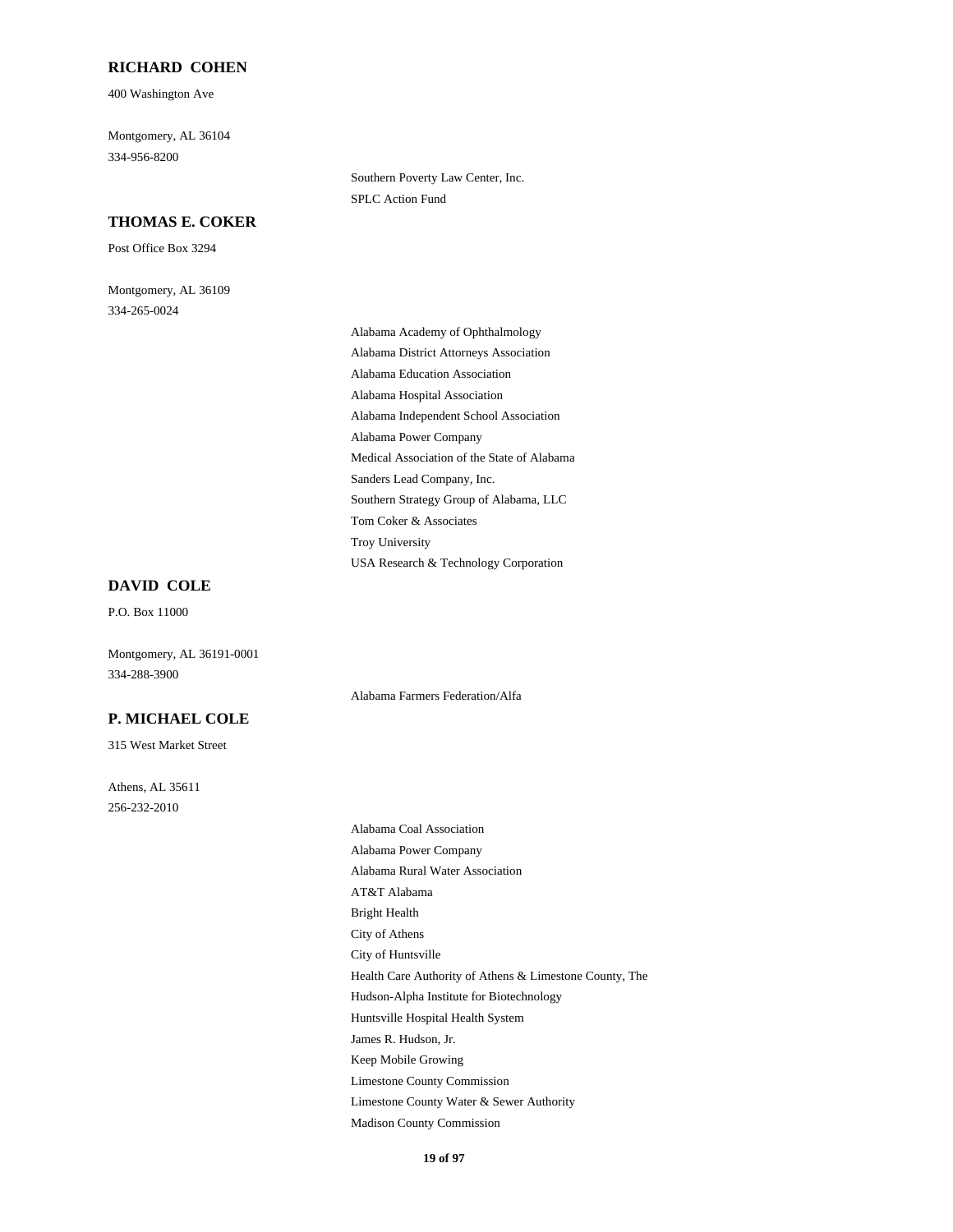### **RICHARD COHEN**

400 Washington Ave

Montgomery, AL 36104 334-956-8200

### **THOMAS E. COKER**

Post Office Box 3294

Montgomery, AL 36109 334-265-0024

Southern Poverty Law Center, Inc. SPLC Action Fund

Alabama Academy of Ophthalmology Alabama District Attorneys Association Alabama Education Association Alabama Hospital Association Alabama Independent School Association Alabama Power Company Medical Association of the State of Alabama Sanders Lead Company, Inc. Southern Strategy Group of Alabama, LLC Tom Coker & Associates Troy University USA Research & Technology Corporation

Alabama Farmers Federation/Alfa

**DAVID COLE**

P.O. Box 11000

Montgomery, AL 36191-0001 334-288-3900

## **P. MICHAEL COLE**

315 West Market Street

Athens, AL 35611 256-232-2010

Alabama Coal Association Alabama Power Company Alabama Rural Water Association AT&T Alabama Bright Health City of Athens City of Huntsville Health Care Authority of Athens & Limestone County, The Hudson-Alpha Institute for Biotechnology Huntsville Hospital Health System James R. Hudson, Jr. Keep Mobile Growing Limestone County Commission Limestone County Water & Sewer Authority Madison County Commission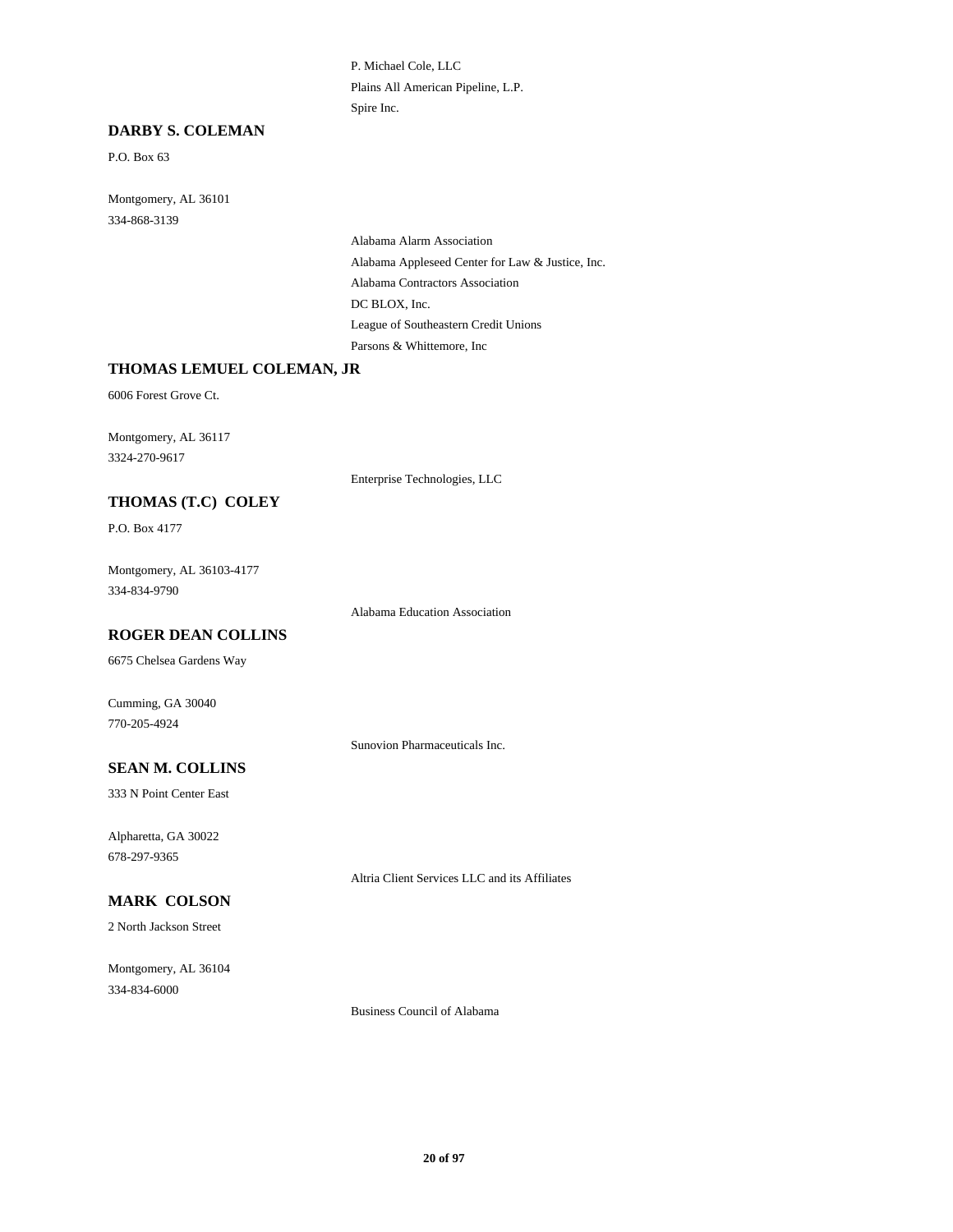P. Michael Cole, LLC Plains All American Pipeline, L.P. Spire Inc.

## **DARBY S. COLEMAN**

P.O. Box 63

Montgomery, AL 36101 334-868-3139

> Alabama Alarm Association Alabama Appleseed Center for Law & Justice, Inc. Alabama Contractors Association DC BLOX, Inc. League of Southeastern Credit Unions Parsons & Whittemore, Inc

### **THOMAS LEMUEL COLEMAN, JR**

6006 Forest Grove Ct.

Montgomery, AL 36117 3324-270-9617

Enterprise Technologies, LLC

## **THOMAS (T.C) COLEY**

P.O. Box 4177

Montgomery, AL 36103-4177 334-834-9790

Alabama Education Association

#### **ROGER DEAN COLLINS**

6675 Chelsea Gardens Way

Cumming, GA 30040 770-205-4924

Sunovion Pharmaceuticals Inc.

## **SEAN M. COLLINS**

333 N Point Center East

Alpharetta, GA 30022 678-297-9365

Altria Client Services LLC and its Affiliates

## **MARK COLSON**

2 North Jackson Street

Montgomery, AL 36104 334-834-6000

Business Council of Alabama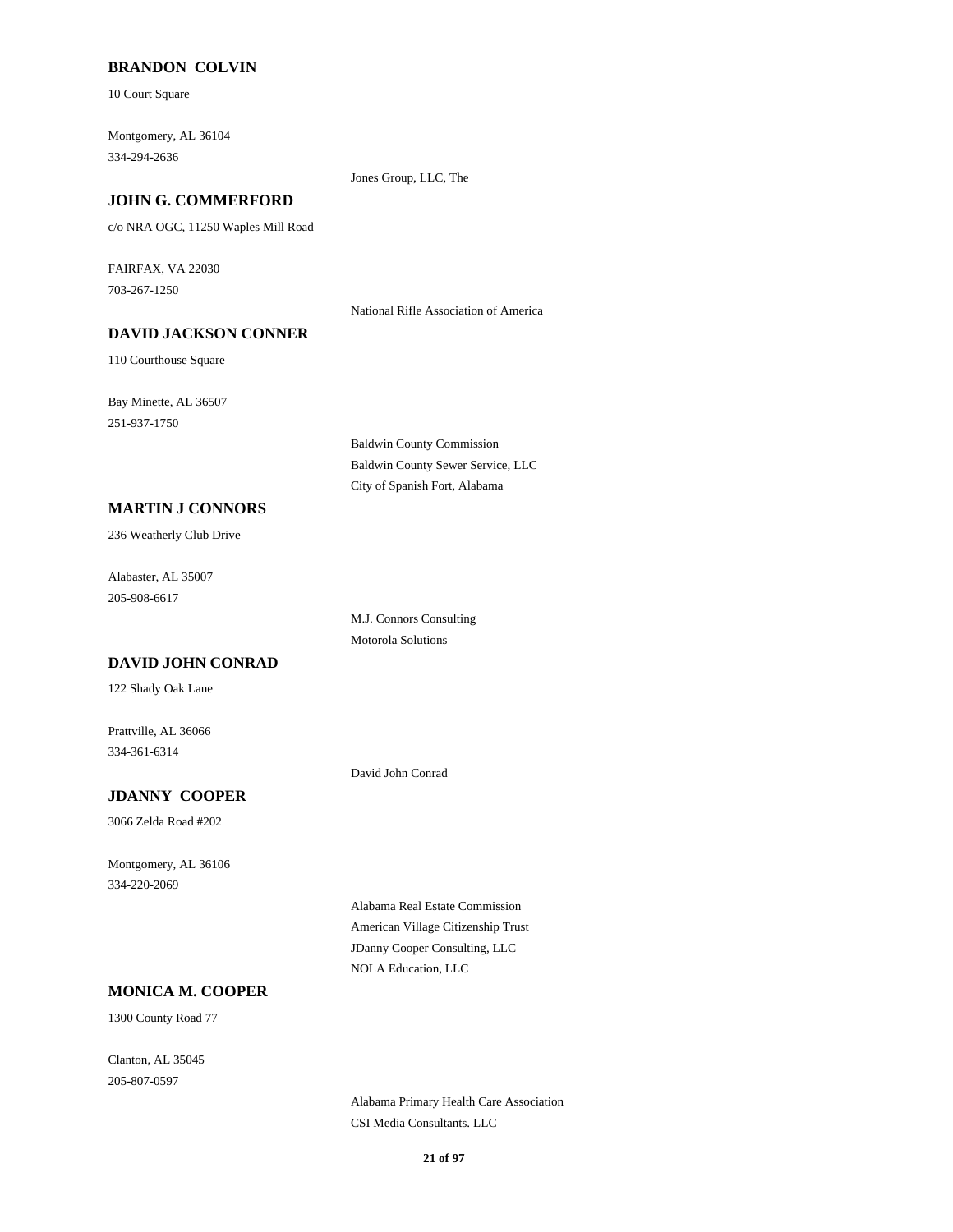### **BRANDON COLVIN**

10 Court Square

Montgomery, AL 36104 334-294-2636

#### **JOHN G. COMMERFORD**

c/o NRA OGC, 11250 Waples Mill Road

FAIRFAX, VA 22030 703-267-1250

National Rifle Association of America

Jones Group, LLC, The

## **DAVID JACKSON CONNER**

110 Courthouse Square

Bay Minette, AL 36507 251-937-1750

> Baldwin County Commission Baldwin County Sewer Service, LLC City of Spanish Fort, Alabama

### **MARTIN J CONNORS**

236 Weatherly Club Drive

Alabaster, AL 35007 205-908-6617

> M.J. Connors Consulting Motorola Solutions

#### **DAVID JOHN CONRAD**

122 Shady Oak Lane

Prattville, AL 36066 334-361-6314

David John Conrad

## **JDANNY COOPER**

3066 Zelda Road #202

Montgomery, AL 36106 334-220-2069

> Alabama Real Estate Commission American Village Citizenship Trust JDanny Cooper Consulting, LLC NOLA Education, LLC

## **MONICA M. COOPER**

1300 County Road 77

Clanton, AL 35045 205-807-0597

> Alabama Primary Health Care Association CSI Media Consultants. LLC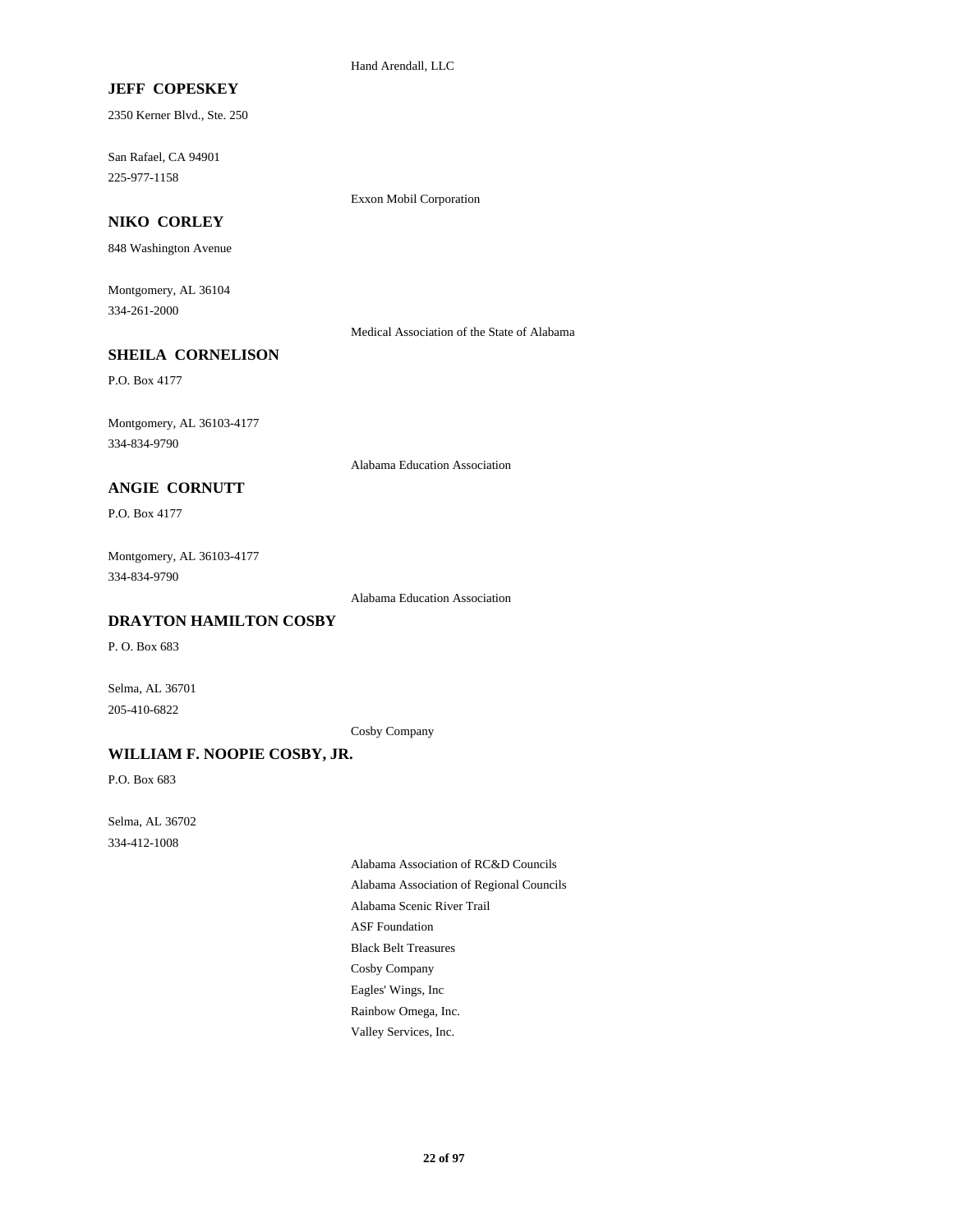Hand Arendall, LLC

## **JEFF COPESKEY**

2350 Kerner Blvd., Ste. 250

San Rafael, CA 94901 225-977-1158

Exxon Mobil Corporation

## **NIKO CORLEY**

848 Washington Avenue

Montgomery, AL 36104 334-261-2000

Medical Association of the State of Alabama

## **SHEILA CORNELISON**

P.O. Box 4177

Montgomery, AL 36103-4177 334-834-9790

Alabama Education Association

## **ANGIE CORNUTT**

P.O. Box 4177

Montgomery, AL 36103-4177 334-834-9790

Alabama Education Association

## **DRAYTON HAMILTON COSBY**

P. O. Box 683

Selma, AL 36701 205-410-6822

Cosby Company

### **WILLIAM F. NOOPIE COSBY, JR.**

P.O. Box 683

Selma, AL 36702 334-412-1008

> Alabama Association of RC&D Councils Alabama Association of Regional Councils Alabama Scenic River Trail ASF Foundation Black Belt Treasures Cosby Company Eagles' Wings, Inc Rainbow Omega, Inc. Valley Services, Inc.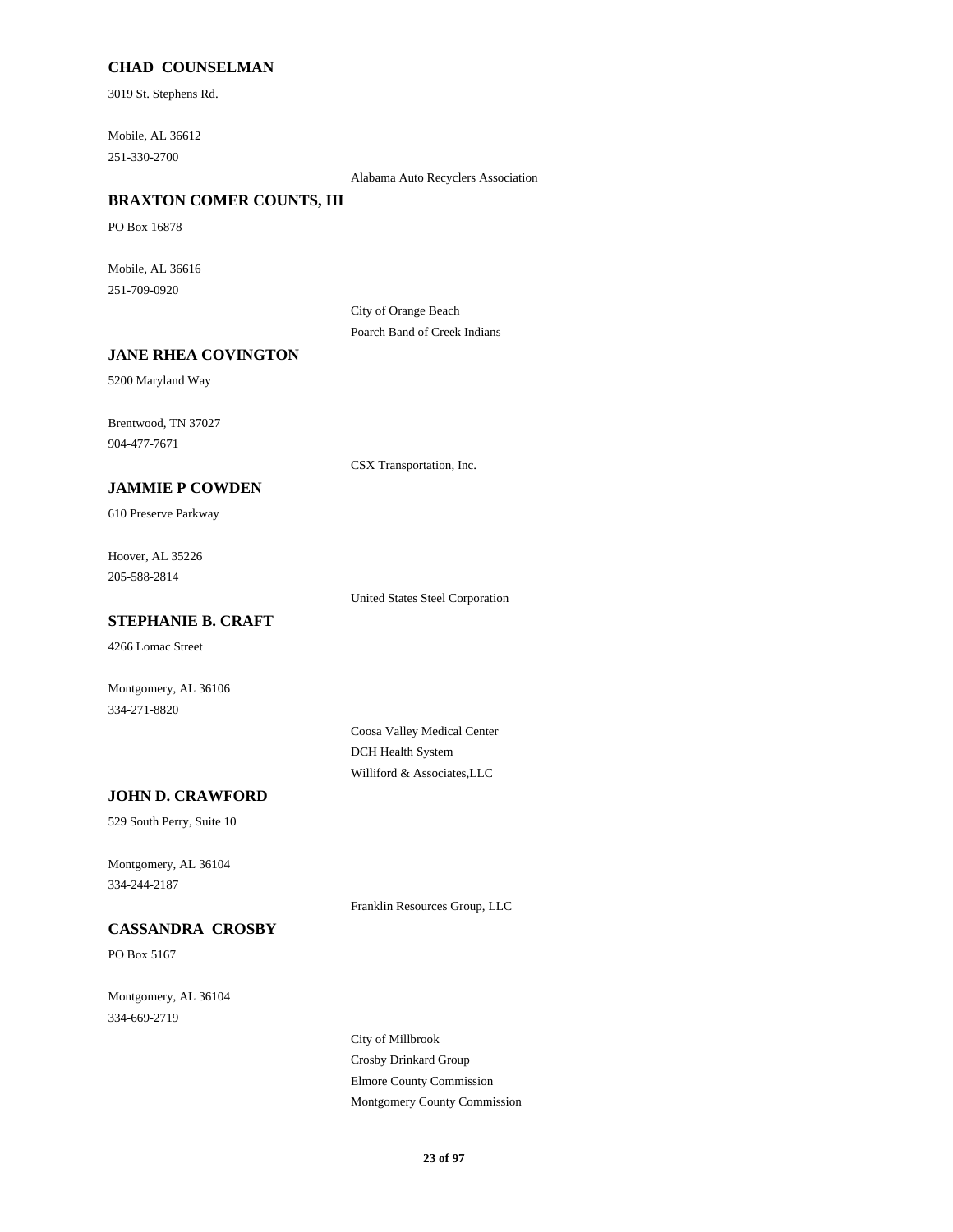### **CHAD COUNSELMAN**

3019 St. Stephens Rd.

Mobile, AL 36612 251-330-2700

Alabama Auto Recyclers Association

## **BRAXTON COMER COUNTS, III**

PO Box 16878

Mobile, AL 36616 251-709-0920

> City of Orange Beach Poarch Band of Creek Indians

#### **JANE RHEA COVINGTON**

5200 Maryland Way

Brentwood, TN 37027 904-477-7671

CSX Transportation, Inc.

## **JAMMIE P COWDEN**

610 Preserve Parkway

Hoover, AL 35226 205-588-2814

United States Steel Corporation

## **STEPHANIE B. CRAFT**

4266 Lomac Street

Montgomery, AL 36106 334-271-8820

> Coosa Valley Medical Center DCH Health System Williford & Associates,LLC

### **JOHN D. CRAWFORD**

529 South Perry, Suite 10

Montgomery, AL 36104 334-244-2187

Franklin Resources Group, LLC

## **CASSANDRA CROSBY**

PO Box 5167

Montgomery, AL 36104 334-669-2719

> City of Millbrook Crosby Drinkard Group Elmore County Commission Montgomery County Commission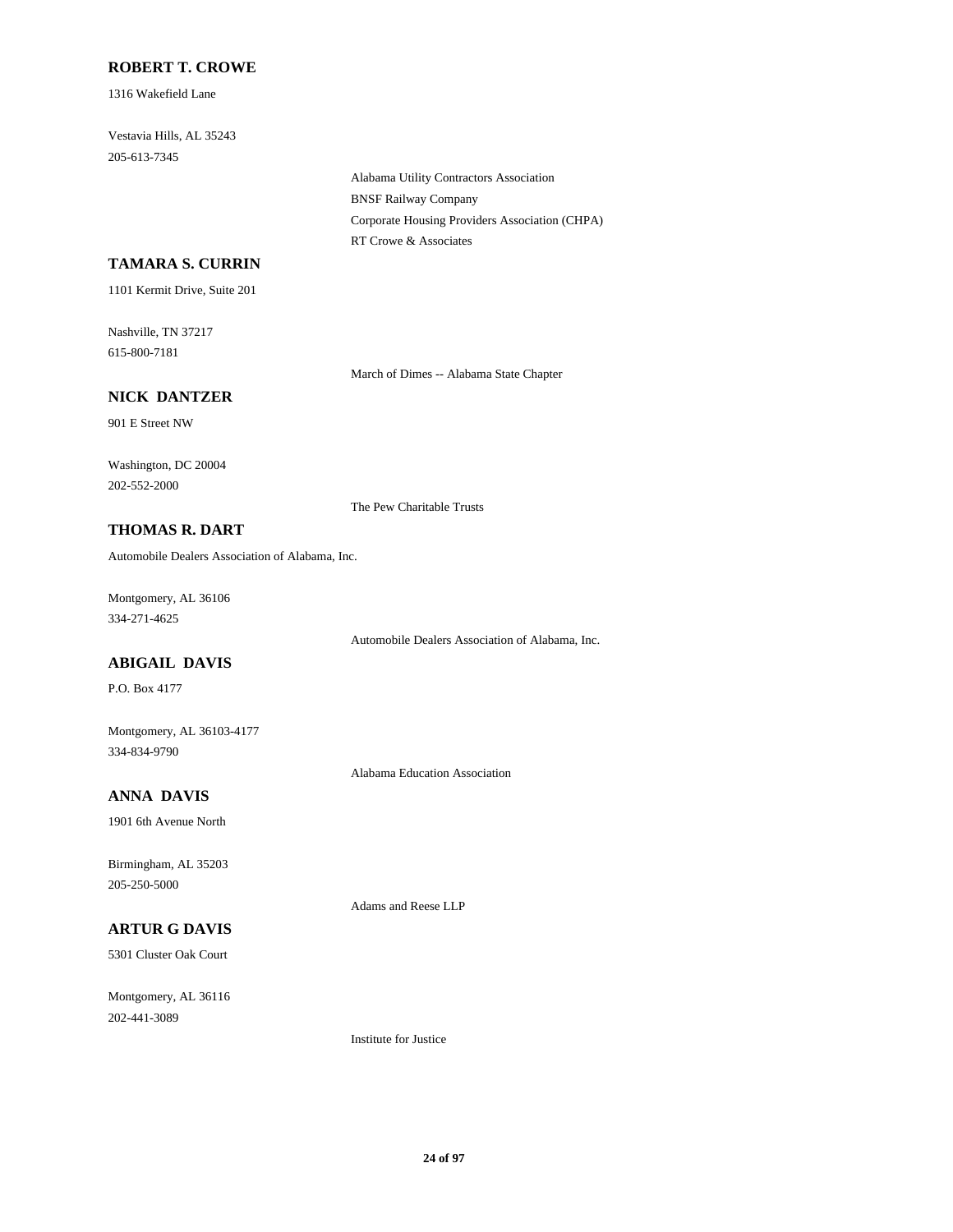### **ROBERT T. CROWE**

1316 Wakefield Lane

Vestavia Hills, AL 35243 205-613-7345

> Alabama Utility Contractors Association BNSF Railway Company Corporate Housing Providers Association (CHPA) RT Crowe & Associates

### **TAMARA S. CURRIN**

1101 Kermit Drive, Suite 201

Nashville, TN 37217 615-800-7181

March of Dimes -- Alabama State Chapter

## **NICK DANTZER**

901 E Street NW

Washington, DC 20004 202-552-2000

The Pew Charitable Trusts

## **THOMAS R. DART**

Automobile Dealers Association of Alabama, Inc.

Montgomery, AL 36106 334-271-4625

Automobile Dealers Association of Alabama, Inc.

## **ABIGAIL DAVIS**

P.O. Box 4177

Montgomery, AL 36103-4177 334-834-9790

Alabama Education Association

## **ANNA DAVIS**

1901 6th Avenue North

Birmingham, AL 35203 205-250-5000

## **ARTUR G DAVIS**

5301 Cluster Oak Court

Montgomery, AL 36116 202-441-3089

Institute for Justice

Adams and Reese LLP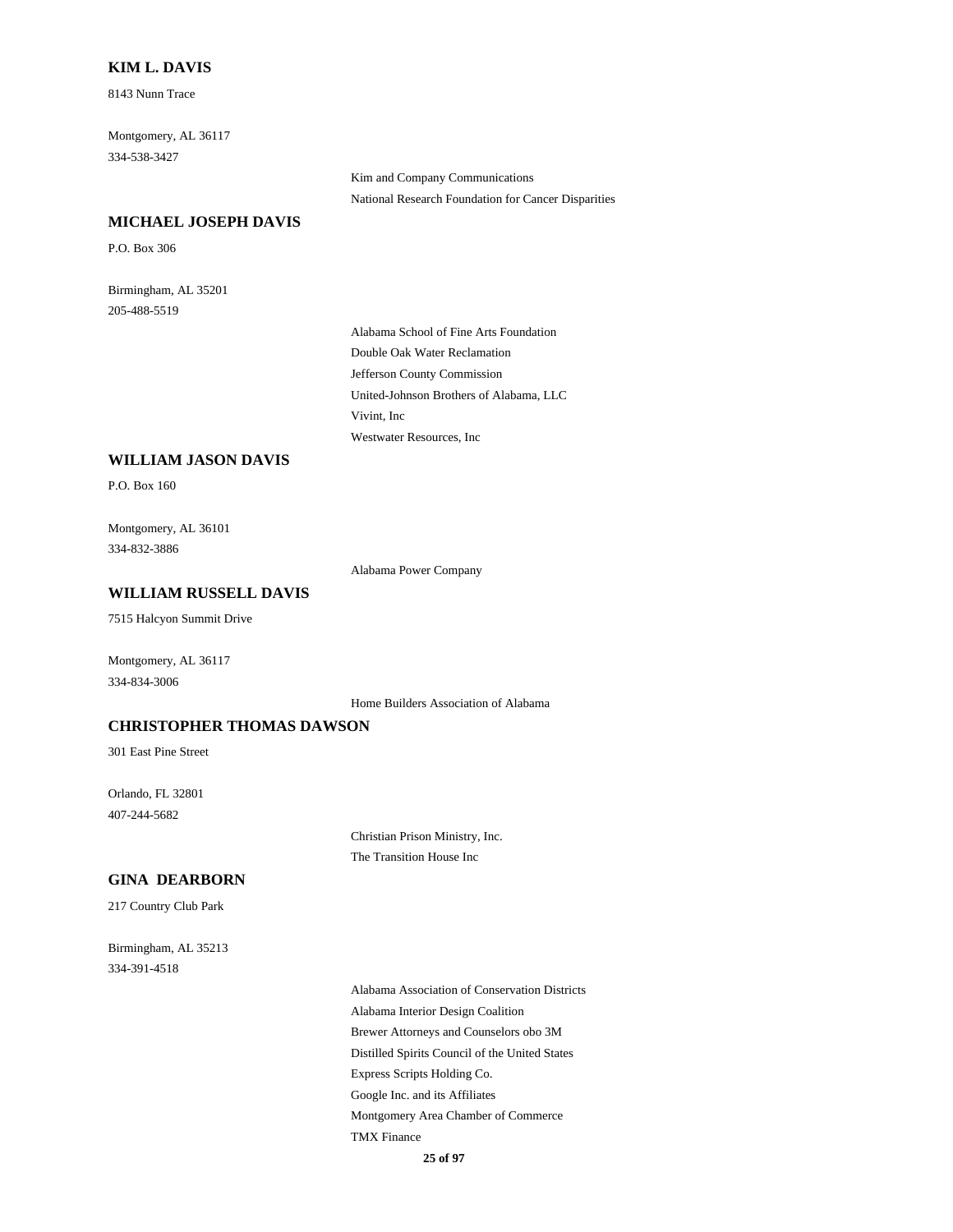### **KIM L. DAVIS**

8143 Nunn Trace

Montgomery, AL 36117 334-538-3427

**MICHAEL JOSEPH DAVIS**

P.O. Box 306

Birmingham, AL 35201 205-488-5519

> Alabama School of Fine Arts Foundation Double Oak Water Reclamation Jefferson County Commission United-Johnson Brothers of Alabama, LLC Vivint, Inc Westwater Resources, Inc

Kim and Company Communications

National Research Foundation for Cancer Disparities

#### **WILLIAM JASON DAVIS**

P.O. Box 160

Montgomery, AL 36101 334-832-3886

Alabama Power Company

### **WILLIAM RUSSELL DAVIS**

7515 Halcyon Summit Drive

Montgomery, AL 36117 334-834-3006

Home Builders Association of Alabama

### **CHRISTOPHER THOMAS DAWSON**

301 East Pine Street

Orlando, FL 32801 407-244-5682

> Christian Prison Ministry, Inc. The Transition House Inc

### **GINA DEARBORN**

217 Country Club Park

Birmingham, AL 35213 334-391-4518

> Alabama Association of Conservation Districts Alabama Interior Design Coalition Brewer Attorneys and Counselors obo 3M Distilled Spirits Council of the United States Express Scripts Holding Co. Google Inc. and its Affiliates Montgomery Area Chamber of Commerce TMX Finance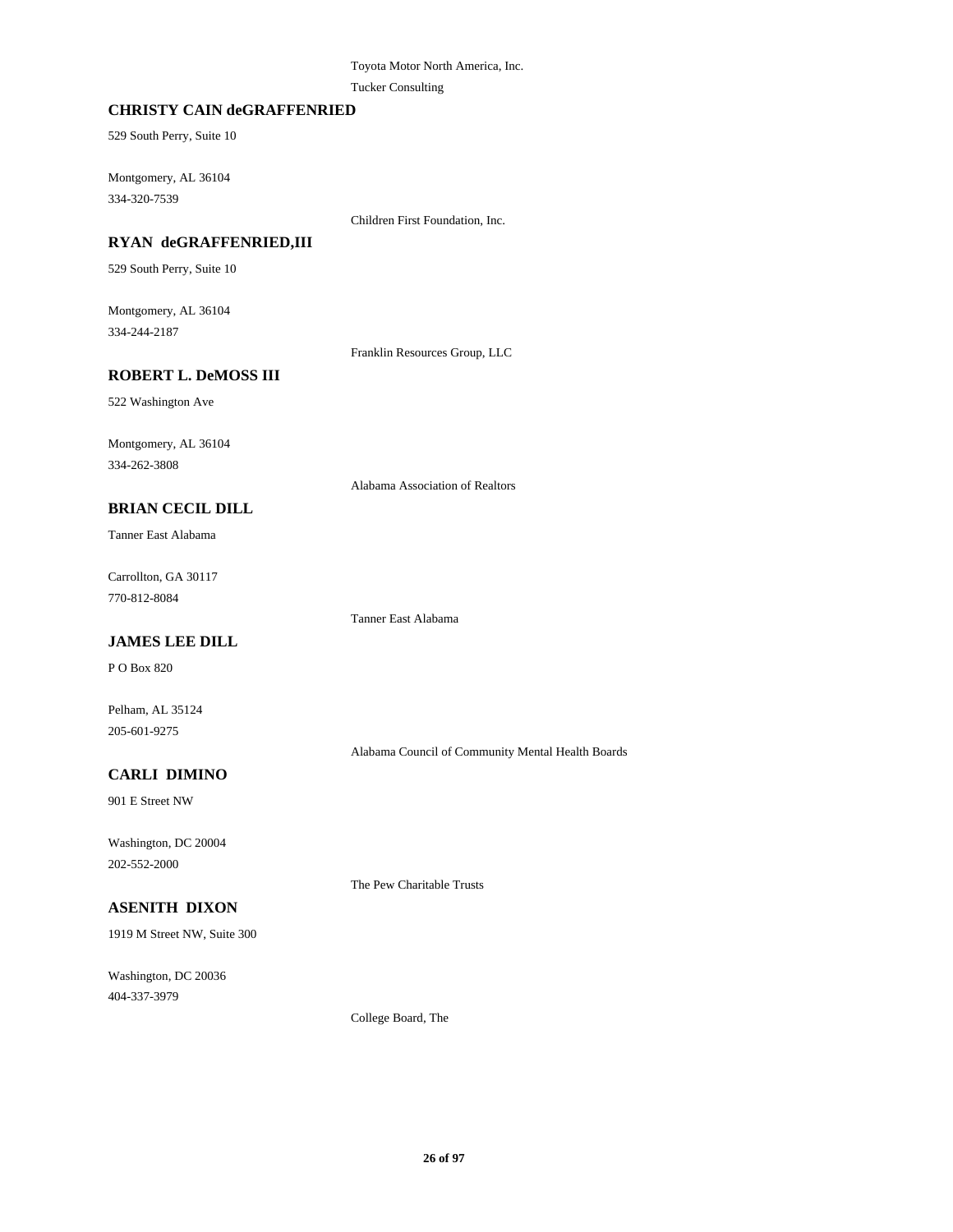### Toyota Motor North America, Inc. Tucker Consulting

### **CHRISTY CAIN deGRAFFENRIED**

529 South Perry, Suite 10

Montgomery, AL 36104 334-320-7539

Children First Foundation, Inc.

## **RYAN deGRAFFENRIED,III**

529 South Perry, Suite 10

Montgomery, AL 36104 334-244-2187

Franklin Resources Group, LLC

## **ROBERT L. DeMOSS III**

522 Washington Ave

Montgomery, AL 36104 334-262-3808

Alabama Association of Realtors

### **BRIAN CECIL DILL**

Tanner East Alabama

Carrollton, GA 30117 770-812-8084

Tanner East Alabama

## **JAMES LEE DILL**

P O Box 820

Pelham, AL 35124 205-601-9275

Alabama Council of Community Mental Health Boards

## **CARLI DIMINO**

901 E Street NW

Washington, DC 20004 202-552-2000

The Pew Charitable Trusts

## **ASENITH DIXON**

1919 M Street NW, Suite 300

Washington, DC 20036 404-337-3979

College Board, The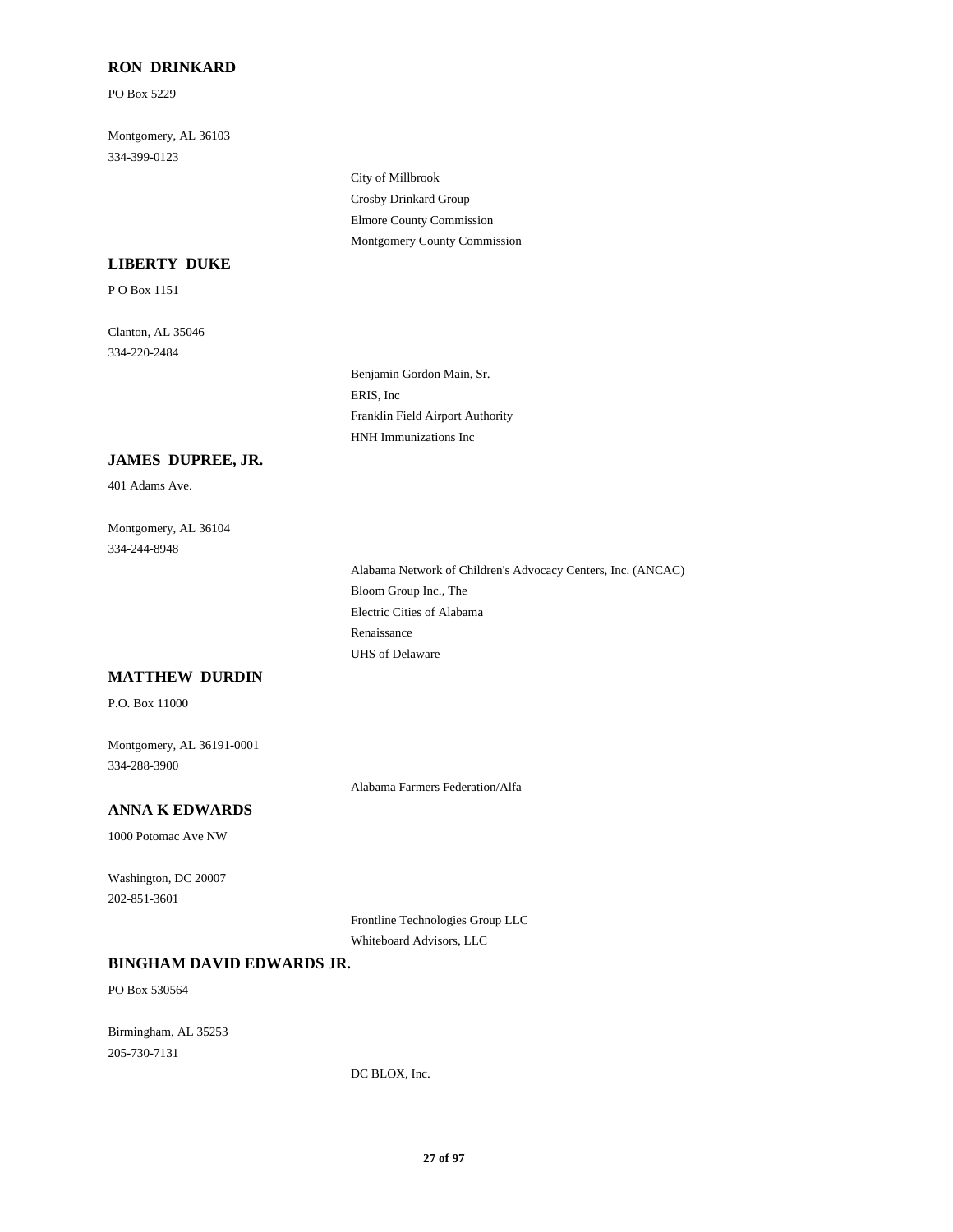### **RON DRINKARD**

PO Box 5229

Montgomery, AL 36103 334-399-0123

> City of Millbrook Crosby Drinkard Group Elmore County Commission Montgomery County Commission

### **LIBERTY DUKE**

P O Box 1151

Clanton, AL 35046 334-220-2484

> Benjamin Gordon Main, Sr. ERIS, Inc Franklin Field Airport Authority HNH Immunizations Inc

### **JAMES DUPREE, JR.**

401 Adams Ave.

Montgomery, AL 36104 334-244-8948

> Alabama Network of Children's Advocacy Centers, Inc. (ANCAC) Bloom Group Inc., The Electric Cities of Alabama Renaissance UHS of Delaware

## **MATTHEW DURDIN**

P.O. Box 11000

Montgomery, AL 36191-0001 334-288-3900

Alabama Farmers Federation/Alfa

## **ANNA K EDWARDS**

1000 Potomac Ave NW

Washington, DC 20007 202-851-3601

> Frontline Technologies Group LLC Whiteboard Advisors, LLC

#### **BINGHAM DAVID EDWARDS JR.**

PO Box 530564

Birmingham, AL 35253 205-730-7131

DC BLOX, Inc.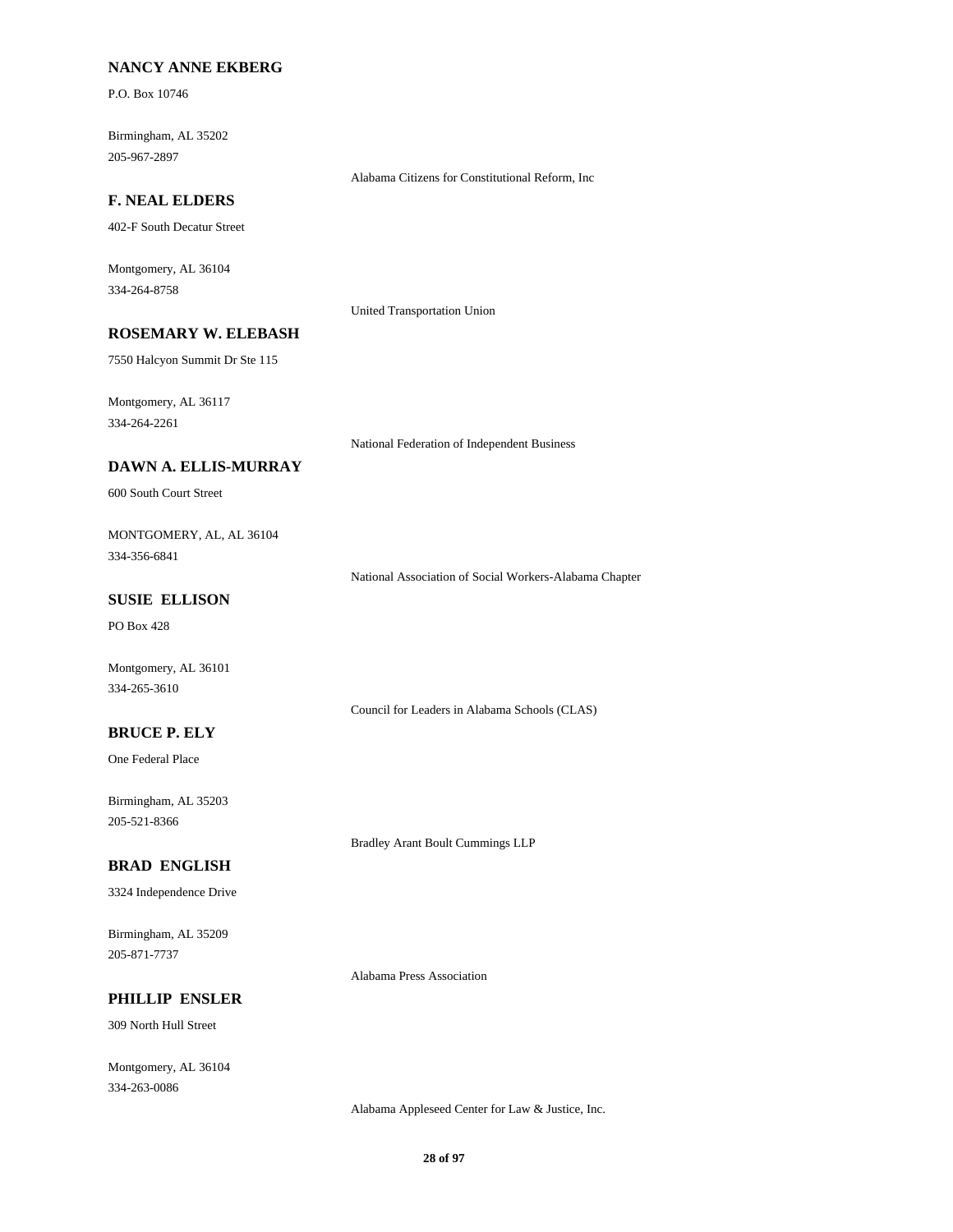### **NANCY ANNE EKBERG**

P.O. Box 10746

Birmingham, AL 35202 205-967-2897

### **F. NEAL ELDERS**

402-F South Decatur Street

Montgomery, AL 36104 334-264-8758

United Transportation Union

## **ROSEMARY W. ELEBASH**

7550 Halcyon Summit Dr Ste 115

Montgomery, AL 36117 334-264-2261

National Federation of Independent Business

Alabama Citizens for Constitutional Reform, Inc

### **DAWN A. ELLIS-MURRAY**

600 South Court Street

### MONTGOMERY, AL, AL 36104 334-356-6841

National Association of Social Workers-Alabama Chapter

### **SUSIE ELLISON**

PO Box 428

Montgomery, AL 36101 334-265-3610

Council for Leaders in Alabama Schools (CLAS)

### **BRUCE P. ELY**

One Federal Place

Birmingham, AL 35203 205-521-8366

Bradley Arant Boult Cummings LLP

## **BRAD ENGLISH**

3324 Independence Drive

Birmingham, AL 35209 205-871-7737

Alabama Press Association

## **PHILLIP ENSLER**

309 North Hull Street

Montgomery, AL 36104 334-263-0086

Alabama Appleseed Center for Law & Justice, Inc.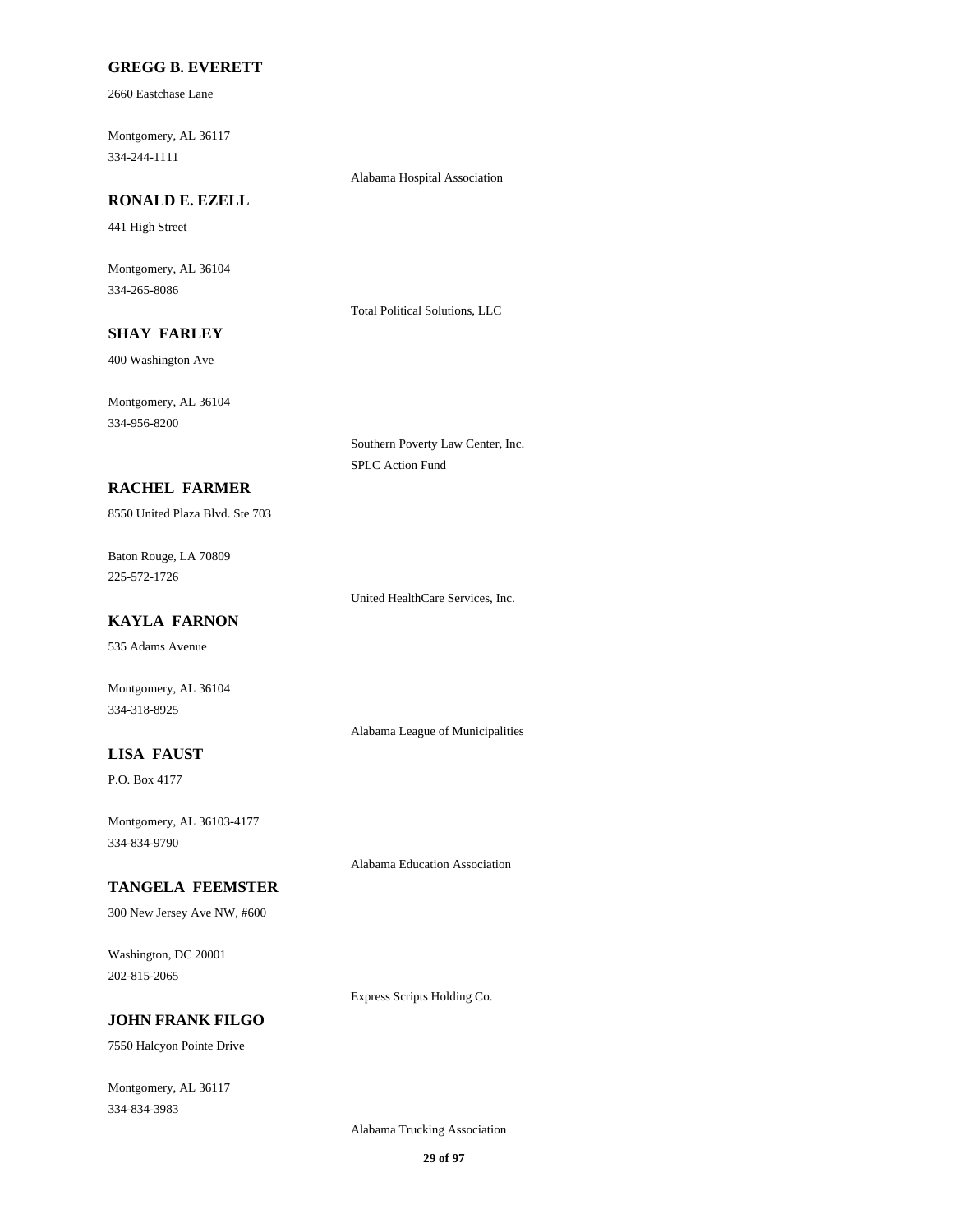### **GREGG B. EVERETT**

2660 Eastchase Lane

Montgomery, AL 36117 334-244-1111

Alabama Hospital Association

## **RONALD E. EZELL**

441 High Street

Montgomery, AL 36104 334-265-8086

Total Political Solutions, LLC

## **SHAY FARLEY**

400 Washington Ave

Montgomery, AL 36104 334-956-8200

> Southern Poverty Law Center, Inc. SPLC Action Fund

## **RACHEL FARMER**

8550 United Plaza Blvd. Ste 703

Baton Rouge, LA 70809 225-572-1726

United HealthCare Services, Inc.

## **KAYLA FARNON**

535 Adams Avenue

Montgomery, AL 36104 334-318-8925

Alabama League of Municipalities

## **LISA FAUST**

P.O. Box 4177

Montgomery, AL 36103-4177 334-834-9790

Alabama Education Association

#### **TANGELA FEEMSTER**

300 New Jersey Ave NW, #600

Washington, DC 20001 202-815-2065

Express Scripts Holding Co.

## **JOHN FRANK FILGO**

7550 Halcyon Pointe Drive

Montgomery, AL 36117 334-834-3983

Alabama Trucking Association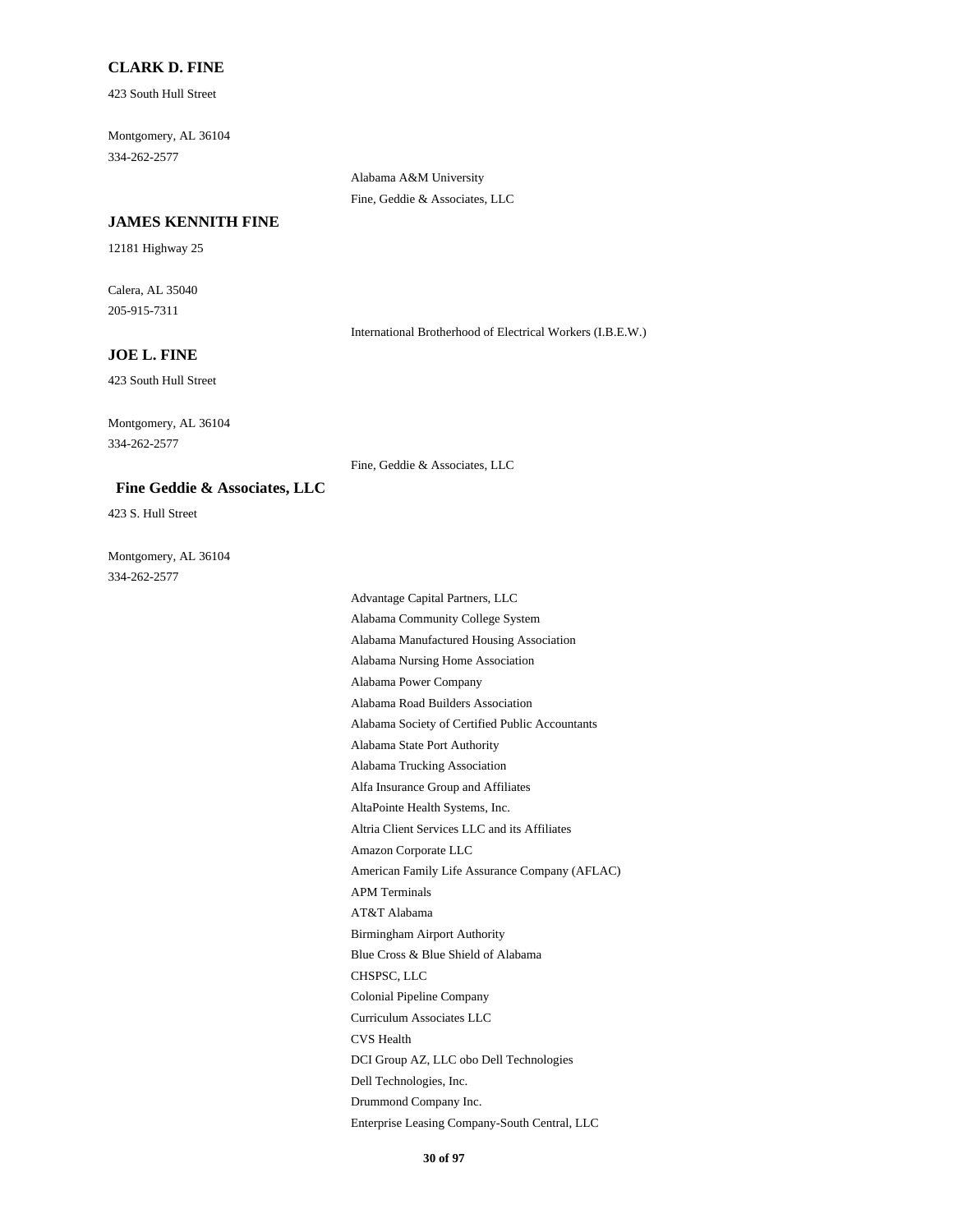### **CLARK D. FINE**

423 South Hull Street

Montgomery, AL 36104 334-262-2577

#### **JAMES KENNITH FINE**

12181 Highway 25

Calera, AL 35040 205-915-7311

International Brotherhood of Electrical Workers (I.B.E.W.)

## **JOE L. FINE**

423 South Hull Street

Montgomery, AL 36104 334-262-2577

Fine, Geddie & Associates, LLC

Alabama A&M University Fine, Geddie & Associates, LLC

### **Fine Geddie & Associates, LLC**

423 S. Hull Street

Montgomery, AL 36104 334-262-2577

> Advantage Capital Partners, LLC Alabama Community College System Alabama Manufactured Housing Association Alabama Nursing Home Association Alabama Power Company Alabama Road Builders Association Alabama Society of Certified Public Accountants Alabama State Port Authority Alabama Trucking Association Alfa Insurance Group and Affiliates AltaPointe Health Systems, Inc. Altria Client Services LLC and its Affiliates Amazon Corporate LLC American Family Life Assurance Company (AFLAC) APM Terminals AT&T Alabama Birmingham Airport Authority Blue Cross & Blue Shield of Alabama CHSPSC, LLC Colonial Pipeline Company Curriculum Associates LLC CVS Health DCI Group AZ, LLC obo Dell Technologies Dell Technologies, Inc. Drummond Company Inc. Enterprise Leasing Company-South Central, LLC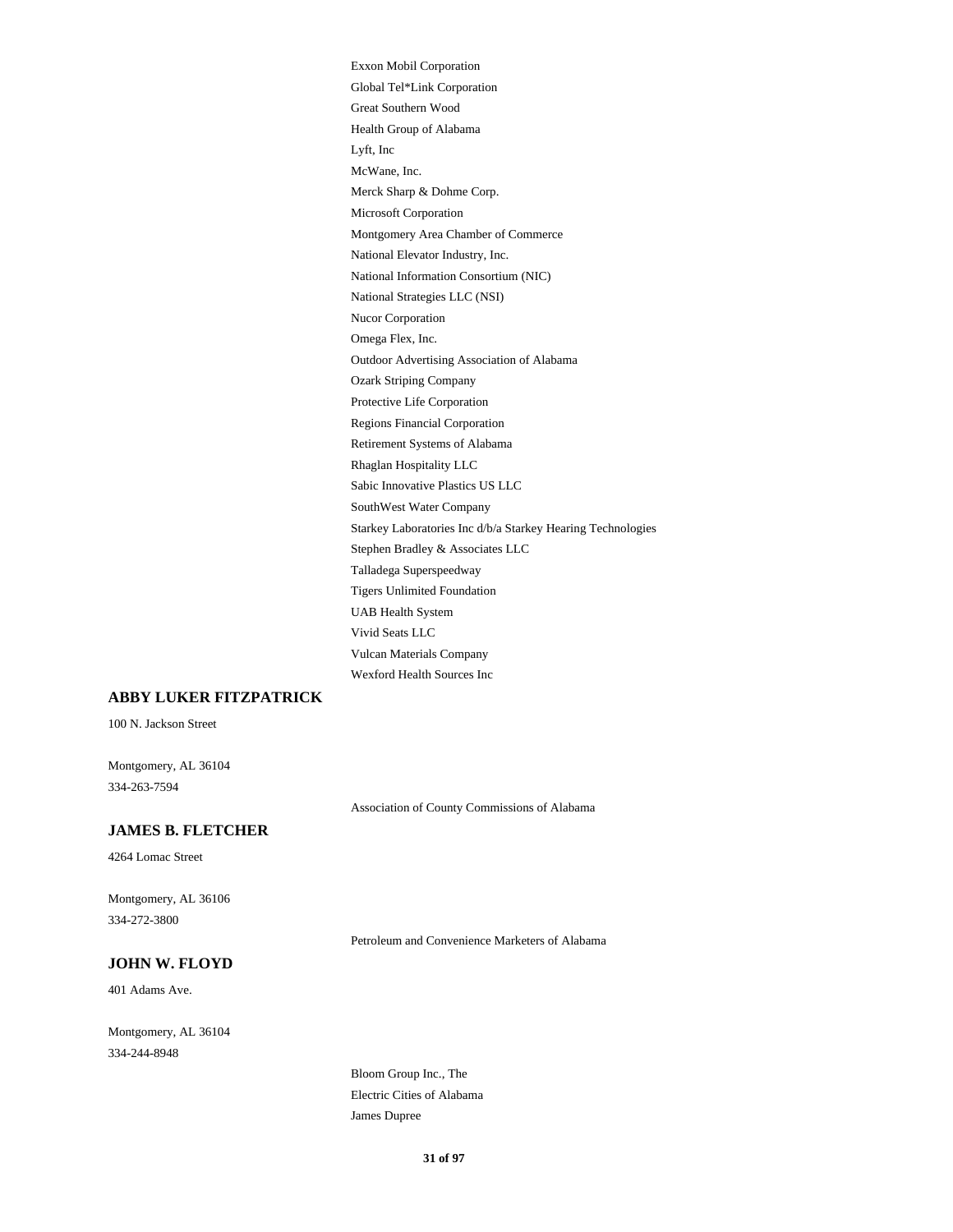Exxon Mobil Corporation Global Tel\*Link Corporation Great Southern Wood Health Group of Alabama Lyft, Inc McWane, Inc. Merck Sharp & Dohme Corp. Microsoft Corporation Montgomery Area Chamber of Commerce National Elevator Industry, Inc. National Information Consortium (NIC) National Strategies LLC (NSI) Nucor Corporation Omega Flex, Inc. Outdoor Advertising Association of Alabama Ozark Striping Company Protective Life Corporation Regions Financial Corporation Retirement Systems of Alabama Rhaglan Hospitality LLC Sabic Innovative Plastics US LLC SouthWest Water Company Starkey Laboratories Inc d/b/a Starkey Hearing Technologies Stephen Bradley & Associates LLC Talladega Superspeedway Tigers Unlimited Foundation UAB Health System Vivid Seats LLC Vulcan Materials Company Wexford Health Sources Inc

### **ABBY LUKER FITZPATRICK**

100 N. Jackson Street

Montgomery, AL 36104 334-263-7594

Association of County Commissions of Alabama

## **JAMES B. FLETCHER**

4264 Lomac Street

Montgomery, AL 36106 334-272-3800

Petroleum and Convenience Marketers of Alabama

## **JOHN W. FLOYD**

401 Adams Ave.

Montgomery, AL 36104 334-244-8948

> Bloom Group Inc., The Electric Cities of Alabama James Dupree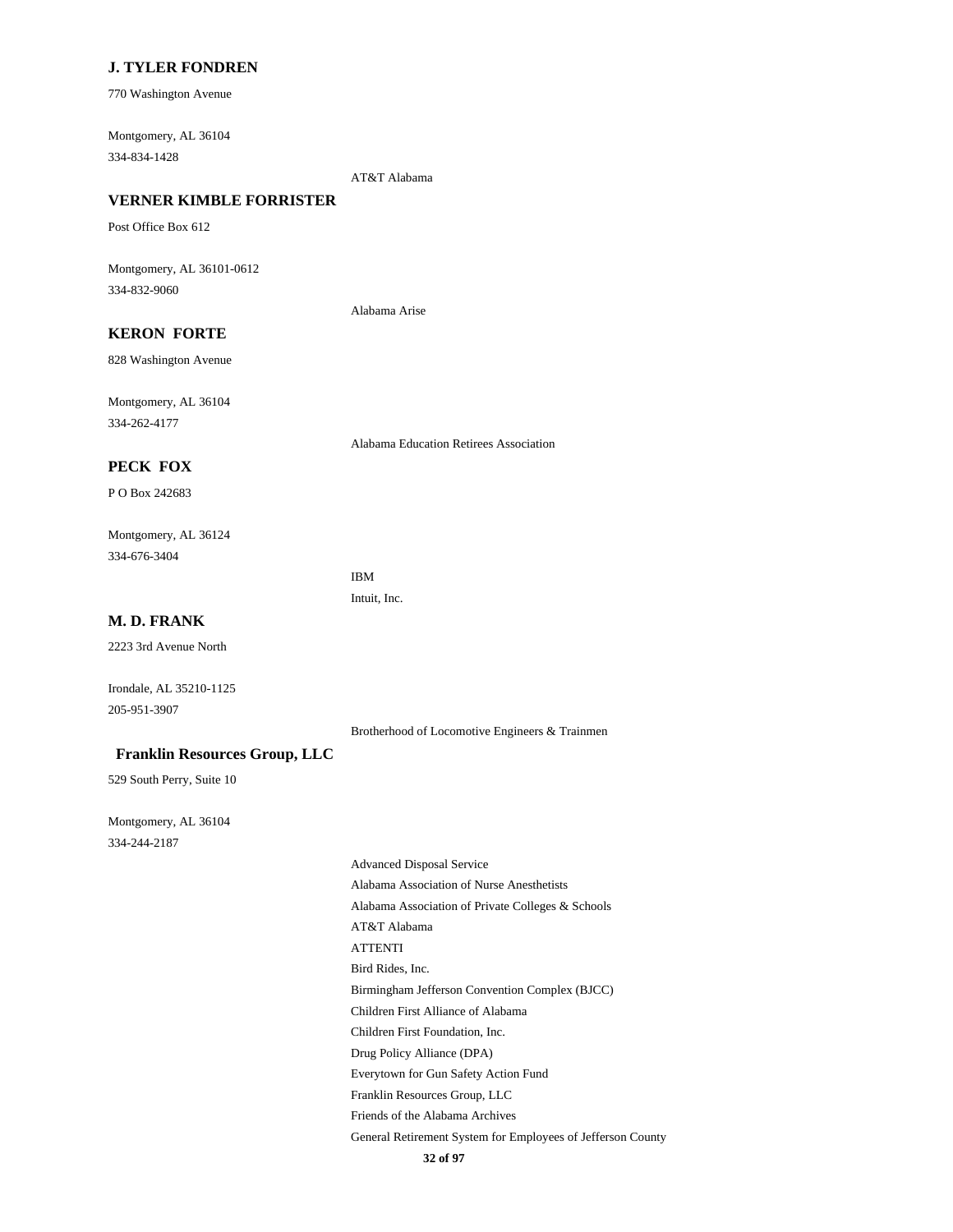## **J. TYLER FONDREN**

770 Washington Avenue

Montgomery, AL 36104 334-834-1428

AT&T Alabama

## **VERNER KIMBLE FORRISTER**

Post Office Box 612

Montgomery, AL 36101-0612 334-832-9060

Alabama Arise

## **KERON FORTE**

828 Washington Avenue

Montgomery, AL 36104 334-262-4177

Alabama Education Retirees Association

### **PECK FOX**

P O Box 242683

Montgomery, AL 36124 334-676-3404

> IBM Intuit, Inc.

### **M. D. FRANK**

2223 3rd Avenue North

Irondale, AL 35210-1125 205-951-3907

Brotherhood of Locomotive Engineers & Trainmen

#### **Franklin Resources Group, LLC**

529 South Perry, Suite 10

Montgomery, AL 36104 334-244-2187

> Advanced Disposal Service Alabama Association of Nurse Anesthetists Alabama Association of Private Colleges & Schools AT&T Alabama ATTENTI Bird Rides, Inc. Birmingham Jefferson Convention Complex (BJCC) Children First Alliance of Alabama Children First Foundation, Inc. Drug Policy Alliance (DPA) Everytown for Gun Safety Action Fund Franklin Resources Group, LLC Friends of the Alabama Archives General Retirement System for Employees of Jefferson County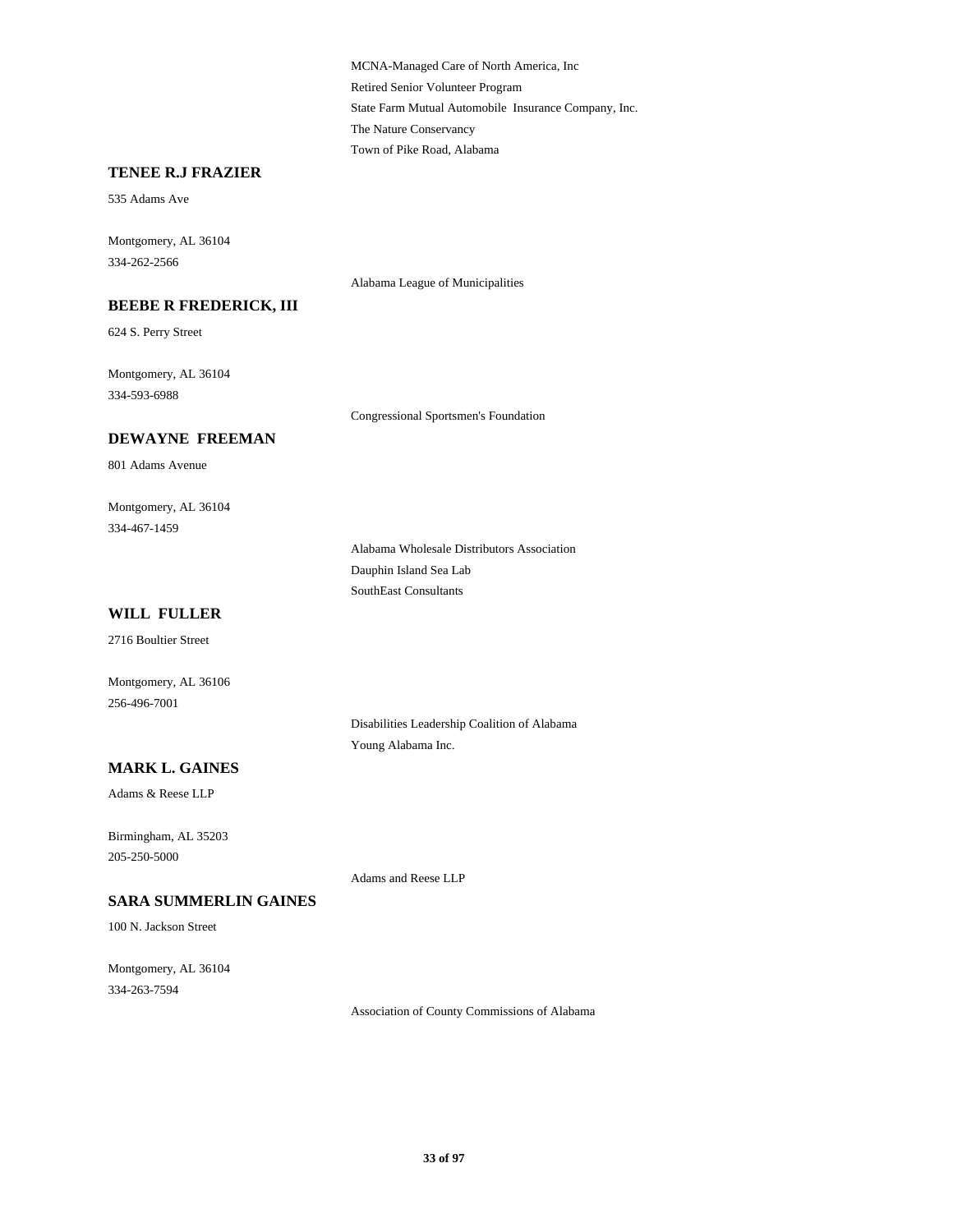MCNA-Managed Care of North America, Inc Retired Senior Volunteer Program State Farm Mutual Automobile Insurance Company, Inc. The Nature Conservancy Town of Pike Road, Alabama

#### **TENEE R.J FRAZIER**

535 Adams Ave

Montgomery, AL 36104 334-262-2566

### **BEEBE R FREDERICK, III**

624 S. Perry Street

Montgomery, AL 36104 334-593-6988

Congressional Sportsmen's Foundation

Alabama League of Municipalities

### **DEWAYNE FREEMAN**

801 Adams Avenue

Montgomery, AL 36104 334-467-1459

> Alabama Wholesale Distributors Association Dauphin Island Sea Lab SouthEast Consultants

## **WILL FULLER**

2716 Boultier Street

Montgomery, AL 36106 256-496-7001

> Disabilities Leadership Coalition of Alabama Young Alabama Inc.

#### **MARK L. GAINES**

Adams & Reese LLP

Birmingham, AL 35203 205-250-5000

Adams and Reese LLP

## **SARA SUMMERLIN GAINES**

100 N. Jackson Street

Montgomery, AL 36104 334-263-7594

Association of County Commissions of Alabama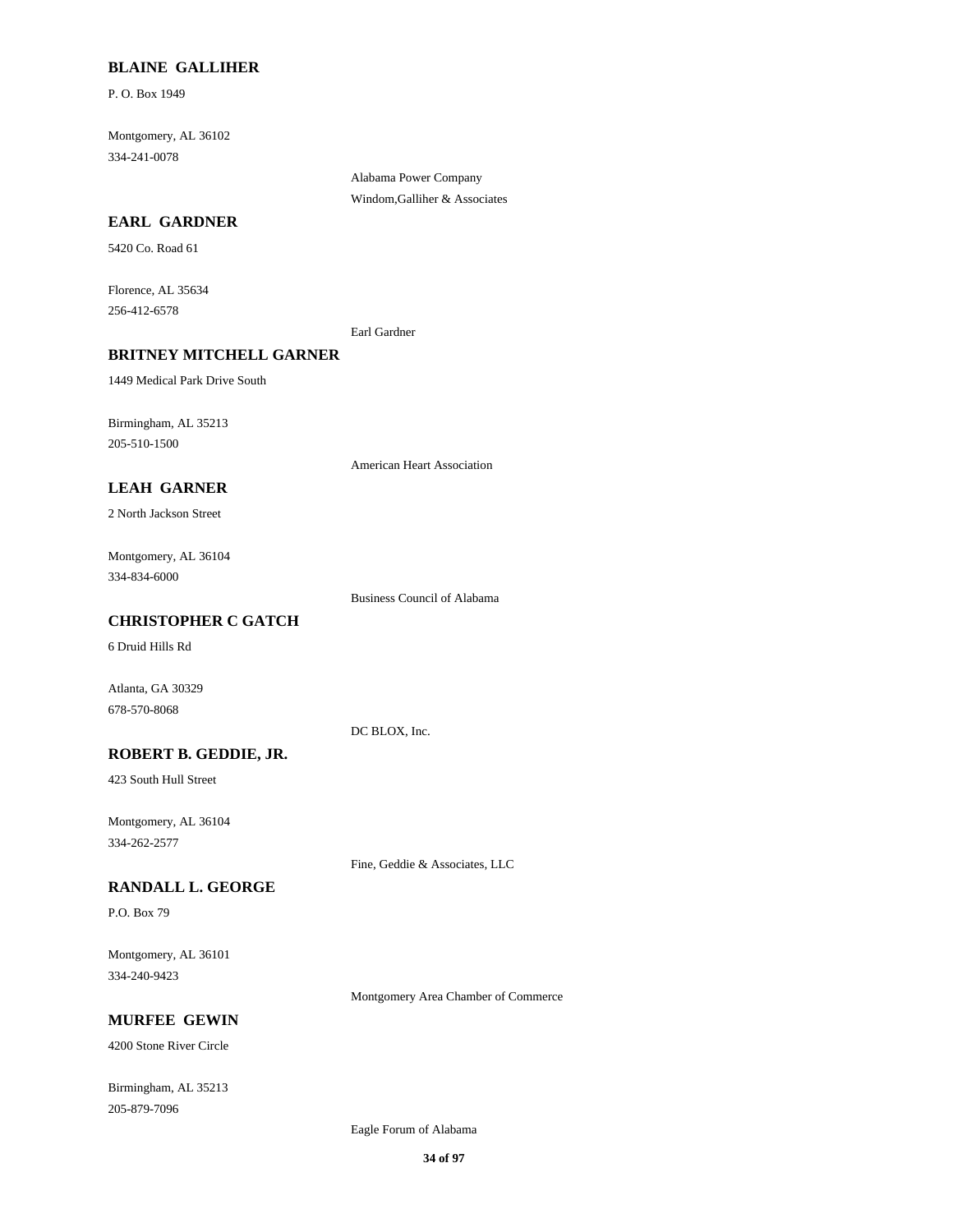### **BLAINE GALLIHER**

P. O. Box 1949

Montgomery, AL 36102 334-241-0078

**EARL GARDNER**

5420 Co. Road 61

Florence, AL 35634 256-412-6578

Earl Gardner

Alabama Power Company Windom,Galliher & Associates

### **BRITNEY MITCHELL GARNER**

1449 Medical Park Drive South

Birmingham, AL 35213 205-510-1500

American Heart Association

## **LEAH GARNER**

2 North Jackson Street

Montgomery, AL 36104 334-834-6000

Business Council of Alabama

## **CHRISTOPHER C GATCH**

6 Druid Hills Rd

Atlanta, GA 30329 678-570-8068

DC BLOX, Inc.

## **ROBERT B. GEDDIE, JR.**

423 South Hull Street

Montgomery, AL 36104 334-262-2577

Fine, Geddie & Associates, LLC

#### **RANDALL L. GEORGE**

P.O. Box 79

Montgomery, AL 36101 334-240-9423

Montgomery Area Chamber of Commerce

## **MURFEE GEWIN**

4200 Stone River Circle

Birmingham, AL 35213 205-879-7096

Eagle Forum of Alabama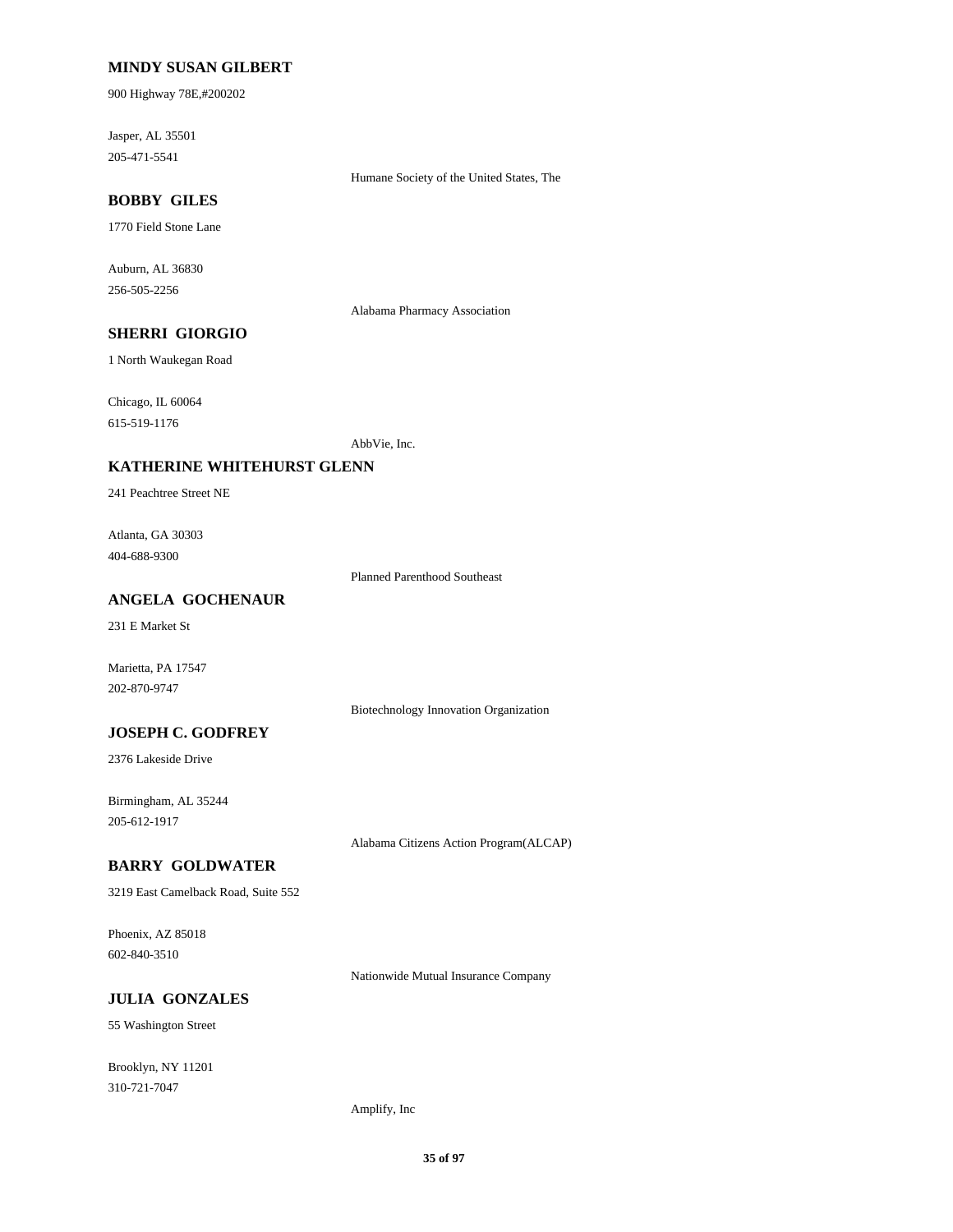### **MINDY SUSAN GILBERT**

900 Highway 78E,#200202

Jasper, AL 35501 205-471-5541

Humane Society of the United States, The

## **BOBBY GILES**

1770 Field Stone Lane

Auburn, AL 36830 256-505-2256

Alabama Pharmacy Association

## **SHERRI GIORGIO**

1 North Waukegan Road

Chicago, IL 60064 615-519-1176

AbbVie, Inc.

### **KATHERINE WHITEHURST GLENN**

241 Peachtree Street NE

Atlanta, GA 30303 404-688-9300

Planned Parenthood Southeast

### **ANGELA GOCHENAUR**

231 E Market St

Marietta, PA 17547 202-870-9747

Biotechnology Innovation Organization

## **JOSEPH C. GODFREY**

2376 Lakeside Drive

Birmingham, AL 35244 205-612-1917

Alabama Citizens Action Program(ALCAP)

### **BARRY GOLDWATER**

3219 East Camelback Road, Suite 552

Phoenix, AZ 85018 602-840-3510

Nationwide Mutual Insurance Company

## **JULIA GONZALES**

55 Washington Street

Brooklyn, NY 11201 310-721-7047

#### Amplify, Inc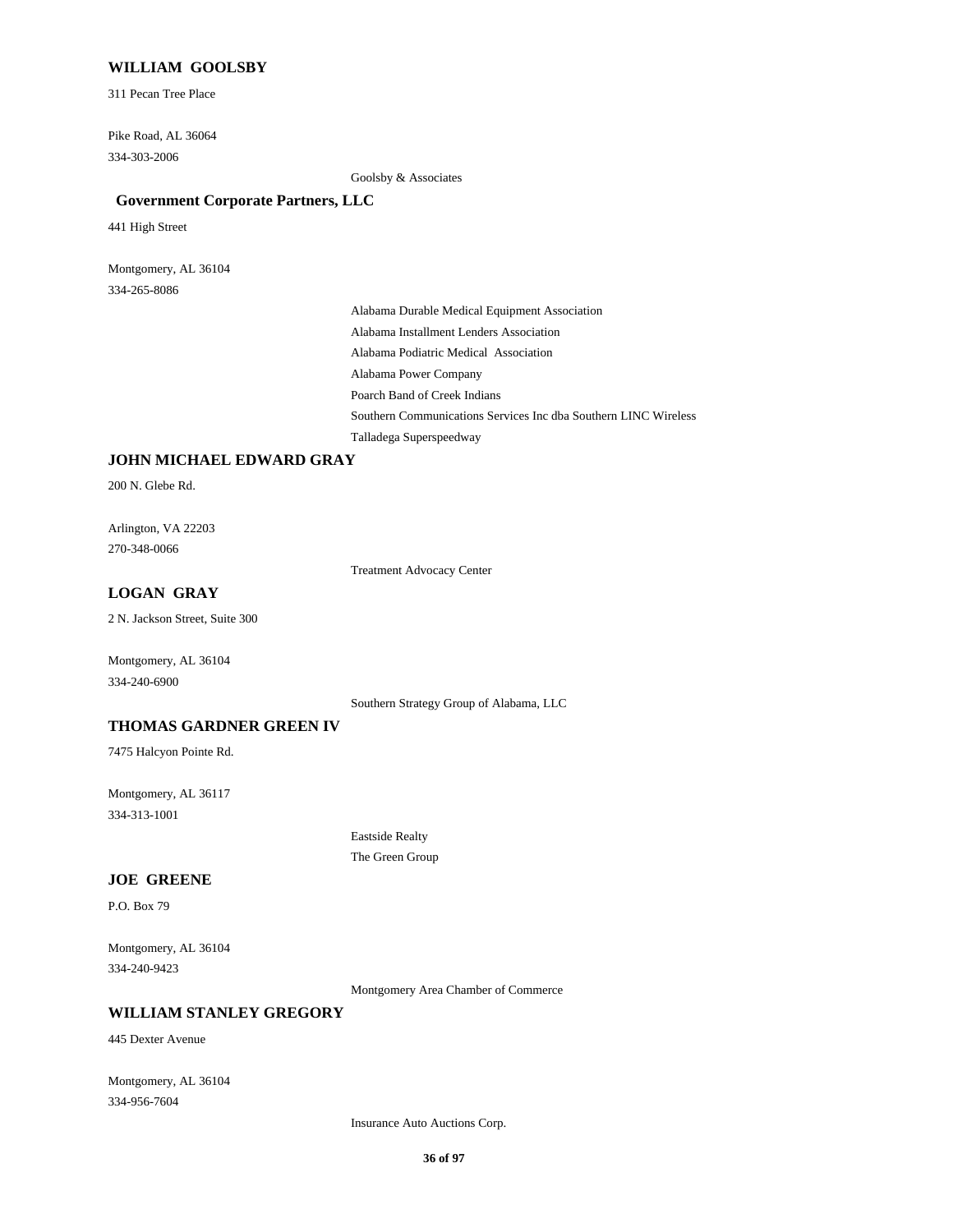### **WILLIAM GOOLSBY**

311 Pecan Tree Place

Pike Road, AL 36064 334-303-2006

Goolsby & Associates

#### **Government Corporate Partners, LLC**

441 High Street

Montgomery, AL 36104 334-265-8086

> Alabama Durable Medical Equipment Association Alabama Installment Lenders Association Alabama Podiatric Medical Association Alabama Power Company Poarch Band of Creek Indians Southern Communications Services Inc dba Southern LINC Wireless Talladega Superspeedway

### **JOHN MICHAEL EDWARD GRAY**

200 N. Glebe Rd.

Arlington, VA 22203 270-348-0066

Treatment Advocacy Center

## **LOGAN GRAY**

2 N. Jackson Street, Suite 300

Montgomery, AL 36104 334-240-6900

Southern Strategy Group of Alabama, LLC

### **THOMAS GARDNER GREEN IV**

7475 Halcyon Pointe Rd.

Montgomery, AL 36117 334-313-1001

> Eastside Realty The Green Group

### **JOE GREENE**

P.O. Box 79

Montgomery, AL 36104 334-240-9423

Montgomery Area Chamber of Commerce

### **WILLIAM STANLEY GREGORY**

445 Dexter Avenue

Montgomery, AL 36104 334-956-7604

Insurance Auto Auctions Corp.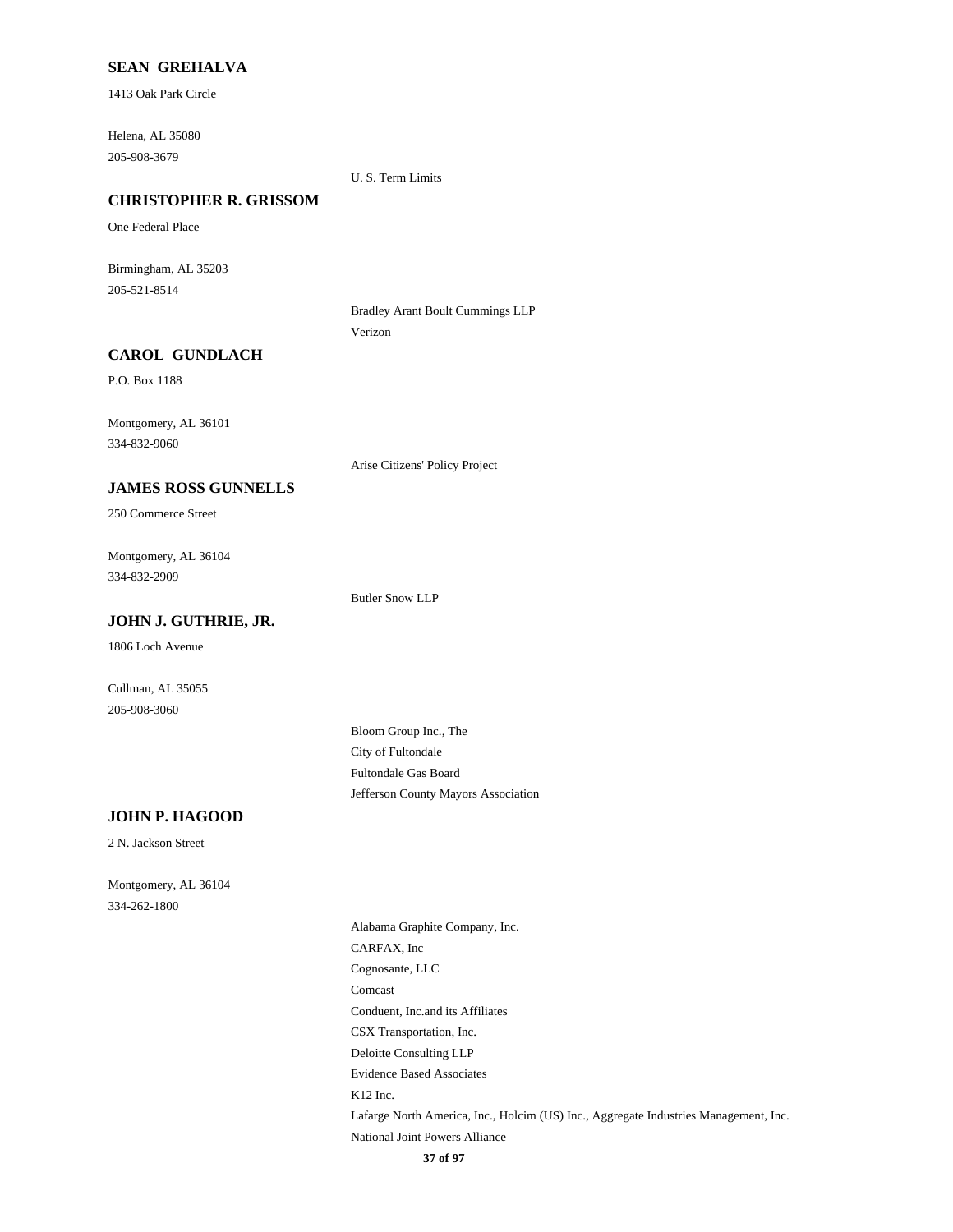### **SEAN GREHALVA**

1413 Oak Park Circle

Helena, AL 35080 205-908-3679

U. S. Term Limits

# **CHRISTOPHER R. GRISSOM**

One Federal Place

Birmingham, AL 35203 205-521-8514

> Bradley Arant Boult Cummings LLP Verizon

### **CAROL GUNDLACH**

P.O. Box 1188

Montgomery, AL 36101 334-832-9060

Arise Citizens' Policy Project

# **JAMES ROSS GUNNELLS**

250 Commerce Street

Montgomery, AL 36104 334-832-2909

**JOHN J. GUTHRIE, JR.**

Butler Snow LLP

1806 Loch Avenue

Cullman, AL 35055 205-908-3060

> Bloom Group Inc., The City of Fultondale Fultondale Gas Board Jefferson County Mayors Association

#### **JOHN P. HAGOOD**

2 N. Jackson Street

Montgomery, AL 36104 334-262-1800

> Alabama Graphite Company, Inc. CARFAX, Inc Cognosante, LLC Comcast Conduent, Inc.and its Affiliates CSX Transportation, Inc. Deloitte Consulting LLP Evidence Based Associates K12 Inc. Lafarge North America, Inc., Holcim (US) Inc., Aggregate Industries Management, Inc. National Joint Powers Alliance **37 of 97**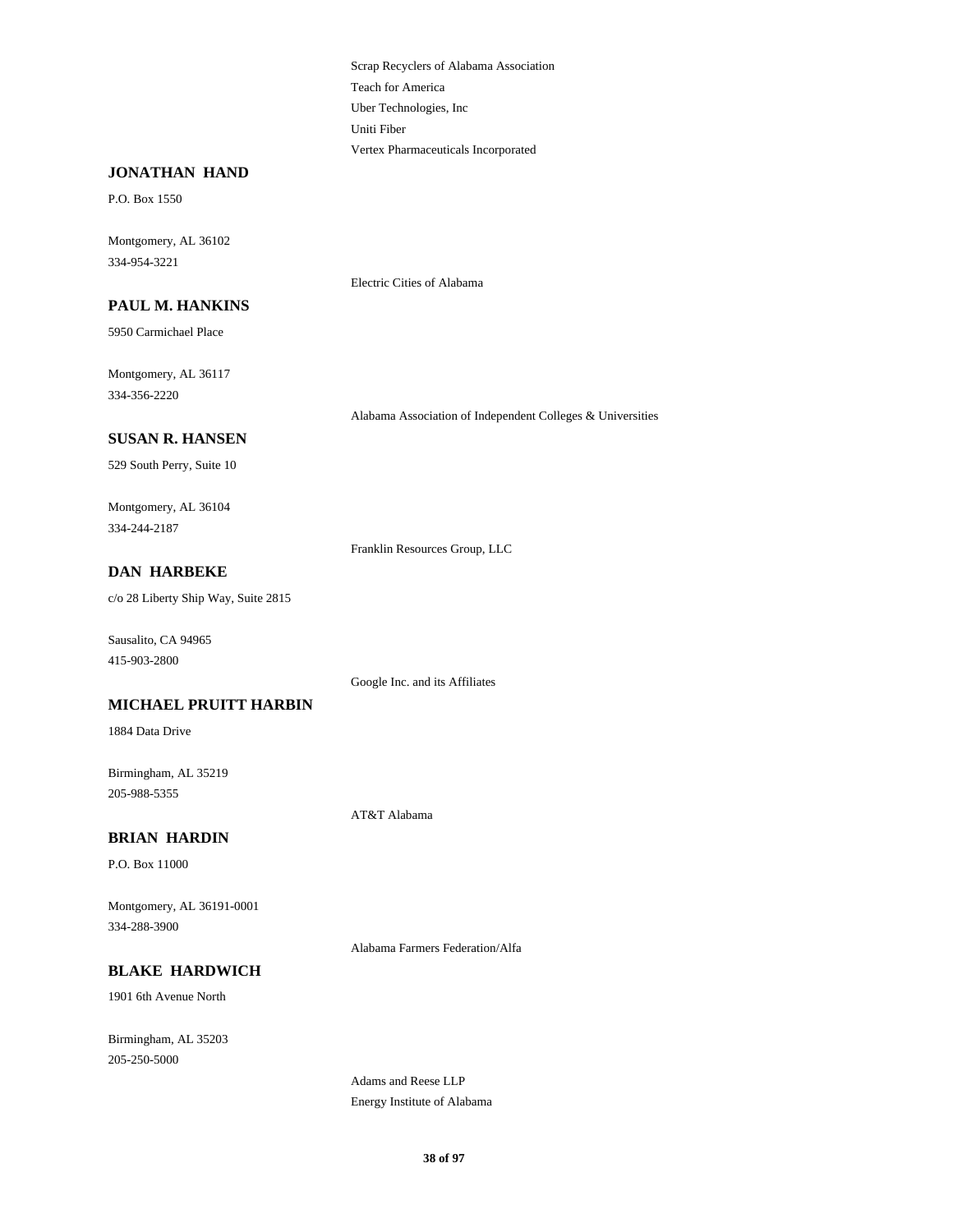Scrap Recyclers of Alabama Association Teach for America Uber Technologies, Inc Uniti Fiber Vertex Pharmaceuticals Incorporated

#### **JONATHAN HAND**

P.O. Box 1550

Montgomery, AL 36102 334-954-3221

#### **PAUL M. HANKINS**

5950 Carmichael Place

Montgomery, AL 36117 334-356-2220

Alabama Association of Independent Colleges & Universities

# **SUSAN R. HANSEN**

529 South Perry, Suite 10

Montgomery, AL 36104 334-244-2187

Franklin Resources Group, LLC

Electric Cities of Alabama

# **DAN HARBEKE**

c/o 28 Liberty Ship Way, Suite 2815

Sausalito, CA 94965 415-903-2800

Google Inc. and its Affiliates

### **MICHAEL PRUITT HARBIN**

1884 Data Drive

Birmingham, AL 35219 205-988-5355

AT&T Alabama

### **BRIAN HARDIN**

P.O. Box 11000

Montgomery, AL 36191-0001 334-288-3900

Alabama Farmers Federation/Alfa

### **BLAKE HARDWICH**

1901 6th Avenue North

Birmingham, AL 35203 205-250-5000

> Adams and Reese LLP Energy Institute of Alabama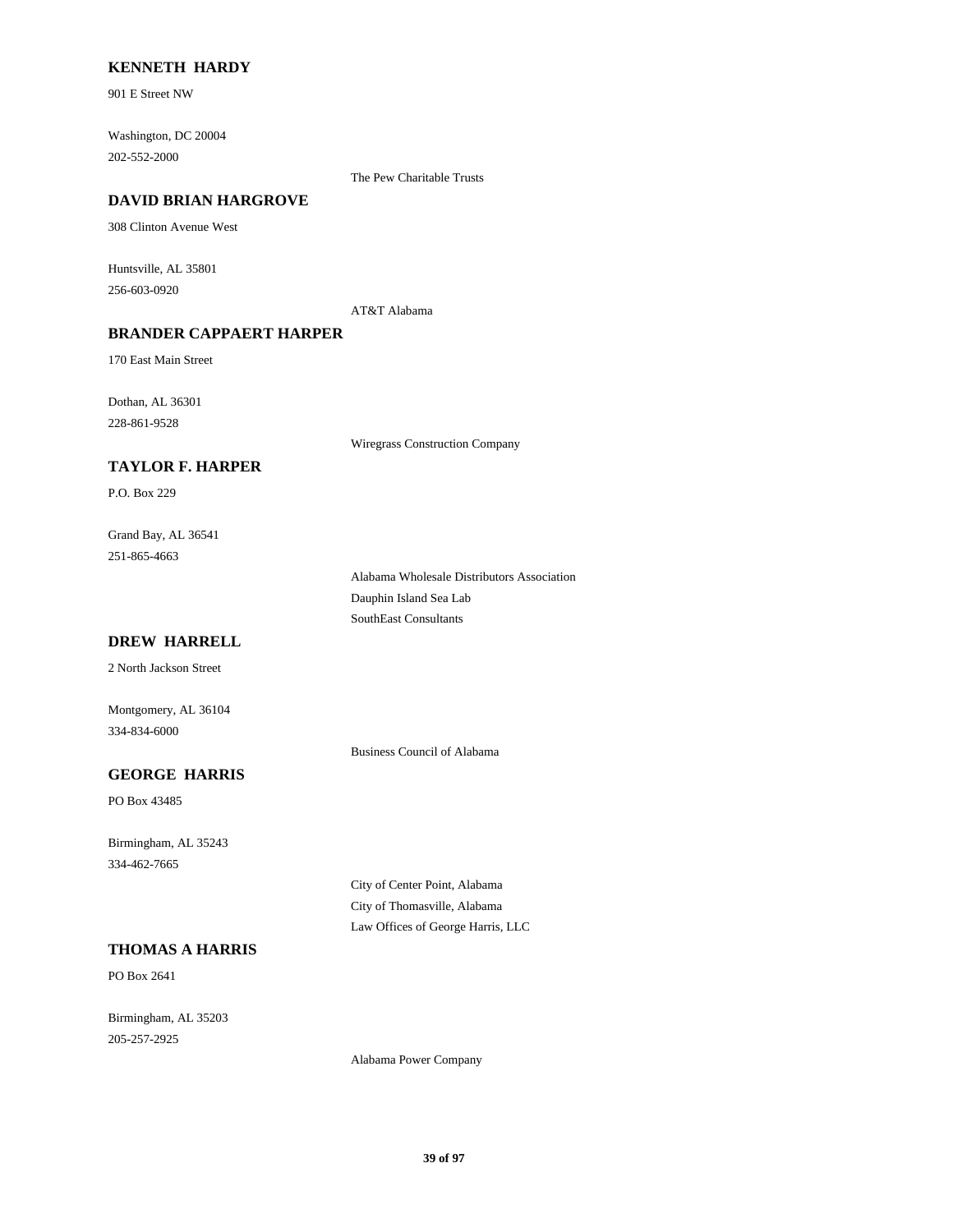### **KENNETH HARDY**

901 E Street NW

Washington, DC 20004 202-552-2000

The Pew Charitable Trusts

#### **DAVID BRIAN HARGROVE**

308 Clinton Avenue West

Huntsville, AL 35801 256-603-0920

AT&T Alabama

### **BRANDER CAPPAERT HARPER**

170 East Main Street

Dothan, AL 36301 228-861-9528

Wiregrass Construction Company

### **TAYLOR F. HARPER**

P.O. Box 229

Grand Bay, AL 36541 251-865-4663

> Alabama Wholesale Distributors Association Dauphin Island Sea Lab SouthEast Consultants

# **DREW HARRELL**

2 North Jackson Street

Montgomery, AL 36104 334-834-6000

Business Council of Alabama

# **GEORGE HARRIS**

PO Box 43485

Birmingham, AL 35243 334-462-7665

> City of Center Point, Alabama City of Thomasville, Alabama Law Offices of George Harris, LLC

# **THOMAS A HARRIS**

PO Box 2641

Birmingham, AL 35203 205-257-2925

Alabama Power Company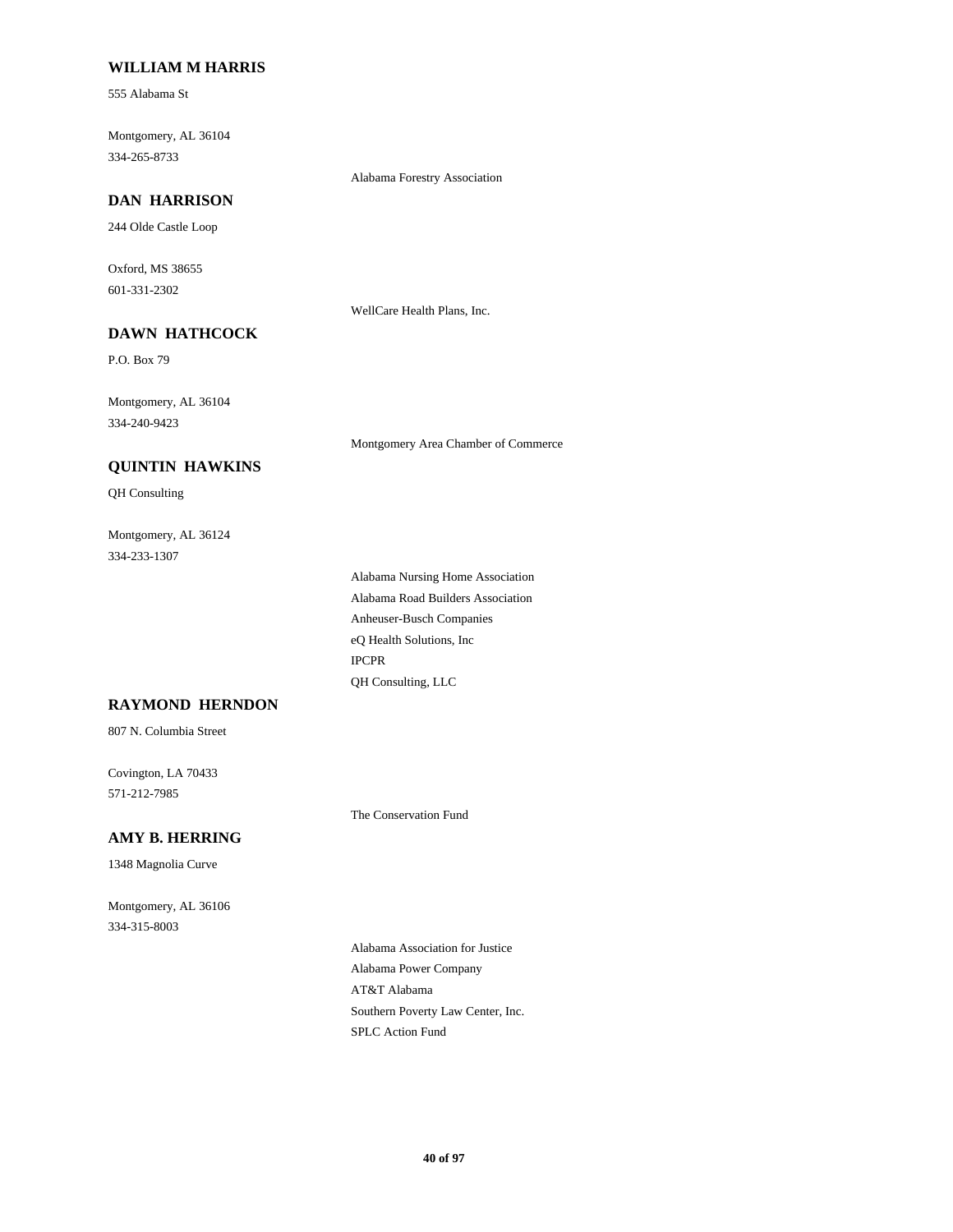### **WILLIAM M HARRIS**

555 Alabama St

Montgomery, AL 36104 334-265-8733

Alabama Forestry Association

# **DAN HARRISON**

244 Olde Castle Loop

Oxford, MS 38655 601-331-2302

WellCare Health Plans, Inc.

# **DAWN HATHCOCK**

P.O. Box 79

Montgomery, AL 36104 334-240-9423

Montgomery Area Chamber of Commerce

## **QUINTIN HAWKINS**

QH Consulting

Montgomery, AL 36124 334-233-1307

> Alabama Nursing Home Association Alabama Road Builders Association Anheuser-Busch Companies eQ Health Solutions, Inc IPCPR QH Consulting, LLC

# **RAYMOND HERNDON**

807 N. Columbia Street

Covington, LA 70433 571-212-7985

The Conservation Fund

# **AMY B. HERRING**

1348 Magnolia Curve

Montgomery, AL 36106 334-315-8003

> Alabama Association for Justice Alabama Power Company AT&T Alabama Southern Poverty Law Center, Inc. SPLC Action Fund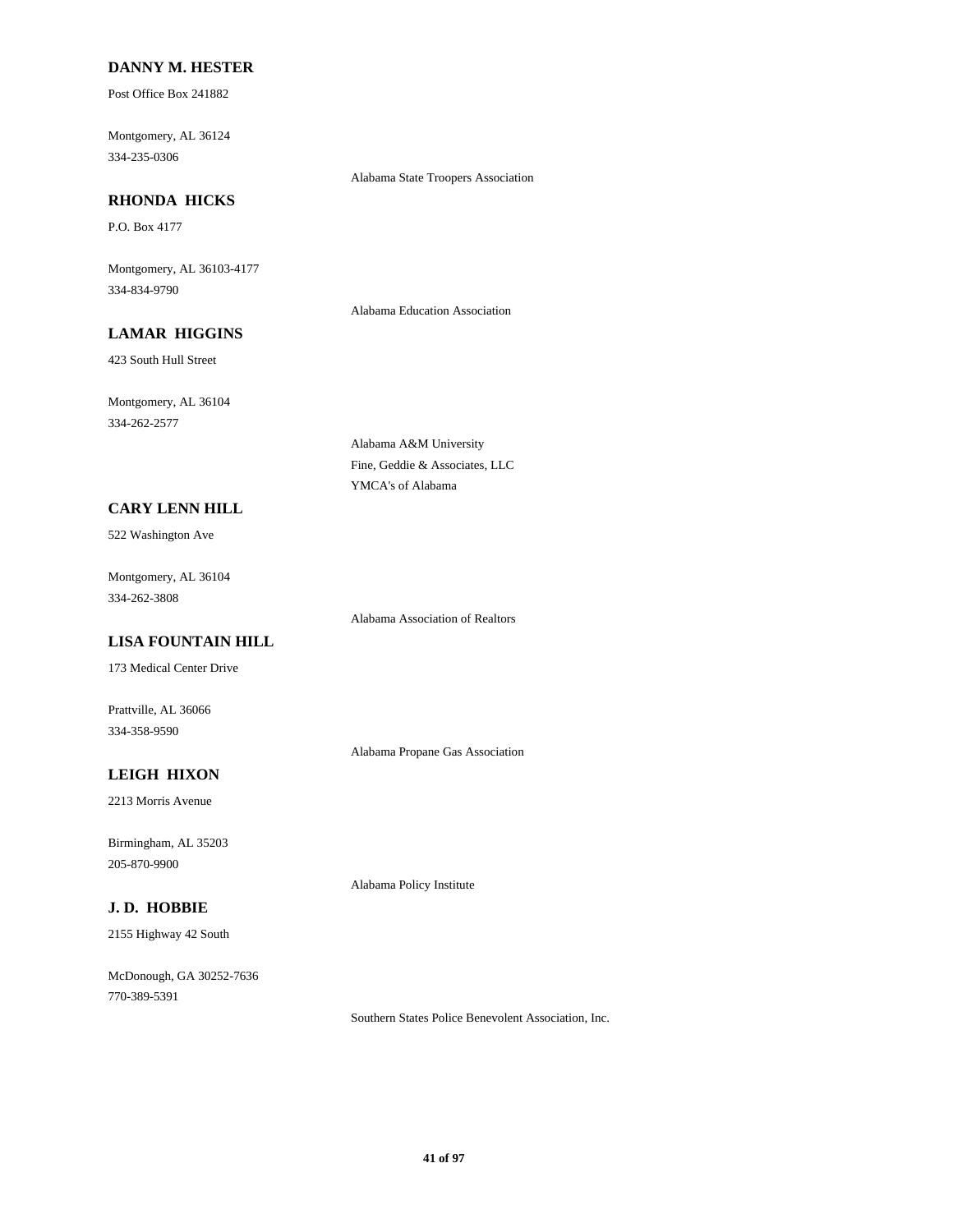### **DANNY M. HESTER**

Post Office Box 241882

Montgomery, AL 36124 334-235-0306

Alabama State Troopers Association

#### **RHONDA HICKS**

P.O. Box 4177

Montgomery, AL 36103-4177 334-834-9790

Alabama Education Association

# **LAMAR HIGGINS**

423 South Hull Street

Montgomery, AL 36104 334-262-2577

> Alabama A&M University Fine, Geddie & Associates, LLC YMCA's of Alabama

#### **CARY LENN HILL**

522 Washington Ave

Montgomery, AL 36104 334-262-3808

Alabama Association of Realtors

# **LISA FOUNTAIN HILL**

173 Medical Center Drive

Prattville, AL 36066 334-358-9590

Alabama Propane Gas Association

Alabama Policy Institute

# **LEIGH HIXON**

2213 Morris Avenue

Birmingham, AL 35203 205-870-9900

### **J. D. HOBBIE**

2155 Highway 42 South

McDonough, GA 30252-7636 770-389-5391

Southern States Police Benevolent Association, Inc.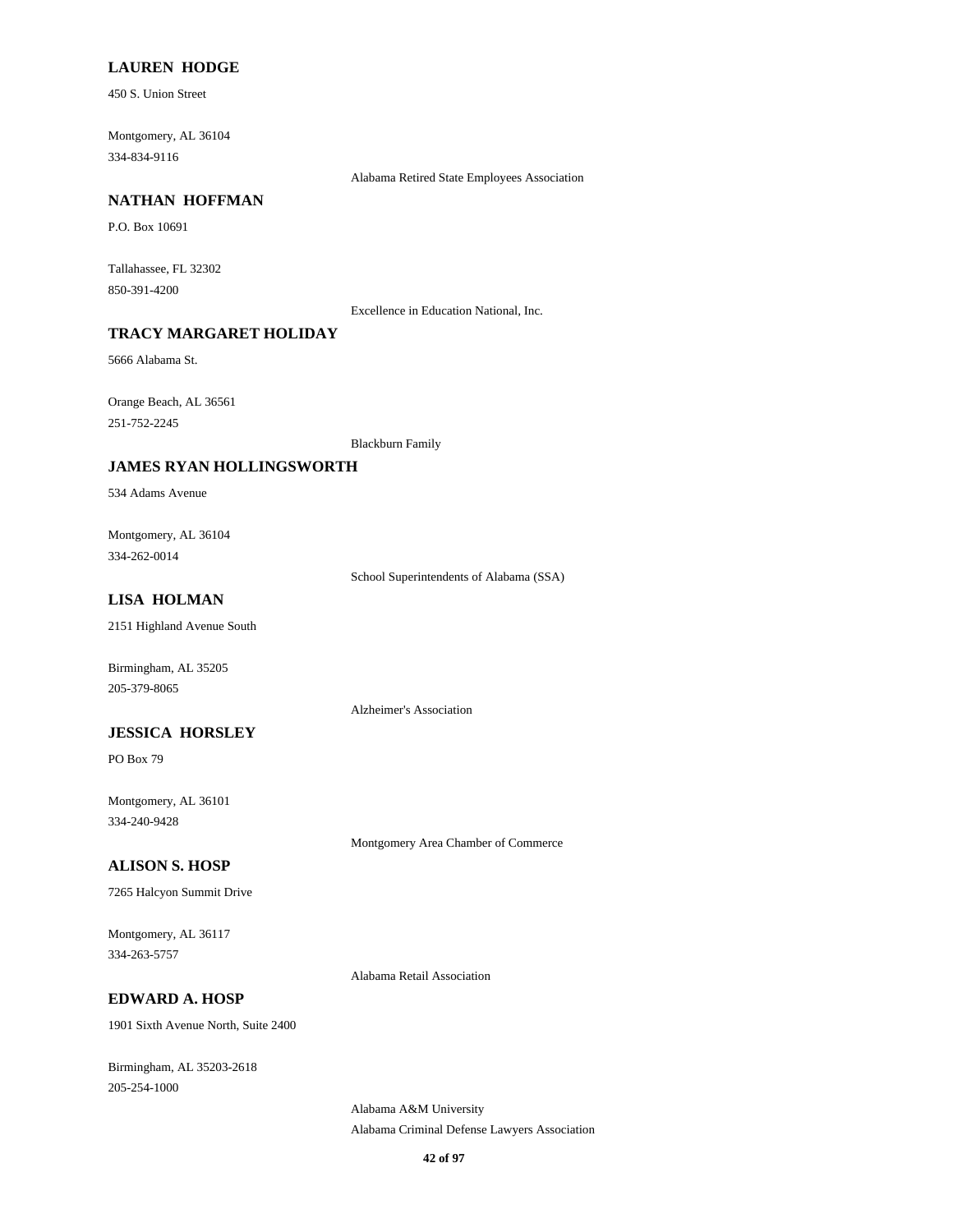### **LAUREN HODGE**

450 S. Union Street

Montgomery, AL 36104 334-834-9116

Alabama Retired State Employees Association

#### **NATHAN HOFFMAN**

P.O. Box 10691

Tallahassee, FL 32302 850-391-4200

Excellence in Education National, Inc.

# **TRACY MARGARET HOLIDAY**

5666 Alabama St.

Orange Beach, AL 36561 251-752-2245

Blackburn Family

#### **JAMES RYAN HOLLINGSWORTH**

534 Adams Avenue

Montgomery, AL 36104 334-262-0014

School Superintendents of Alabama (SSA)

### **LISA HOLMAN**

2151 Highland Avenue South

Birmingham, AL 35205 205-379-8065

#### **JESSICA HORSLEY**

PO Box 79

Montgomery, AL 36101 334-240-9428

Montgomery Area Chamber of Commerce

# **ALISON S. HOSP**

7265 Halcyon Summit Drive

Montgomery, AL 36117 334-263-5757

Alabama Retail Association

Alzheimer's Association

#### **EDWARD A. HOSP**

1901 Sixth Avenue North, Suite 2400

Birmingham, AL 35203-2618 205-254-1000

> Alabama A&M University Alabama Criminal Defense Lawyers Association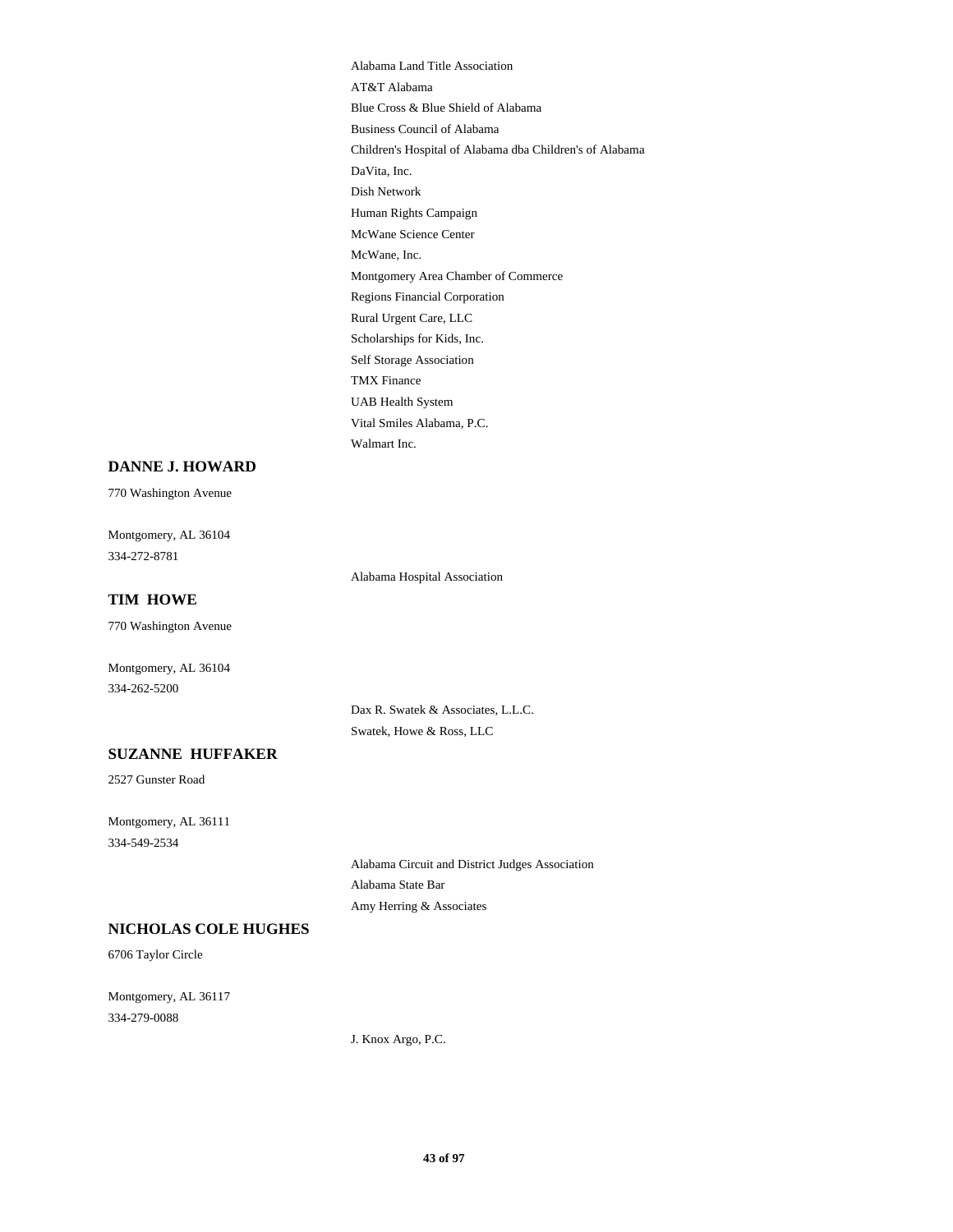Alabama Land Title Association AT&T Alabama Blue Cross & Blue Shield of Alabama Business Council of Alabama Children's Hospital of Alabama dba Children's of Alabama DaVita, Inc. Dish Network Human Rights Campaign McWane Science Center McWane, Inc. Montgomery Area Chamber of Commerce Regions Financial Corporation Rural Urgent Care, LLC Scholarships for Kids, Inc. Self Storage Association TMX Finance UAB Health System Vital Smiles Alabama, P.C. Walmart Inc.

#### **DANNE J. HOWARD**

770 Washington Avenue

Montgomery, AL 36104 334-272-8781

Alabama Hospital Association

### **TIM HOWE**

770 Washington Avenue

Montgomery, AL 36104 334-262-5200

> Dax R. Swatek & Associates, L.L.C. Swatek, Howe & Ross, LLC

# **SUZANNE HUFFAKER**

2527 Gunster Road

Montgomery, AL 36111 334-549-2534

> Alabama Circuit and District Judges Association Alabama State Bar Amy Herring & Associates

# **NICHOLAS COLE HUGHES**

6706 Taylor Circle

Montgomery, AL 36117 334-279-0088

J. Knox Argo, P.C.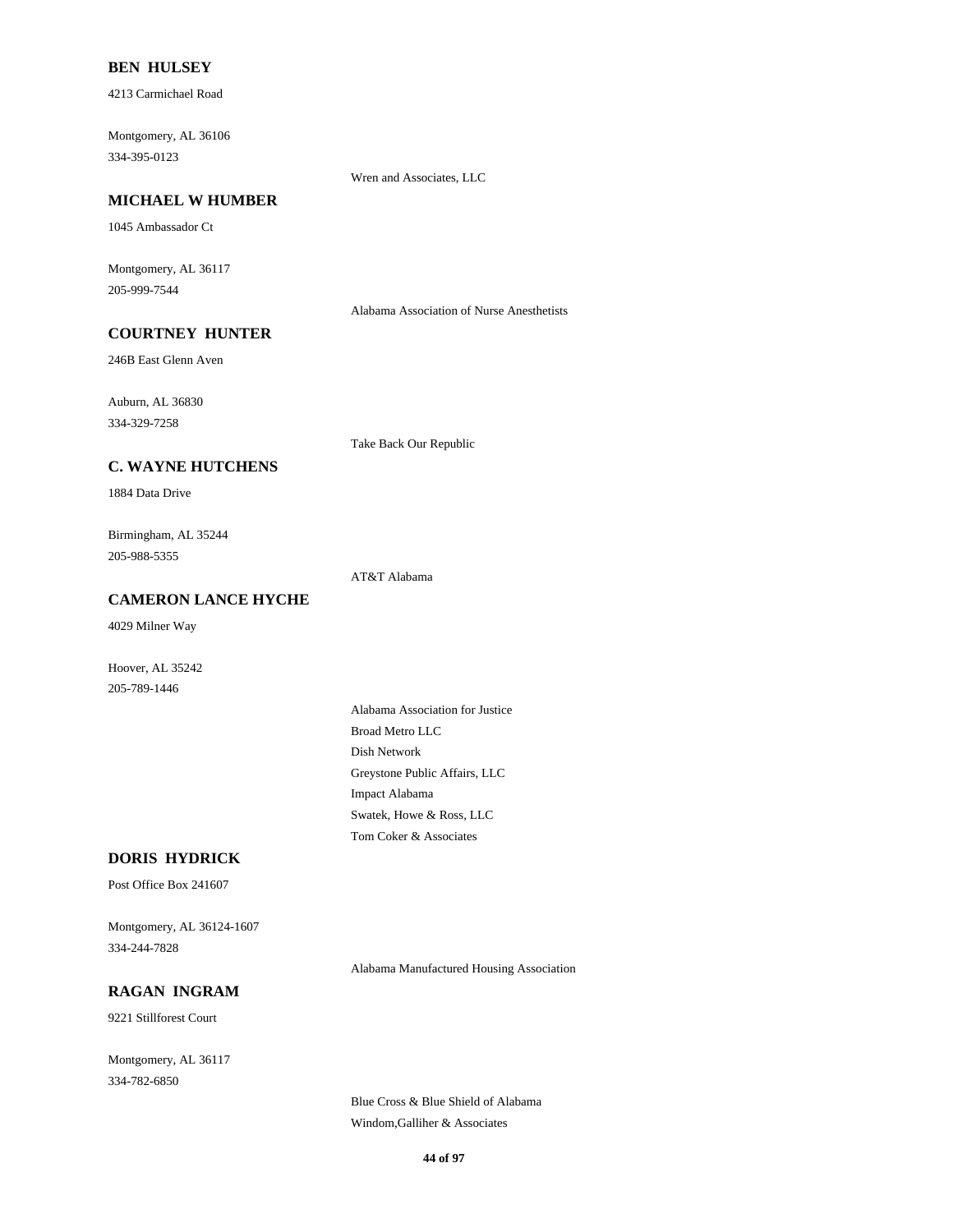### **BEN HULSEY**

4213 Carmichael Road

Montgomery, AL 36106 334-395-0123

Wren and Associates, LLC

### **MICHAEL W HUMBER**

1045 Ambassador Ct

Montgomery, AL 36117 205-999-7544

Alabama Association of Nurse Anesthetists

# **COURTNEY HUNTER**

246B East Glenn Aven

Auburn, AL 36830

334-329-7258

Take Back Our Republic

# **C. WAYNE HUTCHENS**

1884 Data Drive

Birmingham, AL 35244 205-988-5355

AT&T Alabama

### **CAMERON LANCE HYCHE**

4029 Milner Way

Hoover, AL 35242 205-789-1446

> Alabama Association for Justice Broad Metro LLC Dish Network Greystone Public Affairs, LLC Impact Alabama Swatek, Howe & Ross, LLC Tom Coker & Associates

### **DORIS HYDRICK**

Post Office Box 241607

Montgomery, AL 36124-1607 334-244-7828

Alabama Manufactured Housing Association

# **RAGAN INGRAM**

9221 Stillforest Court

Montgomery, AL 36117 334-782-6850

> Blue Cross & Blue Shield of Alabama Windom,Galliher & Associates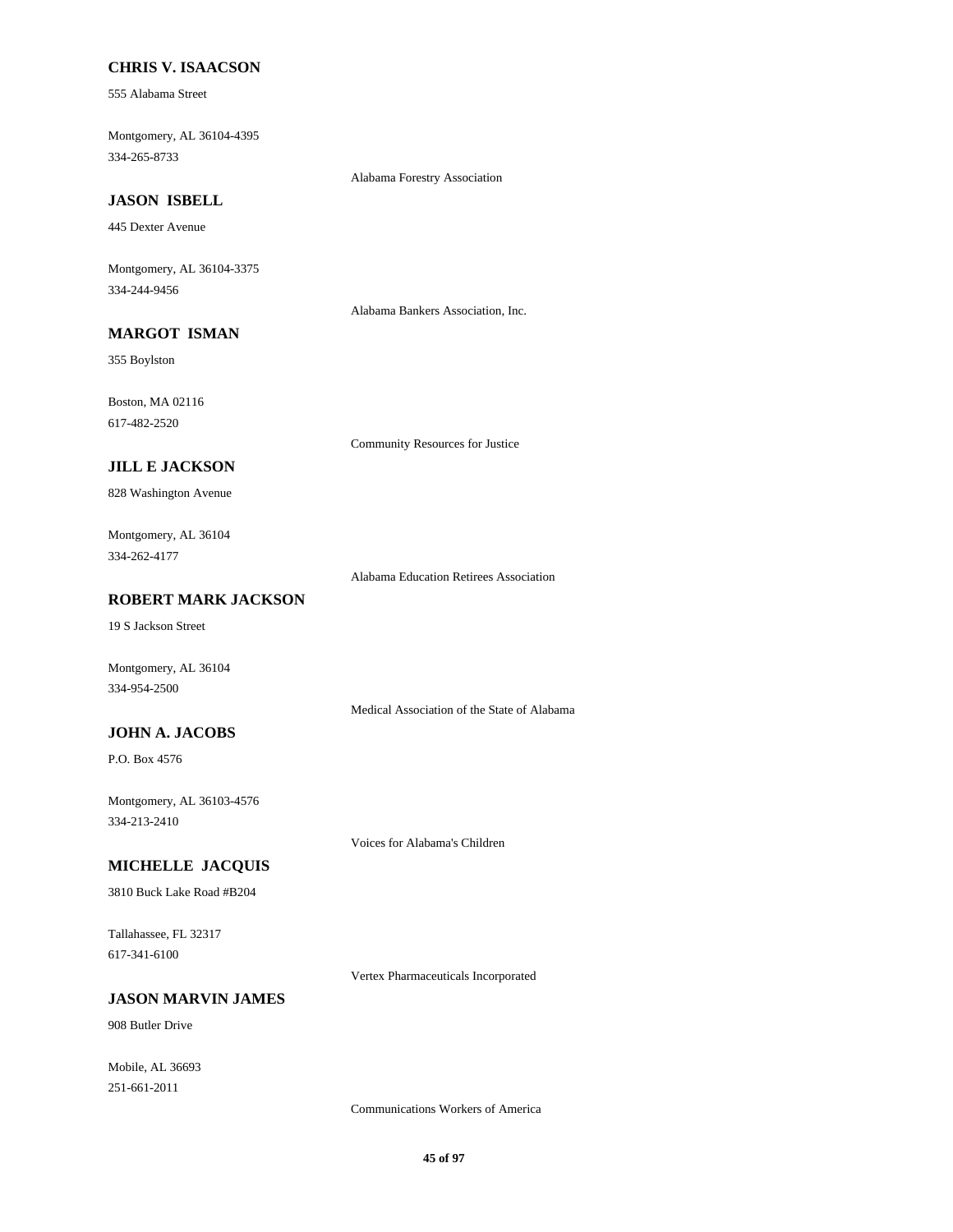### **CHRIS V. ISAACSON**

555 Alabama Street

Montgomery, AL 36104-4395 334-265-8733

Alabama Forestry Association

# **JASON ISBELL**

445 Dexter Avenue

Montgomery, AL 36104-3375 334-244-9456

Alabama Bankers Association, Inc.

# **MARGOT ISMAN**

355 Boylston

Boston, MA 02116 617-482-2520

Community Resources for Justice

### **JILL E JACKSON**

828 Washington Avenue

### Montgomery, AL 36104 334-262-4177

Alabama Education Retirees Association

### **ROBERT MARK JACKSON**

19 S Jackson Street

Montgomery, AL 36104 334-954-2500

Medical Association of the State of Alabama

# **JOHN A. JACOBS**

P.O. Box 4576

Montgomery, AL 36103-4576 334-213-2410

Voices for Alabama's Children

## **MICHELLE JACQUIS**

3810 Buck Lake Road #B204

Tallahassee, FL 32317 617-341-6100

Vertex Pharmaceuticals Incorporated

### **JASON MARVIN JAMES**

908 Butler Drive

Mobile, AL 36693 251-661-2011

Communications Workers of America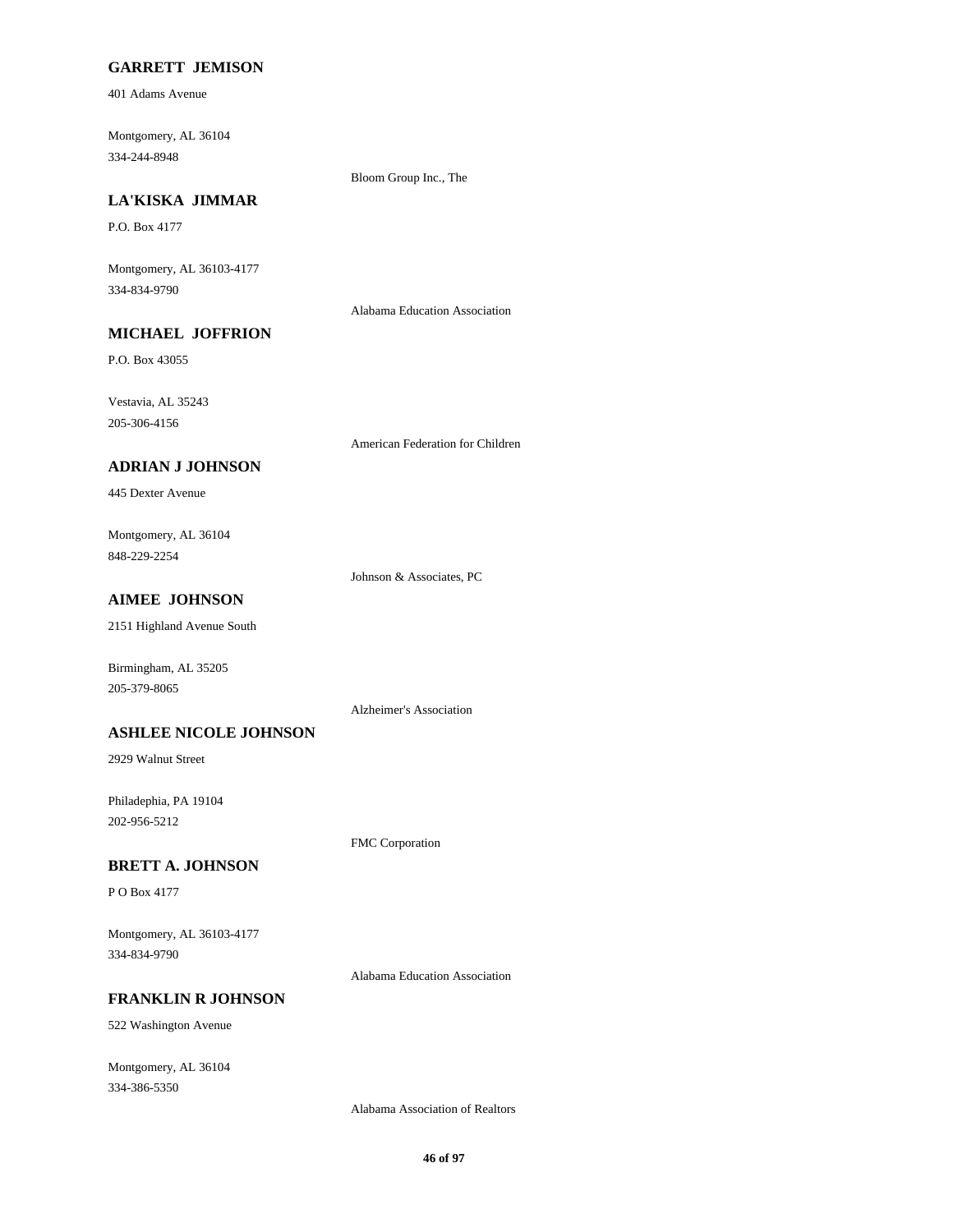### **GARRETT JEMISON**

401 Adams Avenue

Montgomery, AL 36104 334-244-8948

Bloom Group Inc., The

# **LA'KISKA JIMMAR**

P.O. Box 4177

Montgomery, AL 36103-4177 334-834-9790

Alabama Education Association

# **MICHAEL JOFFRION**

P.O. Box 43055

Vestavia, AL 35243 205-306-4156

American Federation for Children

### **ADRIAN J JOHNSON**

445 Dexter Avenue

Montgomery, AL 36104 848-229-2254

Johnson & Associates, PC

# **AIMEE JOHNSON**

2151 Highland Avenue South

Birmingham, AL 35205 205-379-8065

Alzheimer's Association

#### **ASHLEE NICOLE JOHNSON**

2929 Walnut Street

Philadephia, PA 19104 202-956-5212

FMC Corporation

### **BRETT A. JOHNSON**

P O Box 4177

Montgomery, AL 36103-4177 334-834-9790

Alabama Education Association

### **FRANKLIN R JOHNSON**

522 Washington Avenue

Montgomery, AL 36104 334-386-5350

Alabama Association of Realtors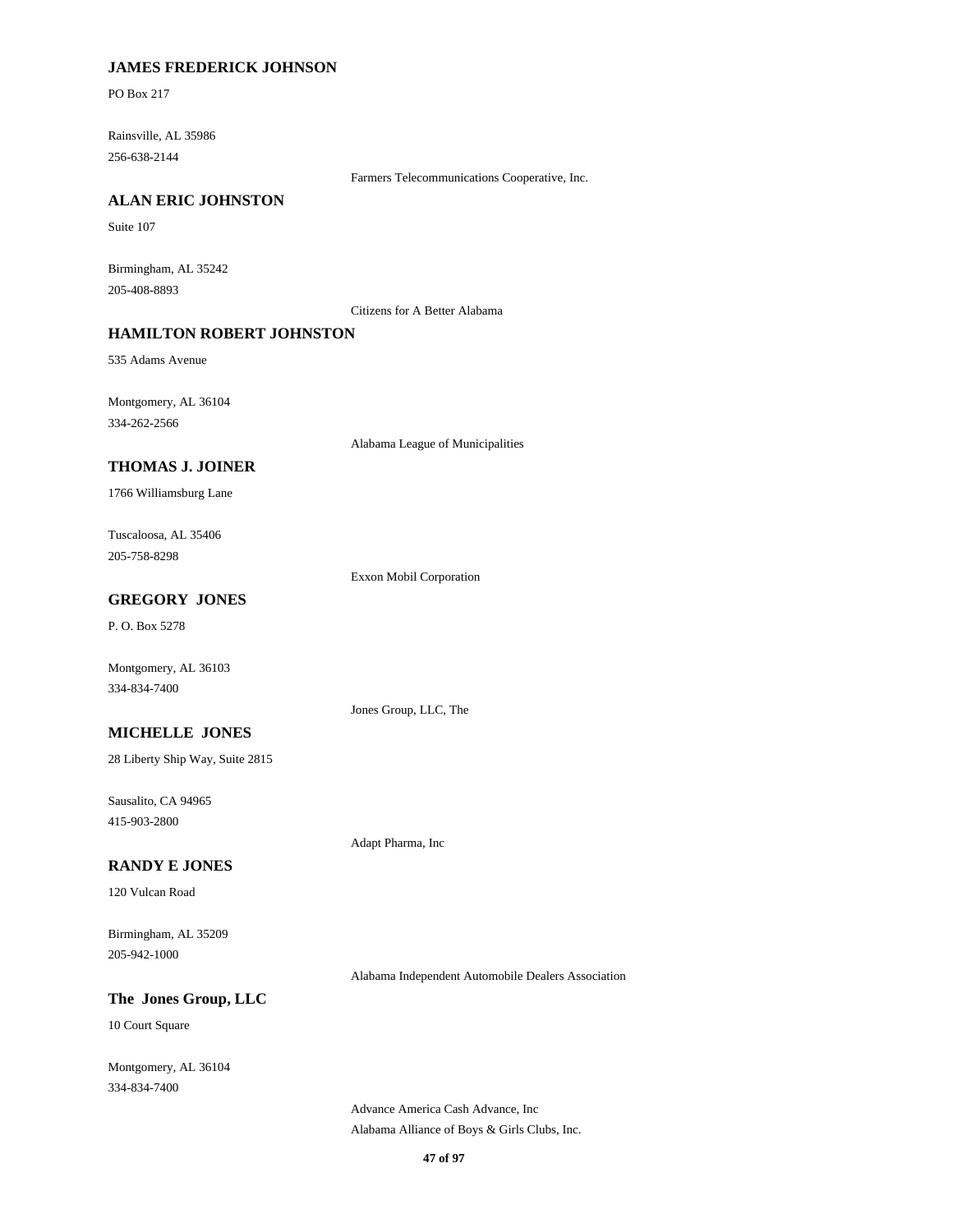### **JAMES FREDERICK JOHNSON**

PO Box 217

Rainsville, AL 35986 256-638-2144

Farmers Telecommunications Cooperative, Inc.

### **ALAN ERIC JOHNSTON**

Suite 107

Birmingham, AL 35242 205-408-8893

Citizens for A Better Alabama

### **HAMILTON ROBERT JOHNSTON**

535 Adams Avenue

Montgomery, AL 36104 334-262-2566

Alabama League of Municipalities

#### **THOMAS J. JOINER**

1766 Williamsburg Lane

Tuscaloosa, AL 35406 205-758-8298

Exxon Mobil Corporation

Jones Group, LLC, The

Adapt Pharma, Inc

### **GREGORY JONES**

P. O. Box 5278

Montgomery, AL 36103 334-834-7400

**MICHELLE JONES**

28 Liberty Ship Way, Suite 2815

Sausalito, CA 94965 415-903-2800

#### **RANDY E JONES**

120 Vulcan Road

Birmingham, AL 35209 205-942-1000

Alabama Independent Automobile Dealers Association

## **The Jones Group, LLC**

10 Court Square

Montgomery, AL 36104 334-834-7400

> Advance America Cash Advance, Inc Alabama Alliance of Boys & Girls Clubs, Inc.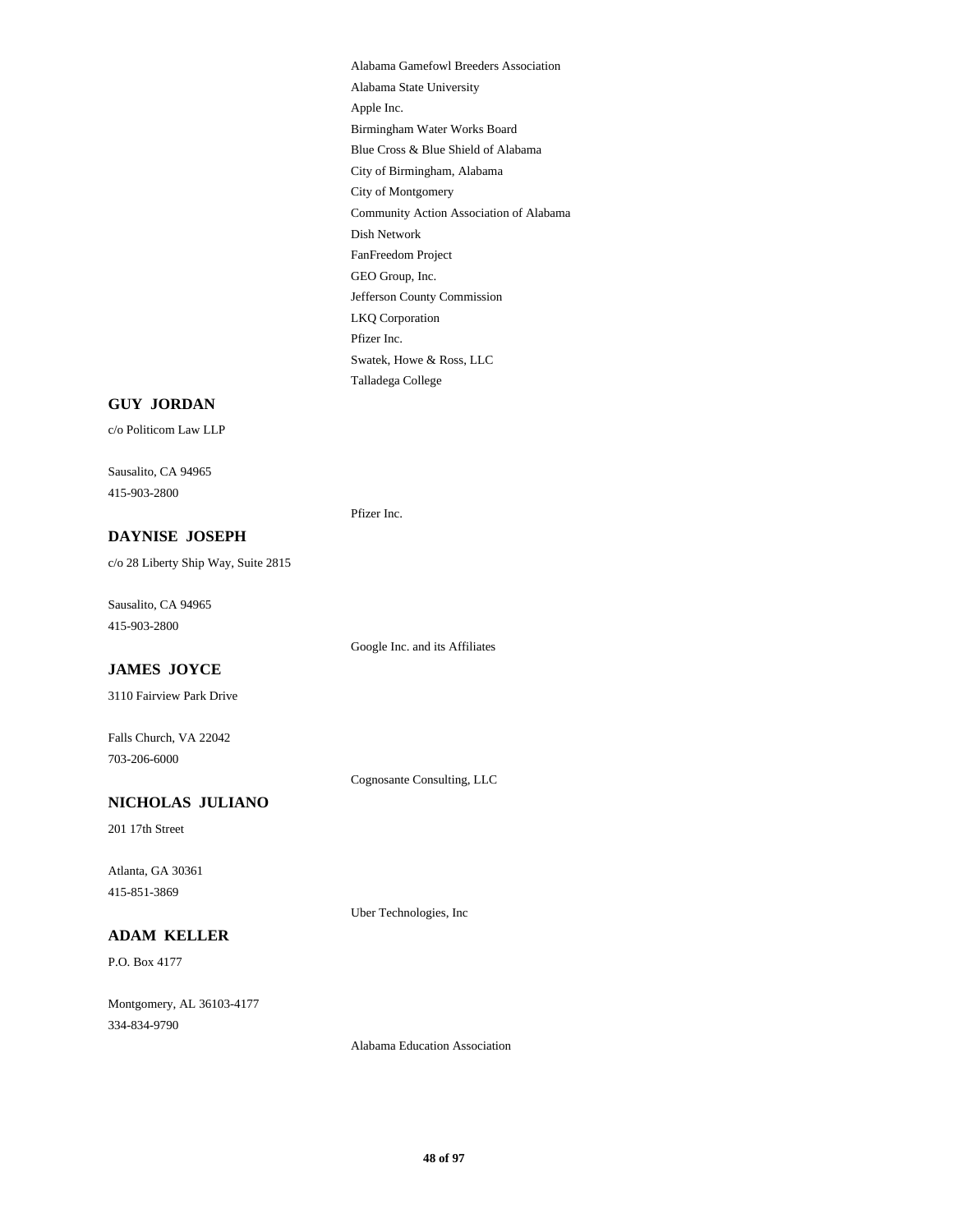Alabama Gamefowl Breeders Association Alabama State University Apple Inc. Birmingham Water Works Board Blue Cross & Blue Shield of Alabama City of Birmingham, Alabama City of Montgomery Community Action Association of Alabama Dish Network FanFreedom Project GEO Group, Inc. Jefferson County Commission LKQ Corporation Pfizer Inc. Swatek, Howe & Ross, LLC Talladega College

#### **GUY JORDAN**

c/o Politicom Law LLP

Sausalito, CA 94965 415-903-2800

Pfizer Inc.

### **DAYNISE JOSEPH**

c/o 28 Liberty Ship Way, Suite 2815

Sausalito, CA 94965 415-903-2800

Google Inc. and its Affiliates

### **JAMES JOYCE**

3110 Fairview Park Drive

Falls Church, VA 22042 703-206-6000

Cognosante Consulting, LLC

Uber Technologies, Inc

# **NICHOLAS JULIANO**

201 17th Street

Atlanta, GA 30361 415-851-3869

## **ADAM KELLER**

P.O. Box 4177

Montgomery, AL 36103-4177 334-834-9790

Alabama Education Association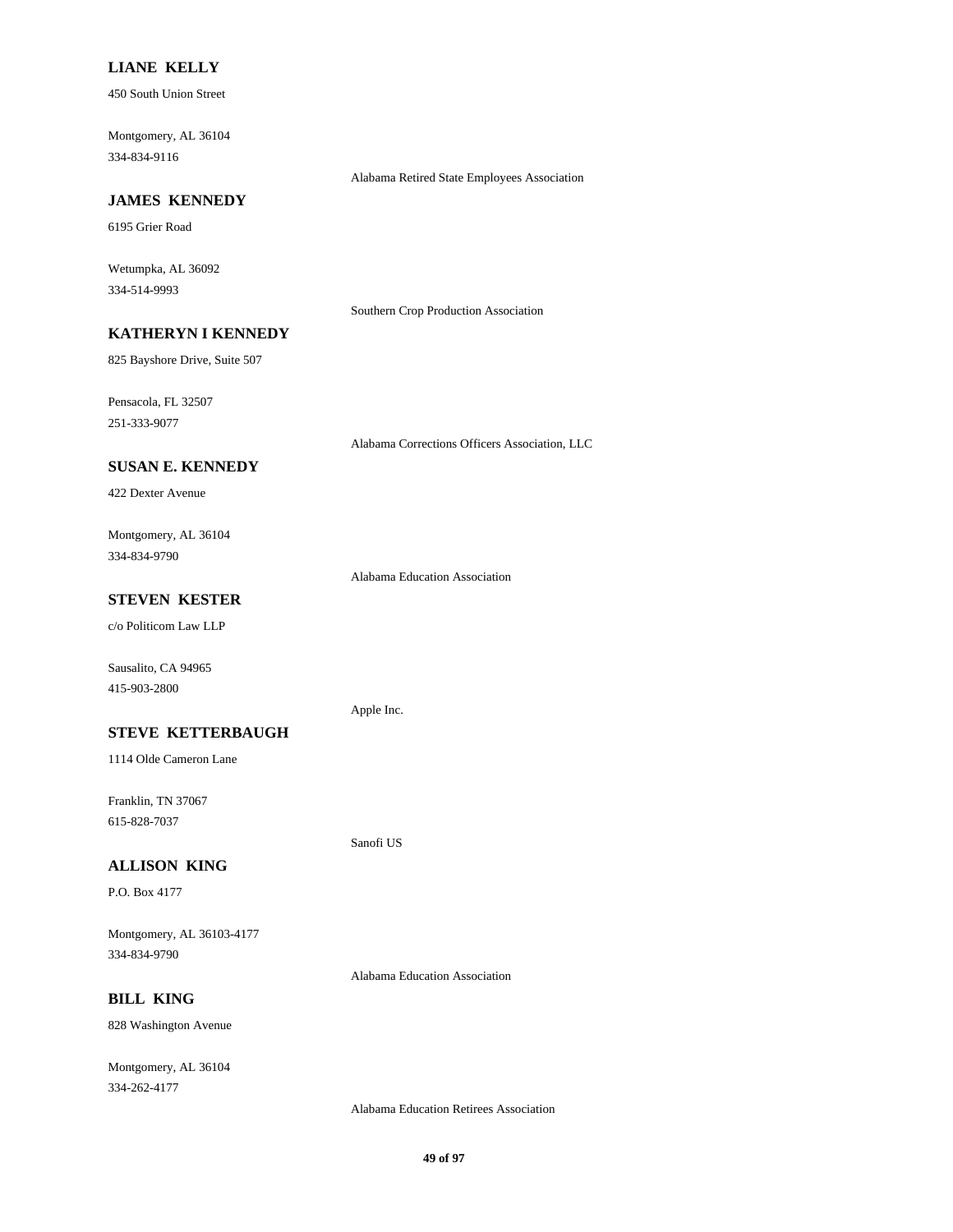### **LIANE KELLY**

450 South Union Street

Montgomery, AL 36104 334-834-9116

Alabama Retired State Employees Association

# **JAMES KENNEDY**

6195 Grier Road

Wetumpka, AL 36092 334-514-9993

Southern Crop Production Association

# **KATHERYN I KENNEDY**

825 Bayshore Drive, Suite 507

Pensacola, FL 32507

251-333-9077

Alabama Corrections Officers Association, LLC

# **SUSAN E. KENNEDY**

422 Dexter Avenue

Montgomery, AL 36104 334-834-9790

Alabama Education Association

# **STEVEN KESTER**

c/o Politicom Law LLP

Sausalito, CA 94965 415-903-2800

#### Apple Inc.

**STEVE KETTERBAUGH**

1114 Olde Cameron Lane

Franklin, TN 37067 615-828-7037

# Sanofi US

# **ALLISON KING**

P.O. Box 4177

Montgomery, AL 36103-4177 334-834-9790

Alabama Education Association

### **BILL KING**

828 Washington Avenue

Montgomery, AL 36104 334-262-4177

Alabama Education Retirees Association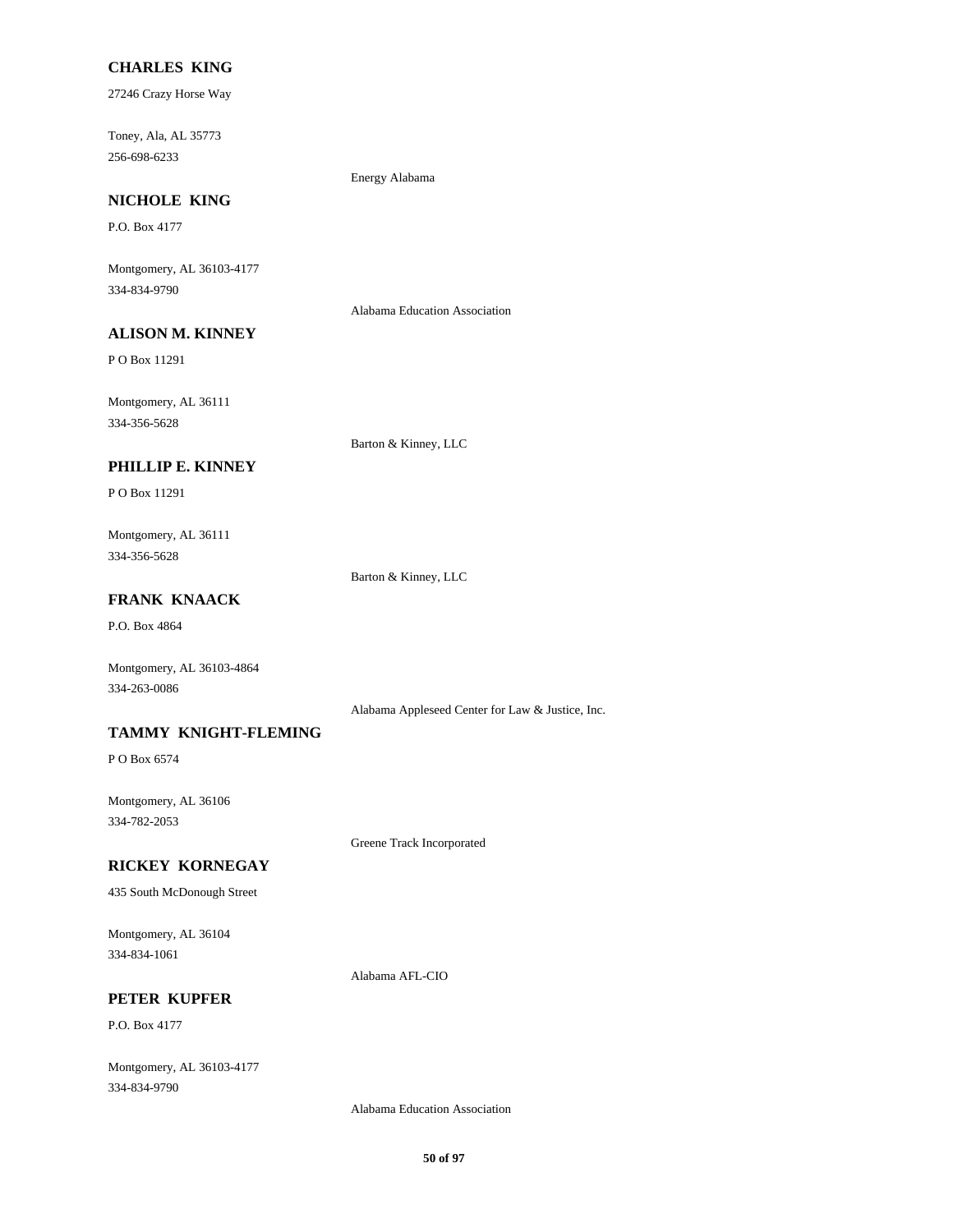### **CHARLES KING**

27246 Crazy Horse Way

Toney, Ala, AL 35773 256-698-6233

Energy Alabama

# **NICHOLE KING**

P.O. Box 4177

Montgomery, AL 36103-4177 334-834-9790

Alabama Education Association

# **ALISON M. KINNEY**

P O Box 11291

Montgomery, AL 36111 334-356-5628

Barton & Kinney, LLC

# **PHILLIP E. KINNEY**

P O Box 11291

Montgomery, AL 36111 334-356-5628

Barton & Kinney, LLC

# **FRANK KNAACK**

P.O. Box 4864

Montgomery, AL 36103-4864 334-263-0086

Alabama Appleseed Center for Law & Justice, Inc.

### **TAMMY KNIGHT-FLEMING**

P O Box 6574

Montgomery, AL 36106 334-782-2053

Greene Track Incorporated

#### **RICKEY KORNEGAY**

435 South McDonough Street

Montgomery, AL 36104 334-834-1061

Alabama AFL-CIO

### **PETER KUPFER**

P.O. Box 4177

Montgomery, AL 36103-4177 334-834-9790

Alabama Education Association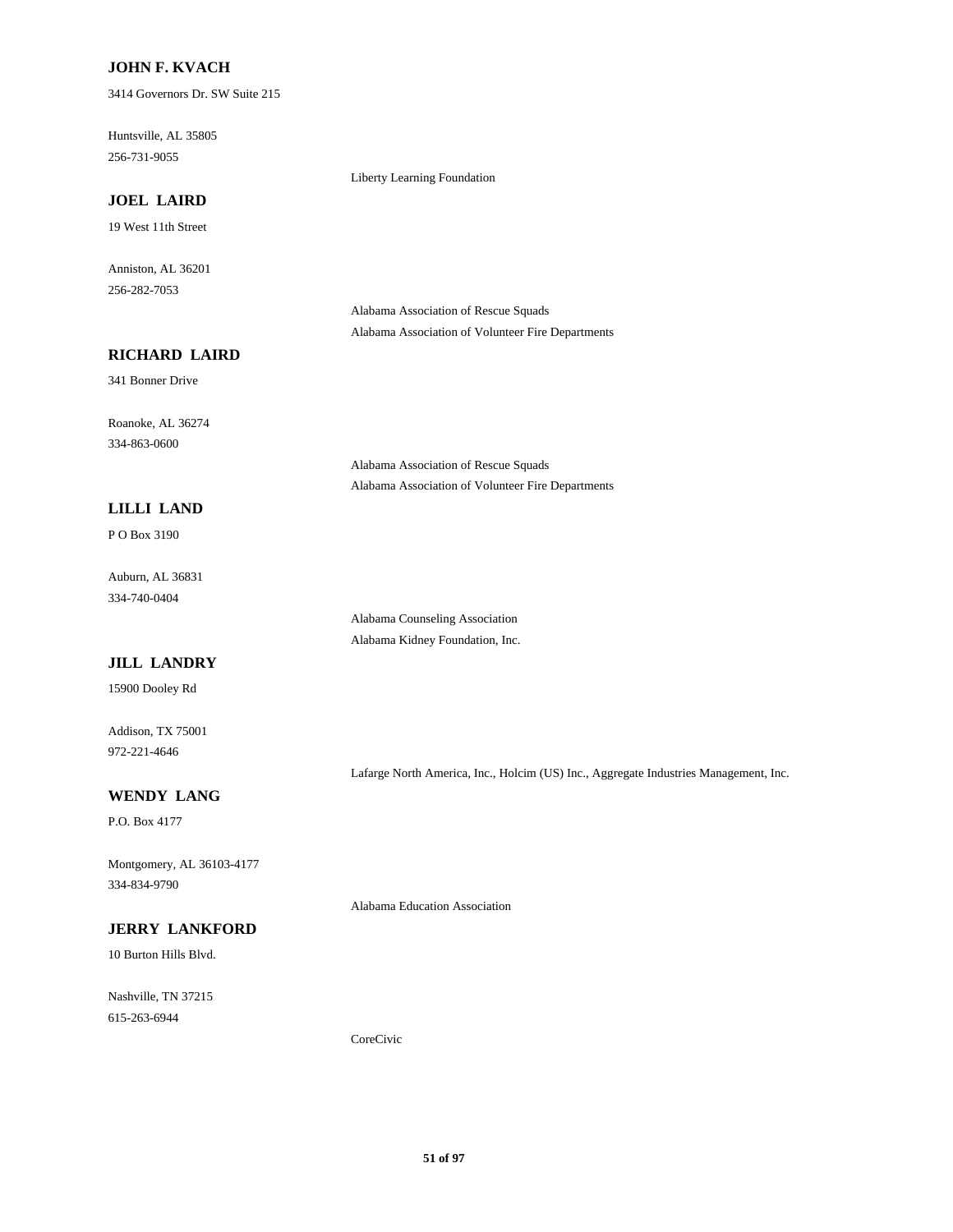### **JOHN F. KVACH**

3414 Governors Dr. SW Suite 215

Huntsville, AL 35805 256-731-9055

# **JOEL LAIRD**

19 West 11th Street

Anniston, AL 36201 256-282-7053

> Alabama Association of Rescue Squads Alabama Association of Volunteer Fire Departments

> Alabama Association of Volunteer Fire Departments

Liberty Learning Foundation

## **RICHARD LAIRD**

341 Bonner Drive

Roanoke, AL 36274 334-863-0600

### **LILLI LAND**

P O Box 3190

Auburn, AL 36831 334-740-0404

> Alabama Counseling Association Alabama Kidney Foundation, Inc.

Alabama Association of Rescue Squads

### **JILL LANDRY**

15900 Dooley Rd

Addison, TX 75001 972-221-4646

Lafarge North America, Inc., Holcim (US) Inc., Aggregate Industries Management, Inc.

# **WENDY LANG**

P.O. Box 4177

Montgomery, AL 36103-4177 334-834-9790

### **JERRY LANKFORD**

10 Burton Hills Blvd.

Nashville, TN 37215 615-263-6944

Alabama Education Association

CoreCivic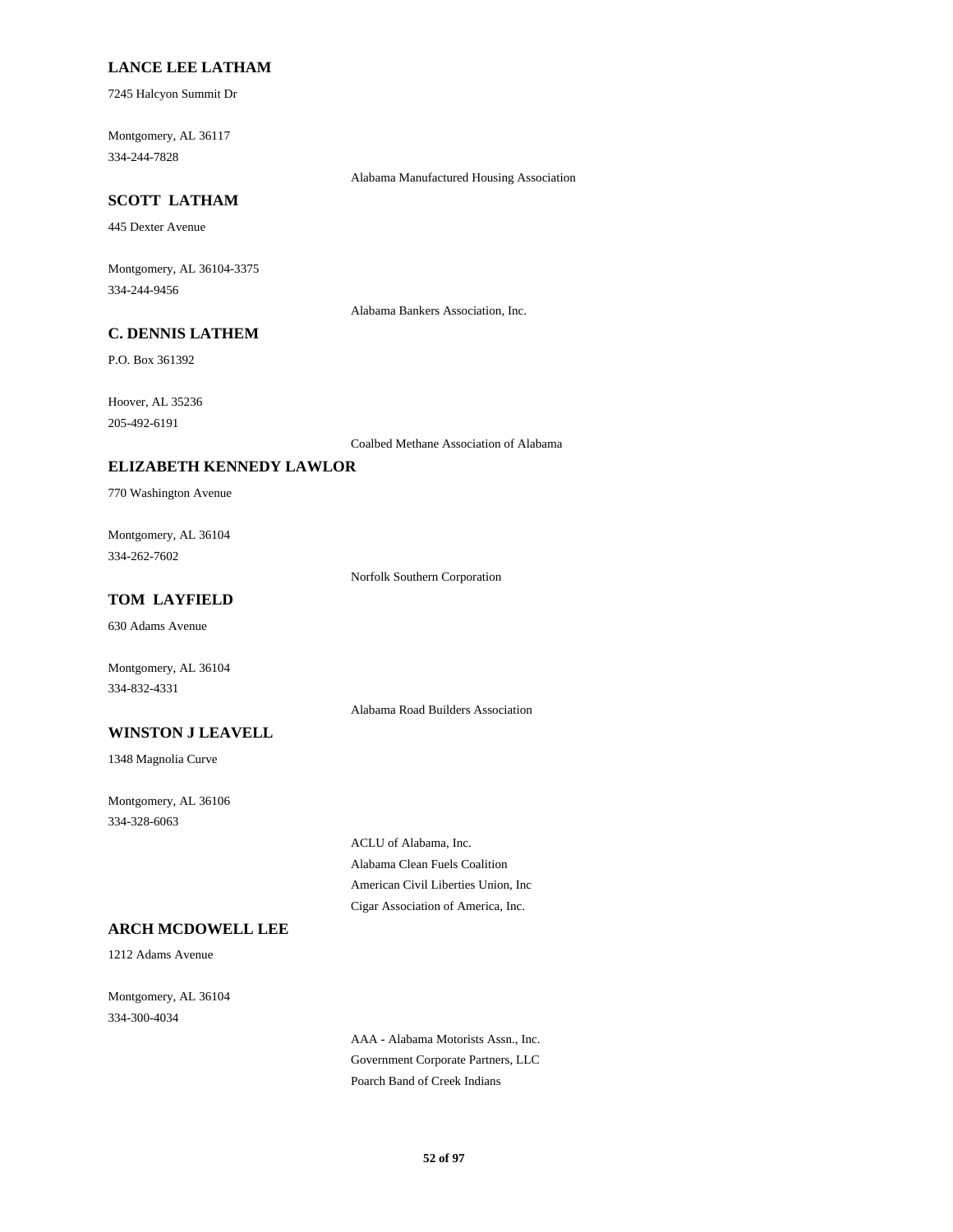### **LANCE LEE LATHAM**

7245 Halcyon Summit Dr

Montgomery, AL 36117 334-244-7828

Alabama Manufactured Housing Association

# **SCOTT LATHAM**

445 Dexter Avenue

Montgomery, AL 36104-3375 334-244-9456

Alabama Bankers Association, Inc.

# **C. DENNIS LATHEM**

P.O. Box 361392

Hoover, AL 35236 205-492-6191

Coalbed Methane Association of Alabama

#### **ELIZABETH KENNEDY LAWLOR**

770 Washington Avenue

Montgomery, AL 36104 334-262-7602

Norfolk Southern Corporation

## **TOM LAYFIELD**

630 Adams Avenue

Montgomery, AL 36104 334-832-4331

Alabama Road Builders Association

### **WINSTON J LEAVELL**

1348 Magnolia Curve

Montgomery, AL 36106 334-328-6063

> ACLU of Alabama, Inc. Alabama Clean Fuels Coalition American Civil Liberties Union, Inc Cigar Association of America, Inc.

# **ARCH MCDOWELL LEE**

1212 Adams Avenue

Montgomery, AL 36104 334-300-4034

> AAA - Alabama Motorists Assn., Inc. Government Corporate Partners, LLC Poarch Band of Creek Indians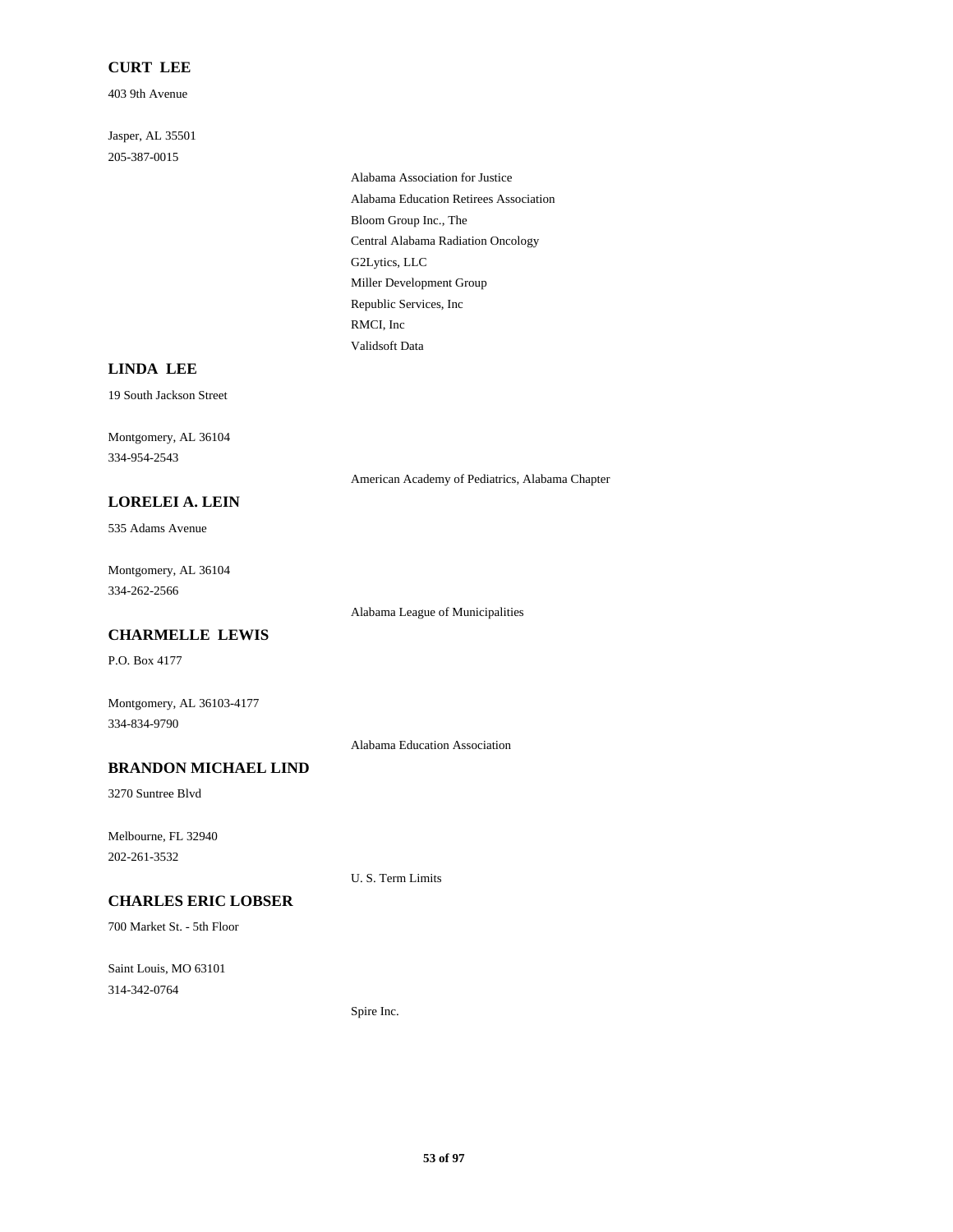# **CURT LEE**

403 9th Avenue

Jasper, AL 35501 205-387-0015

> Alabama Association for Justice Alabama Education Retirees Association Bloom Group Inc., The Central Alabama Radiation Oncology G2Lytics, LLC Miller Development Group Republic Services, Inc RMCI, Inc Validsoft Data

### **LINDA LEE**

19 South Jackson Street

Montgomery, AL 36104 334-954-2543

American Academy of Pediatrics, Alabama Chapter

# **LORELEI A. LEIN**

535 Adams Avenue

Montgomery, AL 36104 334-262-2566

Alabama League of Municipalities

#### **CHARMELLE LEWIS**

P.O. Box 4177

Montgomery, AL 36103-4177 334-834-9790

Alabama Education Association

# **BRANDON MICHAEL LIND**

3270 Suntree Blvd

Melbourne, FL 32940 202-261-3532

U. S. Term Limits

# **CHARLES ERIC LOBSER**

700 Market St. - 5th Floor

Saint Louis, MO 63101 314-342-0764

Spire Inc.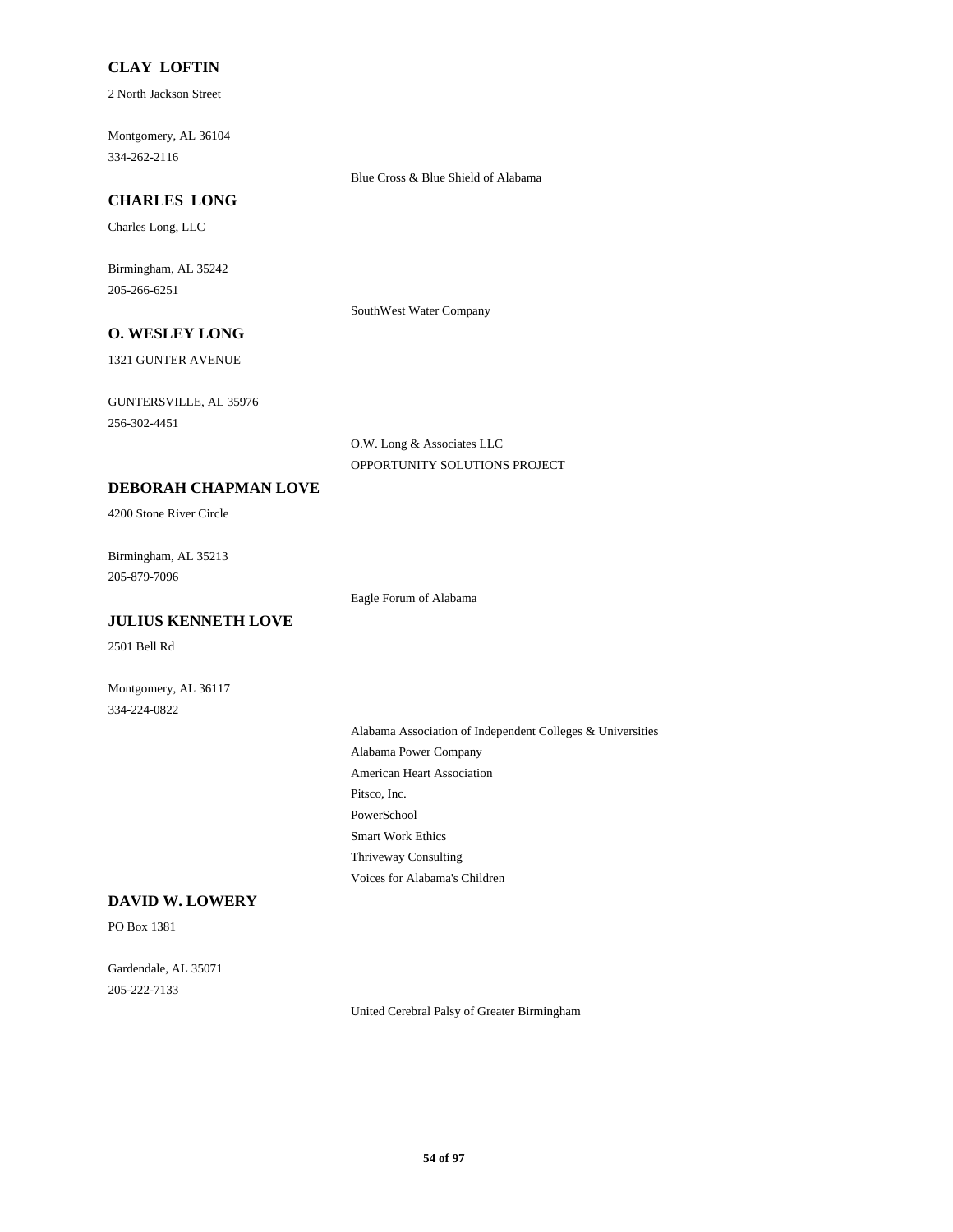### **CLAY LOFTIN**

2 North Jackson Street

Montgomery, AL 36104 334-262-2116

Blue Cross & Blue Shield of Alabama

# **CHARLES LONG**

Charles Long, LLC

Birmingham, AL 35242 205-266-6251

SouthWest Water Company

# **O. WESLEY LONG**

1321 GUNTER AVENUE

GUNTERSVILLE, AL 35976 256-302-4451

> O.W. Long & Associates LLC OPPORTUNITY SOLUTIONS PROJECT

## **DEBORAH CHAPMAN LOVE**

4200 Stone River Circle

Birmingham, AL 35213 205-879-7096

Eagle Forum of Alabama

# **JULIUS KENNETH LOVE**

2501 Bell Rd

Montgomery, AL 36117 334-224-0822

> Alabama Association of Independent Colleges & Universities Alabama Power Company American Heart Association Pitsco, Inc. PowerSchool Smart Work Ethics Thriveway Consulting Voices for Alabama's Children

# **DAVID W. LOWERY**

PO Box 1381

Gardendale, AL 35071 205-222-7133

United Cerebral Palsy of Greater Birmingham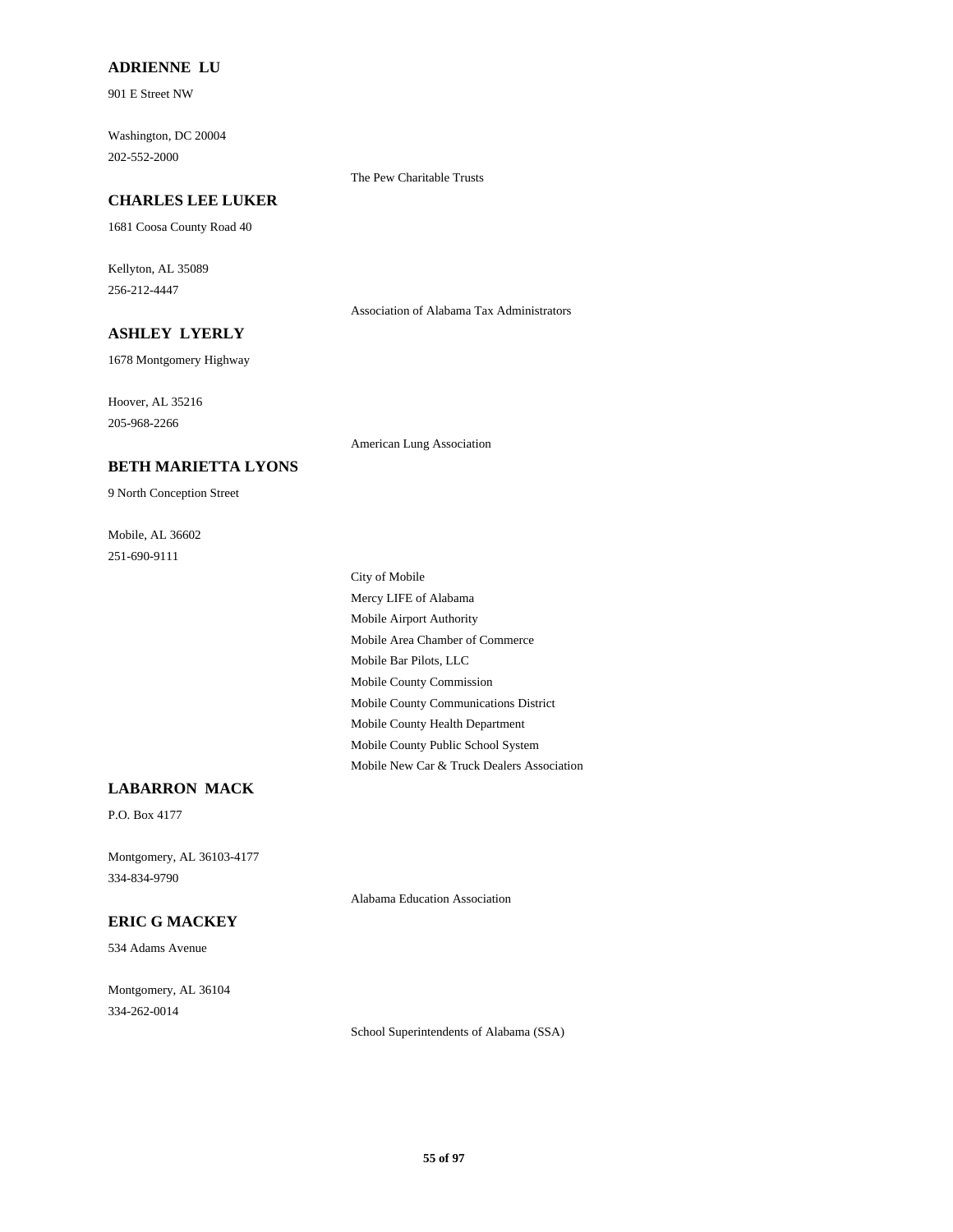### **ADRIENNE LU**

901 E Street NW

Washington, DC 20004 202-552-2000

#### **CHARLES LEE LUKER**

1681 Coosa County Road 40

Kellyton, AL 35089 256-212-4447

Association of Alabama Tax Administrators

# **ASHLEY LYERLY**

1678 Montgomery Highway

Hoover, AL 35216 205-968-2266

American Lung Association

The Pew Charitable Trusts

#### **BETH MARIETTA LYONS**

9 North Conception Street

Mobile, AL 36602 251-690-9111

> City of Mobile Mercy LIFE of Alabama Mobile Airport Authority Mobile Area Chamber of Commerce Mobile Bar Pilots, LLC Mobile County Commission Mobile County Communications District Mobile County Health Department Mobile County Public School System Mobile New Car & Truck Dealers Association

### **LABARRON MACK**

P.O. Box 4177

Montgomery, AL 36103-4177 334-834-9790

#### **ERIC G MACKEY**

534 Adams Avenue

Montgomery, AL 36104 334-262-0014

Alabama Education Association

School Superintendents of Alabama (SSA)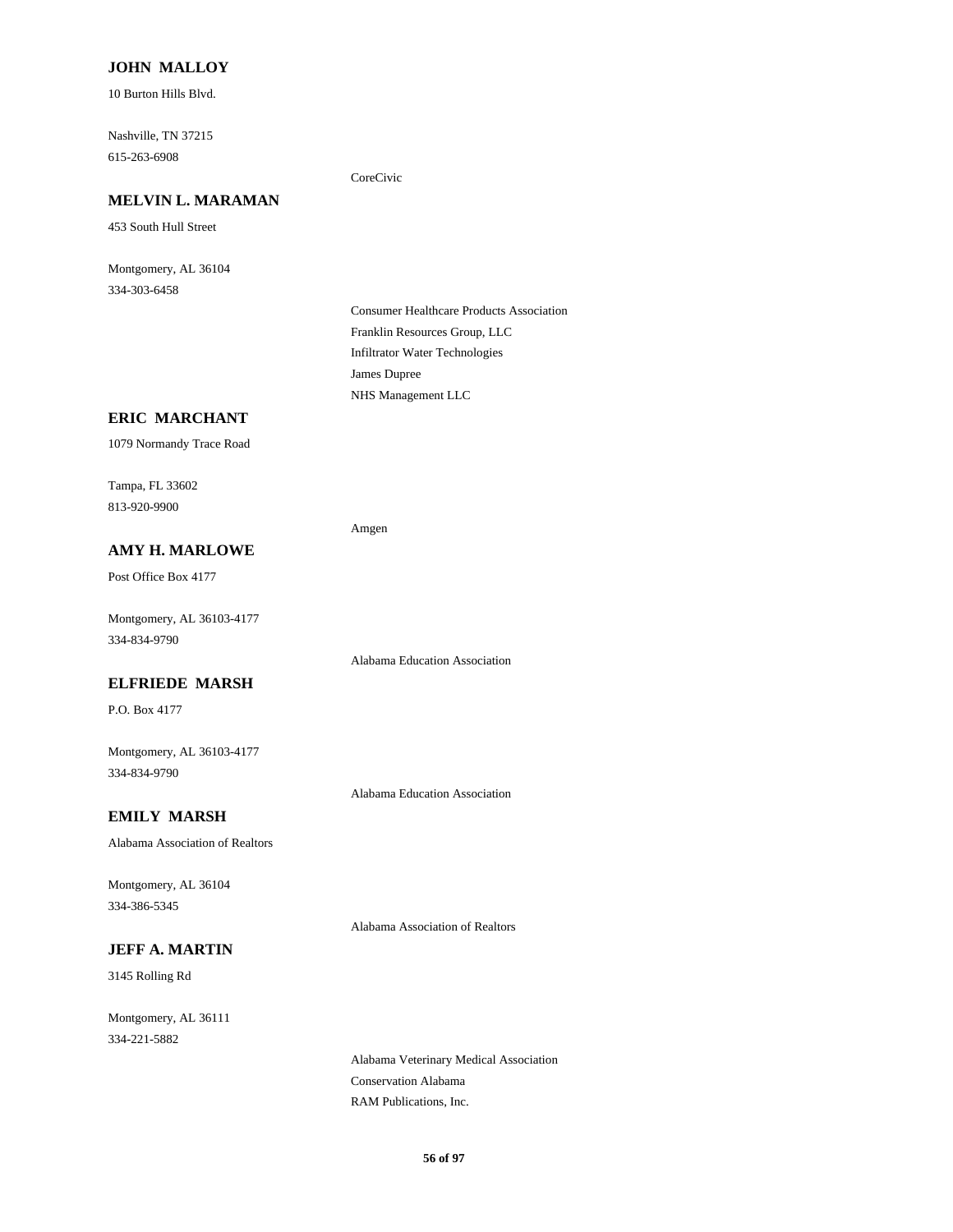### **JOHN MALLOY**

10 Burton Hills Blvd.

Nashville, TN 37215 615-263-6908

#### **MELVIN L. MARAMAN**

453 South Hull Street

Montgomery, AL 36104 334-303-6458

#### CoreCivic

Consumer Healthcare Products Association Franklin Resources Group, LLC Infiltrator Water Technologies James Dupree NHS Management LLC

#### **ERIC MARCHANT**

1079 Normandy Trace Road

Tampa, FL 33602 813-920-9900

#### Amgen

Post Office Box 4177

Montgomery, AL 36103-4177 334-834-9790

**AMY H. MARLOWE**

Alabama Education Association

### **ELFRIEDE MARSH**

P.O. Box 4177

Montgomery, AL 36103-4177 334-834-9790

**EMILY MARSH**

Alabama Association of Realtors

Montgomery, AL 36104 334-386-5345

Alabama Association of Realtors

Alabama Education Association

# **JEFF A. MARTIN**

3145 Rolling Rd

Montgomery, AL 36111 334-221-5882

> Alabama Veterinary Medical Association Conservation Alabama RAM Publications, Inc.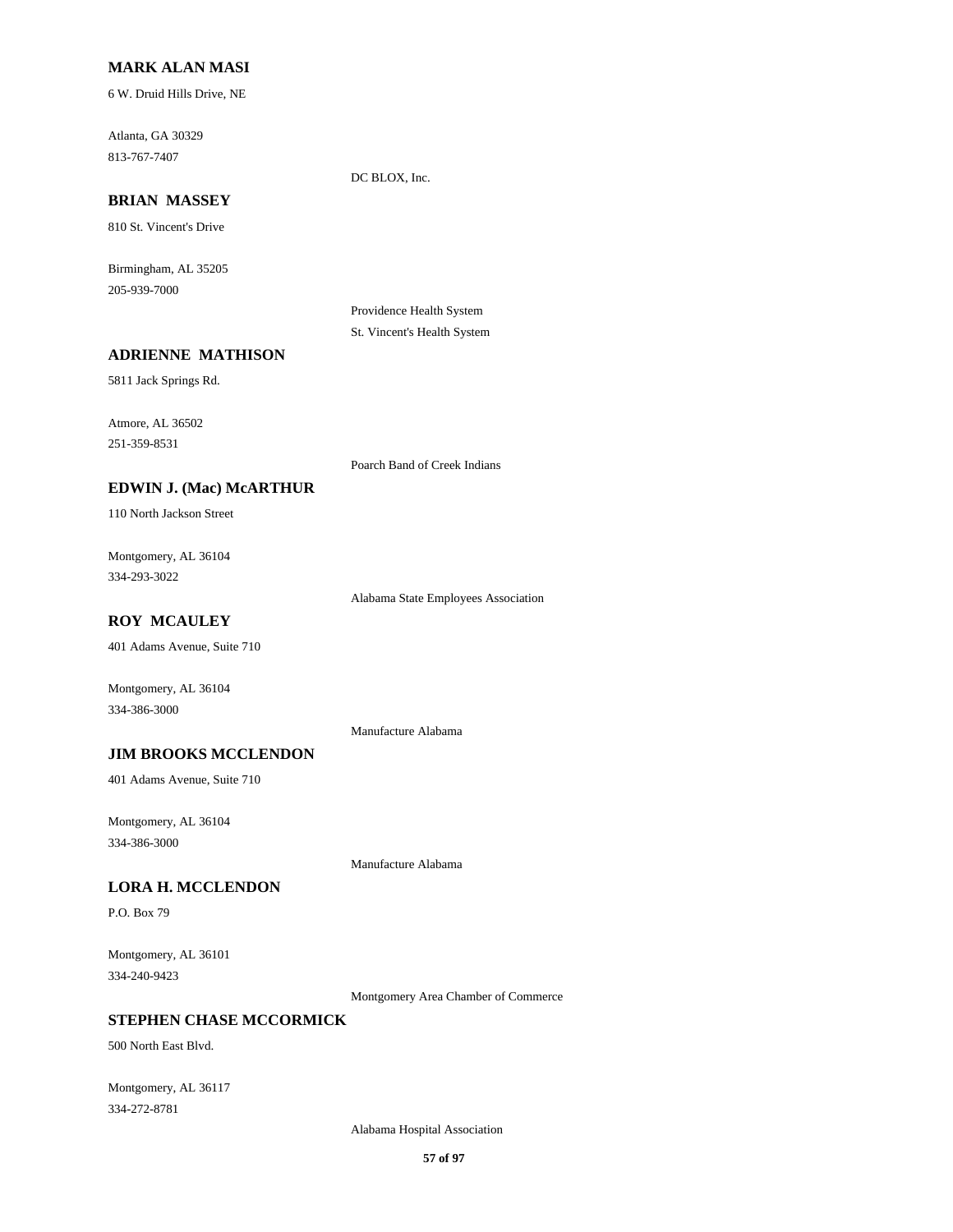### **MARK ALAN MASI**

6 W. Druid Hills Drive, NE

Atlanta, GA 30329 813-767-7407

# **BRIAN MASSEY**

810 St. Vincent's Drive

Birmingham, AL 35205 205-939-7000

> Providence Health System St. Vincent's Health System

DC BLOX, Inc.

#### **ADRIENNE MATHISON**

5811 Jack Springs Rd.

Atmore, AL 36502 251-359-8531

Poarch Band of Creek Indians

# **EDWIN J. (Mac) McARTHUR**

110 North Jackson Street

Montgomery, AL 36104 334-293-3022

Alabama State Employees Association

# **ROY MCAULEY**

401 Adams Avenue, Suite 710

Montgomery, AL 36104 334-386-3000

Manufacture Alabama

# **JIM BROOKS MCCLENDON**

401 Adams Avenue, Suite 710

Montgomery, AL 36104 334-386-3000

Manufacture Alabama

#### **LORA H. MCCLENDON**

P.O. Box 79

Montgomery, AL 36101 334-240-9423

Montgomery Area Chamber of Commerce

## **STEPHEN CHASE MCCORMICK**

500 North East Blvd.

Montgomery, AL 36117 334-272-8781

Alabama Hospital Association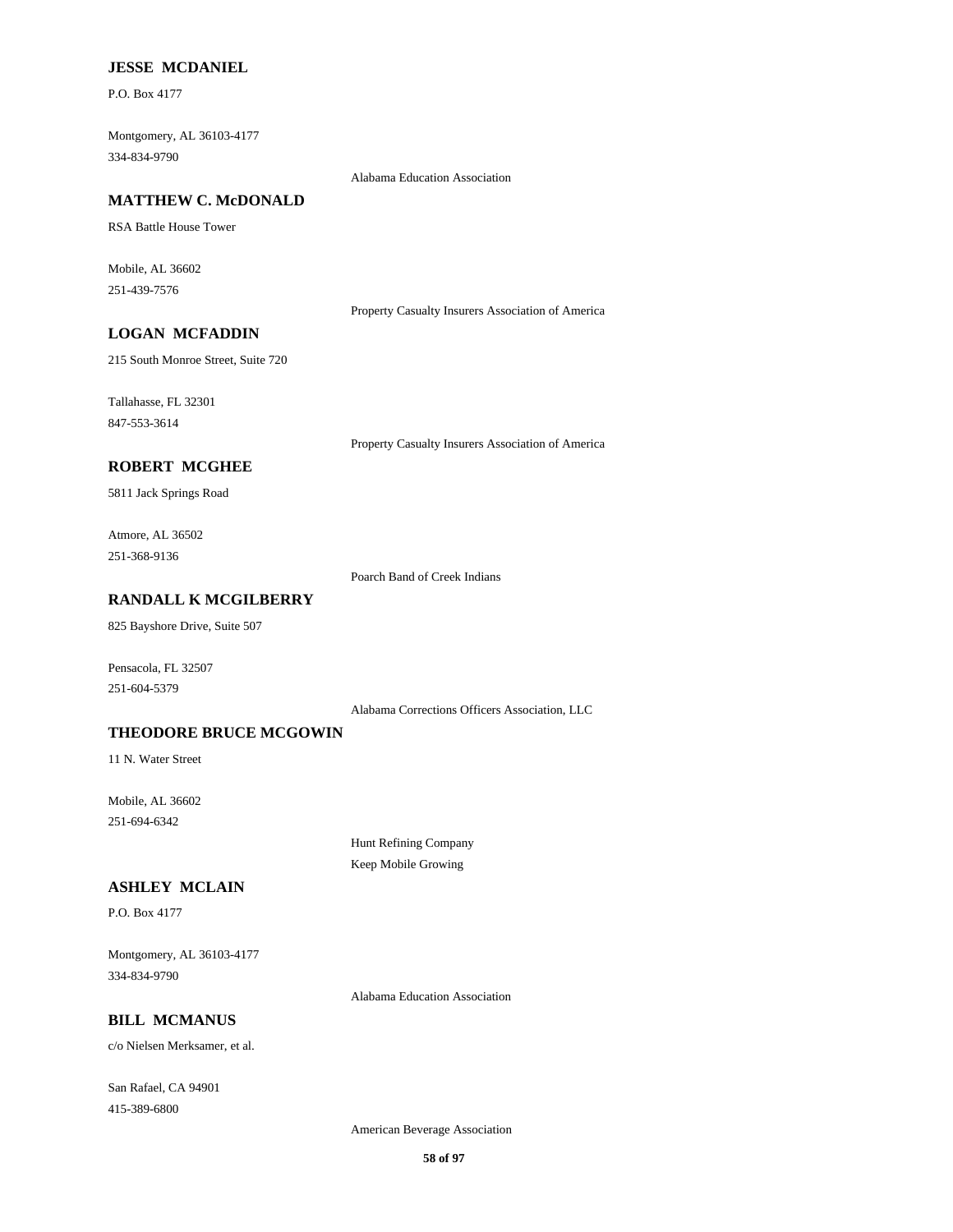#### **JESSE MCDANIEL**

P.O. Box 4177

Montgomery, AL 36103-4177 334-834-9790

Alabama Education Association

#### **MATTHEW C. McDONALD**

RSA Battle House Tower

Mobile, AL 36602 251-439-7576

Property Casualty Insurers Association of America

# **LOGAN MCFADDIN**

215 South Monroe Street, Suite 720

Tallahasse, FL 32301 847-553-3614

Property Casualty Insurers Association of America

### **ROBERT MCGHEE**

5811 Jack Springs Road

Atmore, AL 36502 251-368-9136

Poarch Band of Creek Indians

### **RANDALL K MCGILBERRY**

825 Bayshore Drive, Suite 507

Pensacola, FL 32507 251-604-5379

Alabama Corrections Officers Association, LLC

#### **THEODORE BRUCE MCGOWIN**

11 N. Water Street

Mobile, AL 36602 251-694-6342

> Hunt Refining Company Keep Mobile Growing

#### **ASHLEY MCLAIN**

P.O. Box 4177

Montgomery, AL 36103-4177 334-834-9790

Alabama Education Association

# **BILL MCMANUS**

c/o Nielsen Merksamer, et al.

San Rafael, CA 94901 415-389-6800

American Beverage Association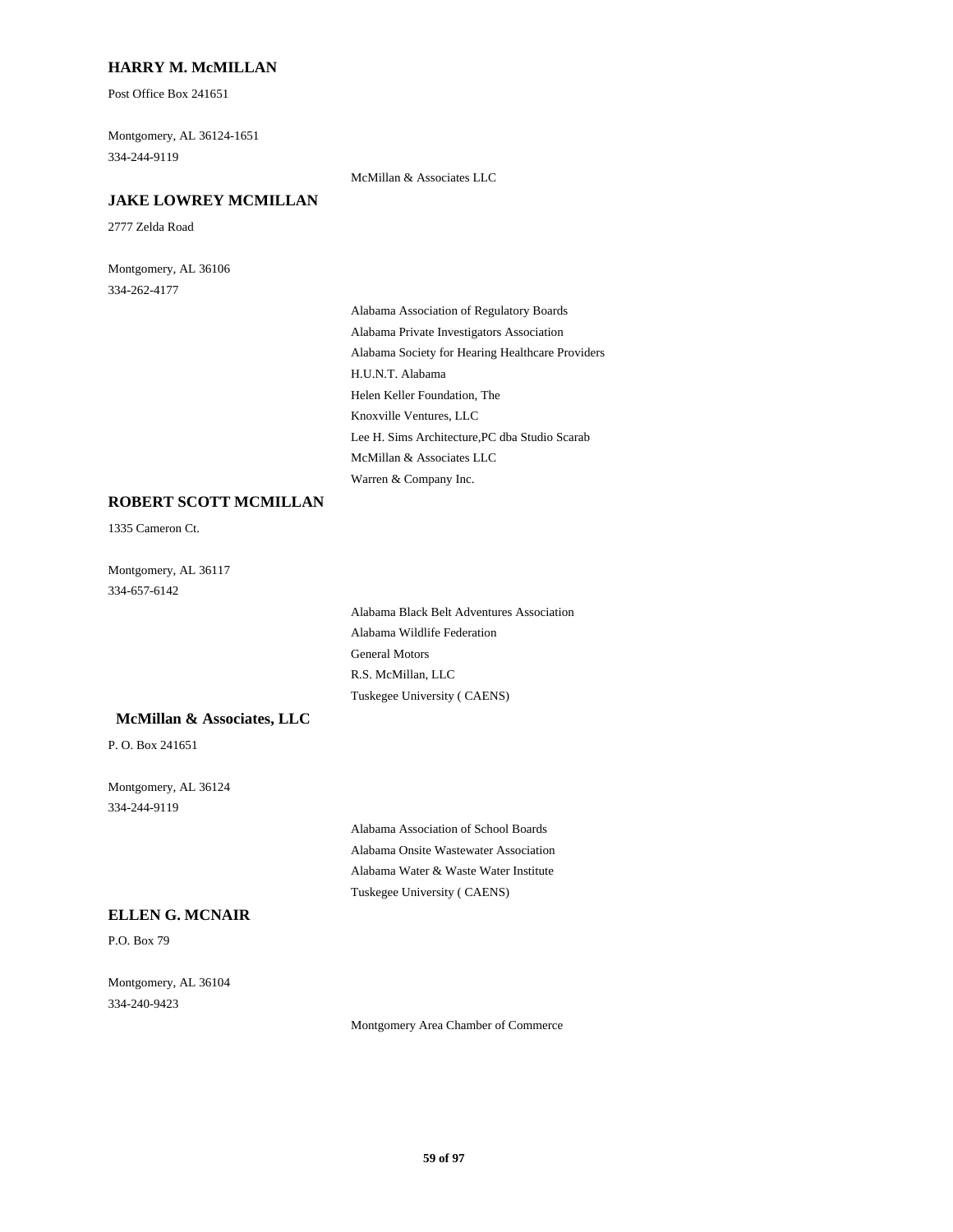### **HARRY M. McMILLAN**

Post Office Box 241651

Montgomery, AL 36124-1651 334-244-9119

McMillan & Associates LLC

### **JAKE LOWREY MCMILLAN**

2777 Zelda Road

Montgomery, AL 36106 334-262-4177

> Alabama Association of Regulatory Boards Alabama Private Investigators Association Alabama Society for Hearing Healthcare Providers H.U.N.T. Alabama Helen Keller Foundation, The Knoxville Ventures, LLC Lee H. Sims Architecture,PC dba Studio Scarab McMillan & Associates LLC Warren & Company Inc.

#### **ROBERT SCOTT MCMILLAN**

1335 Cameron Ct.

Montgomery, AL 36117 334-657-6142

> Alabama Black Belt Adventures Association Alabama Wildlife Federation General Motors R.S. McMillan, LLC Tuskegee University ( CAENS)

#### **McMillan & Associates, LLC**

P. O. Box 241651

Montgomery, AL 36124 334-244-9119

> Alabama Association of School Boards Alabama Onsite Wastewater Association Alabama Water & Waste Water Institute Tuskegee University ( CAENS)

#### **ELLEN G. MCNAIR**

P.O. Box 79

Montgomery, AL 36104 334-240-9423

Montgomery Area Chamber of Commerce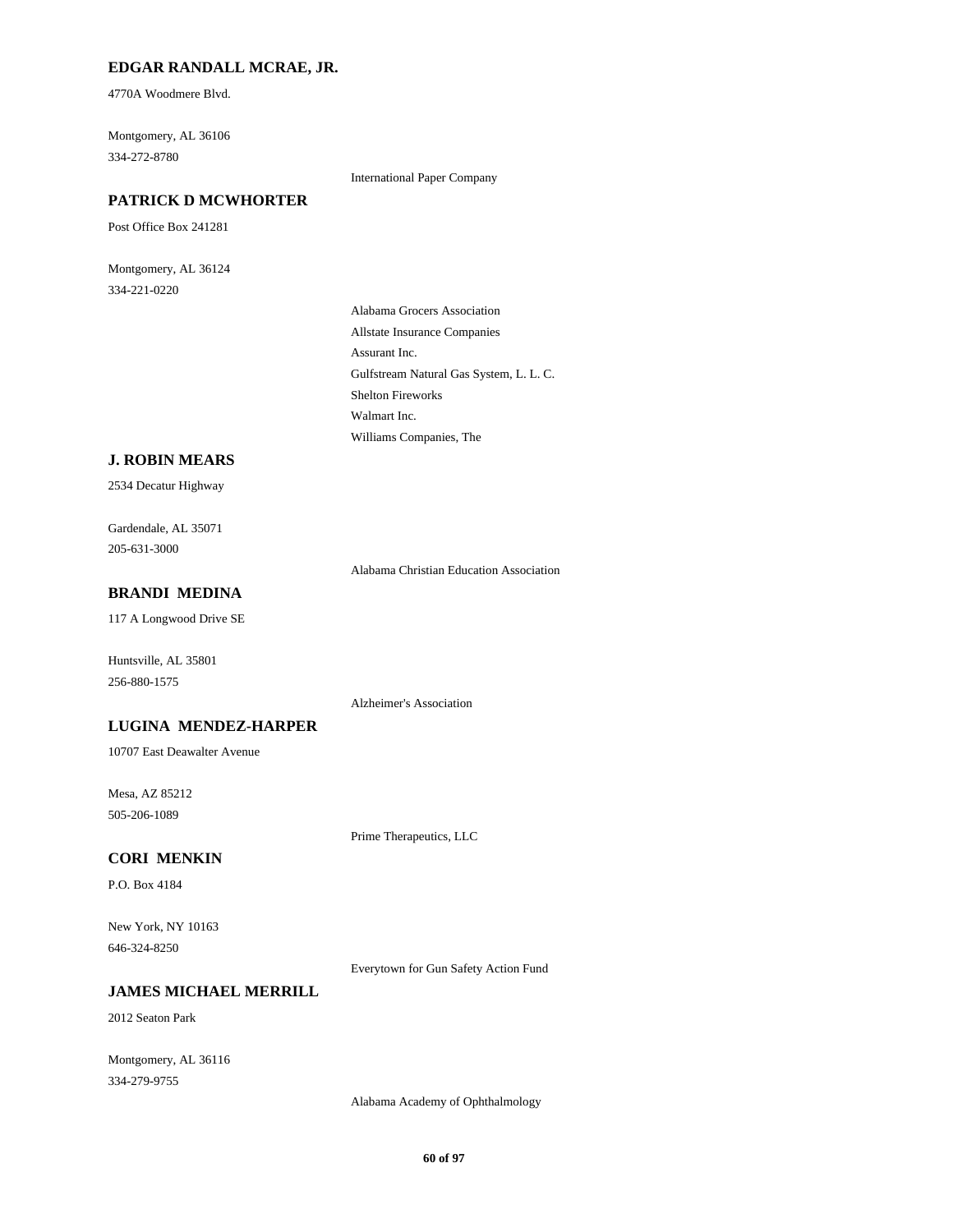### **EDGAR RANDALL MCRAE, JR.**

4770A Woodmere Blvd.

Montgomery, AL 36106 334-272-8780

International Paper Company

### **PATRICK D MCWHORTER**

Post Office Box 241281

Montgomery, AL 36124 334-221-0220

> Alabama Grocers Association Allstate Insurance Companies Assurant Inc. Gulfstream Natural Gas System, L. L. C. Shelton Fireworks Walmart Inc. Williams Companies, The

#### **J. ROBIN MEARS**

2534 Decatur Highway

Gardendale, AL 35071 205-631-3000

Alabama Christian Education Association

### **BRANDI MEDINA**

117 A Longwood Drive SE

Huntsville, AL 35801 256-880-1575

Alzheimer's Association

## **LUGINA MENDEZ-HARPER**

10707 East Deawalter Avenue

Mesa, AZ 85212 505-206-1089

Prime Therapeutics, LLC

### **CORI MENKIN**

P.O. Box 4184

New York, NY 10163 646-324-8250

Everytown for Gun Safety Action Fund

### **JAMES MICHAEL MERRILL**

2012 Seaton Park

Montgomery, AL 36116 334-279-9755

Alabama Academy of Ophthalmology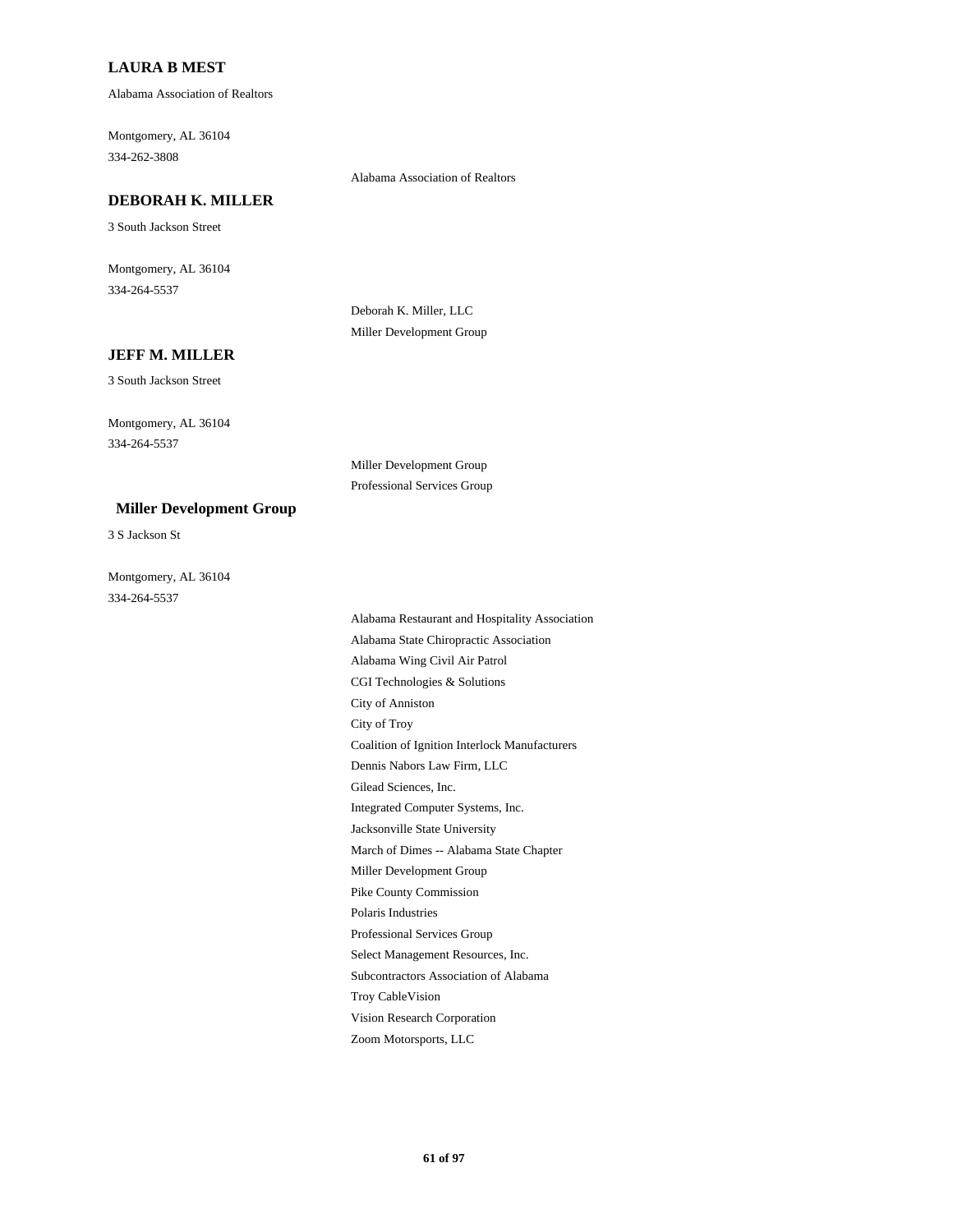### **LAURA B MEST**

Alabama Association of Realtors

Montgomery, AL 36104 334-262-3808

#### Alabama Association of Realtors

#### **DEBORAH K. MILLER**

3 South Jackson Street

Montgomery, AL 36104 334-264-5537

> Deborah K. Miller, LLC Miller Development Group

#### **JEFF M. MILLER**

3 South Jackson Street

Montgomery, AL 36104 334-264-5537

### **Miller Development Group**

3 S Jackson St

Montgomery, AL 36104 334-264-5537

Professional Services Group

Miller Development Group

Alabama Restaurant and Hospitality Association Alabama State Chiropractic Association Alabama Wing Civil Air Patrol CGI Technologies & Solutions City of Anniston City of Troy Coalition of Ignition Interlock Manufacturers Dennis Nabors Law Firm, LLC Gilead Sciences, Inc. Integrated Computer Systems, Inc. Jacksonville State University March of Dimes -- Alabama State Chapter Miller Development Group Pike County Commission Polaris Industries Professional Services Group Select Management Resources, Inc. Subcontractors Association of Alabama Troy CableVision Vision Research Corporation Zoom Motorsports, LLC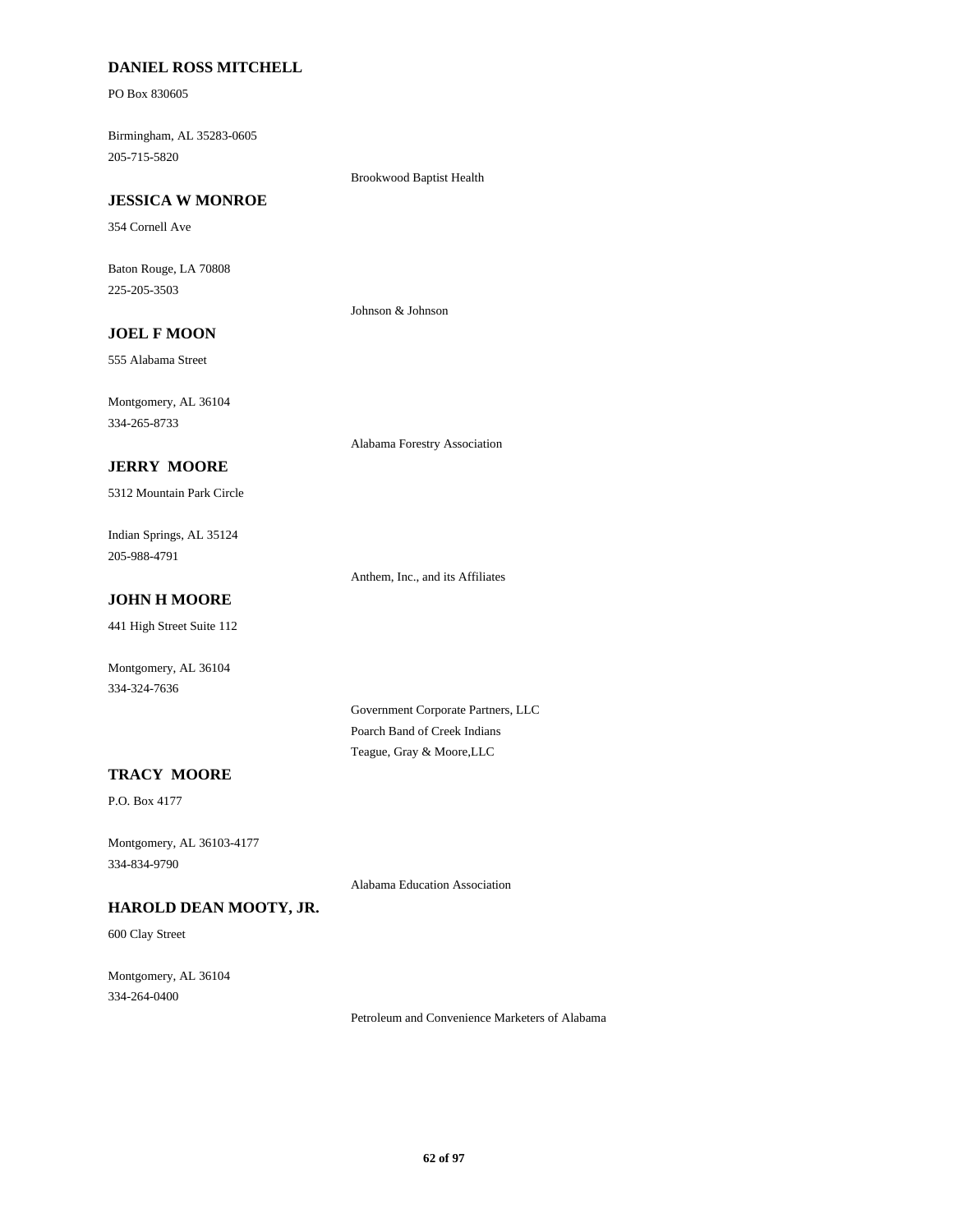### **DANIEL ROSS MITCHELL**

PO Box 830605

Birmingham, AL 35283-0605 205-715-5820

Brookwood Baptist Health

### **JESSICA W MONROE**

354 Cornell Ave

Baton Rouge, LA 70808 225-205-3503

Johnson & Johnson

# **JOEL F MOON**

555 Alabama Street

Montgomery, AL 36104 334-265-8733

Alabama Forestry Association

# **JERRY MOORE**

5312 Mountain Park Circle

Indian Springs, AL 35124 205-988-4791

Anthem, Inc., and its Affiliates

# **JOHN H MOORE**

441 High Street Suite 112

Montgomery, AL 36104 334-324-7636

> Government Corporate Partners, LLC Poarch Band of Creek Indians Teague, Gray & Moore,LLC

### **TRACY MOORE**

P.O. Box 4177

Montgomery, AL 36103-4177 334-834-9790

Alabama Education Association

# **HAROLD DEAN MOOTY, JR.**

600 Clay Street

Montgomery, AL 36104 334-264-0400

Petroleum and Convenience Marketers of Alabama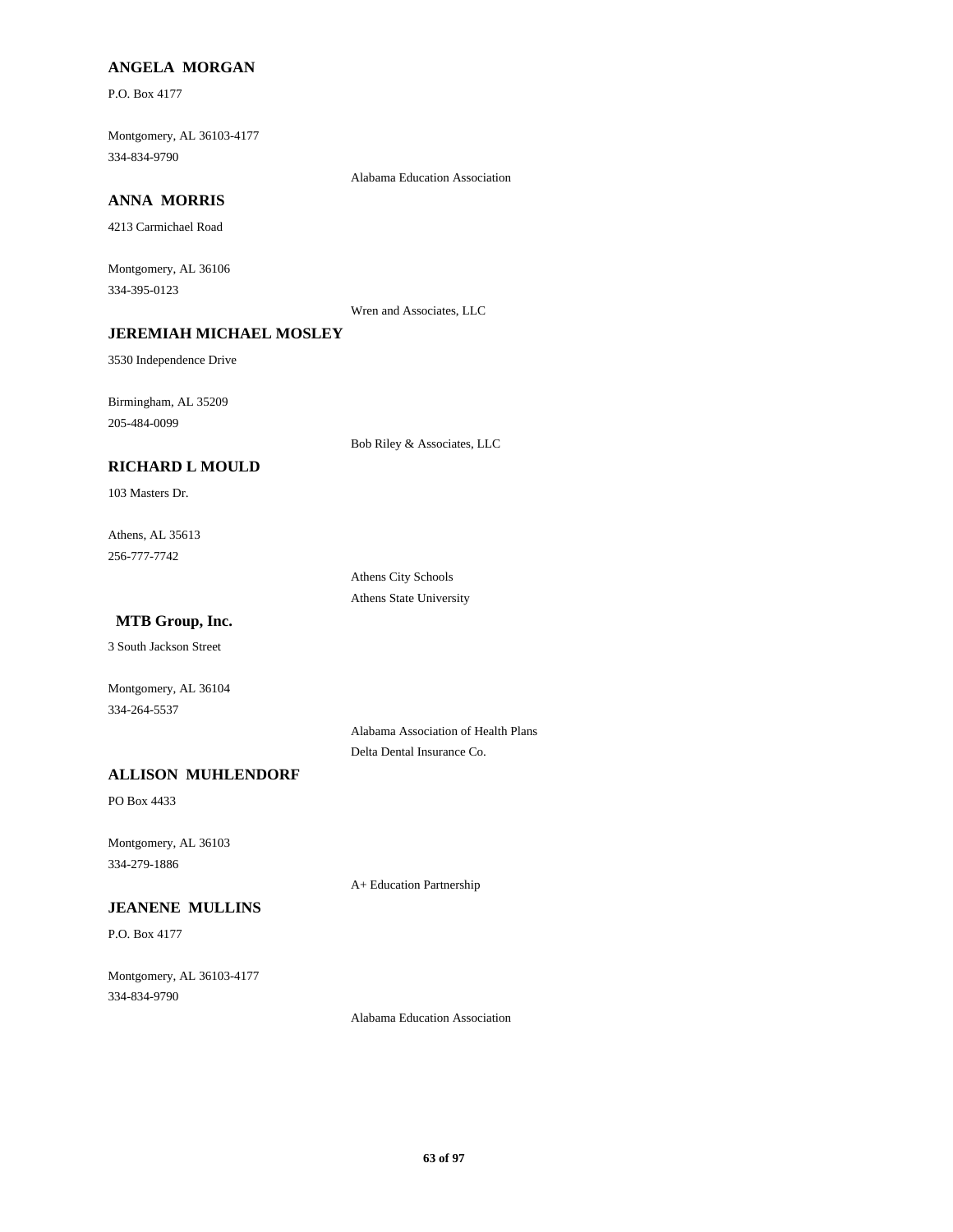### **ANGELA MORGAN**

P.O. Box 4177

Montgomery, AL 36103-4177 334-834-9790

Alabama Education Association

# **ANNA MORRIS**

4213 Carmichael Road

Montgomery, AL 36106 334-395-0123

Wren and Associates, LLC

## **JEREMIAH MICHAEL MOSLEY**

3530 Independence Drive

Birmingham, AL 35209 205-484-0099

Bob Riley & Associates, LLC

### **RICHARD L MOULD**

103 Masters Dr.

Athens, AL 35613 256-777-7742

> Athens City Schools Athens State University

### **MTB Group, Inc.**

3 South Jackson Street

Montgomery, AL 36104 334-264-5537

> Alabama Association of Health Plans Delta Dental Insurance Co.

# **ALLISON MUHLENDORF**

PO Box 4433

Montgomery, AL 36103 334-279-1886

A+ Education Partnership

# **JEANENE MULLINS**

P.O. Box 4177

Montgomery, AL 36103-4177 334-834-9790

Alabama Education Association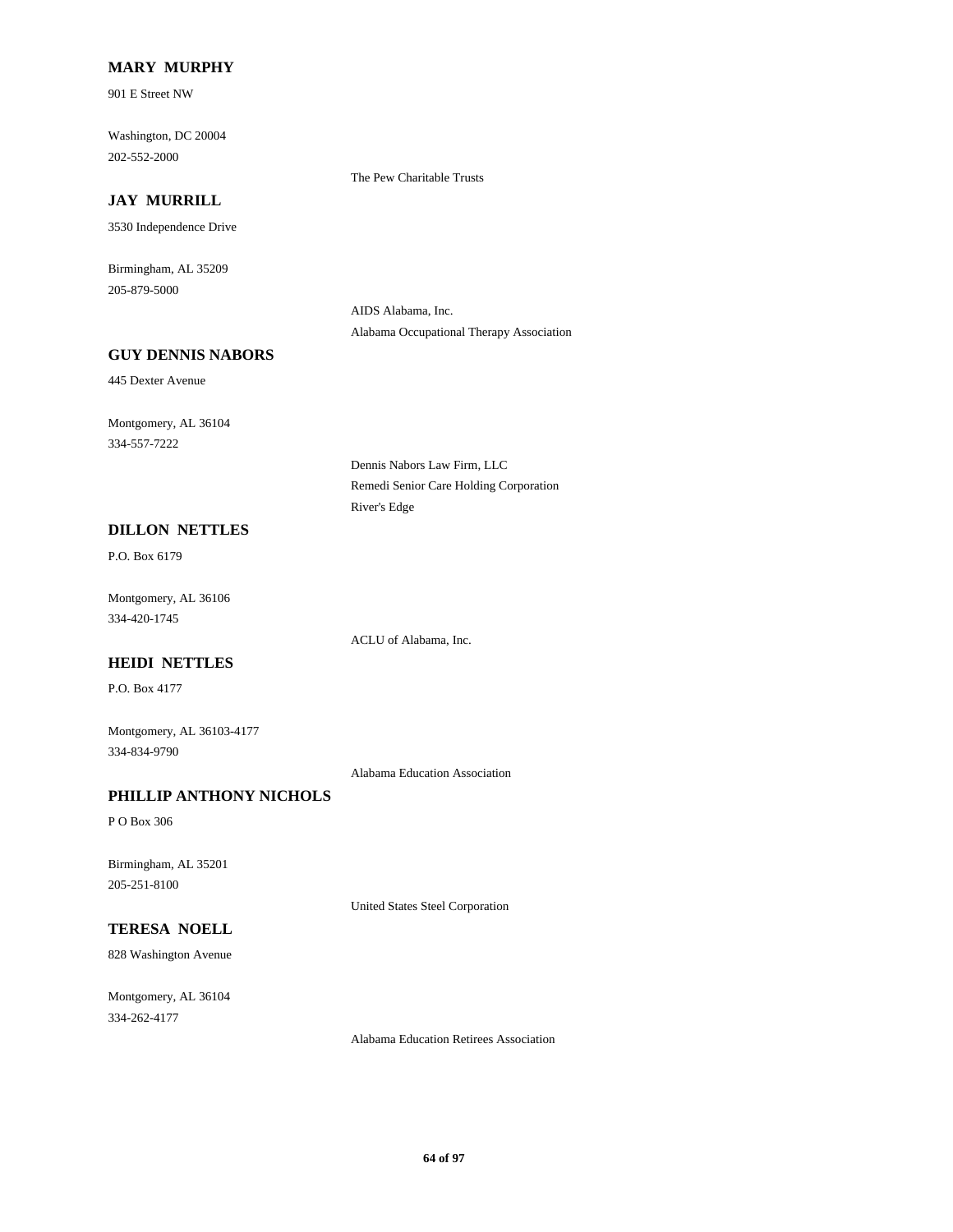### **MARY MURPHY**

901 E Street NW

Washington, DC 20004 202-552-2000

### **JAY MURRILL**

3530 Independence Drive

Birmingham, AL 35209 205-879-5000

> AIDS Alabama, Inc. Alabama Occupational Therapy Association

The Pew Charitable Trusts

### **GUY DENNIS NABORS**

445 Dexter Avenue

Montgomery, AL 36104 334-557-7222

**DILLON NETTLES**

P.O. Box 6179

Montgomery, AL 36106 334-420-1745

ACLU of Alabama, Inc.

River's Edge

Dennis Nabors Law Firm, LLC

Remedi Senior Care Holding Corporation

### **HEIDI NETTLES**

P.O. Box 4177

Montgomery, AL 36103-4177 334-834-9790

Alabama Education Association

# **PHILLIP ANTHONY NICHOLS**

P O Box 306

Birmingham, AL 35201 205-251-8100

United States Steel Corporation

# **TERESA NOELL**

828 Washington Avenue

Montgomery, AL 36104 334-262-4177

Alabama Education Retirees Association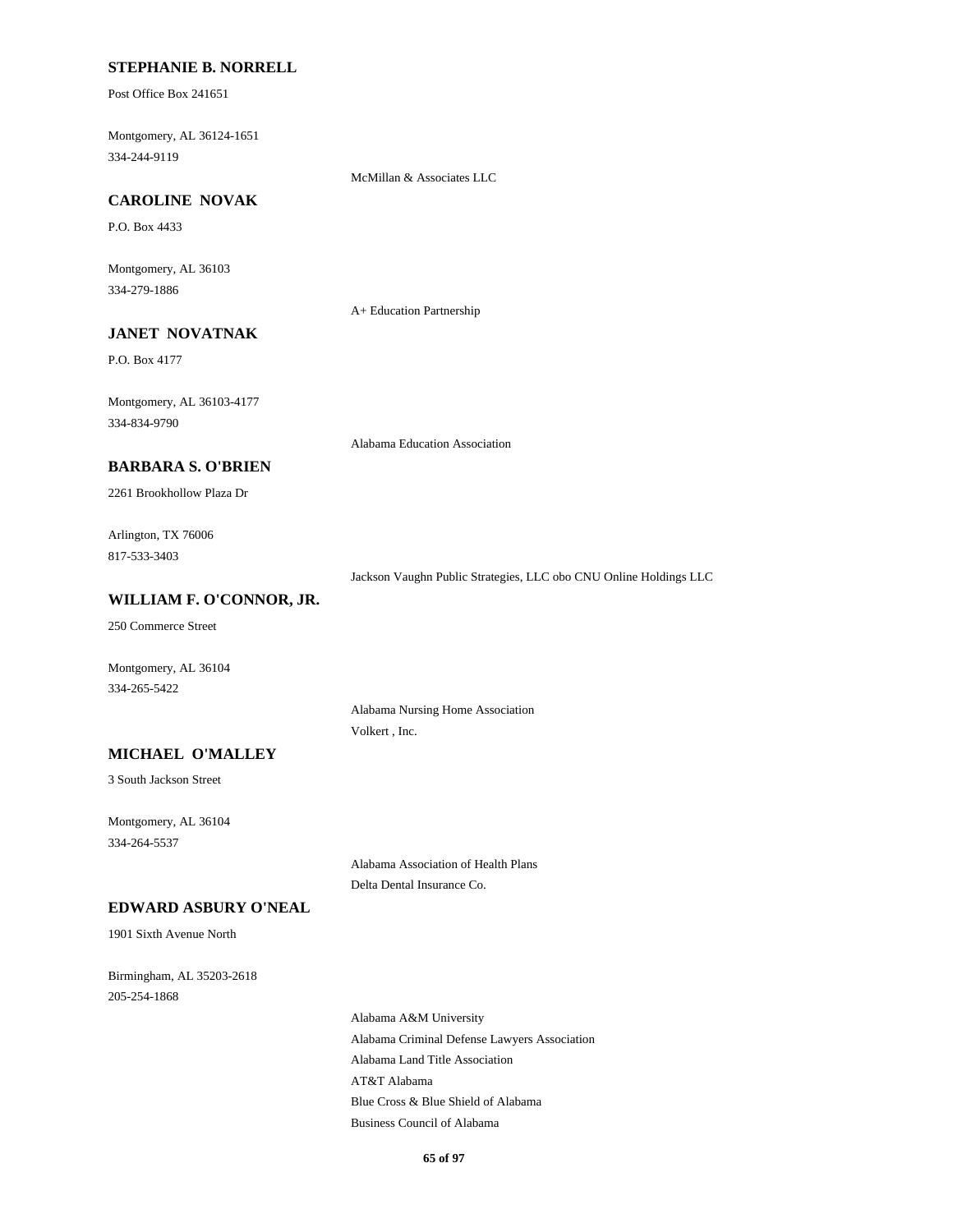### **STEPHANIE B. NORRELL**

Post Office Box 241651

Montgomery, AL 36124-1651 334-244-9119

McMillan & Associates LLC

### **CAROLINE NOVAK**

P.O. Box 4433

Montgomery, AL 36103 334-279-1886

A+ Education Partnership

# **JANET NOVATNAK**

P.O. Box 4177

Montgomery, AL 36103-4177 334-834-9790

Alabama Education Association

### **BARBARA S. O'BRIEN**

2261 Brookhollow Plaza Dr

Arlington, TX 76006 817-533-3403

Jackson Vaughn Public Strategies, LLC obo CNU Online Holdings LLC

### **WILLIAM F. O'CONNOR, JR.**

250 Commerce Street

Montgomery, AL 36104 334-265-5422

> Alabama Nursing Home Association Volkert , Inc.

# **MICHAEL O'MALLEY**

3 South Jackson Street

Montgomery, AL 36104 334-264-5537

> Alabama Association of Health Plans Delta Dental Insurance Co.

# **EDWARD ASBURY O'NEAL**

1901 Sixth Avenue North

Birmingham, AL 35203-2618 205-254-1868

> Alabama A&M University Alabama Criminal Defense Lawyers Association Alabama Land Title Association AT&T Alabama Blue Cross & Blue Shield of Alabama Business Council of Alabama

> > **65 of 97**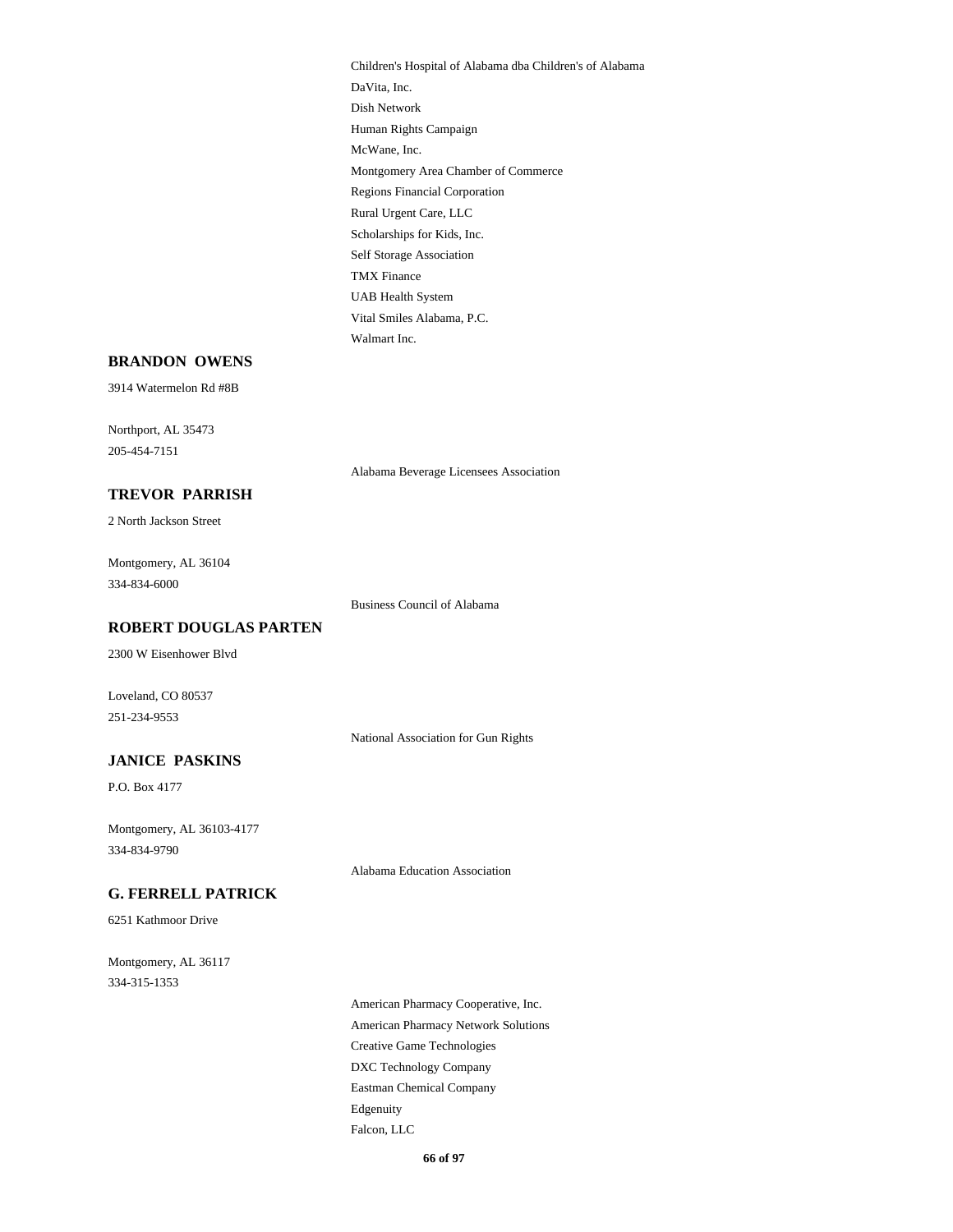Children's Hospital of Alabama dba Children's of Alabama DaVita, Inc. Dish Network Human Rights Campaign McWane, Inc. Montgomery Area Chamber of Commerce Regions Financial Corporation Rural Urgent Care, LLC Scholarships for Kids, Inc. Self Storage Association TMX Finance UAB Health System Vital Smiles Alabama, P.C. Walmart Inc.

#### **BRANDON OWENS**

3914 Watermelon Rd #8B

Northport, AL 35473 205-454-7151

Alabama Beverage Licensees Association

**TREVOR PARRISH** 2 North Jackson Street

Montgomery, AL 36104 334-834-6000

Business Council of Alabama

**ROBERT DOUGLAS PARTEN**

2300 W Eisenhower Blvd

Loveland, CO 80537 251-234-9553

National Association for Gun Rights

# **JANICE PASKINS**

P.O. Box 4177

Montgomery, AL 36103-4177 334-834-9790

Alabama Education Association

#### **G. FERRELL PATRICK**

6251 Kathmoor Drive

Montgomery, AL 36117 334-315-1353

> American Pharmacy Cooperative, Inc. American Pharmacy Network Solutions Creative Game Technologies DXC Technology Company Eastman Chemical Company Edgenuity Falcon, LLC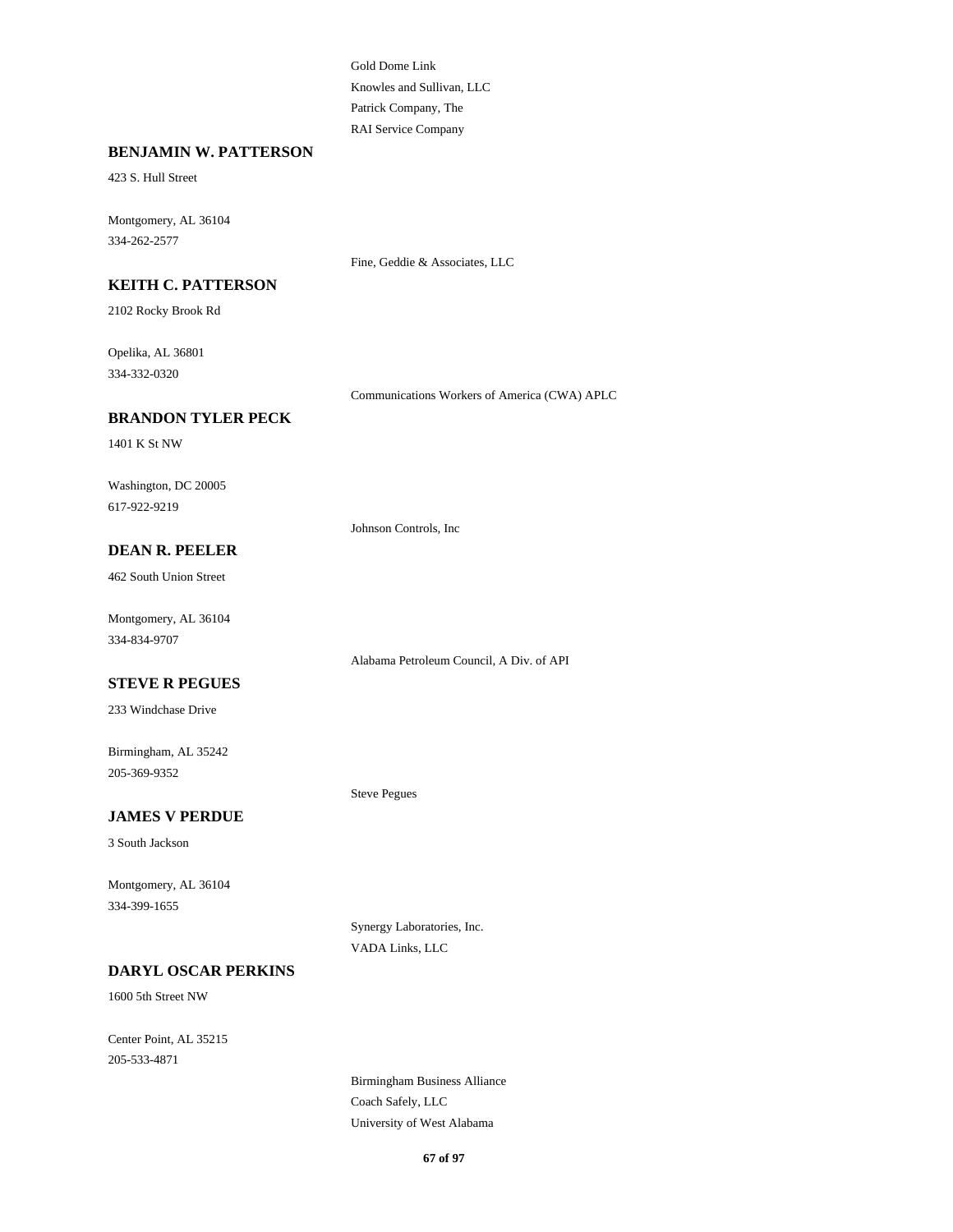Gold Dome Link Knowles and Sullivan, LLC Patrick Company, The RAI Service Company

#### **BENJAMIN W. PATTERSON**

423 S. Hull Street

Montgomery, AL 36104 334-262-2577

Fine, Geddie & Associates, LLC

# **KEITH C. PATTERSON**

2102 Rocky Brook Rd

Opelika, AL 36801 334-332-0320

Communications Workers of America (CWA) APLC

### **BRANDON TYLER PECK**

1401 K St NW

Washington, DC 20005 617-922-9219

Johnson Controls, Inc

# **DEAN R. PEELER**

462 South Union Street

Montgomery, AL 36104 334-834-9707

Alabama Petroleum Council, A Div. of API

# **STEVE R PEGUES**

233 Windchase Drive

Birmingham, AL 35242 205-369-9352

#### **JAMES V PERDUE**

3 South Jackson

Montgomery, AL 36104 334-399-1655

> Synergy Laboratories, Inc. VADA Links, LLC

Steve Pegues

### **DARYL OSCAR PERKINS**

1600 5th Street NW

Center Point, AL 35215 205-533-4871

> Birmingham Business Alliance Coach Safely, LLC University of West Alabama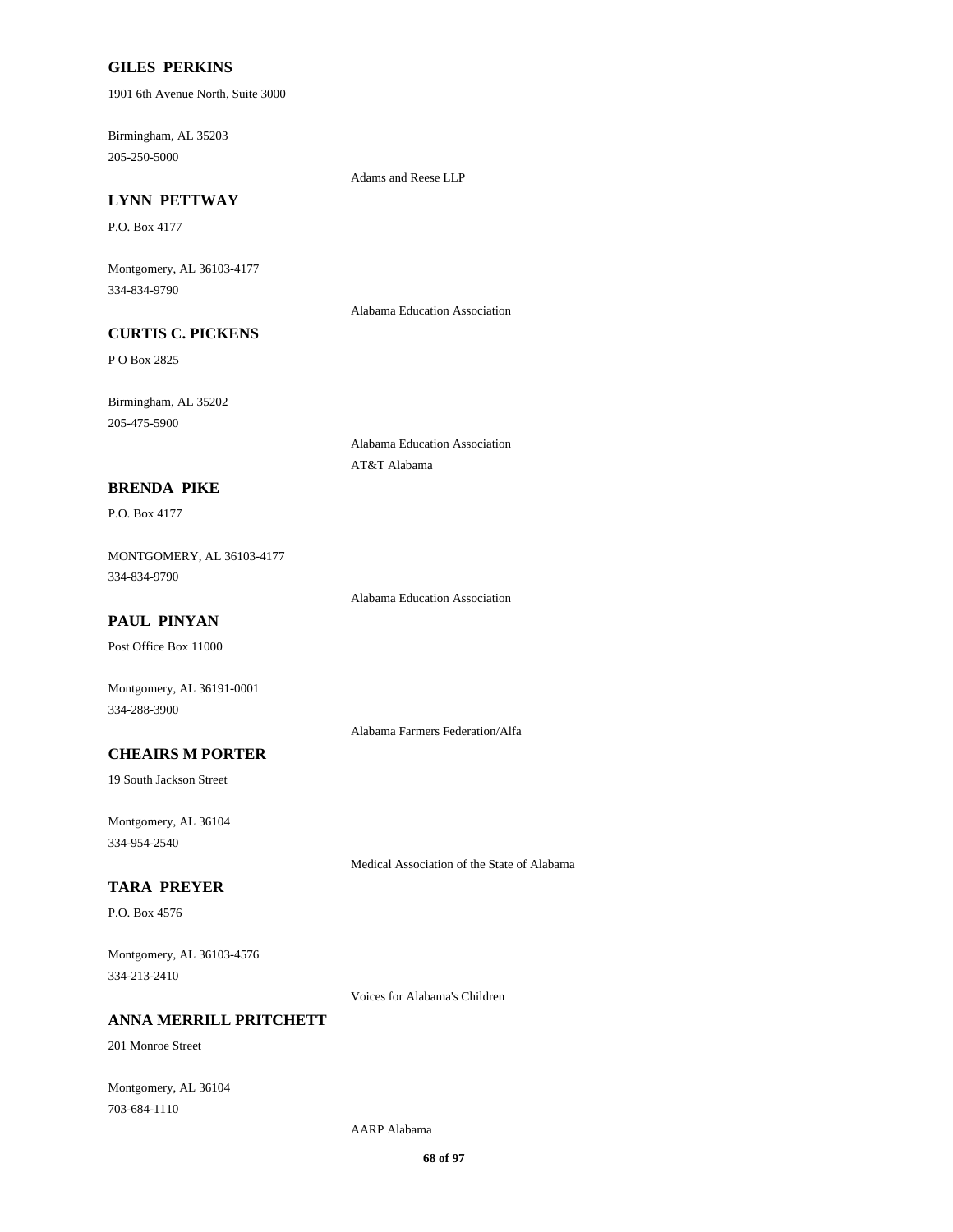### **GILES PERKINS**

1901 6th Avenue North, Suite 3000

Birmingham, AL 35203 205-250-5000

Adams and Reese LLP

# **LYNN PETTWAY**

P.O. Box 4177

Montgomery, AL 36103-4177 334-834-9790

Alabama Education Association

# **CURTIS C. PICKENS**

P O Box 2825

Birmingham, AL 35202 205-475-5900

> Alabama Education Association AT&T Alabama

### **BRENDA PIKE**

P.O. Box 4177

MONTGOMERY, AL 36103-4177 334-834-9790

Alabama Education Association

# **PAUL PINYAN**

Post Office Box 11000

Montgomery, AL 36191-0001 334-288-3900

Alabama Farmers Federation/Alfa

# **CHEAIRS M PORTER**

19 South Jackson Street

Montgomery, AL 36104 334-954-2540

Medical Association of the State of Alabama

### **TARA PREYER**

P.O. Box 4576

Montgomery, AL 36103-4576 334-213-2410

Voices for Alabama's Children

# **ANNA MERRILL PRITCHETT**

201 Monroe Street

Montgomery, AL 36104 703-684-1110

AARP Alabama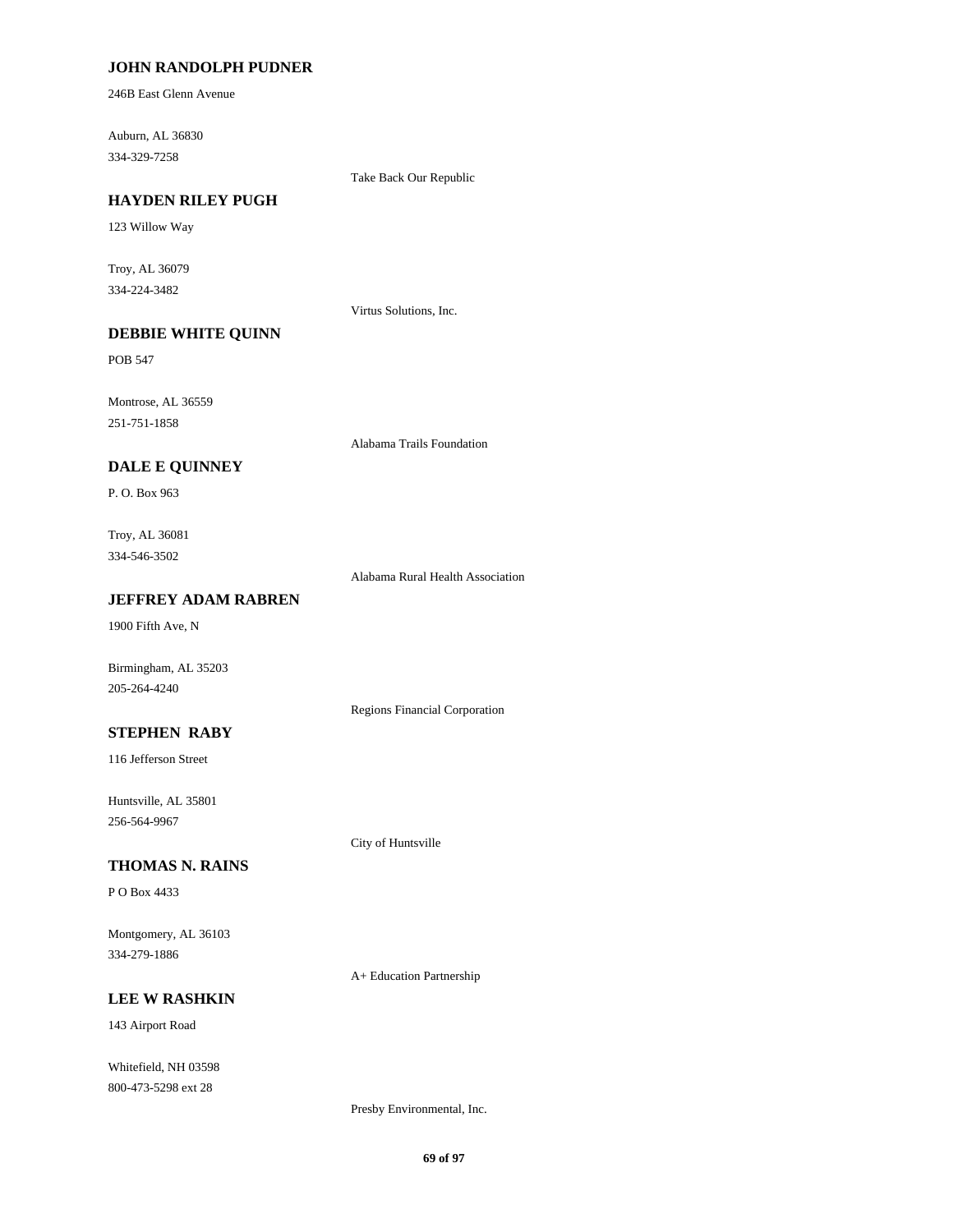### **JOHN RANDOLPH PUDNER**

246B East Glenn Avenue

Auburn, AL 36830 334-329-7258

Take Back Our Republic

#### **HAYDEN RILEY PUGH**

123 Willow Way

Troy, AL 36079 334-224-3482

Virtus Solutions, Inc.

# **DEBBIE WHITE QUINN**

POB 547

Montrose, AL 36559 251-751-1858

Alabama Trails Foundation

### **DALE E QUINNEY**

P. O. Box 963

Troy, AL 36081 334-546-3502

Alabama Rural Health Association

Regions Financial Corporation

### **JEFFREY ADAM RABREN**

1900 Fifth Ave, N

Birmingham, AL 35203 205-264-4240

### **STEPHEN RABY**

116 Jefferson Street

Huntsville, AL 35801 256-564-9967

City of Huntsville

# **THOMAS N. RAINS**

P O Box 4433

Montgomery, AL 36103 334-279-1886

A+ Education Partnership

# **LEE W RASHKIN**

143 Airport Road

Whitefield, NH 03598 800-473-5298 ext 28

Presby Environmental, Inc.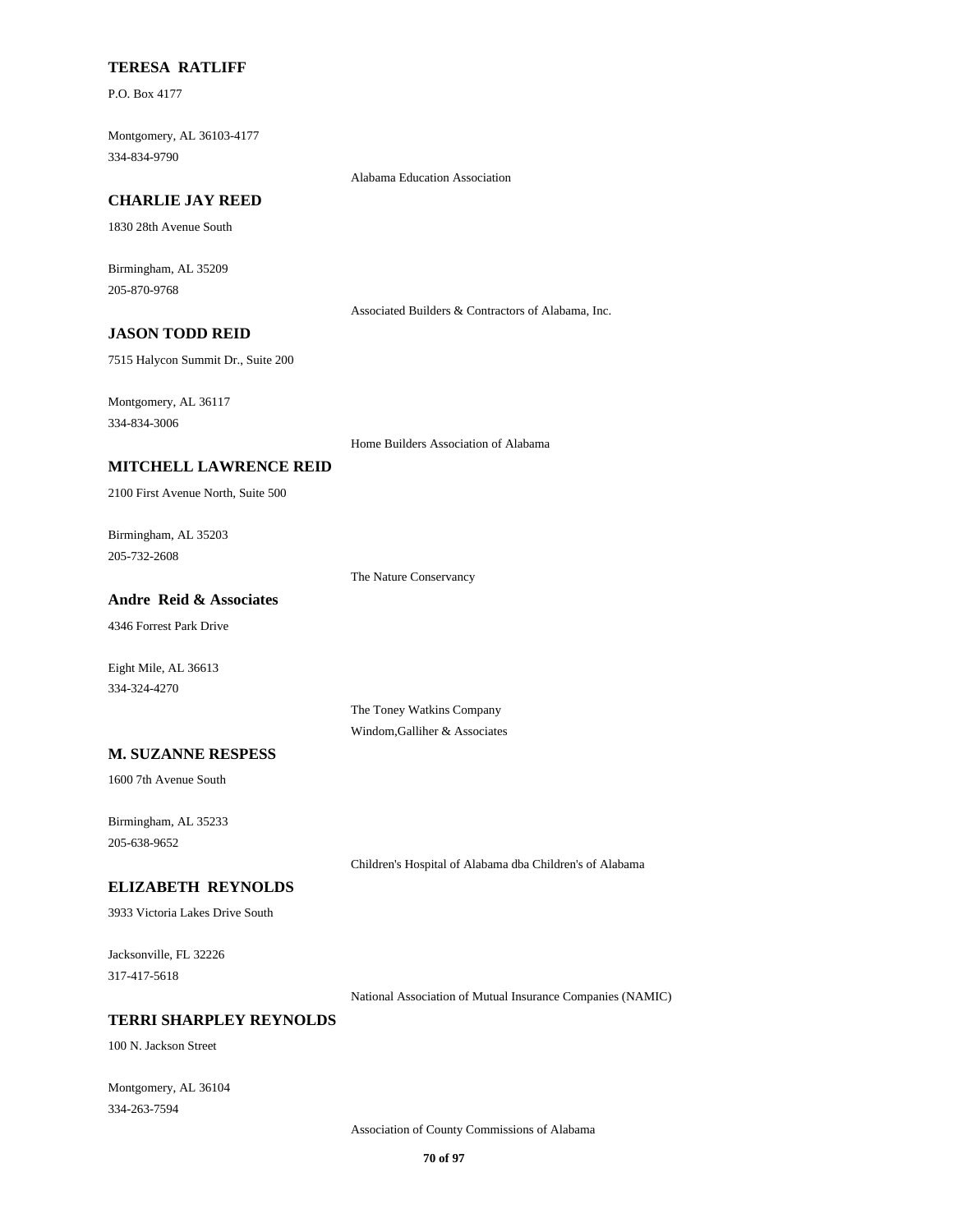### **TERESA RATLIFF**

P.O. Box 4177

Montgomery, AL 36103-4177 334-834-9790

#### **CHARLIE JAY REED**

1830 28th Avenue South

Birmingham, AL 35209 205-870-9768

Associated Builders & Contractors of Alabama, Inc.

# **JASON TODD REID**

7515 Halycon Summit Dr., Suite 200

Montgomery, AL 36117 334-834-3006

Home Builders Association of Alabama

Alabama Education Association

#### **MITCHELL LAWRENCE REID**

2100 First Avenue North, Suite 500

Birmingham, AL 35203 205-732-2608

The Nature Conservancy

### **Andre Reid & Associates**

4346 Forrest Park Drive

Eight Mile, AL 36613 334-324-4270

> The Toney Watkins Company Windom,Galliher & Associates

# **M. SUZANNE RESPESS**

1600 7th Avenue South

Birmingham, AL 35233 205-638-9652

Children's Hospital of Alabama dba Children's of Alabama

#### **ELIZABETH REYNOLDS**

3933 Victoria Lakes Drive South

Jacksonville, FL 32226 317-417-5618

National Association of Mutual Insurance Companies (NAMIC)

## **TERRI SHARPLEY REYNOLDS**

100 N. Jackson Street

Montgomery, AL 36104 334-263-7594

Association of County Commissions of Alabama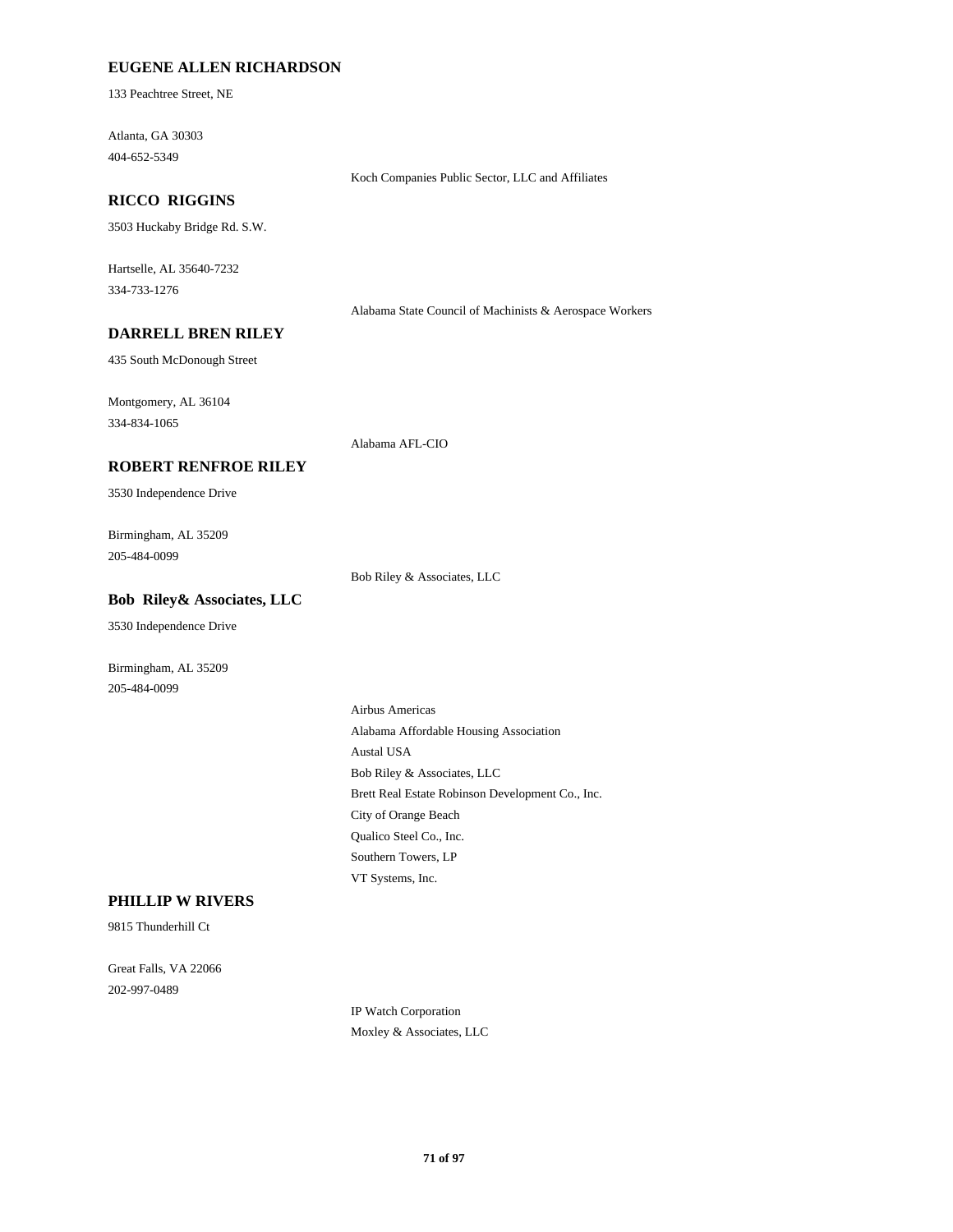### **EUGENE ALLEN RICHARDSON**

133 Peachtree Street, NE

Atlanta, GA 30303 404-652-5349

### **RICCO RIGGINS**

3503 Huckaby Bridge Rd. S.W.

Hartselle, AL 35640-7232 334-733-1276

Alabama State Council of Machinists & Aerospace Workers

Koch Companies Public Sector, LLC and Affiliates

### **DARRELL BREN RILEY**

435 South McDonough Street

Montgomery, AL 36104 334-834-1065

Alabama AFL-CIO

### **ROBERT RENFROE RILEY**

3530 Independence Drive

Birmingham, AL 35209 205-484-0099

Bob Riley & Associates, LLC

### **Bob Riley& Associates, LLC**

3530 Independence Drive

Birmingham, AL 35209 205-484-0099

> Airbus Americas Alabama Affordable Housing Association Austal USA Bob Riley & Associates, LLC Brett Real Estate Robinson Development Co., Inc. City of Orange Beach Qualico Steel Co., Inc. Southern Towers, LP VT Systems, Inc.

# **PHILLIP W RIVERS**

9815 Thunderhill Ct

Great Falls, VA 22066 202-997-0489

> IP Watch Corporation Moxley & Associates, LLC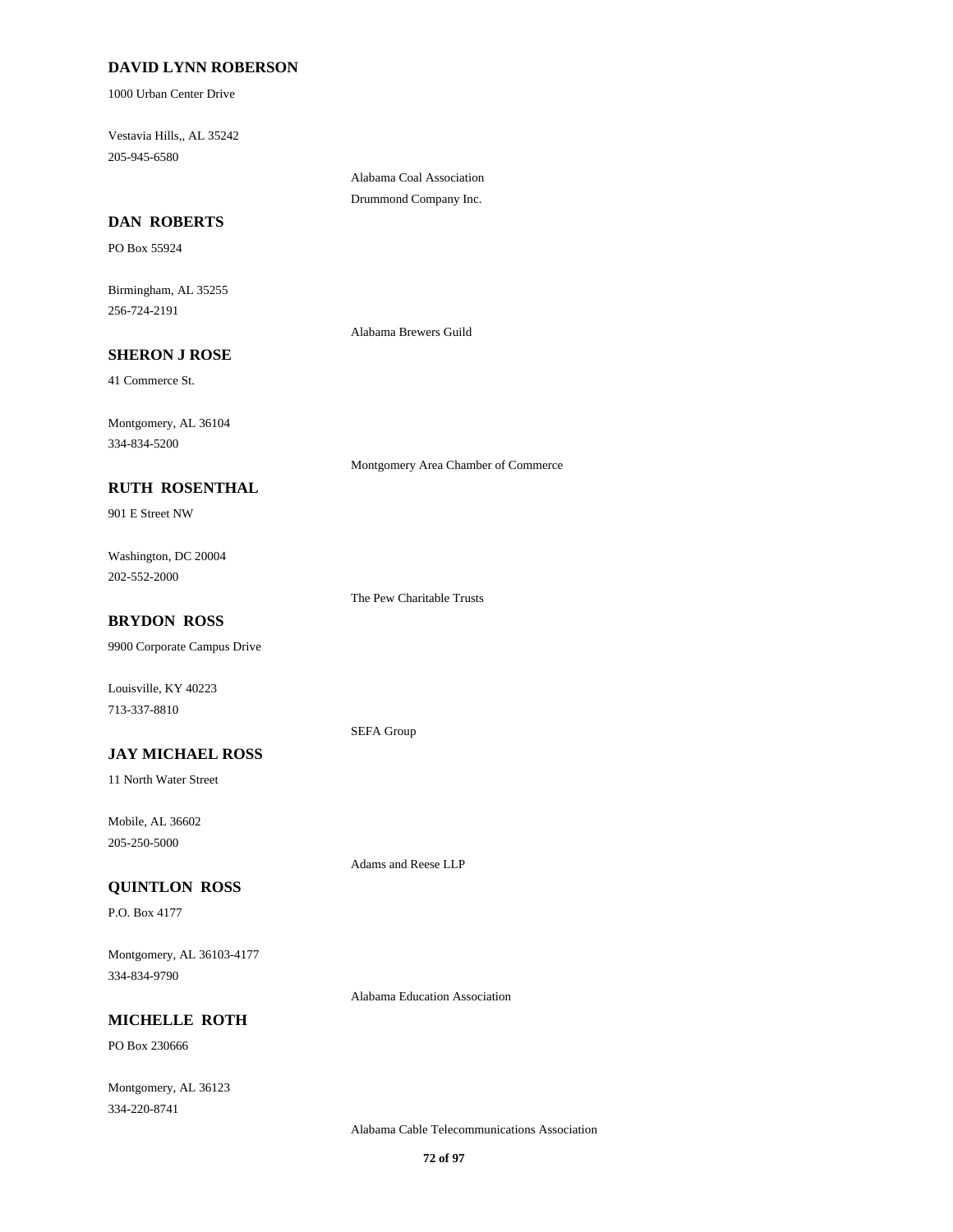# **DAVID LYNN ROBERSON**

1000 Urban Center Drive

Vestavia Hills,, AL 35242 205-945-6580

> Alabama Coal Association Drummond Company Inc.

## **DAN ROBERTS**

PO Box 55924

Birmingham, AL 35255 256-724-2191

Alabama Brewers Guild

### **SHERON J ROSE**

41 Commerce St.

Montgomery, AL 36104 334-834-5200

Montgomery Area Chamber of Commerce

# **RUTH ROSENTHAL**

901 E Street NW

Washington, DC 20004 202-552-2000

The Pew Charitable Trusts

### **BRYDON ROSS**

9900 Corporate Campus Drive

Louisville, KY 40223 713-337-8810

#### SEFA Group

**JAY MICHAEL ROSS** 11 North Water Street

Mobile, AL 36602 205-250-5000

### **QUINTLON ROSS**

P.O. Box 4177

Montgomery, AL 36103-4177 334-834-9790

Alabama Education Association

Adams and Reese LLP

# **MICHELLE ROTH**

PO Box 230666

Montgomery, AL 36123 334-220-8741

Alabama Cable Telecommunications Association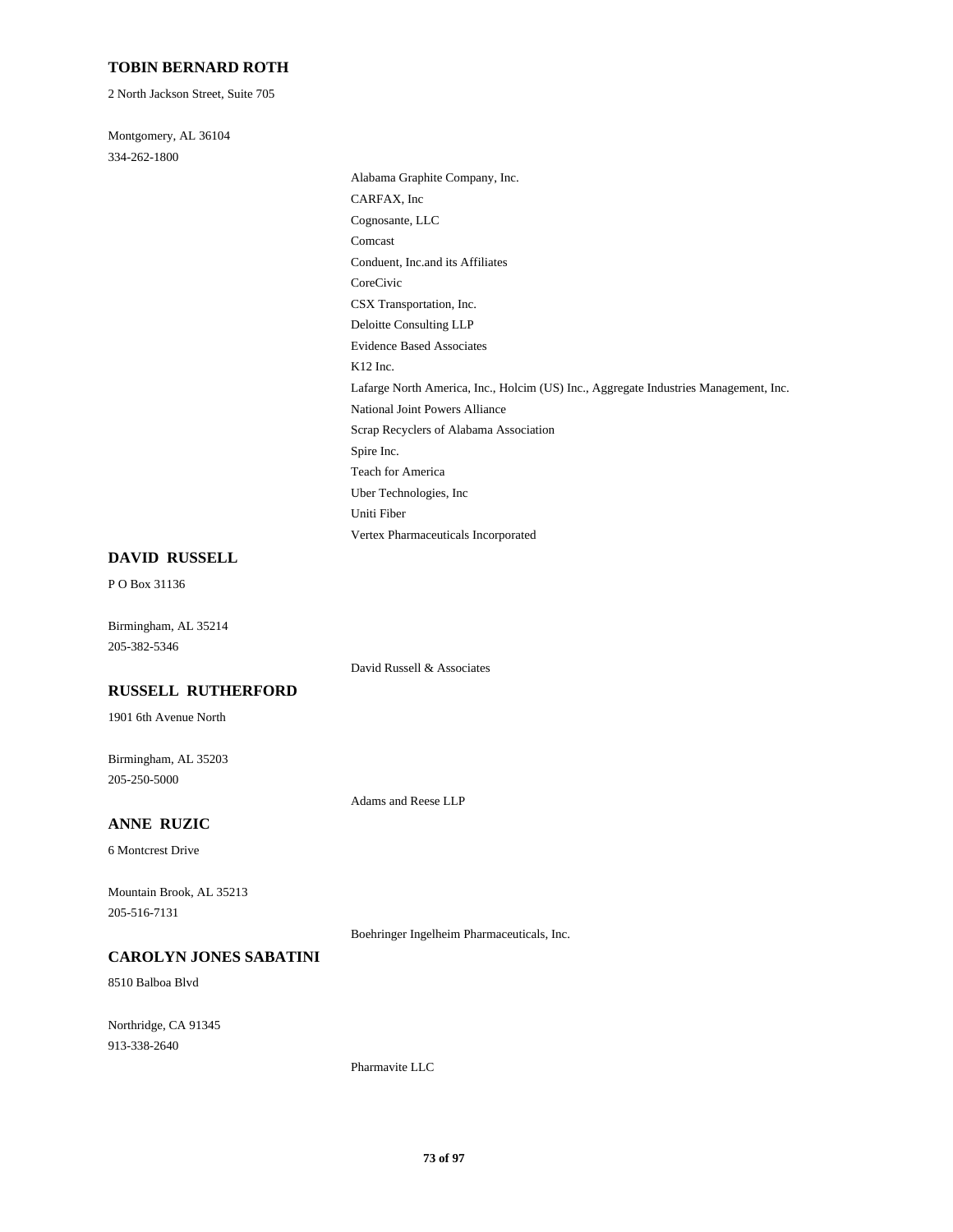### **TOBIN BERNARD ROTH**

2 North Jackson Street, Suite 705

Montgomery, AL 36104 334-262-1800

> Alabama Graphite Company, Inc. CARFAX, Inc Cognosante, LLC Comcast Conduent, Inc.and its Affiliates CoreCivic CSX Transportation, Inc. Deloitte Consulting LLP Evidence Based Associates K12 Inc. Lafarge North America, Inc., Holcim (US) Inc., Aggregate Industries Management, Inc. National Joint Powers Alliance Scrap Recyclers of Alabama Association Spire Inc. Teach for America Uber Technologies, Inc Uniti Fiber Vertex Pharmaceuticals Incorporated

#### **DAVID RUSSELL**

P O Box 31136

Birmingham, AL 35214 205-382-5346

David Russell & Associates

## **RUSSELL RUTHERFORD**

1901 6th Avenue North

Birmingham, AL 35203 205-250-5000

Adams and Reese LLP

# **ANNE RUZIC**

6 Montcrest Drive

Mountain Brook, AL 35213 205-516-7131

Boehringer Ingelheim Pharmaceuticals, Inc.

#### **CAROLYN JONES SABATINI**

8510 Balboa Blvd

Northridge, CA 91345 913-338-2640

Pharmavite LLC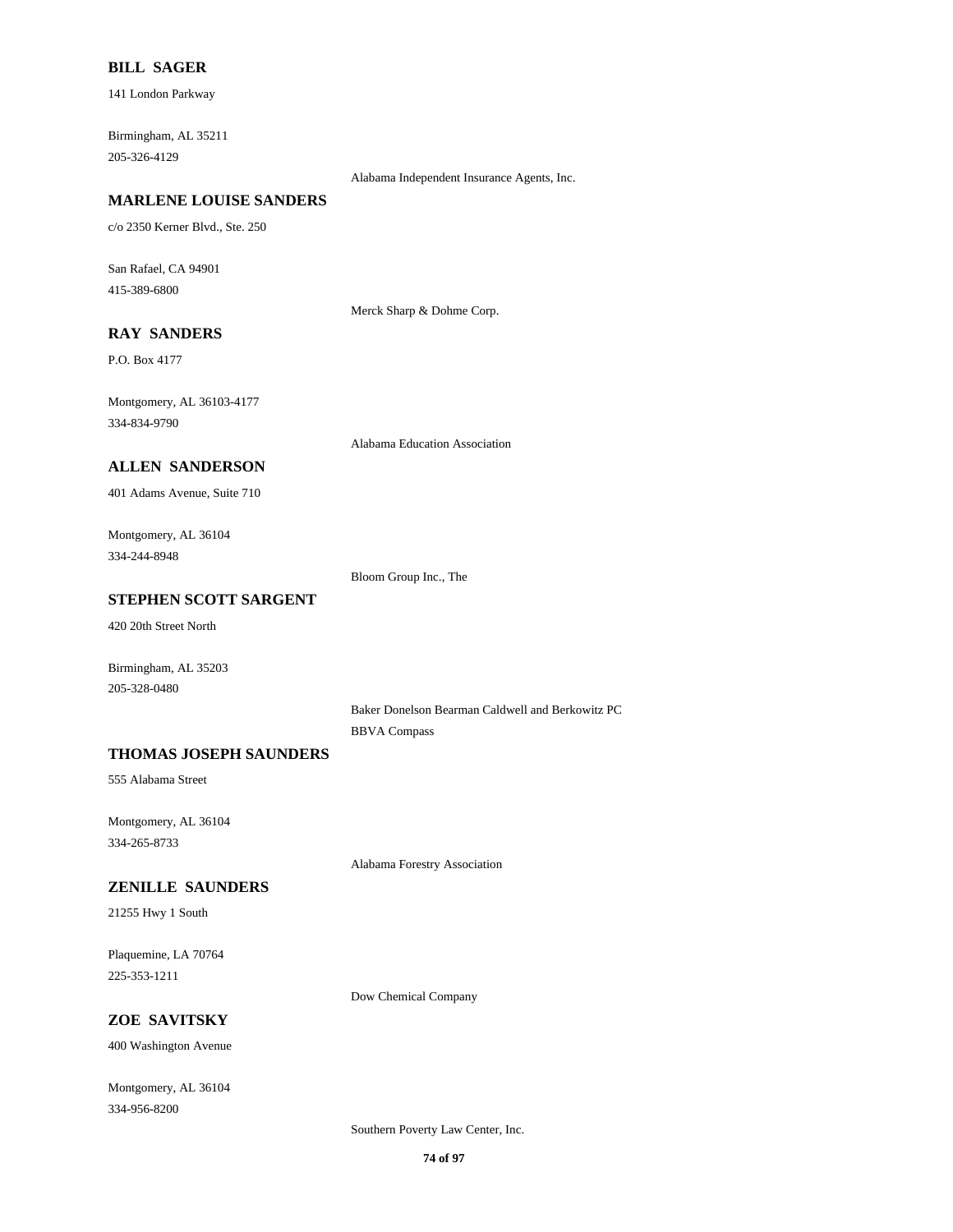### **BILL SAGER**

141 London Parkway

Birmingham, AL 35211 205-326-4129

Alabama Independent Insurance Agents, Inc.

### **MARLENE LOUISE SANDERS**

c/o 2350 Kerner Blvd., Ste. 250

San Rafael, CA 94901 415-389-6800

Merck Sharp & Dohme Corp.

# **RAY SANDERS**

P.O. Box 4177

Montgomery, AL 36103-4177 334-834-9790

Alabama Education Association

### **ALLEN SANDERSON**

401 Adams Avenue, Suite 710

Montgomery, AL 36104 334-244-8948

Bloom Group Inc., The

### **STEPHEN SCOTT SARGENT**

420 20th Street North

Birmingham, AL 35203 205-328-0480

> Baker Donelson Bearman Caldwell and Berkowitz PC BBVA Compass

### **THOMAS JOSEPH SAUNDERS**

555 Alabama Street

Montgomery, AL 36104 334-265-8733

Alabama Forestry Association

#### **ZENILLE SAUNDERS**

21255 Hwy 1 South

Plaquemine, LA 70764 225-353-1211

Dow Chemical Company

## **ZOE SAVITSKY**

400 Washington Avenue

Montgomery, AL 36104 334-956-8200

Southern Poverty Law Center, Inc.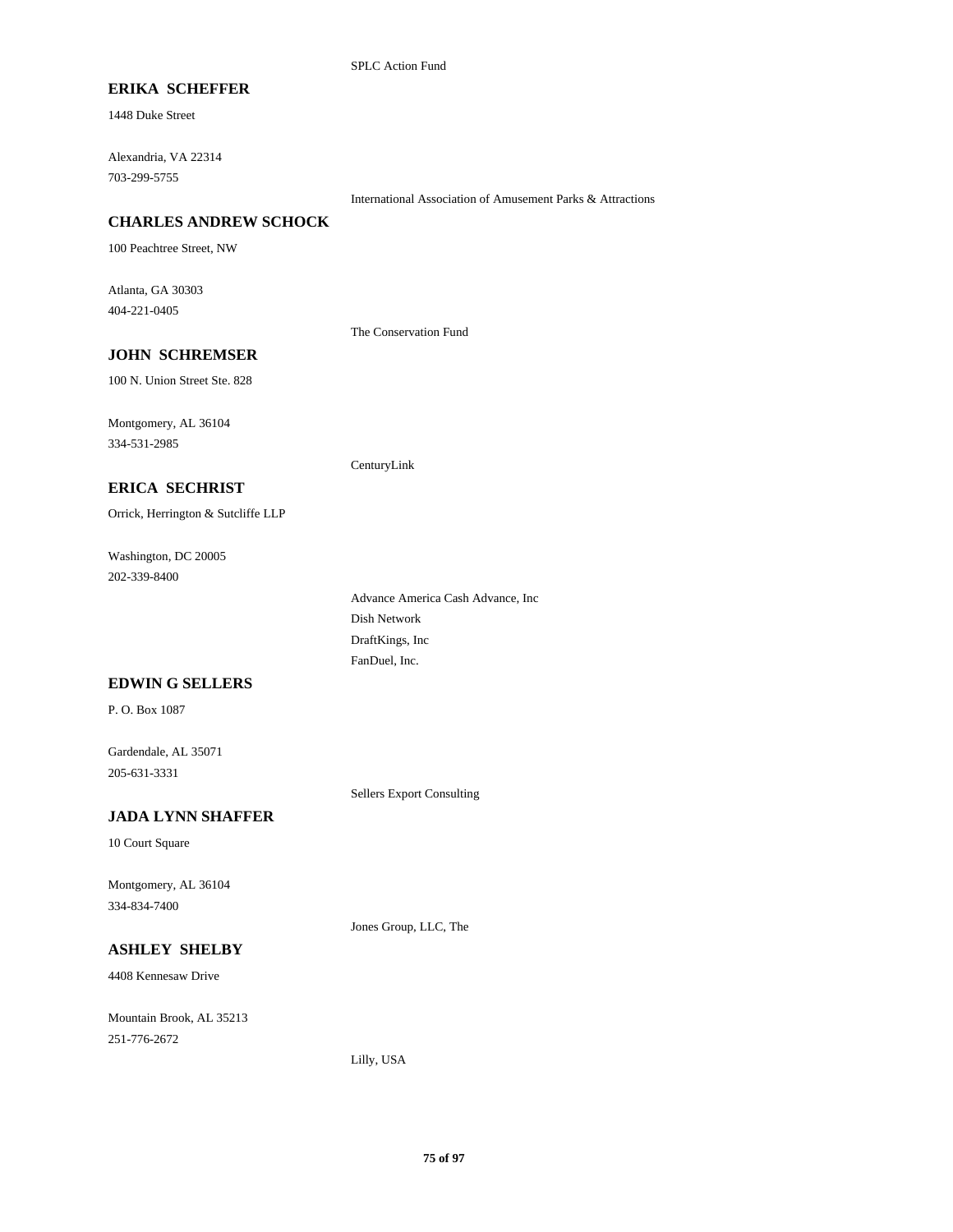## **ERIKA SCHEFFER**

1448 Duke Street

Alexandria, VA 22314 703-299-5755

International Association of Amusement Parks & Attractions

### **CHARLES ANDREW SCHOCK**

100 Peachtree Street, NW

Atlanta, GA 30303 404-221-0405

The Conservation Fund

CenturyLink

### **JOHN SCHREMSER**

100 N. Union Street Ste. 828

Montgomery, AL 36104 334-531-2985

### **ERICA SECHRIST**

Orrick, Herrington & Sutcliffe LLP

Washington, DC 20005 202-339-8400

> Advance America Cash Advance, Inc Dish Network DraftKings, Inc FanDuel, Inc.

#### **EDWIN G SELLERS**

P. O. Box 1087

Gardendale, AL 35071 205-631-3331

Sellers Export Consulting

### **JADA LYNN SHAFFER**

10 Court Square

Montgomery, AL 36104 334-834-7400

Jones Group, LLC, The

# **ASHLEY SHELBY**

4408 Kennesaw Drive

Mountain Brook, AL 35213 251-776-2672

Lilly, USA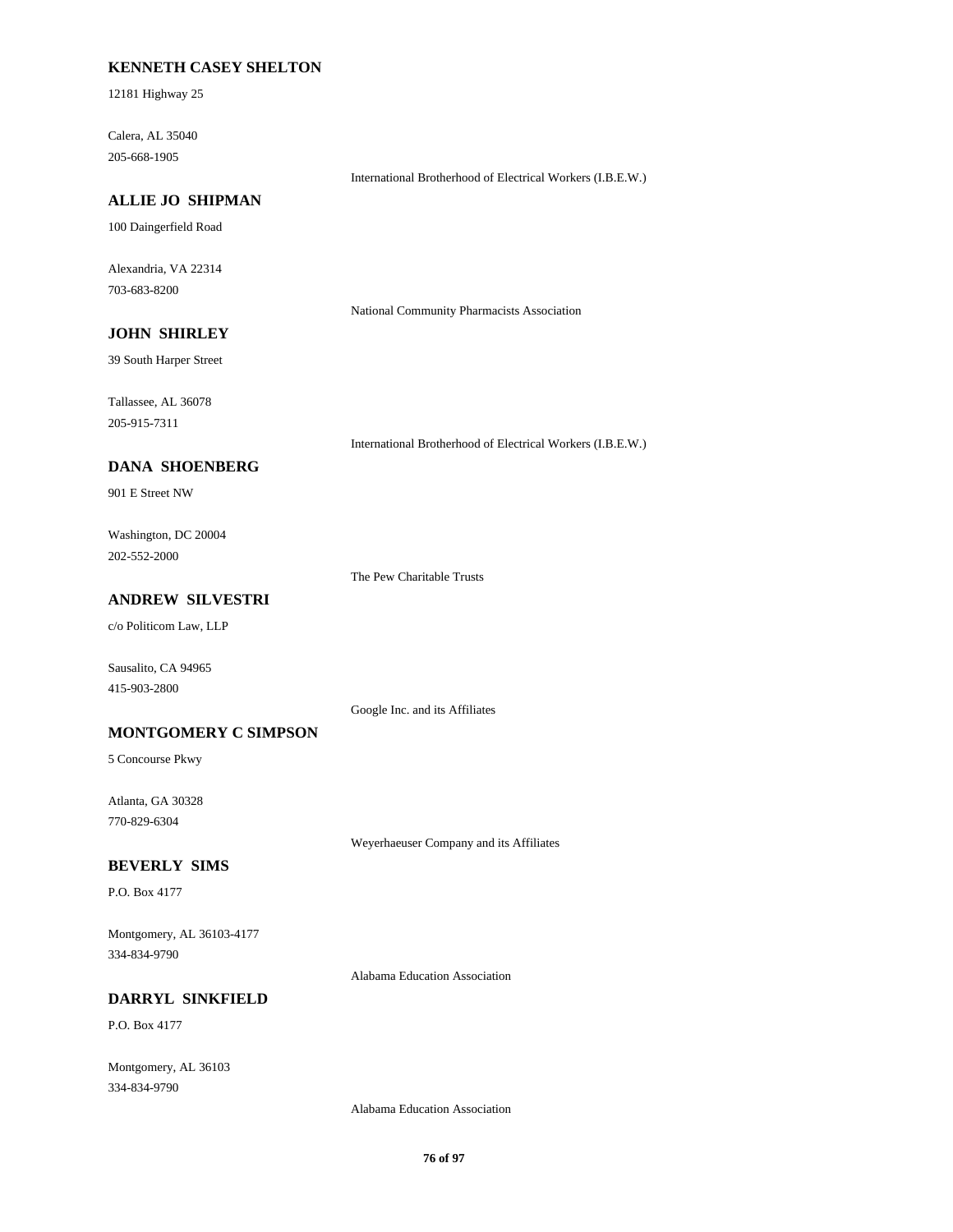### **KENNETH CASEY SHELTON**

12181 Highway 25

Calera, AL 35040 205-668-1905

International Brotherhood of Electrical Workers (I.B.E.W.)

## **ALLIE JO SHIPMAN**

100 Daingerfield Road

Alexandria, VA 22314 703-683-8200

National Community Pharmacists Association

# **JOHN SHIRLEY**

39 South Harper Street

Tallassee, AL 36078 205-915-7311

International Brotherhood of Electrical Workers (I.B.E.W.)

## **DANA SHOENBERG**

901 E Street NW

Washington, DC 20004 202-552-2000

The Pew Charitable Trusts

## **ANDREW SILVESTRI**

c/o Politicom Law, LLP

Sausalito, CA 94965 415-903-2800

Google Inc. and its Affiliates

### **MONTGOMERY C SIMPSON**

5 Concourse Pkwy

Atlanta, GA 30328 770-829-6304

Weyerhaeuser Company and its Affiliates

### **BEVERLY SIMS**

P.O. Box 4177

Montgomery, AL 36103-4177 334-834-9790

Alabama Education Association

## **DARRYL SINKFIELD**

P.O. Box 4177

Montgomery, AL 36103 334-834-9790

Alabama Education Association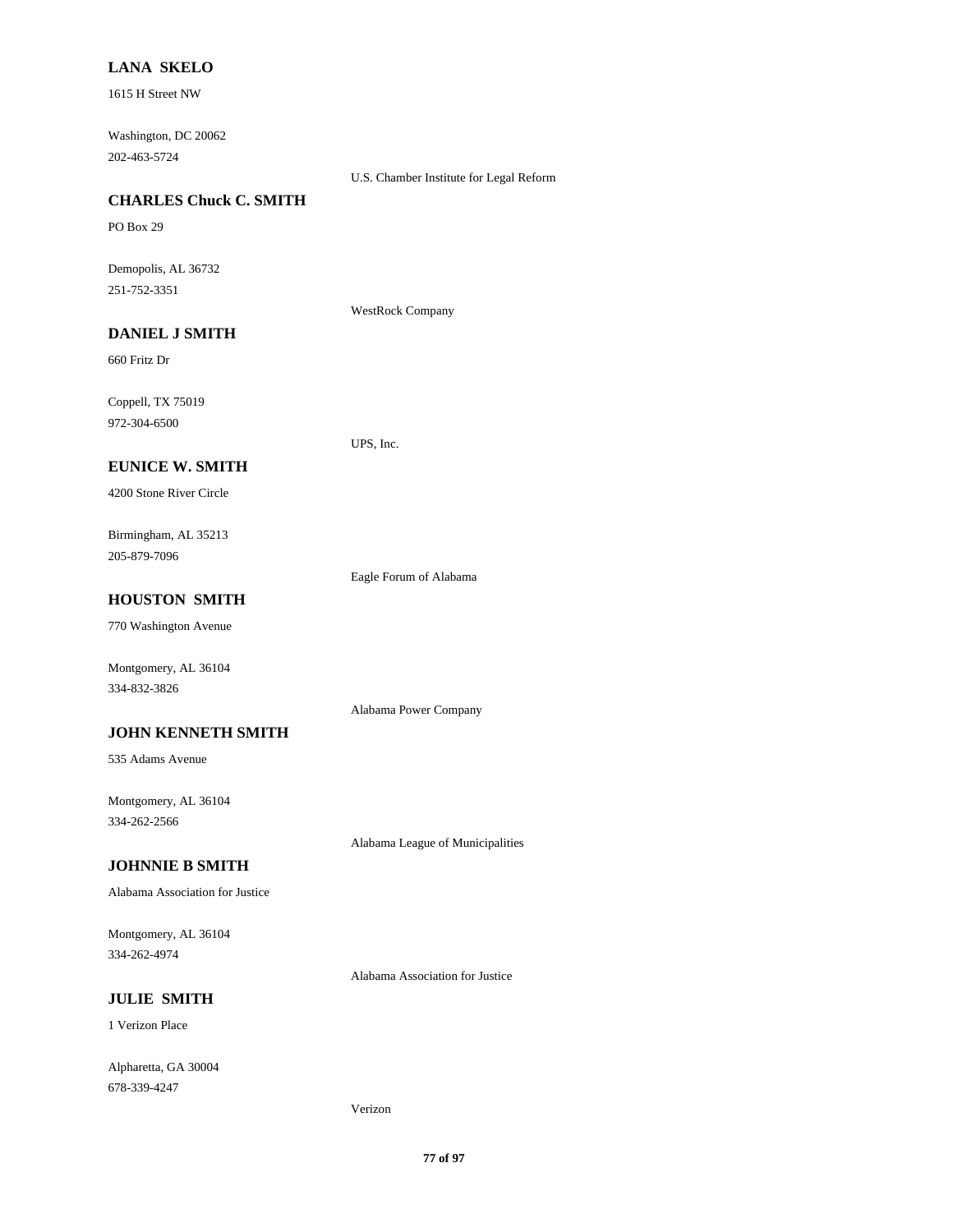### **LANA SKELO**

1615 H Street NW

Washington, DC 20062 202-463-5724

U.S. Chamber Institute for Legal Reform

## **CHARLES Chuck C. SMITH**

PO Box 29

Demopolis, AL 36732 251-752-3351

WestRock Company

UPS, Inc.

# **DANIEL J SMITH**

660 Fritz Dr

Coppell, TX 75019 972-304-6500

### **EUNICE W. SMITH**

4200 Stone River Circle

Birmingham, AL 35213 205-879-7096

Eagle Forum of Alabama

Alabama Power Company

### **HOUSTON SMITH**

770 Washington Avenue

Montgomery, AL 36104 334-832-3826

#### **JOHN KENNETH SMITH**

535 Adams Avenue

Montgomery, AL 36104 334-262-2566

Alabama League of Municipalities

## **JOHNNIE B SMITH**

Alabama Association for Justice

Montgomery, AL 36104 334-262-4974

Alabama Association for Justice

# **JULIE SMITH**

1 Verizon Place

Alpharetta, GA 30004 678-339-4247

Verizon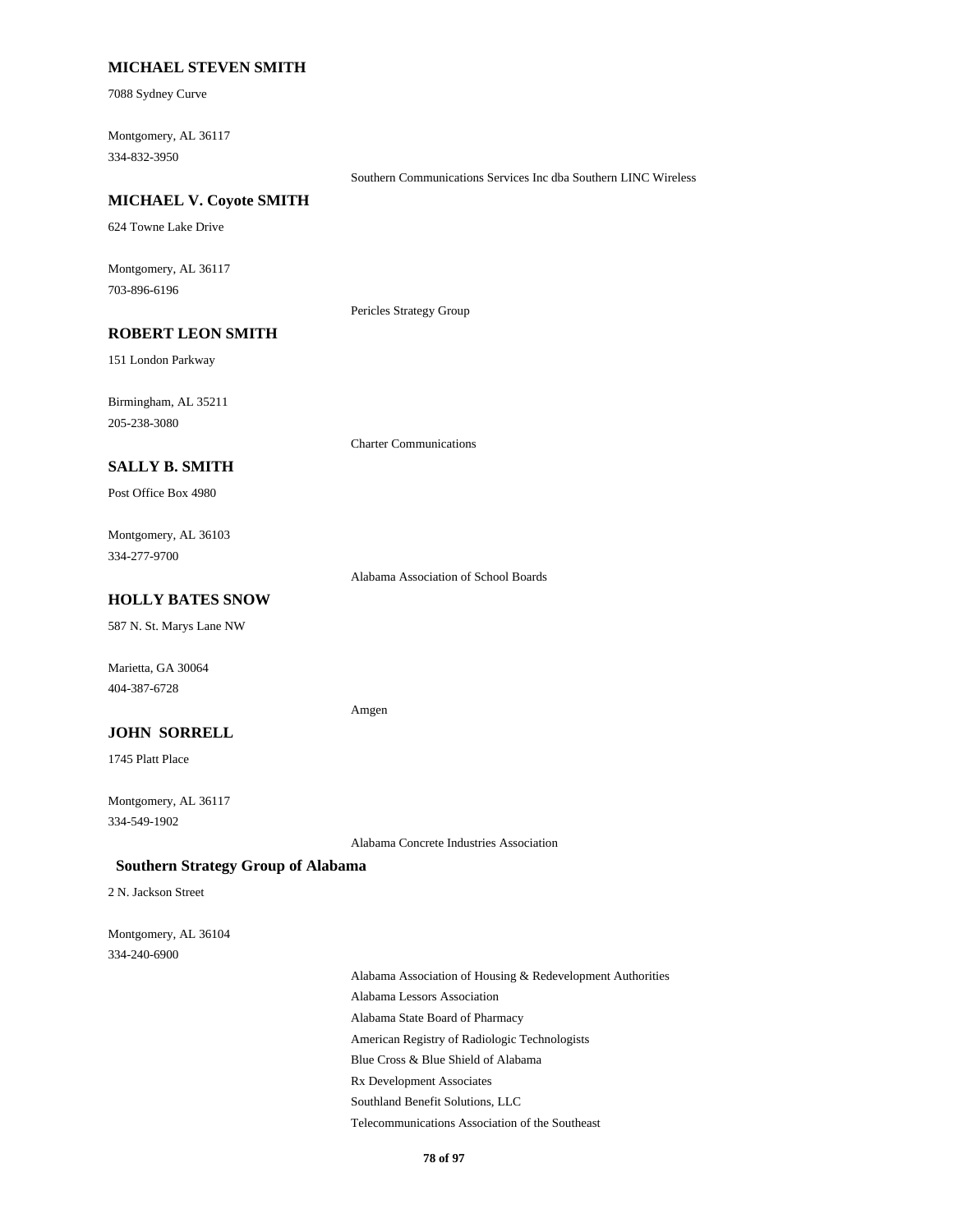### **MICHAEL STEVEN SMITH**

7088 Sydney Curve

Montgomery, AL 36117 334-832-3950

Southern Communications Services Inc dba Southern LINC Wireless

#### **MICHAEL V. Coyote SMITH**

624 Towne Lake Drive

Montgomery, AL 36117 703-896-6196

Pericles Strategy Group

# **ROBERT LEON SMITH**

151 London Parkway

Birmingham, AL 35211 205-238-3080

Charter Communications

### **SALLY B. SMITH**

Post Office Box 4980

Montgomery, AL 36103 334-277-9700

Alabama Association of School Boards

### **HOLLY BATES SNOW**

587 N. St. Marys Lane NW

Marietta, GA 30064 404-387-6728

#### Amgen

### **JOHN SORRELL**

1745 Platt Place

Montgomery, AL 36117 334-549-1902

Alabama Concrete Industries Association

### **Southern Strategy Group of Alabama**

2 N. Jackson Street

```
Montgomery, AL 36104
334-240-6900
```
Alabama Association of Housing & Redevelopment Authorities Alabama Lessors Association Alabama State Board of Pharmacy American Registry of Radiologic Technologists Blue Cross & Blue Shield of Alabama Rx Development Associates Southland Benefit Solutions, LLC Telecommunications Association of the Southeast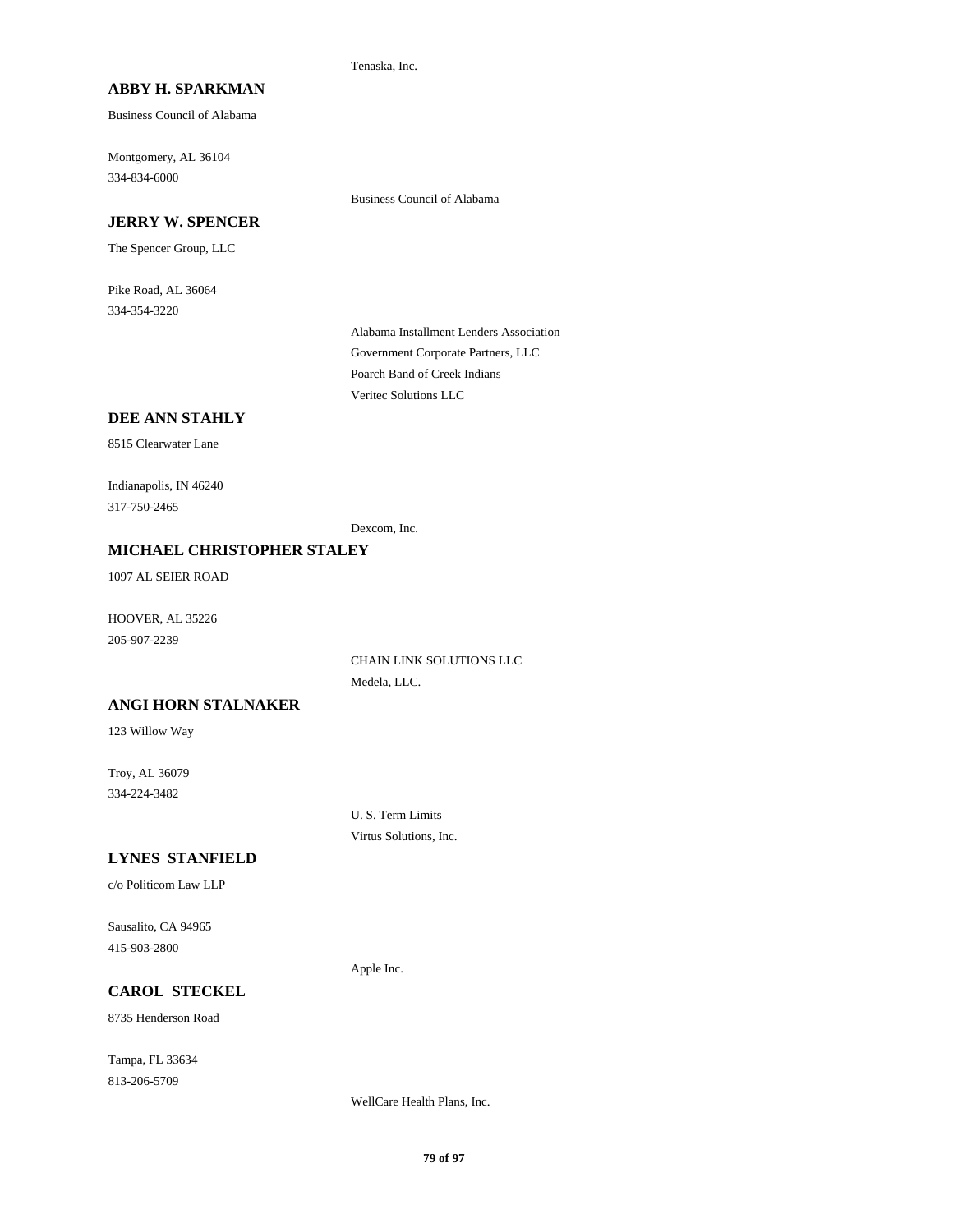Tenaska, Inc.

## **ABBY H. SPARKMAN**

Business Council of Alabama

Montgomery, AL 36104 334-834-6000

### **JERRY W. SPENCER**

The Spencer Group, LLC

Pike Road, AL 36064 334-354-3220

> Alabama Installment Lenders Association Government Corporate Partners, LLC Poarch Band of Creek Indians Veritec Solutions LLC

Business Council of Alabama

### **DEE ANN STAHLY**

8515 Clearwater Lane

Indianapolis, IN 46240 317-750-2465

Dexcom, Inc.

### **MICHAEL CHRISTOPHER STALEY**

1097 AL SEIER ROAD

HOOVER, AL 35226 205-907-2239

> CHAIN LINK SOLUTIONS LLC Medela, LLC.

#### **ANGI HORN STALNAKER**

123 Willow Way

Troy, AL 36079 334-224-3482

> U. S. Term Limits Virtus Solutions, Inc.

#### **LYNES STANFIELD**

c/o Politicom Law LLP

Sausalito, CA 94965 415-903-2800

Apple Inc.

## **CAROL STECKEL**

8735 Henderson Road

Tampa, FL 33634 813-206-5709

WellCare Health Plans, Inc.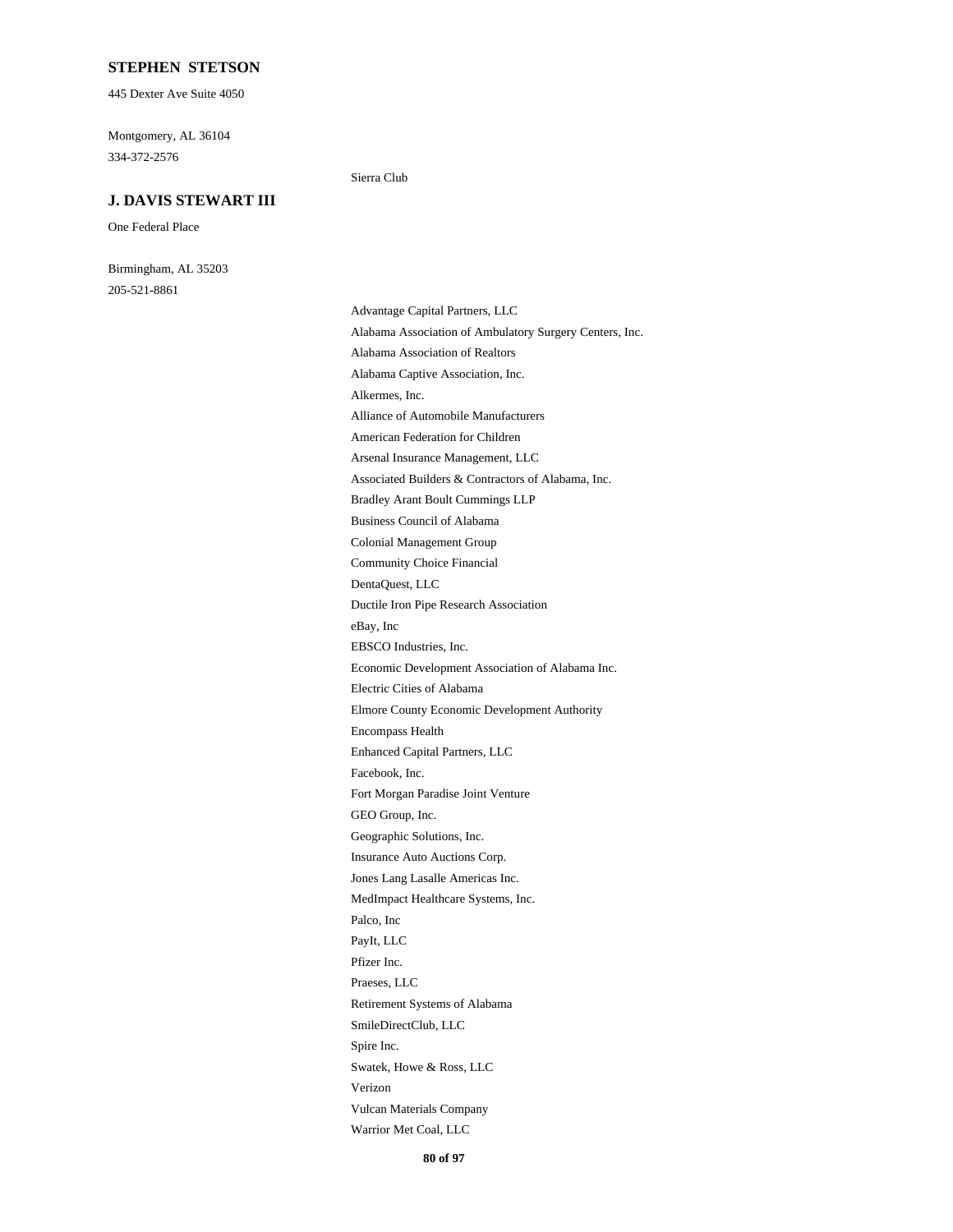### **STEPHEN STETSON**

445 Dexter Ave Suite 4050

Montgomery, AL 36104 334-372-2576

#### **J. DAVIS STEWART III**

One Federal Place

Birmingham, AL 35203 205-521-8861

#### Sierra Club

Advantage Capital Partners, LLC Alabama Association of Ambulatory Surgery Centers, Inc. Alabama Association of Realtors Alabama Captive Association, Inc. Alkermes, Inc. Alliance of Automobile Manufacturers American Federation for Children Arsenal Insurance Management, LLC Associated Builders & Contractors of Alabama, Inc. Bradley Arant Boult Cummings LLP Business Council of Alabama Colonial Management Group Community Choice Financial DentaQuest, LLC Ductile Iron Pipe Research Association eBay, Inc EBSCO Industries, Inc. Economic Development Association of Alabama Inc. Electric Cities of Alabama Elmore County Economic Development Authority Encompass Health Enhanced Capital Partners, LLC Facebook, Inc. Fort Morgan Paradise Joint Venture GEO Group, Inc. Geographic Solutions, Inc. Insurance Auto Auctions Corp. Jones Lang Lasalle Americas Inc. MedImpact Healthcare Systems, Inc. Palco, Inc PayIt, LLC Pfizer Inc. Praeses, LLC Retirement Systems of Alabama SmileDirectClub, LLC Spire Inc. Swatek, Howe & Ross, LLC Verizon Vulcan Materials Company Warrior Met Coal, LLC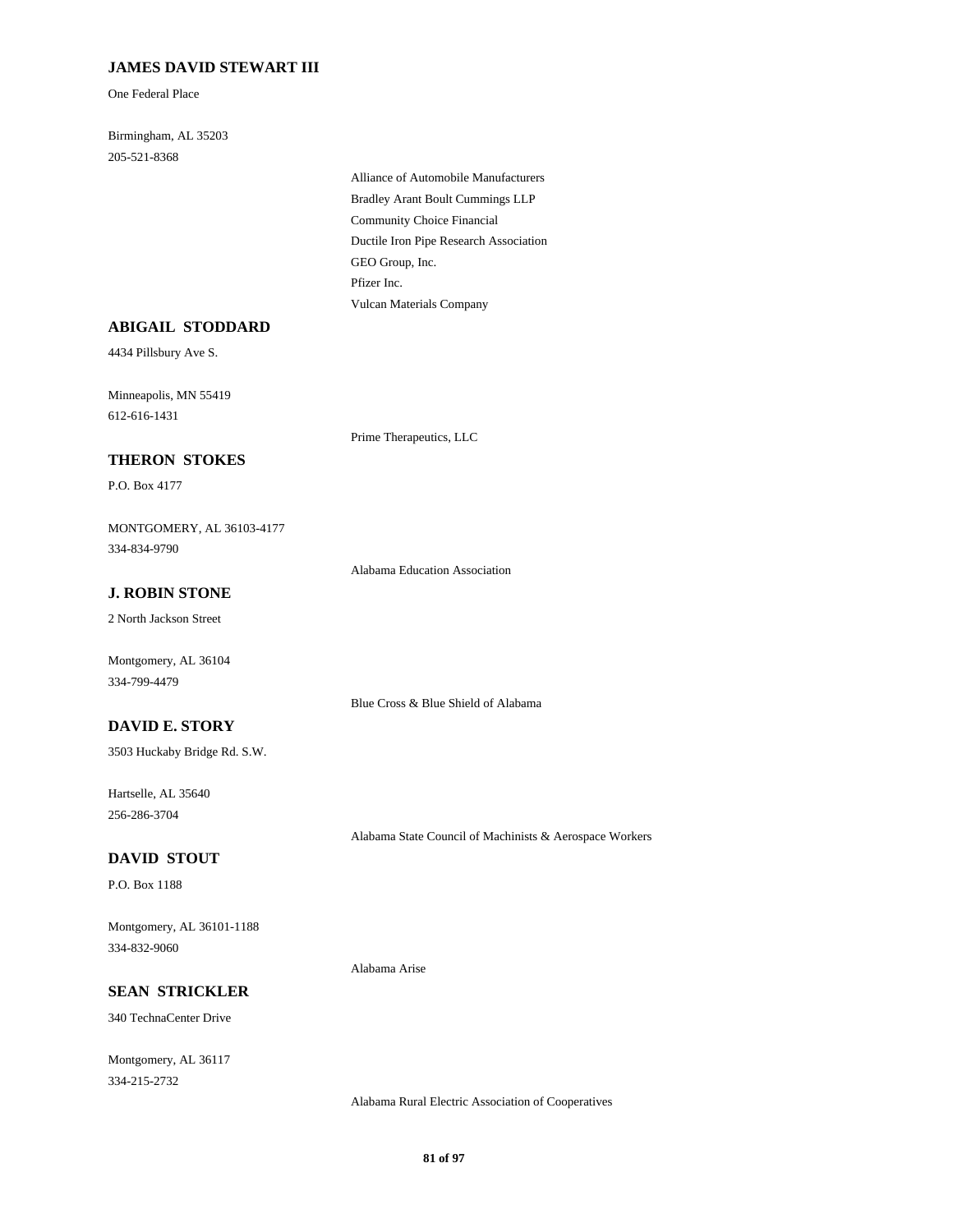## **JAMES DAVID STEWART III**

One Federal Place

Birmingham, AL 35203 205-521-8368

> Alliance of Automobile Manufacturers Bradley Arant Boult Cummings LLP Community Choice Financial Ductile Iron Pipe Research Association GEO Group, Inc. Pfizer Inc. Vulcan Materials Company

## **ABIGAIL STODDARD**

4434 Pillsbury Ave S.

Minneapolis, MN 55419 612-616-1431

#### **THERON STOKES**

P.O. Box 4177

MONTGOMERY, AL 36103-4177 334-834-9790

Alabama Education Association

Blue Cross & Blue Shield of Alabama

Prime Therapeutics, LLC

# **J. ROBIN STONE**

2 North Jackson Street

Montgomery, AL 36104 334-799-4479

### **DAVID E. STORY**

3503 Huckaby Bridge Rd. S.W.

Hartselle, AL 35640 256-286-3704

Alabama State Council of Machinists & Aerospace Workers

## **DAVID STOUT**

P.O. Box 1188

Montgomery, AL 36101-1188 334-832-9060

Alabama Arise

# **SEAN STRICKLER**

340 TechnaCenter Drive

Montgomery, AL 36117 334-215-2732

Alabama Rural Electric Association of Cooperatives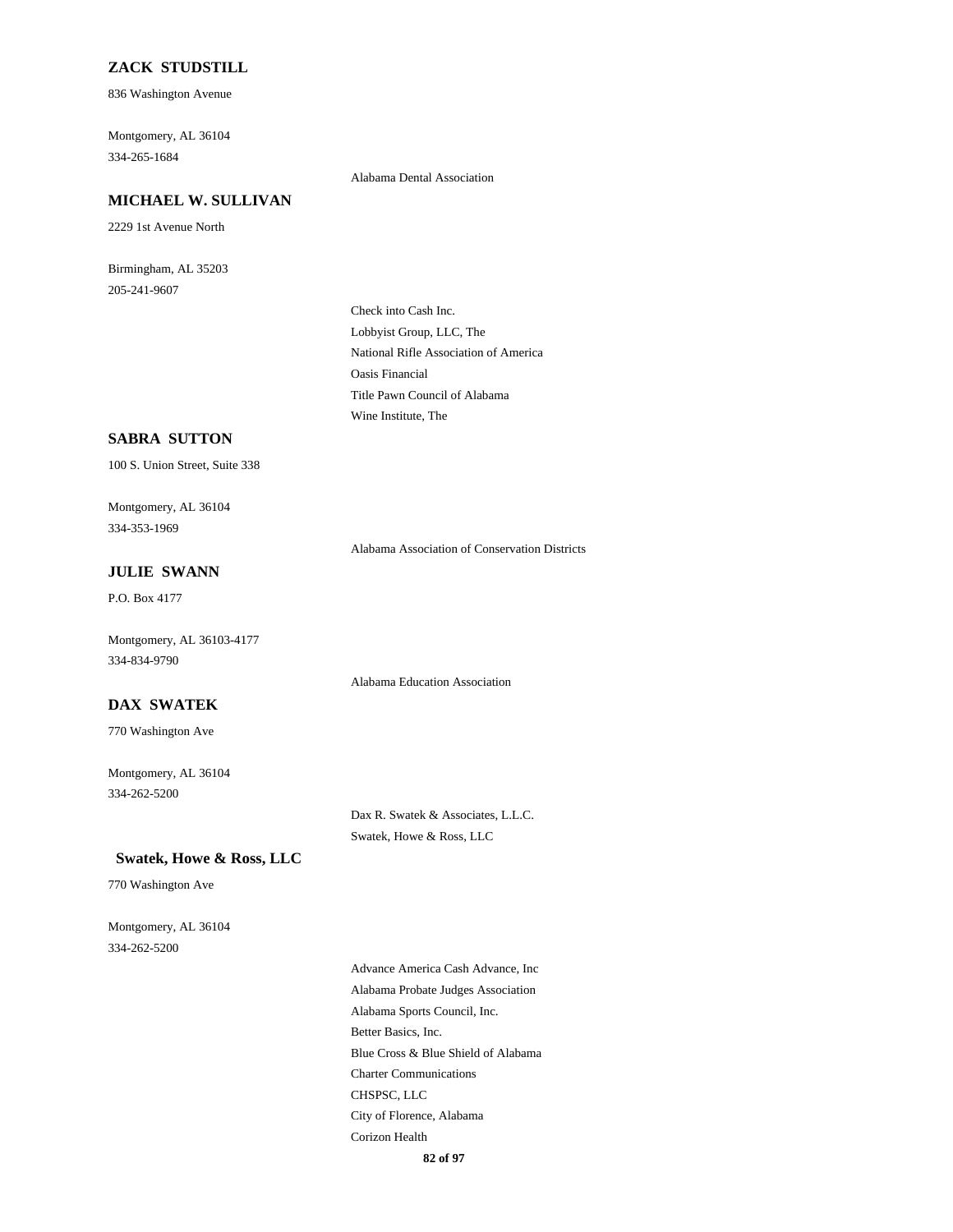### **ZACK STUDSTILL**

836 Washington Avenue

Montgomery, AL 36104 334-265-1684

#### **MICHAEL W. SULLIVAN**

2229 1st Avenue North

Birmingham, AL 35203 205-241-9607

Alabama Dental Association

Check into Cash Inc. Lobbyist Group, LLC, The National Rifle Association of America Oasis Financial Title Pawn Council of Alabama Wine Institute, The

### **SABRA SUTTON**

100 S. Union Street, Suite 338

Montgomery, AL 36104 334-353-1969

Alabama Association of Conservation Districts

## **JULIE SWANN**

P.O. Box 4177

Montgomery, AL 36103-4177 334-834-9790

Alabama Education Association

### **DAX SWATEK**

770 Washington Ave

Montgomery, AL 36104 334-262-5200

> Dax R. Swatek & Associates, L.L.C. Swatek, Howe & Ross, LLC

#### **Swatek, Howe & Ross, LLC**

770 Washington Ave

Montgomery, AL 36104 334-262-5200

> Advance America Cash Advance, Inc Alabama Probate Judges Association Alabama Sports Council, Inc. Better Basics, Inc. Blue Cross & Blue Shield of Alabama Charter Communications CHSPSC, LLC City of Florence, Alabama Corizon Health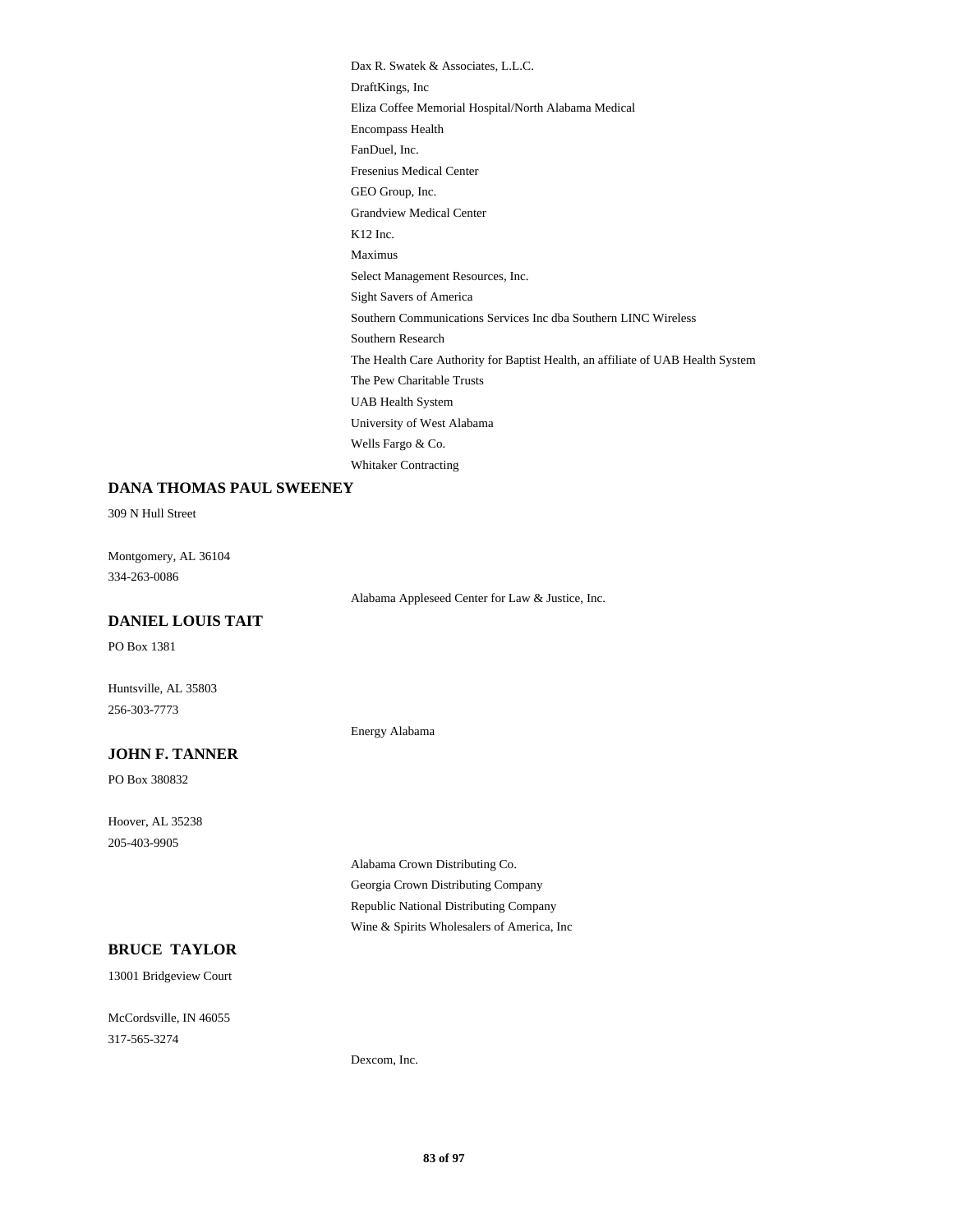Dax R. Swatek & Associates, L.L.C. DraftKings, Inc Eliza Coffee Memorial Hospital/North Alabama Medical Encompass Health FanDuel, Inc. Fresenius Medical Center GEO Group, Inc. Grandview Medical Center K12 Inc. Maximus Select Management Resources, Inc. Sight Savers of America Southern Communications Services Inc dba Southern LINC Wireless Southern Research The Health Care Authority for Baptist Health, an affiliate of UAB Health System The Pew Charitable Trusts UAB Health System University of West Alabama Wells Fargo & Co. Whitaker Contracting

#### **DANA THOMAS PAUL SWEENEY**

309 N Hull Street

Montgomery, AL 36104 334-263-0086

Alabama Appleseed Center for Law & Justice, Inc.

### **DANIEL LOUIS TAIT**

PO Box 1381

Huntsville, AL 35803 256-303-7773

Energy Alabama

### **JOHN F. TANNER**

PO Box 380832

Hoover, AL 35238 205-403-9905

> Alabama Crown Distributing Co. Georgia Crown Distributing Company Republic National Distributing Company Wine & Spirits Wholesalers of America, Inc

# **BRUCE TAYLOR**

13001 Bridgeview Court

McCordsville, IN 46055 317-565-3274

Dexcom, Inc.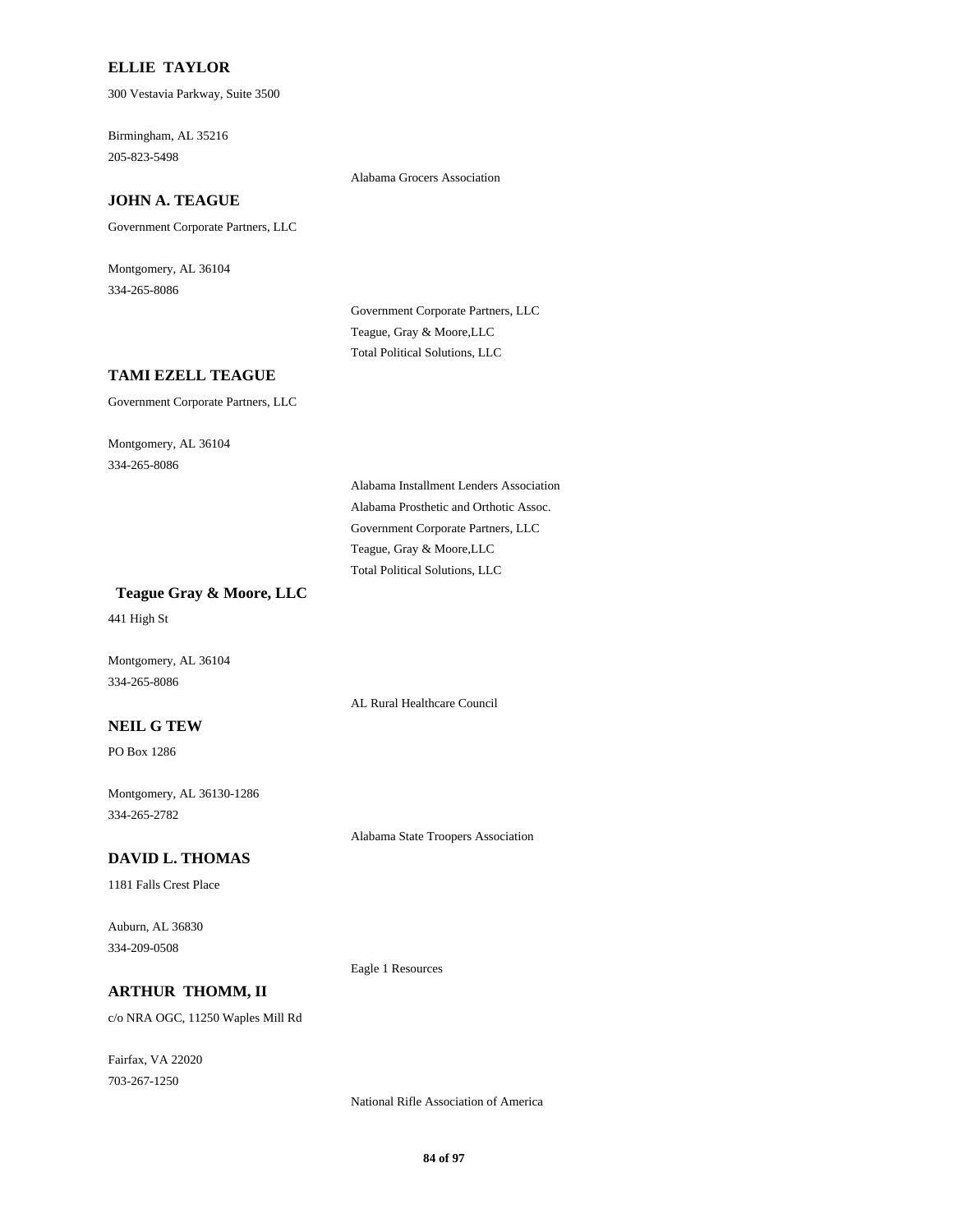### **ELLIE TAYLOR**

300 Vestavia Parkway, Suite 3500

Birmingham, AL 35216 205-823-5498

Alabama Grocers Association

## **JOHN A. TEAGUE**

Government Corporate Partners, LLC

Montgomery, AL 36104 334-265-8086

> Government Corporate Partners, LLC Teague, Gray & Moore,LLC Total Political Solutions, LLC

### **TAMI EZELL TEAGUE**

Government Corporate Partners, LLC

Montgomery, AL 36104 334-265-8086

> Alabama Installment Lenders Association Alabama Prosthetic and Orthotic Assoc. Government Corporate Partners, LLC Teague, Gray & Moore,LLC Total Political Solutions, LLC

AL Rural Healthcare Council

Alabama State Troopers Association

 **Teague Gray & Moore, LLC**

441 High St

Montgomery, AL 36104 334-265-8086

#### **NEIL G TEW**

PO Box 1286

Montgomery, AL 36130-1286 334-265-2782

#### **DAVID L. THOMAS**

1181 Falls Crest Place

Auburn, AL 36830 334-209-0508

Eagle 1 Resources

### **ARTHUR THOMM, II**

c/o NRA OGC, 11250 Waples Mill Rd

Fairfax, VA 22020 703-267-1250

National Rifle Association of America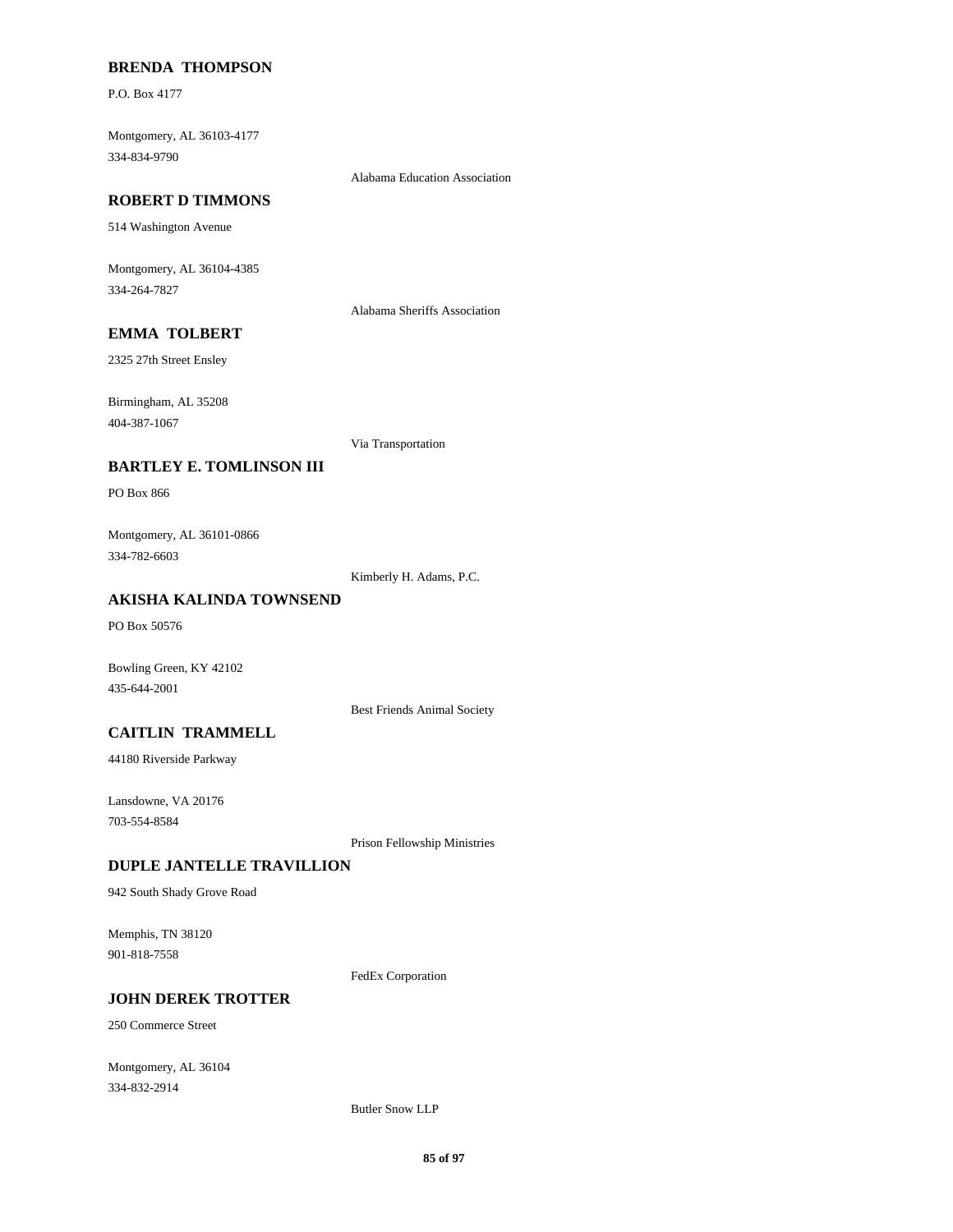## **BRENDA THOMPSON**

P.O. Box 4177

Montgomery, AL 36103-4177 334-834-9790

Alabama Education Association

#### **ROBERT D TIMMONS**

514 Washington Avenue

Montgomery, AL 36104-4385 334-264-7827

Alabama Sheriffs Association

# **EMMA TOLBERT**

2325 27th Street Ensley

Birmingham, AL 35208 404-387-1067

Via Transportation

### **BARTLEY E. TOMLINSON III**

PO Box 866

Montgomery, AL 36101-0866 334-782-6603

Kimberly H. Adams, P.C.

### **AKISHA KALINDA TOWNSEND**

PO Box 50576

Bowling Green, KY 42102 435-644-2001

Best Friends Animal Society

### **CAITLIN TRAMMELL**

44180 Riverside Parkway

Lansdowne, VA 20176 703-554-8584

Prison Fellowship Ministries

#### **DUPLE JANTELLE TRAVILLION**

942 South Shady Grove Road

Memphis, TN 38120 901-818-7558

FedEx Corporation

#### **JOHN DEREK TROTTER**

250 Commerce Street

Montgomery, AL 36104 334-832-2914

Butler Snow LLP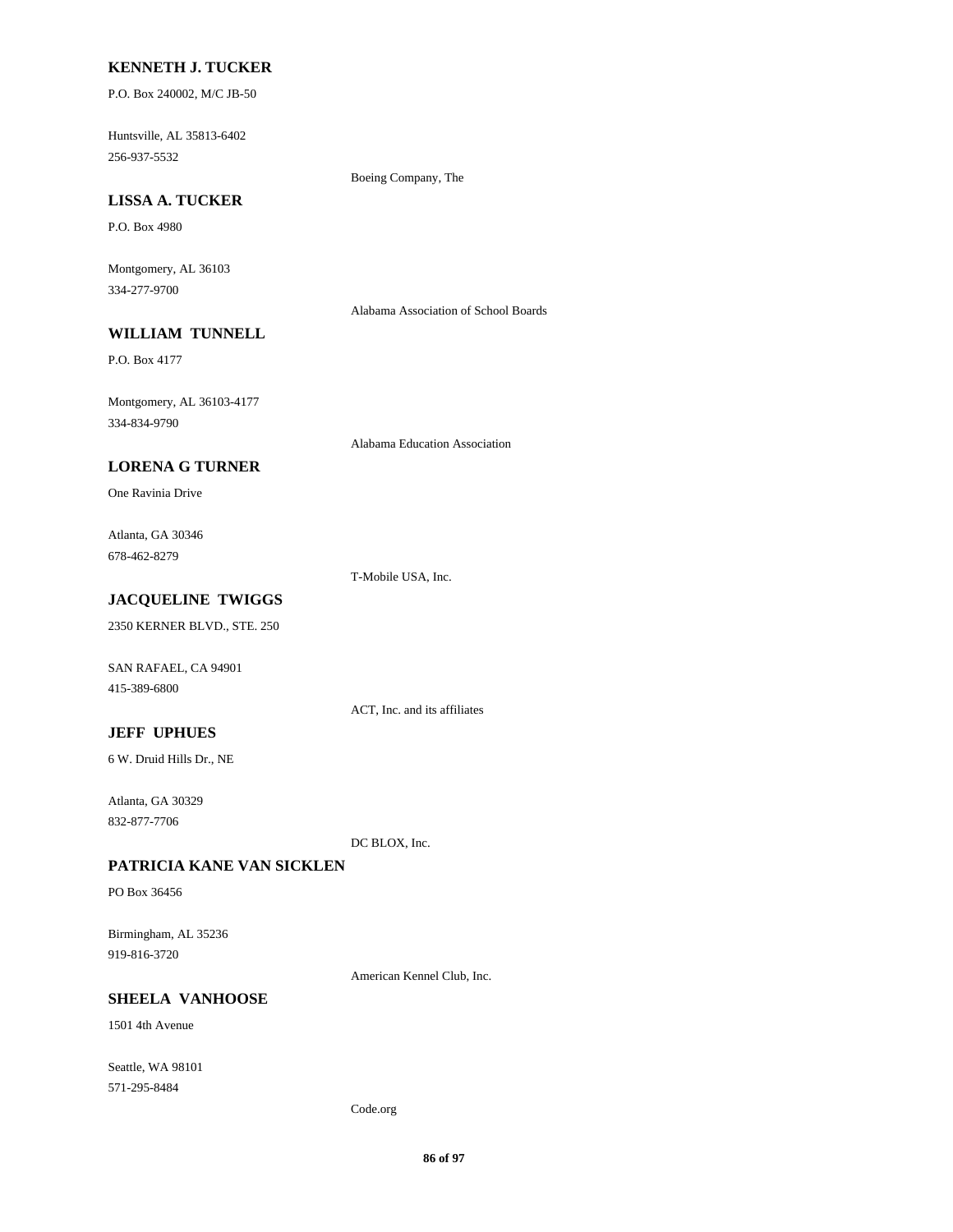### **KENNETH J. TUCKER**

P.O. Box 240002, M/C JB-50

Huntsville, AL 35813-6402 256-937-5532

Boeing Company, The

# **LISSA A. TUCKER**

P.O. Box 4980

Montgomery, AL 36103 334-277-9700

Alabama Association of School Boards

# **WILLIAM TUNNELL**

P.O. Box 4177

Montgomery, AL 36103-4177 334-834-9790

Alabama Education Association

## **LORENA G TURNER**

One Ravinia Drive

Atlanta, GA 30346 678-462-8279

T-Mobile USA, Inc.

# **JACQUELINE TWIGGS**

2350 KERNER BLVD., STE. 250

SAN RAFAEL, CA 94901 415-389-6800

ACT, Inc. and its affiliates

### **JEFF UPHUES**

6 W. Druid Hills Dr., NE

Atlanta, GA 30329 832-877-7706

DC BLOX, Inc.

### **PATRICIA KANE VAN SICKLEN**

PO Box 36456

Birmingham, AL 35236 919-816-3720

American Kennel Club, Inc.

### **SHEELA VANHOOSE**

1501 4th Avenue

Seattle, WA 98101 571-295-8484

Code.org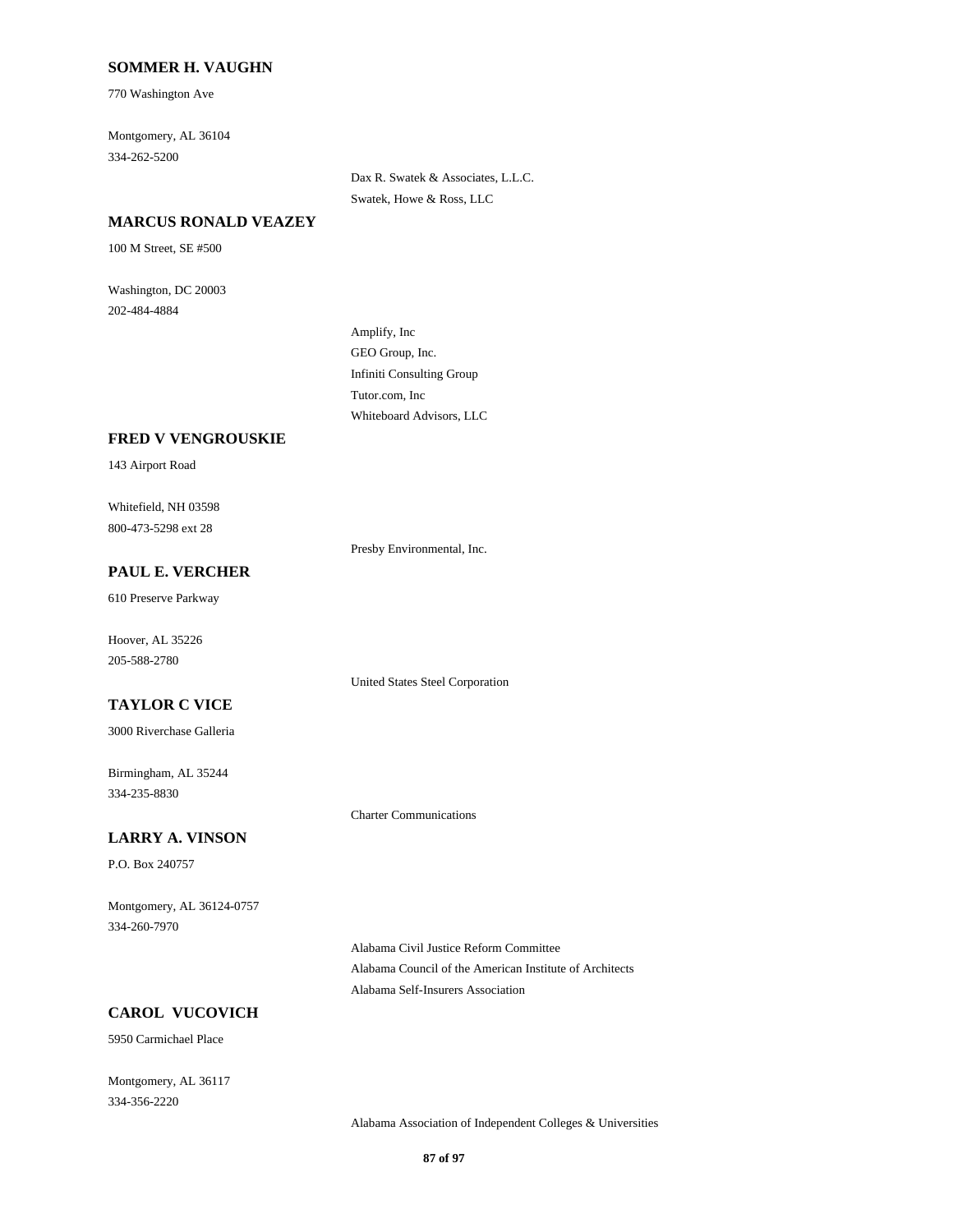### **SOMMER H. VAUGHN**

770 Washington Ave

Montgomery, AL 36104 334-262-5200

> Dax R. Swatek & Associates, L.L.C. Swatek, Howe & Ross, LLC

#### **MARCUS RONALD VEAZEY**

100 M Street, SE #500

Washington, DC 20003 202-484-4884

> Amplify, Inc GEO Group, Inc. Infiniti Consulting Group Tutor.com, Inc Whiteboard Advisors, LLC

#### **FRED V VENGROUSKIE**

143 Airport Road

Whitefield, NH 03598 800-473-5298 ext 28

Presby Environmental, Inc.

United States Steel Corporation

Charter Communications

# **PAUL E. VERCHER**

610 Preserve Parkway

Hoover, AL 35226 205-588-2780

## **TAYLOR C VICE**

3000 Riverchase Galleria

Birmingham, AL 35244 334-235-8830

#### **LARRY A. VINSON**

P.O. Box 240757

Montgomery, AL 36124-0757 334-260-7970

> Alabama Civil Justice Reform Committee Alabama Council of the American Institute of Architects Alabama Self-Insurers Association

# **CAROL VUCOVICH**

5950 Carmichael Place

Montgomery, AL 36117 334-356-2220

Alabama Association of Independent Colleges & Universities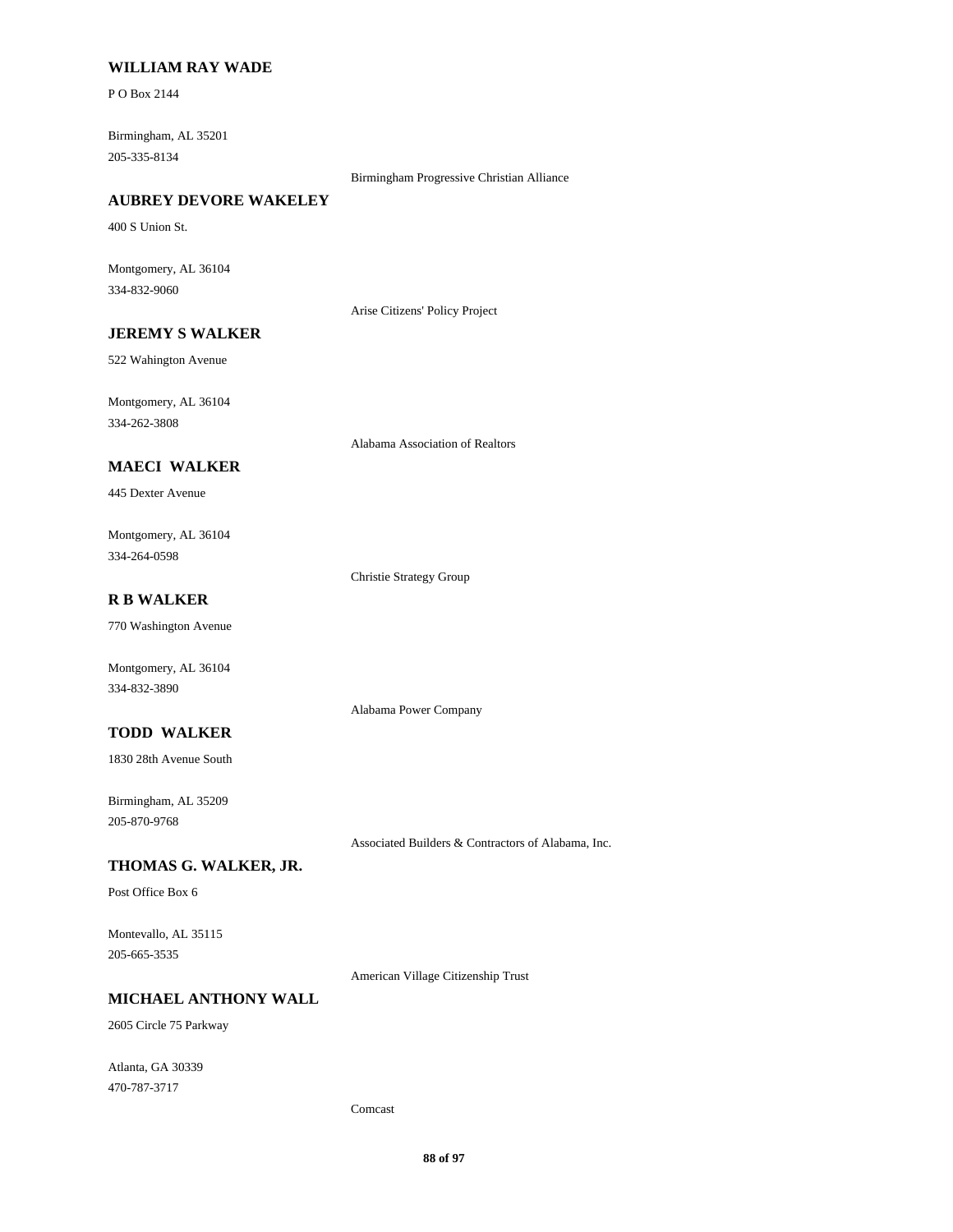### **WILLIAM RAY WADE**

P O Box 2144

Birmingham, AL 35201 205-335-8134

Birmingham Progressive Christian Alliance

### **AUBREY DEVORE WAKELEY**

400 S Union St.

Montgomery, AL 36104 334-832-9060

Arise Citizens' Policy Project

# **JEREMY S WALKER**

522 Wahington Avenue

Montgomery, AL 36104 334-262-3808

Alabama Association of Realtors

## **MAECI WALKER**

445 Dexter Avenue

Montgomery, AL 36104 334-264-0598

Christie Strategy Group

Alabama Power Company

# **R B WALKER**

770 Washington Avenue

Montgomery, AL 36104 334-832-3890

### **TODD WALKER**

1830 28th Avenue South

Birmingham, AL 35209 205-870-9768

Associated Builders & Contractors of Alabama, Inc.

### **THOMAS G. WALKER, JR.**

Post Office Box 6

Montevallo, AL 35115 205-665-3535

American Village Citizenship Trust

## **MICHAEL ANTHONY WALL**

2605 Circle 75 Parkway

Atlanta, GA 30339 470-787-3717

Comcast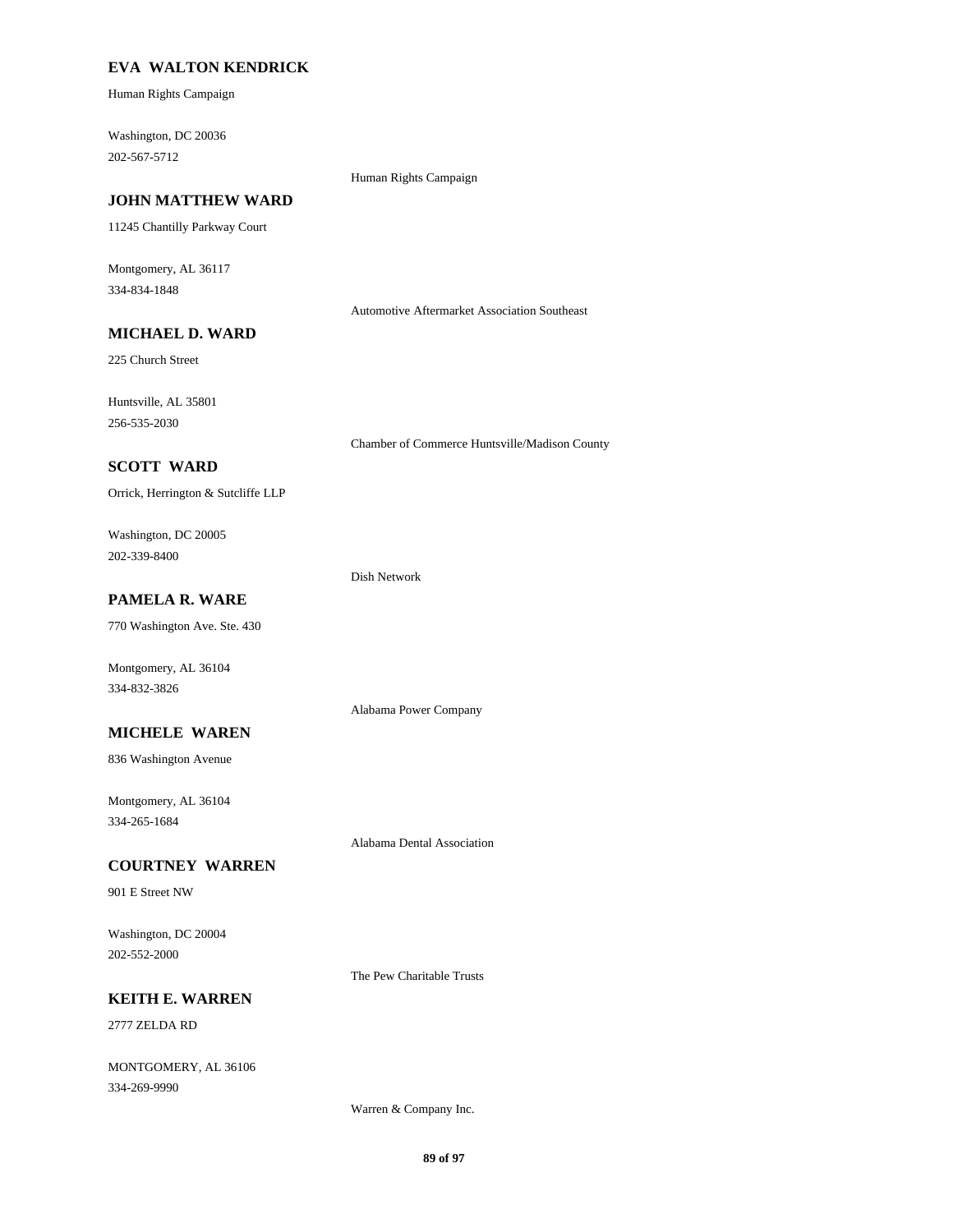### **EVA WALTON KENDRICK**

Human Rights Campaign

Washington, DC 20036 202-567-5712

#### Human Rights Campaign

### **JOHN MATTHEW WARD**

11245 Chantilly Parkway Court

Montgomery, AL 36117 334-834-1848

Automotive Aftermarket Association Southeast

# **MICHAEL D. WARD**

225 Church Street

Huntsville, AL 35801 256-535-2030

Chamber of Commerce Huntsville/Madison County

### **SCOTT WARD**

Orrick, Herrington & Sutcliffe LLP

Washington, DC 20005 202-339-8400

#### Dish Network

**PAMELA R. WARE**

770 Washington Ave. Ste. 430

Montgomery, AL 36104 334-832-3826

#### **MICHELE WAREN**

836 Washington Avenue

Montgomery, AL 36104 334-265-1684

#### **COURTNEY WARREN**

901 E Street NW

Washington, DC 20004 202-552-2000

The Pew Charitable Trusts

Alabama Dental Association

Alabama Power Company

## **KEITH E. WARREN**

2777 ZELDA RD

MONTGOMERY, AL 36106 334-269-9990

Warren & Company Inc.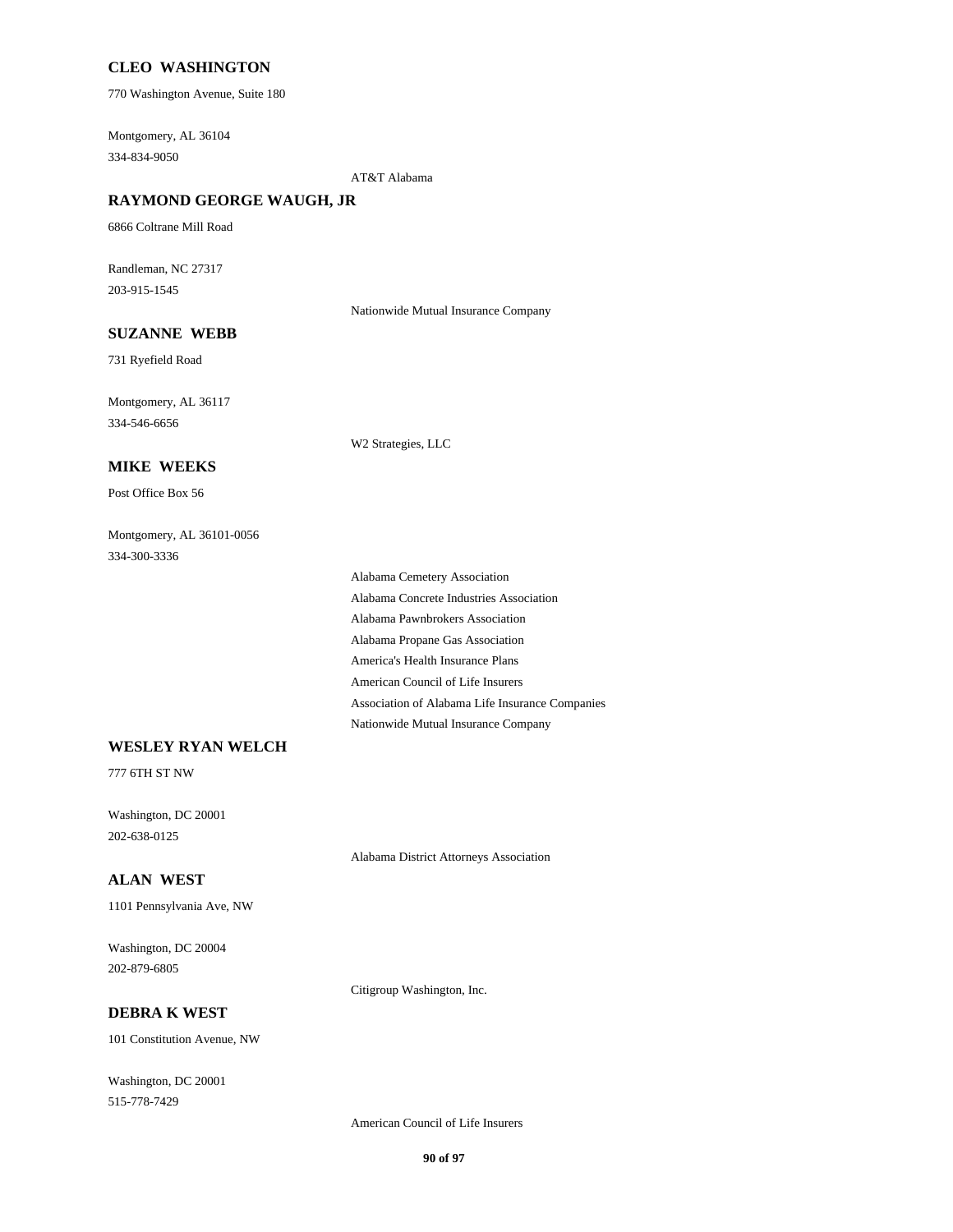### **CLEO WASHINGTON**

770 Washington Avenue, Suite 180

Montgomery, AL 36104 334-834-9050

AT&T Alabama

### **RAYMOND GEORGE WAUGH, JR**

6866 Coltrane Mill Road

Randleman, NC 27317 203-915-1545

Nationwide Mutual Insurance Company

### **SUZANNE WEBB**

731 Ryefield Road

Montgomery, AL 36117 334-546-6656

W2 Strategies, LLC

#### **MIKE WEEKS**

Post Office Box 56

Montgomery, AL 36101-0056 334-300-3336

> Alabama Cemetery Association Alabama Concrete Industries Association Alabama Pawnbrokers Association Alabama Propane Gas Association America's Health Insurance Plans American Council of Life Insurers Association of Alabama Life Insurance Companies Nationwide Mutual Insurance Company

#### **WESLEY RYAN WELCH**

777 6TH ST NW

Washington, DC 20001 202-638-0125

Alabama District Attorneys Association

#### **ALAN WEST**

1101 Pennsylvania Ave, NW

Washington, DC 20004 202-879-6805

Citigroup Washington, Inc.

#### **DEBRA K WEST**

101 Constitution Avenue, NW

Washington, DC 20001 515-778-7429

American Council of Life Insurers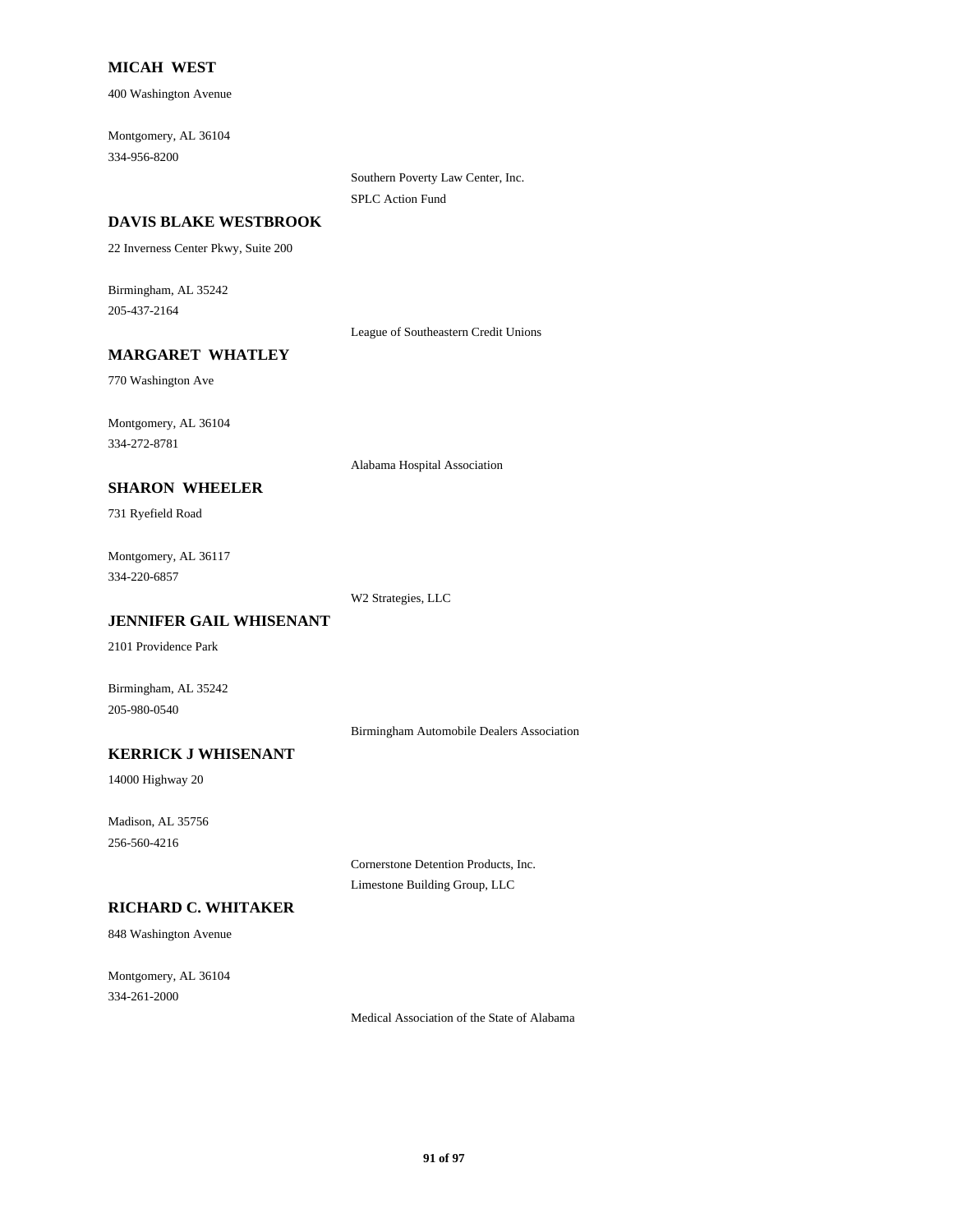### **MICAH WEST**

400 Washington Avenue

Montgomery, AL 36104 334-956-8200

> Southern Poverty Law Center, Inc. SPLC Action Fund

#### **DAVIS BLAKE WESTBROOK**

22 Inverness Center Pkwy, Suite 200

Birmingham, AL 35242 205-437-2164

League of Southeastern Credit Unions

### **MARGARET WHATLEY**

770 Washington Ave

Montgomery, AL 36104 334-272-8781

Alabama Hospital Association

## **SHARON WHEELER**

731 Ryefield Road

Montgomery, AL 36117 334-220-6857

W2 Strategies, LLC

## **JENNIFER GAIL WHISENANT**

2101 Providence Park

Birmingham, AL 35242 205-980-0540

Birmingham Automobile Dealers Association

# **KERRICK J WHISENANT**

14000 Highway 20

Madison, AL 35756 256-560-4216

> Cornerstone Detention Products, Inc. Limestone Building Group, LLC

### **RICHARD C. WHITAKER**

848 Washington Avenue

Montgomery, AL 36104 334-261-2000

Medical Association of the State of Alabama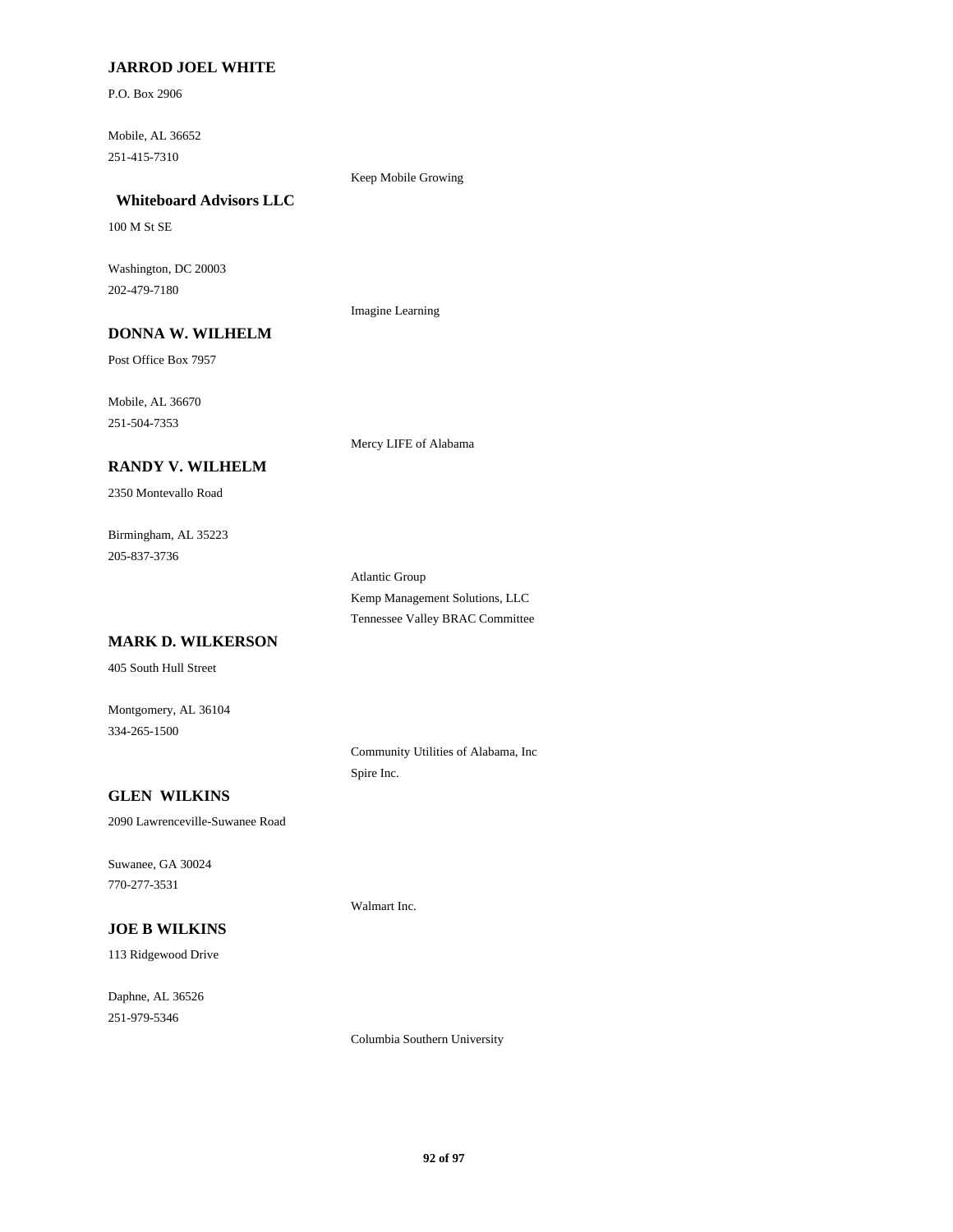### **JARROD JOEL WHITE**

P.O. Box 2906

Mobile, AL 36652 251-415-7310

### Keep Mobile Growing

## **Whiteboard Advisors LLC**

100 M St SE

Washington, DC 20003 202-479-7180

Imagine Learning

# **DONNA W. WILHELM**

Post Office Box 7957

Mobile, AL 36670 251-504-7353

Mercy LIFE of Alabama

### **RANDY V. WILHELM**

2350 Montevallo Road

Birmingham, AL 35223 205-837-3736

> Atlantic Group Kemp Management Solutions, LLC Tennessee Valley BRAC Committee

# **MARK D. WILKERSON**

405 South Hull Street

Montgomery, AL 36104 334-265-1500

> Community Utilities of Alabama, Inc Spire Inc.

### **GLEN WILKINS**

2090 Lawrenceville-Suwanee Road

Suwanee, GA 30024 770-277-3531

### **JOE B WILKINS**

113 Ridgewood Drive

Daphne, AL 36526 251-979-5346

Walmart Inc.

Columbia Southern University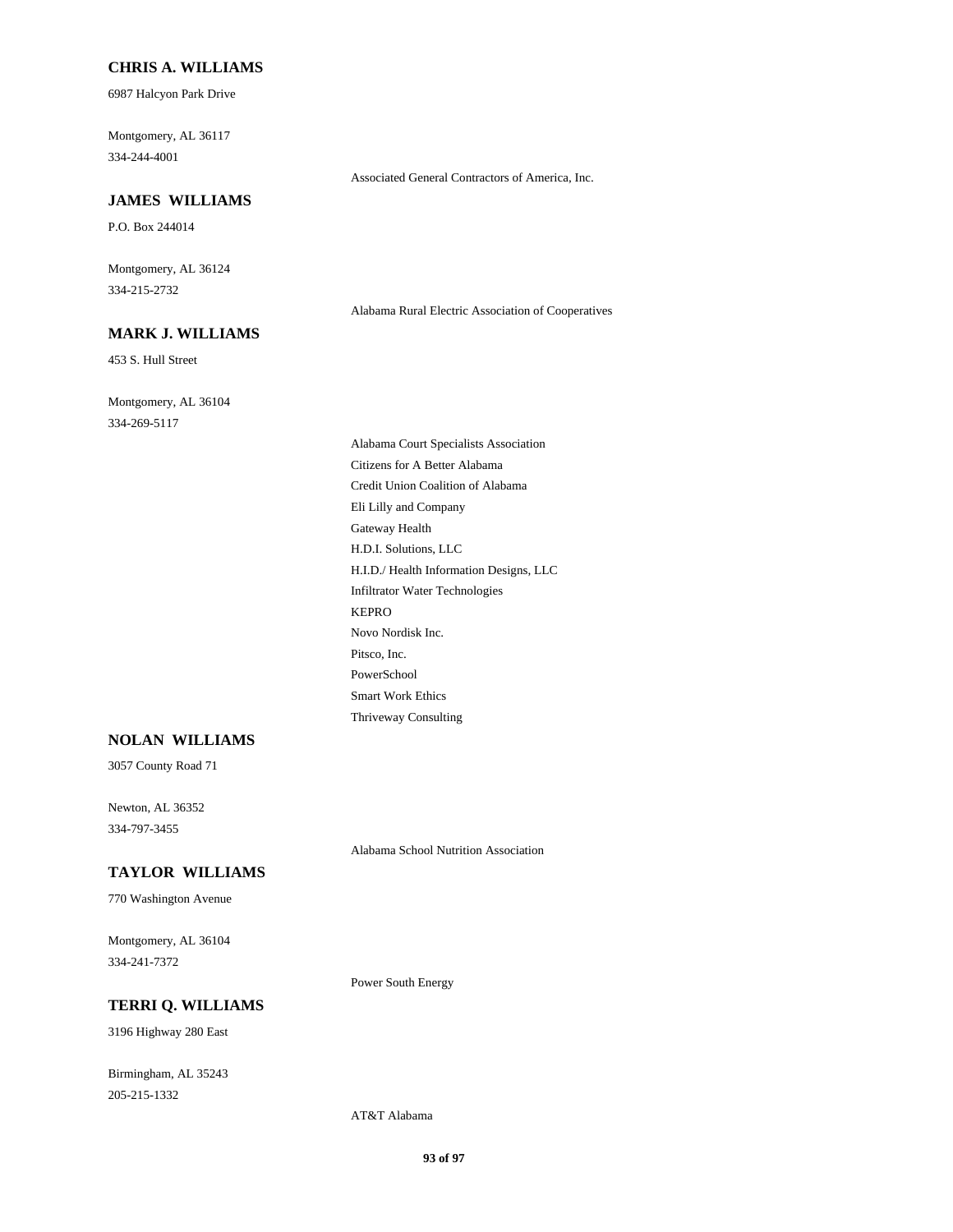#### **CHRIS A. WILLIAMS**

6987 Halcyon Park Drive

Montgomery, AL 36117 334-244-4001

#### **JAMES WILLIAMS**

P.O. Box 244014

Montgomery, AL 36124 334-215-2732

### **MARK J. WILLIAMS**

453 S. Hull Street

Montgomery, AL 36104 334-269-5117

> Alabama Court Specialists Association Citizens for A Better Alabama Credit Union Coalition of Alabama Eli Lilly and Company Gateway Health H.D.I. Solutions, LLC H.I.D./ Health Information Designs, LLC Infiltrator Water Technologies KEPRO Novo Nordisk Inc. Pitsco, Inc. PowerSchool Smart Work Ethics Thriveway Consulting

Associated General Contractors of America, Inc.

Alabama Rural Electric Association of Cooperatives

### **NOLAN WILLIAMS**

3057 County Road 71

Newton, AL 36352 334-797-3455

Alabama School Nutrition Association

# **TAYLOR WILLIAMS**

770 Washington Avenue

Montgomery, AL 36104 334-241-7372

### **TERRI Q. WILLIAMS**

3196 Highway 280 East

Birmingham, AL 35243 205-215-1332

AT&T Alabama

Power South Energy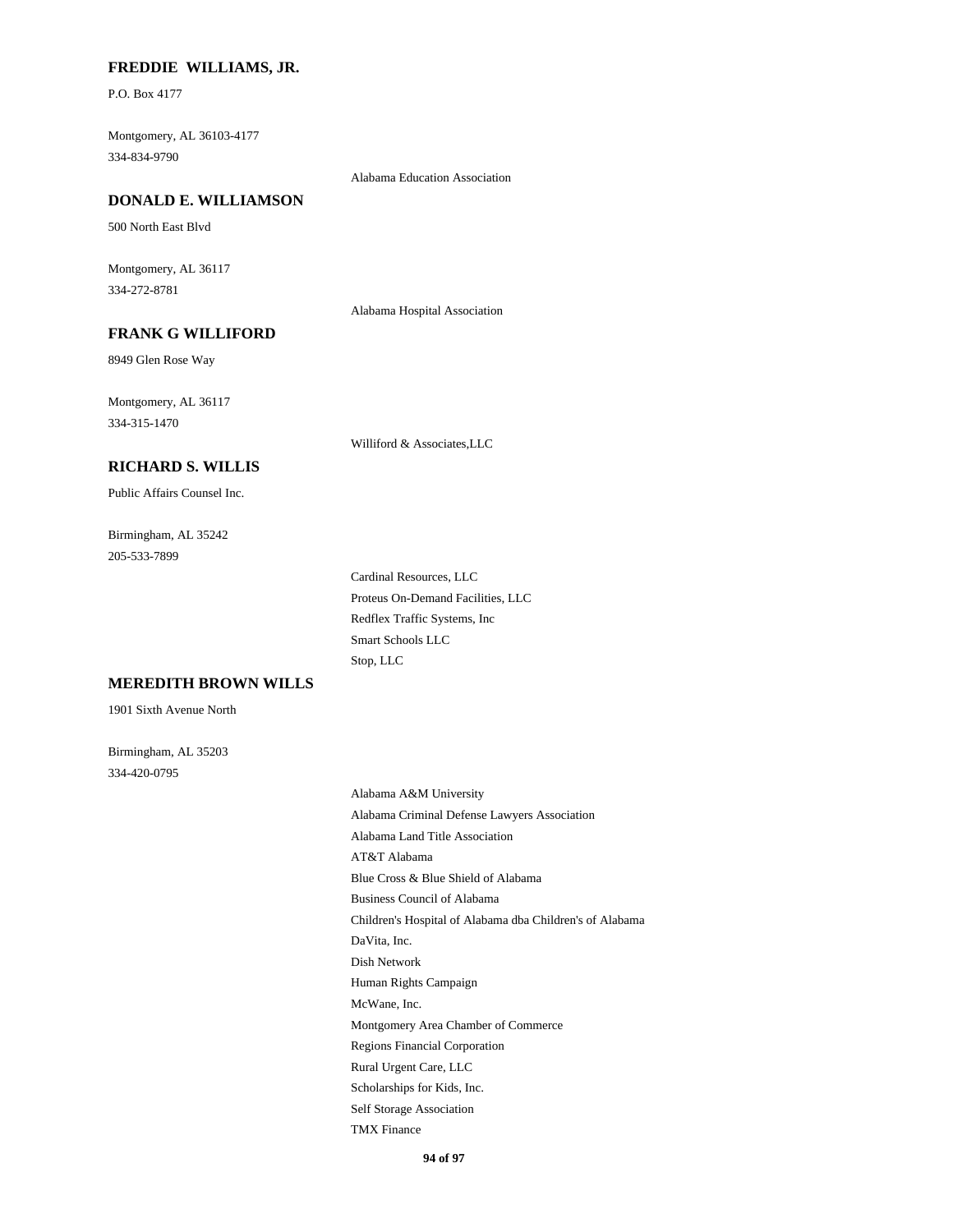### **FREDDIE WILLIAMS, JR.**

P.O. Box 4177

Montgomery, AL 36103-4177 334-834-9790

Alabama Education Association

#### **DONALD E. WILLIAMSON**

500 North East Blvd

Montgomery, AL 36117 334-272-8781

Alabama Hospital Association

# **FRANK G WILLIFORD**

8949 Glen Rose Way

Montgomery, AL 36117 334-315-1470

Williford & Associates,LLC

### **RICHARD S. WILLIS**

Public Affairs Counsel Inc.

Birmingham, AL 35242 205-533-7899

> Cardinal Resources, LLC Proteus On-Demand Facilities, LLC Redflex Traffic Systems, Inc Smart Schools LLC Stop, LLC

### **MEREDITH BROWN WILLS**

1901 Sixth Avenue North

Birmingham, AL 35203 334-420-0795

> Alabama A&M University Alabama Criminal Defense Lawyers Association Alabama Land Title Association AT&T Alabama Blue Cross & Blue Shield of Alabama Business Council of Alabama Children's Hospital of Alabama dba Children's of Alabama DaVita, Inc. Dish Network Human Rights Campaign McWane, Inc. Montgomery Area Chamber of Commerce Regions Financial Corporation Rural Urgent Care, LLC Scholarships for Kids, Inc. Self Storage Association TMX Finance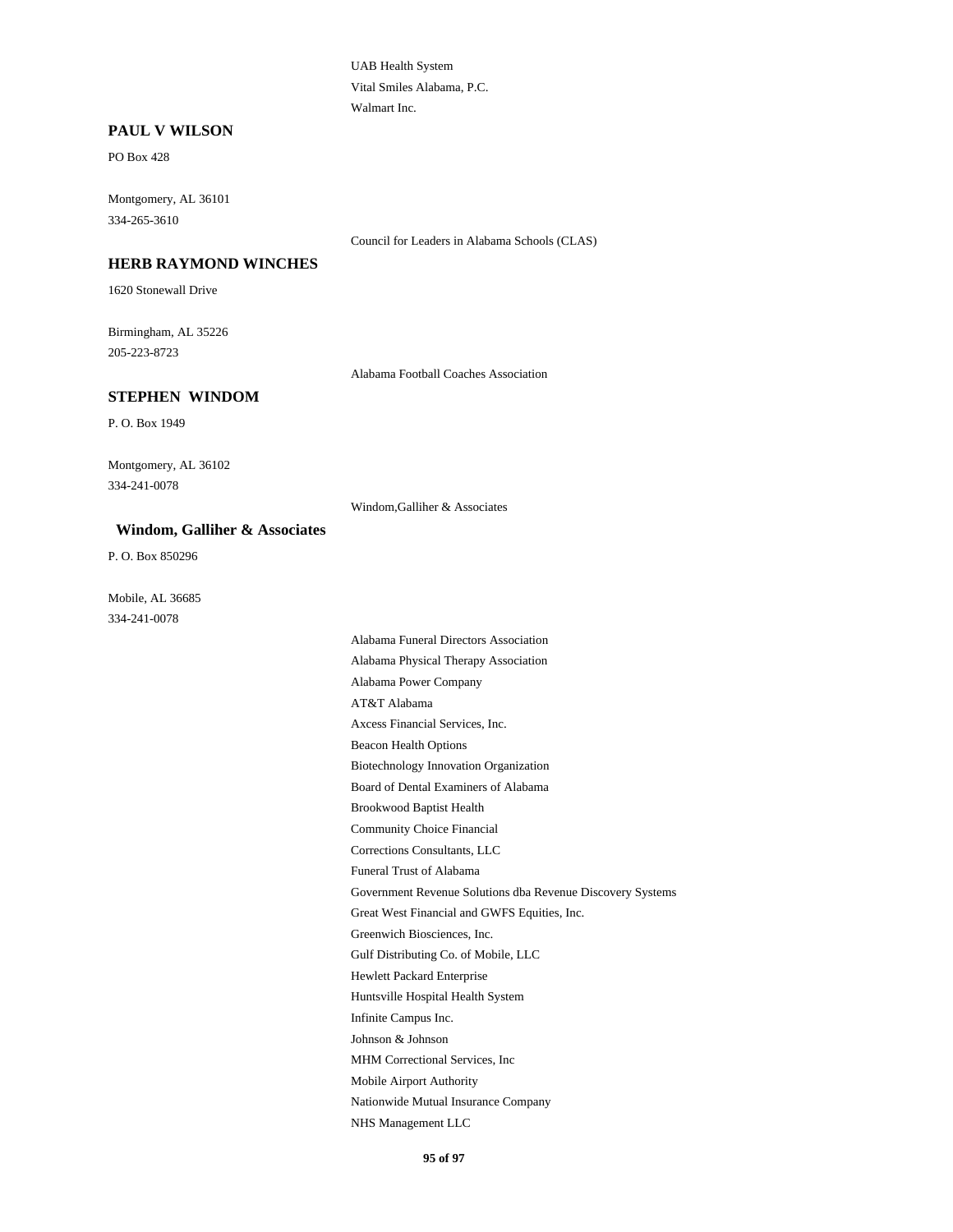UAB Health System Vital Smiles Alabama, P.C. Walmart Inc.

#### **PAUL V WILSON**

PO Box 428

Montgomery, AL 36101 334-265-3610

Council for Leaders in Alabama Schools (CLAS)

#### **HERB RAYMOND WINCHES**

1620 Stonewall Drive

Birmingham, AL 35226 205-223-8723

Alabama Football Coaches Association

#### **STEPHEN WINDOM**

P. O. Box 1949

Montgomery, AL 36102 334-241-0078

Windom,Galliher & Associates

#### **Windom, Galliher & Associates**

P. O. Box 850296

Mobile, AL 36685 334-241-0078

> Alabama Funeral Directors Association Alabama Physical Therapy Association Alabama Power Company AT&T Alabama Axcess Financial Services, Inc. Beacon Health Options Biotechnology Innovation Organization Board of Dental Examiners of Alabama Brookwood Baptist Health Community Choice Financial Corrections Consultants, LLC Funeral Trust of Alabama Government Revenue Solutions dba Revenue Discovery Systems Great West Financial and GWFS Equities, Inc. Greenwich Biosciences, Inc. Gulf Distributing Co. of Mobile, LLC Hewlett Packard Enterprise Huntsville Hospital Health System Infinite Campus Inc. Johnson & Johnson MHM Correctional Services, Inc Mobile Airport Authority Nationwide Mutual Insurance Company NHS Management LLC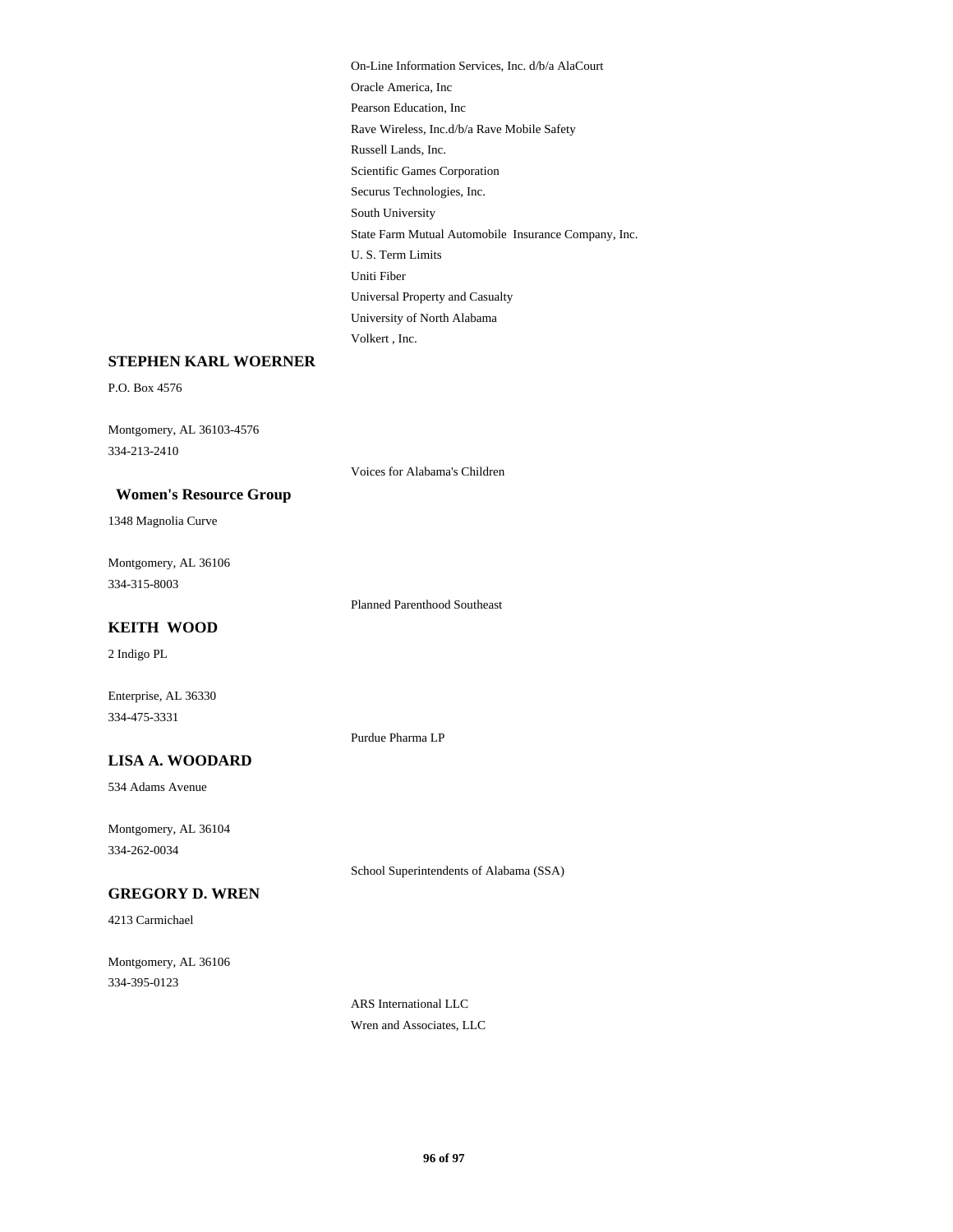On-Line Information Services, Inc. d/b/a AlaCourt Oracle America, Inc Pearson Education, Inc Rave Wireless, Inc.d/b/a Rave Mobile Safety Russell Lands, Inc. Scientific Games Corporation Securus Technologies, Inc. South University State Farm Mutual Automobile Insurance Company, Inc. U. S. Term Limits Uniti Fiber Universal Property and Casualty University of North Alabama Volkert , Inc.

### **STEPHEN KARL WOERNER**

P.O. Box 4576

Montgomery, AL 36103-4576 334-213-2410

Voices for Alabama's Children

### **Women's Resource Group**

1348 Magnolia Curve

Montgomery, AL 36106 334-315-8003

Planned Parenthood Southeast

#### **KEITH WOOD**

2 Indigo PL

Enterprise, AL 36330 334-475-3331

Purdue Pharma LP

## **LISA A. WOODARD**

534 Adams Avenue

Montgomery, AL 36104 334-262-0034

School Superintendents of Alabama (SSA)

## **GREGORY D. WREN**

4213 Carmichael

Montgomery, AL 36106 334-395-0123

> ARS International LLC Wren and Associates, LLC